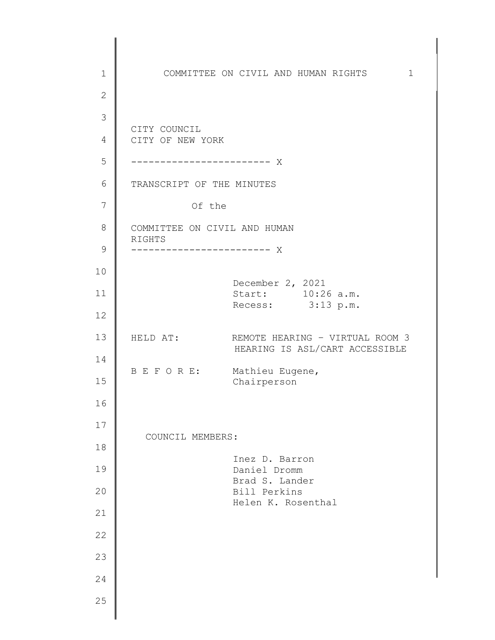1 2 3 4 5 6 7 8 9 10 11 12 13 14 15 16 17 18 19 20 21 22 23 24 25 COMMITTEE ON CIVIL AND HUMAN RIGHTS 1 CITY OF NEW YORK CITY COUNCIL ------------------------ X TRANSCRIPT OF THE MINUTES Of the COMMITTEE ON CIVIL AND HUMAN RIGHTS ------------------------ X December 2, 2021 Start: 10:26 a.m. Recess:  $3:13 \text{ p.m.}$ HELD AT: REMOTE HEARING – VIRTUAL ROOM 3 HEARING IS ASL/CART ACCESSIBLE B E F O R E: Mathieu Eugene, Chairperson COUNCIL MEMBERS: Inez D. Barron Daniel Dromm Brad S. Lander Bill Perkins Helen K. Rosenthal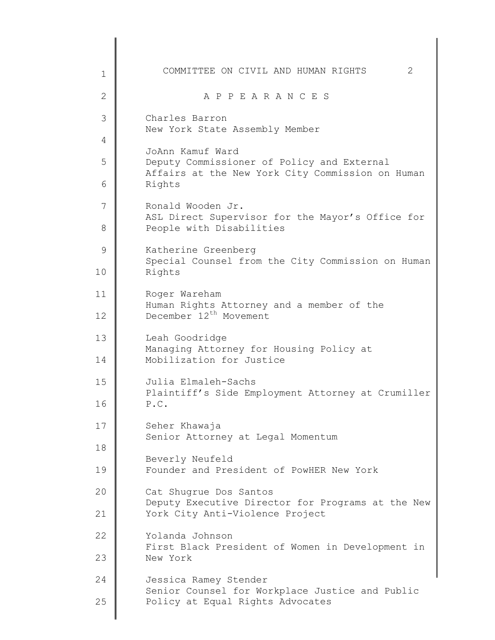| $\mathbf{1}$ | 2<br>COMMITTEE ON CIVIL AND HUMAN RIGHTS                                    |
|--------------|-----------------------------------------------------------------------------|
| 2            | A P P E A R A N C E S                                                       |
| 3            | Charles Barron<br>New York State Assembly Member                            |
| 4            | JoAnn Kamuf Ward                                                            |
| 5            | Deputy Commissioner of Policy and External                                  |
| 6            | Affairs at the New York City Commission on Human<br>Rights                  |
| 7            | Ronald Wooden Jr.<br>ASL Direct Supervisor for the Mayor's Office for       |
| 8            | People with Disabilities                                                    |
| 9            | Katherine Greenberg<br>Special Counsel from the City Commission on Human    |
| 10           | Rights                                                                      |
| 11           | Roger Wareham<br>Human Rights Attorney and a member of the                  |
| 12           | December 12 <sup>th</sup> Movement                                          |
| 13           | Leah Goodridge<br>Managing Attorney for Housing Policy at                   |
| 14           | Mobilization for Justice                                                    |
| 15           | Julia Elmaleh-Sachs<br>Plaintiff's Side Employment Attorney at Crumiller    |
| 16           | P.C.                                                                        |
| 17           | Seher Khawaja<br>Senior Attorney at Legal Momentum                          |
| 18           | Beverly Neufeld                                                             |
| 19           | Founder and President of PowHER New York                                    |
| 20           | Cat Shugrue Dos Santos<br>Deputy Executive Director for Programs at the New |
| 21           | York City Anti-Violence Project                                             |
| 22           | Yolanda Johnson<br>First Black President of Women in Development in         |
| 23           | New York                                                                    |
| 24           | Jessica Ramey Stender<br>Senior Counsel for Workplace Justice and Public    |
| 25           | Policy at Equal Rights Advocates                                            |
|              |                                                                             |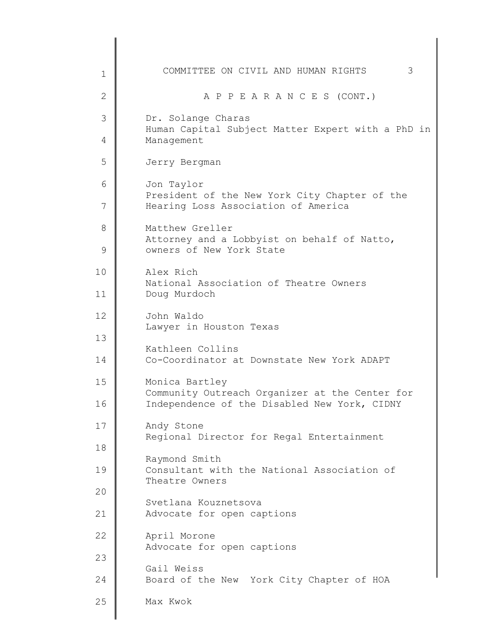| $\mathbf 1$ | 3<br>COMMITTEE ON CIVIL AND HUMAN RIGHTS                                                                         |
|-------------|------------------------------------------------------------------------------------------------------------------|
| 2           | A P P E A R A N C E S (CONT.)                                                                                    |
| 3           | Dr. Solange Charas<br>Human Capital Subject Matter Expert with a PhD in                                          |
| 4           | Management                                                                                                       |
| 5           | Jerry Bergman                                                                                                    |
| 6<br>7      | Jon Taylor<br>President of the New York City Chapter of the<br>Hearing Loss Association of America               |
| 8<br>9      | Matthew Greller<br>Attorney and a Lobbyist on behalf of Natto,<br>owners of New York State                       |
| 10          | Alex Rich                                                                                                        |
| 11          | National Association of Theatre Owners<br>Doug Murdoch                                                           |
| 12          | John Waldo<br>Lawyer in Houston Texas                                                                            |
| 13<br>14    | Kathleen Collins<br>Co-Coordinator at Downstate New York ADAPT                                                   |
| 15<br>16    | Monica Bartley<br>Community Outreach Organizer at the Center for<br>Independence of the Disabled New York, CIDNY |
| 17          | Andy Stone<br>Regional Director for Regal Entertainment                                                          |
| 18          | Raymond Smith                                                                                                    |
| 19          | Consultant with the National Association of<br>Theatre Owners                                                    |
| 20<br>21    | Svetlana Kouznetsova<br>Advocate for open captions                                                               |
| 22          | April Morone                                                                                                     |
| 23          | Advocate for open captions                                                                                       |
| 24          | Gail Weiss<br>Board of the New York City Chapter of HOA                                                          |
| 25          | Max Kwok                                                                                                         |
|             |                                                                                                                  |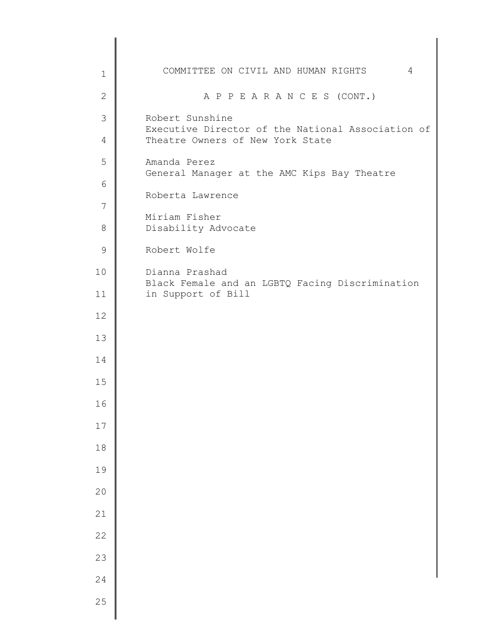| $\mathbf 1$   | COMMITTEE ON CIVIL AND HUMAN RIGHTS<br>4                              |
|---------------|-----------------------------------------------------------------------|
| $\mathbf{2}$  | A P P E A R A N C E S (CONT.)                                         |
| $\mathcal{S}$ | Robert Sunshine<br>Executive Director of the National Association of  |
| 4             | Theatre Owners of New York State                                      |
| 5             | Amanda Perez<br>General Manager at the AMC Kips Bay Theatre           |
| 6             | Roberta Lawrence                                                      |
| 7<br>$\,8\,$  | Miriam Fisher                                                         |
| $\mathcal{G}$ | Disability Advocate<br>Robert Wolfe                                   |
| 10            | Dianna Prashad                                                        |
| 11            | Black Female and an LGBTQ Facing Discrimination<br>in Support of Bill |
| 12            |                                                                       |
| 13            |                                                                       |
| 14            |                                                                       |
| 15            |                                                                       |
| 16            |                                                                       |
| 17            |                                                                       |
| $1\,8$        |                                                                       |
| 19            |                                                                       |
| $20$          |                                                                       |
| 21            |                                                                       |
| 22            |                                                                       |
| 23            |                                                                       |
| 24<br>25      |                                                                       |
|               |                                                                       |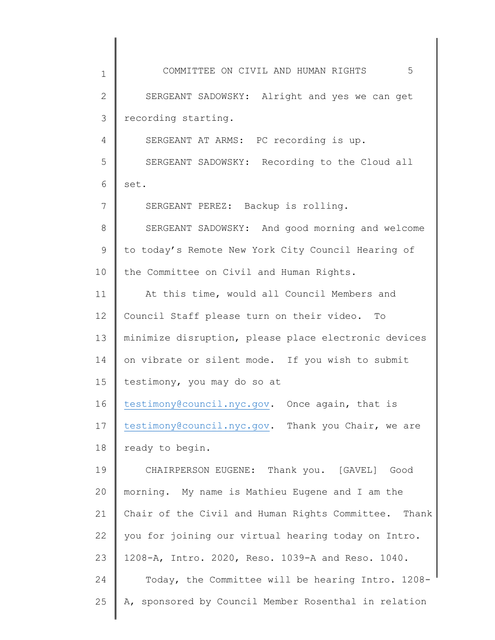1 2 3 4 5 6 7 8 9 10 11 12 13 14 15 16 17 18 19 20 21 22 23 24 25 COMMITTEE ON CIVIL AND HUMAN RIGHTS 5 SERGEANT SADOWSKY: Alright and yes we can get recording starting. SERGEANT AT ARMS: PC recording is up. SERGEANT SADOWSKY: Recording to the Cloud all set. SERGEANT PEREZ: Backup is rolling. SERGEANT SADOWSKY: And good morning and welcome to today's Remote New York City Council Hearing of the Committee on Civil and Human Rights. At this time, would all Council Members and Council Staff please turn on their video. To minimize disruption, please place electronic devices on vibrate or silent mode. If you wish to submit testimony, you may do so at [testimony@council.nyc.gov.](mailto:testimony@council.nyc.gov) Once again, that is [testimony@council.nyc.gov.](mailto:testimony@council.nyc.gov) Thank you Chair, we are ready to begin. CHAIRPERSON EUGENE: Thank you. [GAVEL] Good morning. My name is Mathieu Eugene and I am the Chair of the Civil and Human Rights Committee. Thank you for joining our virtual hearing today on Intro. 1208-A, Intro. 2020, Reso. 1039-A and Reso. 1040. Today, the Committee will be hearing Intro. 1208- A, sponsored by Council Member Rosenthal in relation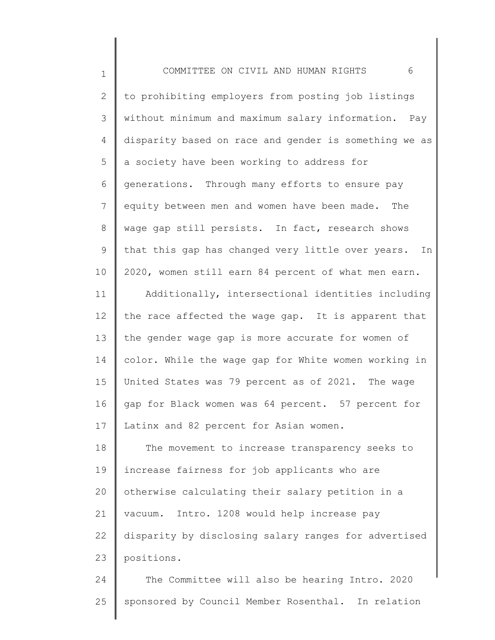| $\mathbf 1$  | COMMITTEE ON CIVIL AND HUMAN RIGHTS<br>6              |
|--------------|-------------------------------------------------------|
| $\mathbf{2}$ | to prohibiting employers from posting job listings    |
| 3            | without minimum and maximum salary information. Pay   |
| 4            | disparity based on race and gender is something we as |
| 5            | a society have been working to address for            |
| 6            | generations. Through many efforts to ensure pay       |
| 7            | equity between men and women have been made. The      |
| 8            | wage gap still persists. In fact, research shows      |
| 9            | that this gap has changed very little over years. In  |
| 10           | 2020, women still earn 84 percent of what men earn.   |
| 11           | Additionally, intersectional identities including     |
| 12           | the race affected the wage gap. It is apparent that   |
| 13           | the gender wage gap is more accurate for women of     |
| 14           | color. While the wage gap for White women working in  |
| 15           | United States was 79 percent as of 2021. The wage     |
| 16           | gap for Black women was 64 percent. 57 percent for    |
| 17           | Latinx and 82 percent for Asian women.                |
| 18           | The movement to increase transparency seeks to        |
| 19           | increase fairness for job applicants who are          |
| 20           | otherwise calculating their salary petition in a      |
| 21           | Intro. 1208 would help increase pay<br>vacuum.        |
| 22           | disparity by disclosing salary ranges for advertised  |
| 23           | positions.                                            |
| 24           | The Committee will also be hearing Intro. 2020        |

 $\Big\|$ 

25 sponsored by Council Member Rosenthal. In relation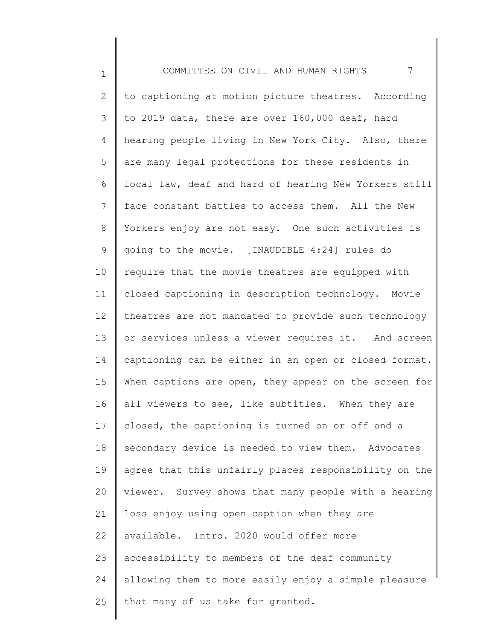1 2 3 4 5 6 7 8 9 10 11 12 13 14 15 16 17 18 19 20 21 22 23 24 25 COMMITTEE ON CIVIL AND HUMAN RIGHTS 7 to captioning at motion picture theatres. According to 2019 data, there are over 160,000 deaf, hard hearing people living in New York City. Also, there are many legal protections for these residents in local law, deaf and hard of hearing New Yorkers still face constant battles to access them. All the New Yorkers enjoy are not easy. One such activities is going to the movie. [INAUDIBLE 4:24] rules do require that the movie theatres are equipped with closed captioning in description technology. Movie theatres are not mandated to provide such technology or services unless a viewer requires it. And screen captioning can be either in an open or closed format. When captions are open, they appear on the screen for all viewers to see, like subtitles. When they are closed, the captioning is turned on or off and a secondary device is needed to view them. Advocates agree that this unfairly places responsibility on the viewer. Survey shows that many people with a hearing loss enjoy using open caption when they are available. Intro. 2020 would offer more accessibility to members of the deaf community allowing them to more easily enjoy a simple pleasure that many of us take for granted.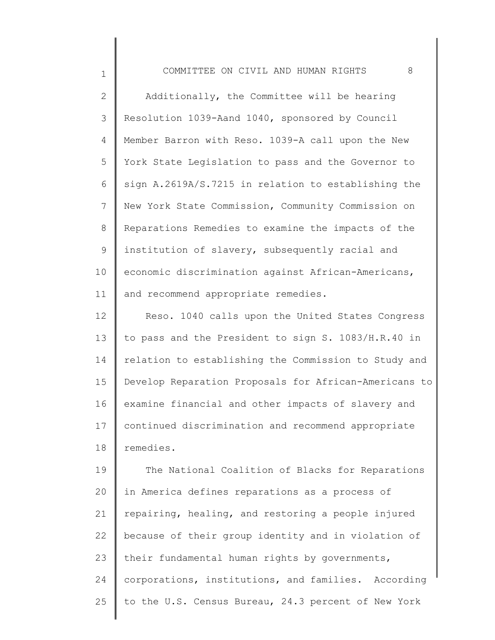1

2 3 4 5 6 7 8 9 10 11 Additionally, the Committee will be hearing Resolution 1039-Aand 1040, sponsored by Council Member Barron with Reso. 1039-A call upon the New York State Legislation to pass and the Governor to sign A.2619A/S.7215 in relation to establishing the New York State Commission, Community Commission on Reparations Remedies to examine the impacts of the institution of slavery, subsequently racial and economic discrimination against African-Americans, and recommend appropriate remedies.

12 13 14 15 16 17 18 Reso. 1040 calls upon the United States Congress to pass and the President to sign S. 1083/H.R.40 in relation to establishing the Commission to Study and Develop Reparation Proposals for African-Americans to examine financial and other impacts of slavery and continued discrimination and recommend appropriate remedies.

19 20 21 22 23 24 25 The National Coalition of Blacks for Reparations in America defines reparations as a process of repairing, healing, and restoring a people injured because of their group identity and in violation of their fundamental human rights by governments, corporations, institutions, and families. According to the U.S. Census Bureau, 24.3 percent of New York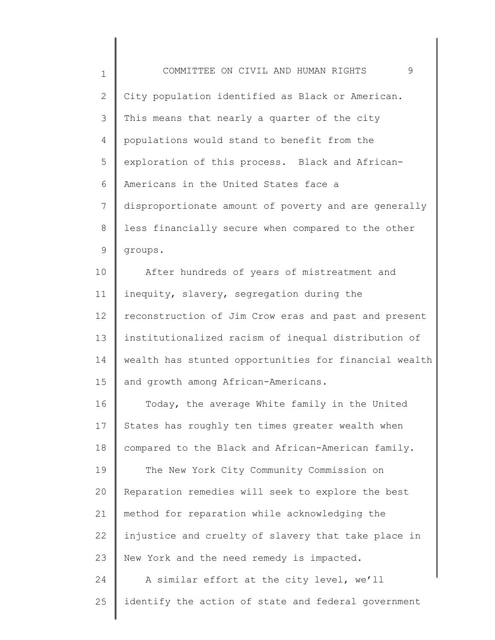| $\mathbf 1$ | 9<br>COMMITTEE ON CIVIL AND HUMAN RIGHTS              |
|-------------|-------------------------------------------------------|
| 2           | City population identified as Black or American.      |
| 3           | This means that nearly a quarter of the city          |
| 4           | populations would stand to benefit from the           |
| 5           | exploration of this process. Black and African-       |
| 6           | Americans in the United States face a                 |
| 7           | disproportionate amount of poverty and are generally  |
| 8           | less financially secure when compared to the other    |
| 9           | groups.                                               |
| 10          | After hundreds of years of mistreatment and           |
| 11          | inequity, slavery, segregation during the             |
| 12          | reconstruction of Jim Crow eras and past and present  |
| 13          | institutionalized racism of inequal distribution of   |
| 14          | wealth has stunted opportunities for financial wealth |
| 15          | and growth among African-Americans.                   |
| 16          | Today, the average White family in the United         |
| 17          | States has roughly ten times greater wealth when      |
| 18          | compared to the Black and African-American family.    |
| 19          | The New York City Community Commission on             |
| 20          | Reparation remedies will seek to explore the best     |
| 21          | method for reparation while acknowledging the         |
| 22          | injustice and cruelty of slavery that take place in   |
| 23          | New York and the need remedy is impacted.             |
| 24          | A similar effort at the city level, we'll             |
| 25          | identify the action of state and federal government   |

 $\Bigg\}$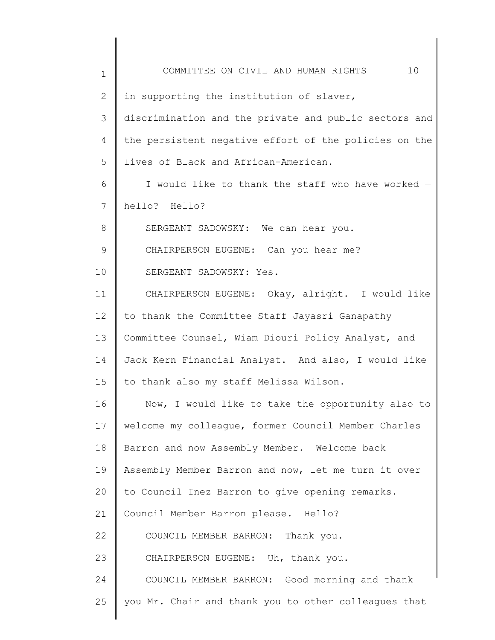| $\mathbf 1$ | 10<br>COMMITTEE ON CIVIL AND HUMAN RIGHTS             |
|-------------|-------------------------------------------------------|
| 2           | in supporting the institution of slaver,              |
| 3           | discrimination and the private and public sectors and |
| 4           | the persistent negative effort of the policies on the |
| 5           | lives of Black and African-American.                  |
| 6           | I would like to thank the staff who have worked -     |
| 7           | hello? Hello?                                         |
| 8           | SERGEANT SADOWSKY: We can hear you.                   |
| 9           | CHAIRPERSON EUGENE: Can you hear me?                  |
| 10          | SERGEANT SADOWSKY: Yes.                               |
| 11          | CHAIRPERSON EUGENE: Okay, alright. I would like       |
| 12          | to thank the Committee Staff Jayasri Ganapathy        |
| 13          | Committee Counsel, Wiam Diouri Policy Analyst, and    |
| 14          | Jack Kern Financial Analyst. And also, I would like   |
| 15          | to thank also my staff Melissa Wilson.                |
| 16          | Now, I would like to take the opportunity also to     |
| 17          | welcome my colleague, former Council Member Charles   |
| 18          | Barron and now Assembly Member. Welcome back          |
| 19          | Assembly Member Barron and now, let me turn it over   |
| 20          | to Council Inez Barron to give opening remarks.       |
| 21          | Council Member Barron please. Hello?                  |
| 22          | COUNCIL MEMBER BARRON: Thank you.                     |
| 23          | CHAIRPERSON EUGENE: Uh, thank you.                    |
| 24          | COUNCIL MEMBER BARRON: Good morning and thank         |
| 25          | you Mr. Chair and thank you to other colleagues that  |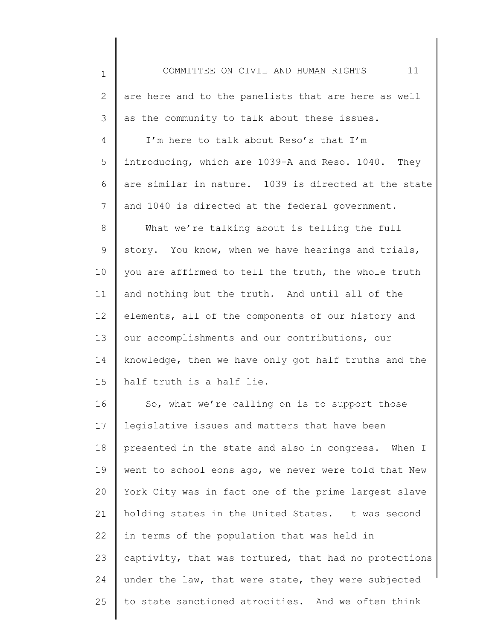| $\mathbf 1$ | 11<br>COMMITTEE ON CIVIL AND HUMAN RIGHTS             |
|-------------|-------------------------------------------------------|
| 2           | are here and to the panelists that are here as well   |
| 3           | as the community to talk about these issues.          |
| 4           | I'm here to talk about Reso's that I'm                |
| 5           | introducing, which are 1039-A and Reso. 1040. They    |
| 6           | are similar in nature. 1039 is directed at the state  |
| 7           | and 1040 is directed at the federal government.       |
| 8           | What we're talking about is telling the full          |
| 9           | story. You know, when we have hearings and trials,    |
| 10          | you are affirmed to tell the truth, the whole truth   |
| 11          | and nothing but the truth. And until all of the       |
| 12          | elements, all of the components of our history and    |
| 13          | our accomplishments and our contributions, our        |
| 14          | knowledge, then we have only got half truths and the  |
| 15          | half truth is a half lie.                             |
| 16          | So, what we're calling on is to support those         |
| 17          | legislative issues and matters that have been         |
| 18          | presented in the state and also in congress. When I   |
| 19          | went to school eons ago, we never were told that New  |
| 20          | York City was in fact one of the prime largest slave  |
| 21          | holding states in the United States. It was second    |
| 22          | in terms of the population that was held in           |
| 23          | captivity, that was tortured, that had no protections |
| 24          | under the law, that were state, they were subjected   |
| 25          | to state sanctioned atrocities. And we often think    |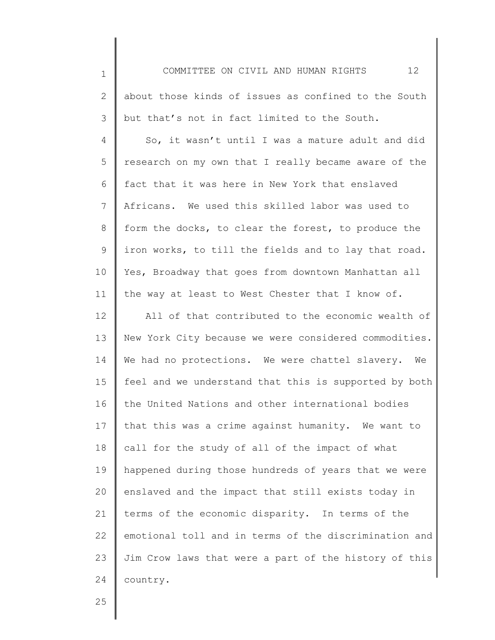1 2 3 4 5 6 7 8 9 10 11 12 13 14 15 16 17 18 19 20 21 22 23 24 COMMITTEE ON CIVIL AND HUMAN RIGHTS 12 about those kinds of issues as confined to the South but that's not in fact limited to the South. So, it wasn't until I was a mature adult and did research on my own that I really became aware of the fact that it was here in New York that enslaved Africans. We used this skilled labor was used to form the docks, to clear the forest, to produce the iron works, to till the fields and to lay that road. Yes, Broadway that goes from downtown Manhattan all the way at least to West Chester that I know of. All of that contributed to the economic wealth of New York City because we were considered commodities. We had no protections. We were chattel slavery. We feel and we understand that this is supported by both the United Nations and other international bodies that this was a crime against humanity. We want to call for the study of all of the impact of what happened during those hundreds of years that we were enslaved and the impact that still exists today in terms of the economic disparity. In terms of the emotional toll and in terms of the discrimination and Jim Crow laws that were a part of the history of this country.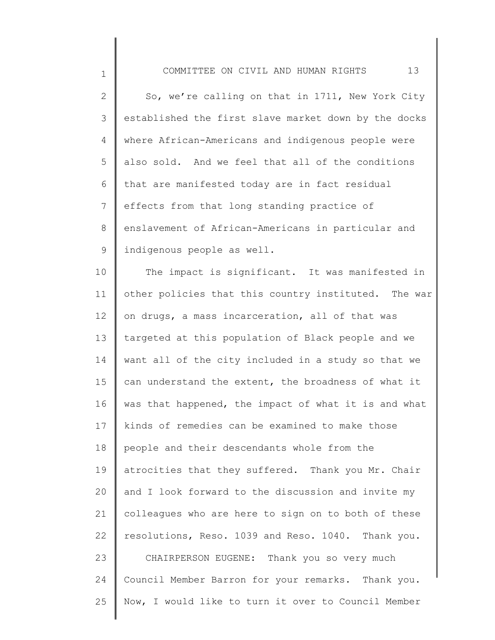| COMMITTEE ON CIVIL AND HUMAN RIGHTS |  |  |  |  |
|-------------------------------------|--|--|--|--|
|-------------------------------------|--|--|--|--|

1

2 3 4 5 6 7 8 9 So, we're calling on that in 1711, New York City established the first slave market down by the docks where African-Americans and indigenous people were also sold. And we feel that all of the conditions that are manifested today are in fact residual effects from that long standing practice of enslavement of African-Americans in particular and indigenous people as well.

10 11 12 13 14 15 16 17 18 19 20 21 22 23 24 25 The impact is significant. It was manifested in other policies that this country instituted. The war on drugs, a mass incarceration, all of that was targeted at this population of Black people and we want all of the city included in a study so that we can understand the extent, the broadness of what it was that happened, the impact of what it is and what kinds of remedies can be examined to make those people and their descendants whole from the atrocities that they suffered. Thank you Mr. Chair and I look forward to the discussion and invite my colleagues who are here to sign on to both of these resolutions, Reso. 1039 and Reso. 1040. Thank you. CHAIRPERSON EUGENE: Thank you so very much Council Member Barron for your remarks. Thank you. Now, I would like to turn it over to Council Member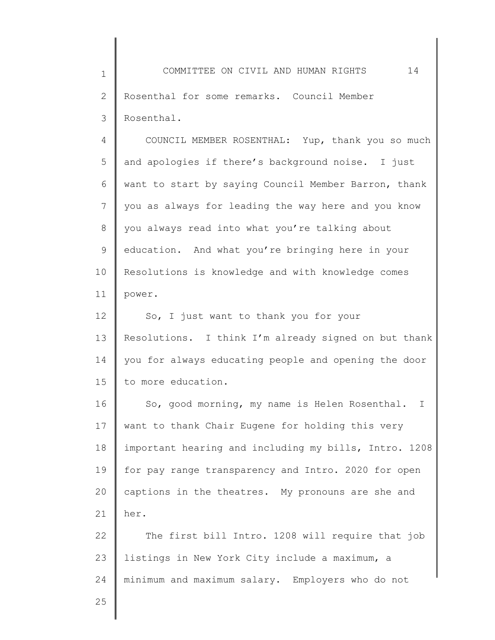1 2 3 4 5 6 7 8 9 10 11 12 13 14 15 16 17 18 19 20 21 22 COMMITTEE ON CIVIL AND HUMAN RIGHTS 14 Rosenthal for some remarks. Council Member Rosenthal. COUNCIL MEMBER ROSENTHAL: Yup, thank you so much and apologies if there's background noise. I just want to start by saying Council Member Barron, thank you as always for leading the way here and you know you always read into what you're talking about education. And what you're bringing here in your Resolutions is knowledge and with knowledge comes power. So, I just want to thank you for your Resolutions. I think I'm already signed on but thank you for always educating people and opening the door to more education. So, good morning, my name is Helen Rosenthal. I want to thank Chair Eugene for holding this very important hearing and including my bills, Intro. 1208 for pay range transparency and Intro. 2020 for open captions in the theatres. My pronouns are she and her. The first bill Intro. 1208 will require that job

23 24 listings in New York City include a maximum, a minimum and maximum salary. Employers who do not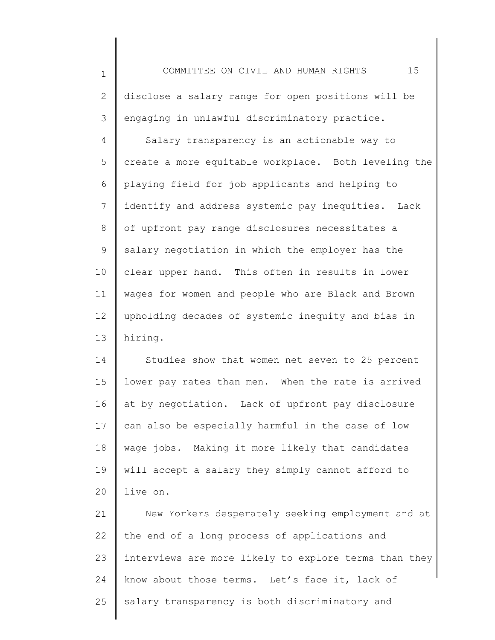1 2 3 4 5 6 7 8 9 10 11 12 13 COMMITTEE ON CIVIL AND HUMAN RIGHTS 15 disclose a salary range for open positions will be engaging in unlawful discriminatory practice. Salary transparency is an actionable way to create a more equitable workplace. Both leveling the playing field for job applicants and helping to identify and address systemic pay inequities. Lack of upfront pay range disclosures necessitates a salary negotiation in which the employer has the clear upper hand. This often in results in lower wages for women and people who are Black and Brown upholding decades of systemic inequity and bias in hiring.

14 15 16 17 18 19 20 Studies show that women net seven to 25 percent lower pay rates than men. When the rate is arrived at by negotiation. Lack of upfront pay disclosure can also be especially harmful in the case of low wage jobs. Making it more likely that candidates will accept a salary they simply cannot afford to live on.

21 22 23 24 25 New Yorkers desperately seeking employment and at the end of a long process of applications and interviews are more likely to explore terms than they know about those terms. Let's face it, lack of salary transparency is both discriminatory and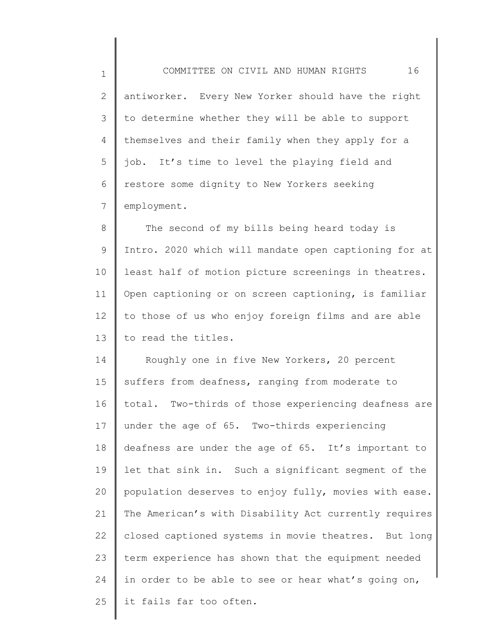1 2 3 4 5 6 7 COMMITTEE ON CIVIL AND HUMAN RIGHTS 16 antiworker. Every New Yorker should have the right to determine whether they will be able to support themselves and their family when they apply for a job. It's time to level the playing field and restore some dignity to New Yorkers seeking employment.

8 9 10 11 12 13 The second of my bills being heard today is Intro. 2020 which will mandate open captioning for at least half of motion picture screenings in theatres. Open captioning or on screen captioning, is familiar to those of us who enjoy foreign films and are able to read the titles.

14 15 16 17 18 19 20 21 22 23 24 25 Roughly one in five New Yorkers, 20 percent suffers from deafness, ranging from moderate to total. Two-thirds of those experiencing deafness are under the age of 65. Two-thirds experiencing deafness are under the age of 65. It's important to let that sink in. Such a significant segment of the population deserves to enjoy fully, movies with ease. The American's with Disability Act currently requires closed captioned systems in movie theatres. But long term experience has shown that the equipment needed in order to be able to see or hear what's going on, it fails far too often.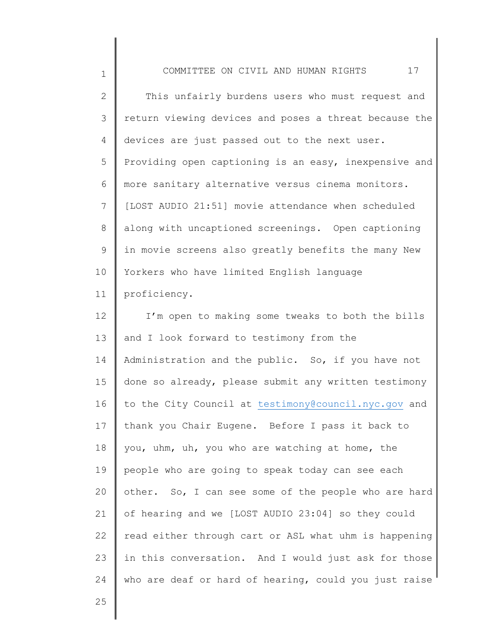1 2 3 4 5 6 7 8 9 10 11 12 13 14 15 16 17 18 19 20 21 22 COMMITTEE ON CIVIL AND HUMAN RIGHTS 17 This unfairly burdens users who must request and return viewing devices and poses a threat because the devices are just passed out to the next user. Providing open captioning is an easy, inexpensive and more sanitary alternative versus cinema monitors. [LOST AUDIO 21:51] movie attendance when scheduled along with uncaptioned screenings. Open captioning in movie screens also greatly benefits the many New Yorkers who have limited English language proficiency. I'm open to making some tweaks to both the bills and I look forward to testimony from the Administration and the public. So, if you have not done so already, please submit any written testimony to the City Council at [testimony@council.nyc.gov](mailto:testimony@council.nyc.gov) and thank you Chair Eugene. Before I pass it back to you, uhm, uh, you who are watching at home, the people who are going to speak today can see each other. So, I can see some of the people who are hard of hearing and we [LOST AUDIO 23:04] so they could read either through cart or ASL what uhm is happening

in this conversation. And I would just ask for those

who are deaf or hard of hearing, could you just raise

25

23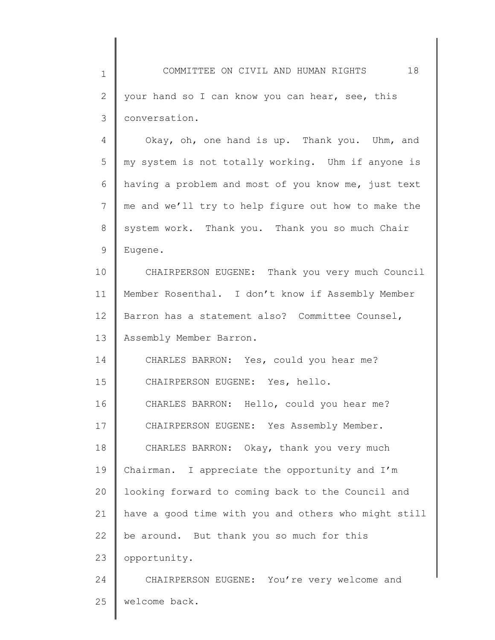1 2 3 COMMITTEE ON CIVIL AND HUMAN RIGHTS 18 your hand so I can know you can hear, see, this conversation.

4 5 6 7 8 9 Okay, oh, one hand is up. Thank you. Uhm, and my system is not totally working. Uhm if anyone is having a problem and most of you know me, just text me and we'll try to help figure out how to make the system work. Thank you. Thank you so much Chair Eugene.

10 11 12 13 CHAIRPERSON EUGENE: Thank you very much Council Member Rosenthal. I don't know if Assembly Member Barron has a statement also? Committee Counsel, Assembly Member Barron.

14 15 CHARLES BARRON: Yes, could you hear me? CHAIRPERSON EUGENE: Yes, hello.

16 17 18 19 20 21 22 23 CHARLES BARRON: Hello, could you hear me? CHAIRPERSON EUGENE: Yes Assembly Member. CHARLES BARRON: Okay, thank you very much Chairman. I appreciate the opportunity and I'm looking forward to coming back to the Council and have a good time with you and others who might still be around. But thank you so much for this opportunity.

24 25 CHAIRPERSON EUGENE: You're very welcome and welcome back.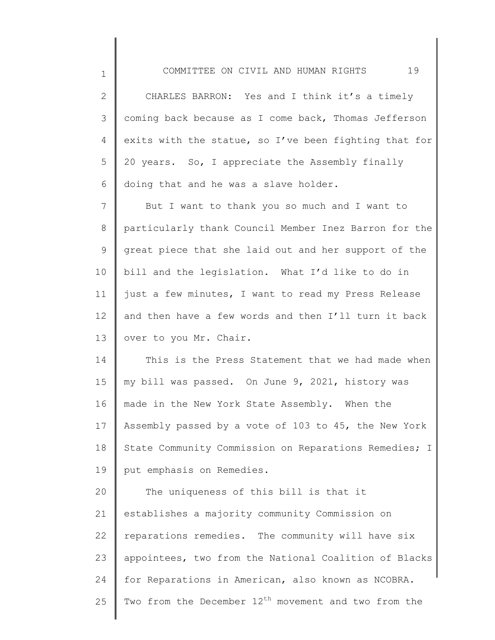1

2 3 4 5 6 7 CHARLES BARRON: Yes and I think it's a timely coming back because as I come back, Thomas Jefferson exits with the statue, so I've been fighting that for 20 years. So, I appreciate the Assembly finally doing that and he was a slave holder. But I want to thank you so much and I want to

8 9 10 11 12 13 particularly thank Council Member Inez Barron for the great piece that she laid out and her support of the bill and the legislation. What I'd like to do in just a few minutes, I want to read my Press Release and then have a few words and then I'll turn it back over to you Mr. Chair.

14 15 16 17 18 19 This is the Press Statement that we had made when my bill was passed. On June 9, 2021, history was made in the New York State Assembly. When the Assembly passed by a vote of 103 to 45, the New York State Community Commission on Reparations Remedies; I put emphasis on Remedies.

20 21 22 23 24 25 The uniqueness of this bill is that it establishes a majority community Commission on reparations remedies. The community will have six appointees, two from the National Coalition of Blacks for Reparations in American, also known as NCOBRA. Two from the December  $12<sup>th</sup>$  movement and two from the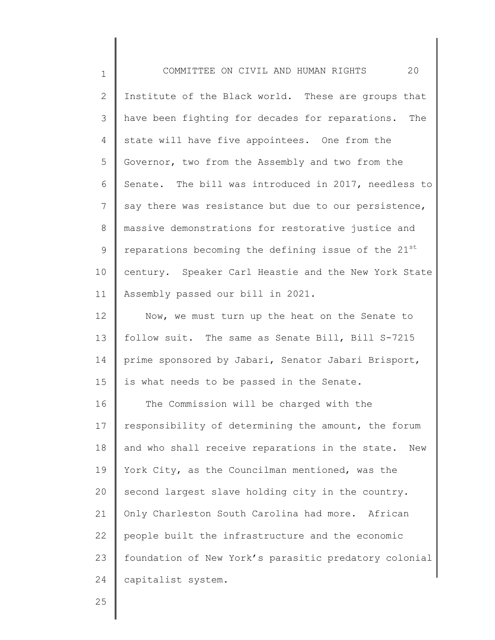| $\mathbf 1$ | 20<br>COMMITTEE ON CIVIL AND HUMAN RIGHTS              |
|-------------|--------------------------------------------------------|
| 2           | Institute of the Black world. These are groups that    |
| 3           | have been fighting for decades for reparations. The    |
| 4           | state will have five appointees. One from the          |
| 5           | Governor, two from the Assembly and two from the       |
| 6           | Senate. The bill was introduced in 2017, needless to   |
| 7           | say there was resistance but due to our persistence,   |
| 8           | massive demonstrations for restorative justice and     |
| $\mathsf 9$ | reparations becoming the defining issue of the 21st    |
| 10          | century. Speaker Carl Heastie and the New York State   |
| 11          | Assembly passed our bill in 2021.                      |
| 12          | Now, we must turn up the heat on the Senate to         |
| 13          | follow suit. The same as Senate Bill, Bill S-7215      |
| 14          | prime sponsored by Jabari, Senator Jabari Brisport,    |
| 15          | is what needs to be passed in the Senate.              |
| 16          | The Commission will be charged with the                |
| 17          | responsibility of determining the amount, the forum    |
| 18          | and who shall receive reparations in the state.<br>New |
| 19          | York City, as the Councilman mentioned, was the        |
| 20          | second largest slave holding city in the country.      |
| 21          | Only Charleston South Carolina had more. African       |
| 22          | people built the infrastructure and the economic       |
| 23          | foundation of New York's parasitic predatory colonial  |
| 24          | capitalist system.                                     |

25

║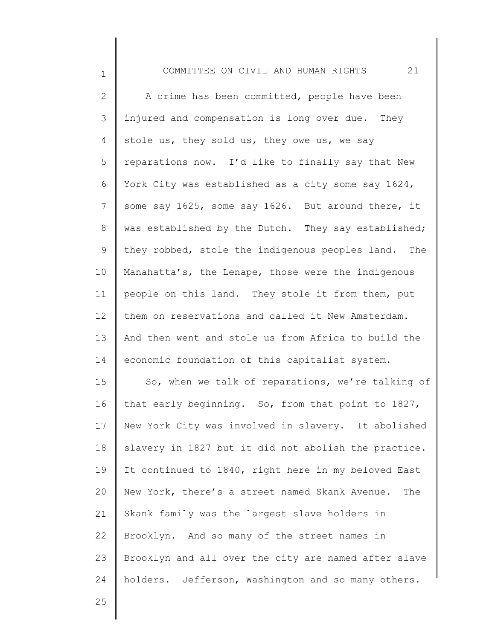2 3 4 5 6 7 8 9 10 11 12 13 14 A crime has been committed, people have been injured and compensation is long over due. They stole us, they sold us, they owe us, we say reparations now. I'd like to finally say that New York City was established as a city some say 1624, some say 1625, some say 1626. But around there, it was established by the Dutch. They say established; they robbed, stole the indigenous peoples land. The Manahatta's, the Lenape, those were the indigenous people on this land. They stole it from them, put them on reservations and called it New Amsterdam. And then went and stole us from Africa to build the economic foundation of this capitalist system.

15 16 17 18 19 20 21 22 23 24 So, when we talk of reparations, we're talking of that early beginning. So, from that point to 1827, New York City was involved in slavery. It abolished slavery in 1827 but it did not abolish the practice. It continued to 1840, right here in my beloved East New York, there's a street named Skank Avenue. The Skank family was the largest slave holders in Brooklyn. And so many of the street names in Brooklyn and all over the city are named after slave holders. Jefferson, Washington and so many others.

25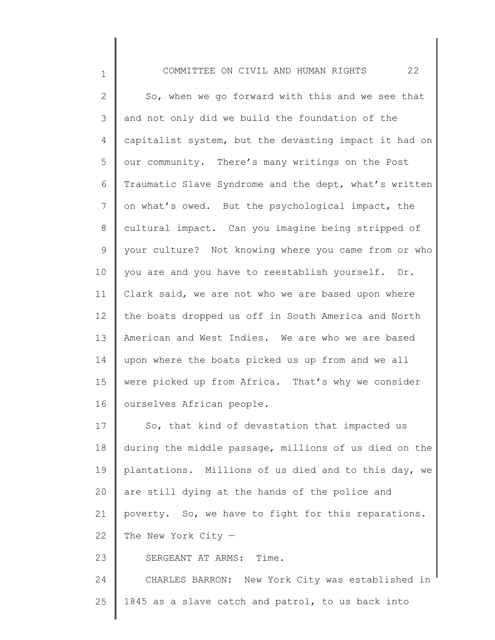1

2 3 4 5 6 7 8 9 10 11 12 13 14 15 16 17 18 19 20 21 22 23 So, when we go forward with this and we see that and not only did we build the foundation of the capitalist system, but the devasting impact it had on our community. There's many writings on the Post Traumatic Slave Syndrome and the dept, what's written on what's owed. But the psychological impact, the cultural impact. Can you imagine being stripped of your culture? Not knowing where you came from or who you are and you have to reestablish yourself. Dr. Clark said, we are not who we are based upon where the boats dropped us off in South America and North American and West Indies. We are who we are based upon where the boats picked us up from and we all were picked up from Africa. That's why we consider ourselves African people. So, that kind of devastation that impacted us during the middle passage, millions of us died on the plantations. Millions of us died and to this day, we are still dying at the hands of the police and poverty. So, we have to fight for this reparations. The New York City  $-$ SERGEANT AT ARMS: Time.

24 25 CHARLES BARRON: New York City was established in 1845 as a slave catch and patrol, to us back into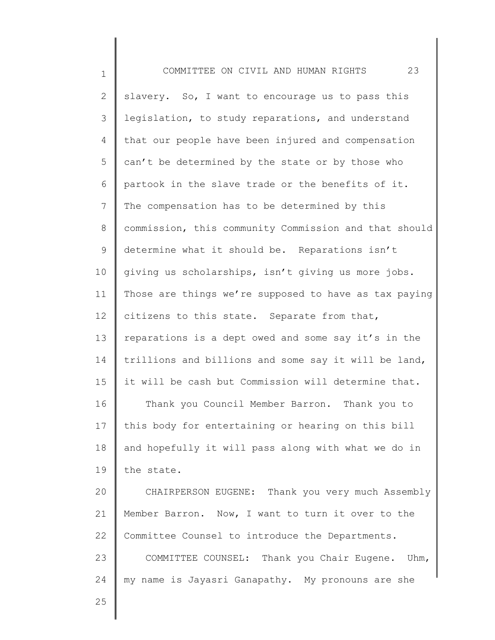1 2 3 4 5 6 7 8 9 10 11 12 13 14 15 16 17 18 19 20 21 22 23 24 25 COMMITTEE ON CIVIL AND HUMAN RIGHTS 23 slavery. So, I want to encourage us to pass this legislation, to study reparations, and understand that our people have been injured and compensation can't be determined by the state or by those who partook in the slave trade or the benefits of it. The compensation has to be determined by this commission, this community Commission and that should determine what it should be. Reparations isn't giving us scholarships, isn't giving us more jobs. Those are things we're supposed to have as tax paying citizens to this state. Separate from that, reparations is a dept owed and some say it's in the trillions and billions and some say it will be land, it will be cash but Commission will determine that. Thank you Council Member Barron. Thank you to this body for entertaining or hearing on this bill and hopefully it will pass along with what we do in the state. CHAIRPERSON EUGENE: Thank you very much Assembly Member Barron. Now, I want to turn it over to the Committee Counsel to introduce the Departments. COMMITTEE COUNSEL: Thank you Chair Eugene. Uhm, my name is Jayasri Ganapathy. My pronouns are she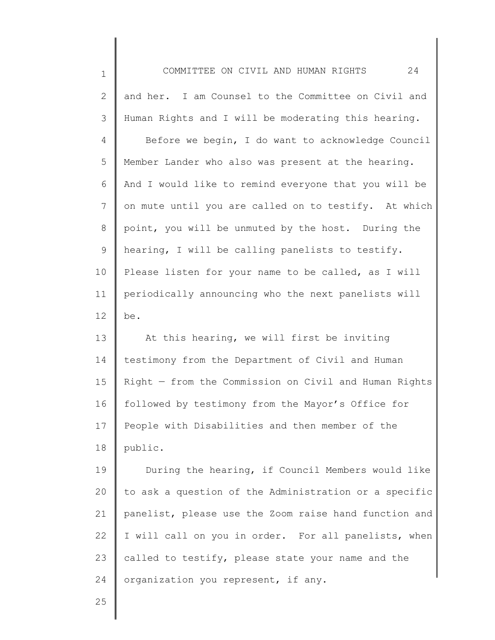| $\mathbf 1$  | 24<br>COMMITTEE ON CIVIL AND HUMAN RIGHTS             |
|--------------|-------------------------------------------------------|
| $\mathbf{2}$ | and her. I am Counsel to the Committee on Civil and   |
| 3            | Human Rights and I will be moderating this hearing.   |
| 4            | Before we begin, I do want to acknowledge Council     |
| 5            | Member Lander who also was present at the hearing.    |
| 6            | And I would like to remind everyone that you will be  |
| 7            | on mute until you are called on to testify. At which  |
| 8            | point, you will be unmuted by the host. During the    |
| 9            | hearing, I will be calling panelists to testify.      |
| 10           | Please listen for your name to be called, as I will   |
| 11           | periodically announcing who the next panelists will   |
| 12           | be.                                                   |
| 13           | At this hearing, we will first be inviting            |
| 14           | testimony from the Department of Civil and Human      |
| 15           | Right - from the Commission on Civil and Human Rights |
| 16           | followed by testimony from the Mayor's Office for     |
| 17           | People with Disabilities and then member of the       |
| 18           | public.                                               |
| 19           | During the hearing, if Council Members would like     |
| 20           | to ask a question of the Administration or a specific |
| 21           | panelist, please use the Zoom raise hand function and |
| 22           | I will call on you in order. For all panelists, when  |
| 23           | called to testify, please state your name and the     |
| 24           | organization you represent, if any.                   |
| 25           |                                                       |
|              |                                                       |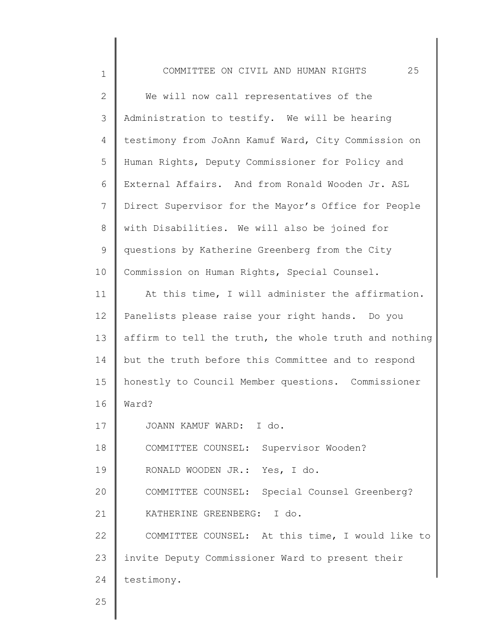| $\mathbf 1$ | 25<br>COMMITTEE ON CIVIL AND HUMAN RIGHTS             |
|-------------|-------------------------------------------------------|
| 2           | We will now call representatives of the               |
| 3           | Administration to testify. We will be hearing         |
| 4           | testimony from JoAnn Kamuf Ward, City Commission on   |
| 5           | Human Rights, Deputy Commissioner for Policy and      |
| 6           | External Affairs. And from Ronald Wooden Jr. ASL      |
| 7           | Direct Supervisor for the Mayor's Office for People   |
| 8           | with Disabilities. We will also be joined for         |
| $\mathsf 9$ | questions by Katherine Greenberg from the City        |
| 10          | Commission on Human Rights, Special Counsel.          |
| 11          | At this time, I will administer the affirmation.      |
| 12          | Panelists please raise your right hands. Do you       |
| 13          | affirm to tell the truth, the whole truth and nothing |
| 14          | but the truth before this Committee and to respond    |
| 15          | honestly to Council Member questions. Commissioner    |
| 16          | Ward?                                                 |
| 17          | JOANN KAMUF WARD: I do.                               |
| 18          | COMMITTEE COUNSEL: Supervisor Wooden?                 |
| 19          | RONALD WOODEN JR.: Yes, I do.                         |
| 20          | COMMITTEE COUNSEL: Special Counsel Greenberg?         |
| 21          | KATHERINE GREENBERG: I do.                            |
| 22          | COMMITTEE COUNSEL: At this time, I would like to      |
| 23          | invite Deputy Commissioner Ward to present their      |
| 24          | testimony.                                            |
| 25          |                                                       |
|             |                                                       |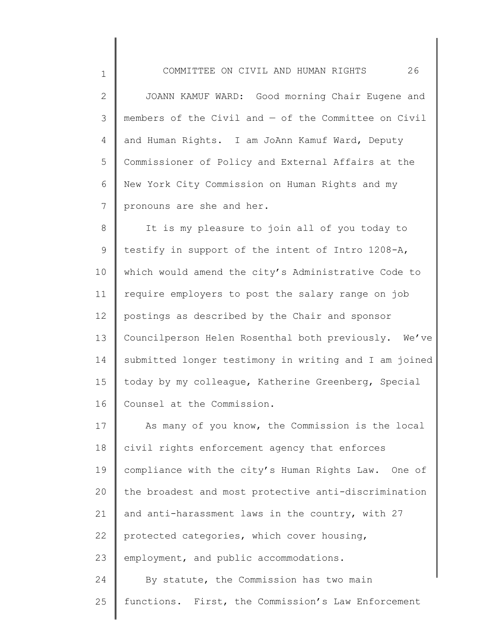1

25

2 3 4 5 6 7 JOANN KAMUF WARD: Good morning Chair Eugene and members of the Civil and — of the Committee on Civil and Human Rights. I am JoAnn Kamuf Ward, Deputy Commissioner of Policy and External Affairs at the New York City Commission on Human Rights and my pronouns are she and her.

8 9 10 11 12 13 14 15 16 It is my pleasure to join all of you today to testify in support of the intent of Intro 1208-A, which would amend the city's Administrative Code to require employers to post the salary range on job postings as described by the Chair and sponsor Councilperson Helen Rosenthal both previously. We've submitted longer testimony in writing and I am joined today by my colleague, Katherine Greenberg, Special Counsel at the Commission.

17 18 19 20 21 22 23 24 As many of you know, the Commission is the local civil rights enforcement agency that enforces compliance with the city's Human Rights Law. One of the broadest and most protective anti-discrimination and anti-harassment laws in the country, with 27 protected categories, which cover housing, employment, and public accommodations. By statute, the Commission has two main functions. First, the Commission's Law Enforcement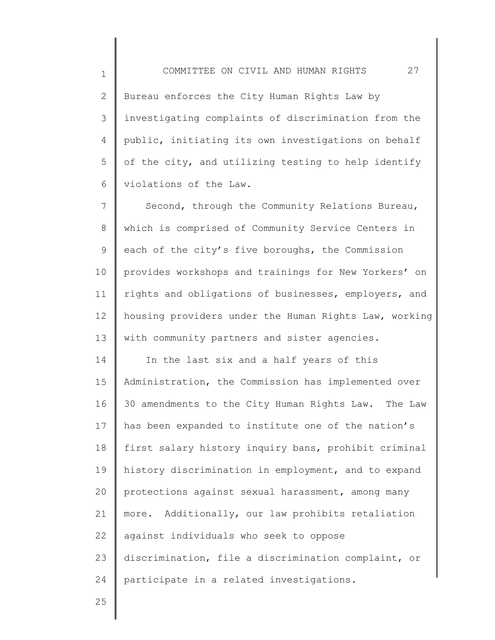2 3 4 5 6 Bureau enforces the City Human Rights Law by investigating complaints of discrimination from the public, initiating its own investigations on behalf of the city, and utilizing testing to help identify violations of the Law.

7 8 9 10 11 12 13 Second, through the Community Relations Bureau, which is comprised of Community Service Centers in each of the city's five boroughs, the Commission provides workshops and trainings for New Yorkers' on rights and obligations of businesses, employers, and housing providers under the Human Rights Law, working with community partners and sister agencies.

14 15 16 17 18 19 20 21 22 23 24 In the last six and a half years of this Administration, the Commission has implemented over 30 amendments to the City Human Rights Law. The Law has been expanded to institute one of the nation's first salary history inquiry bans, prohibit criminal history discrimination in employment, and to expand protections against sexual harassment, among many more. Additionally, our law prohibits retaliation against individuals who seek to oppose discrimination, file a discrimination complaint, or participate in a related investigations.

25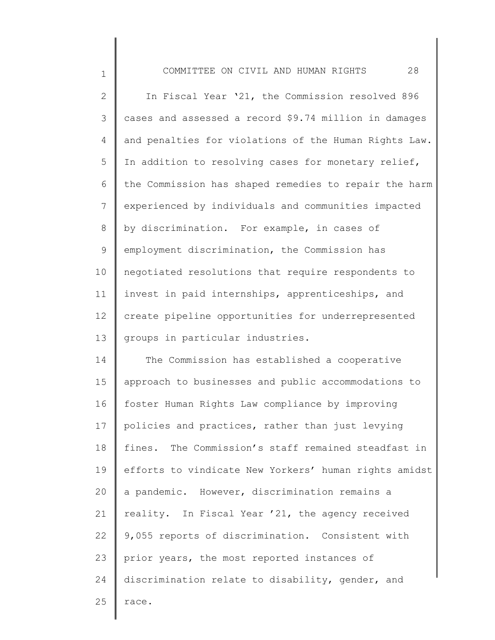1 2 3 4 5 6 7 8 9 10 11 12 13 14 COMMITTEE ON CIVIL AND HUMAN RIGHTS 28 In Fiscal Year '21, the Commission resolved 896 cases and assessed a record \$9.74 million in damages and penalties for violations of the Human Rights Law. In addition to resolving cases for monetary relief, the Commission has shaped remedies to repair the harm experienced by individuals and communities impacted by discrimination. For example, in cases of employment discrimination, the Commission has negotiated resolutions that require respondents to invest in paid internships, apprenticeships, and create pipeline opportunities for underrepresented groups in particular industries. The Commission has established a cooperative

15 16 17 18 19 20 21 22 23 24 25 approach to businesses and public accommodations to foster Human Rights Law compliance by improving policies and practices, rather than just levying fines. The Commission's staff remained steadfast in efforts to vindicate New Yorkers' human rights amidst a pandemic. However, discrimination remains a reality. In Fiscal Year '21, the agency received 9,055 reports of discrimination. Consistent with prior years, the most reported instances of discrimination relate to disability, gender, and race.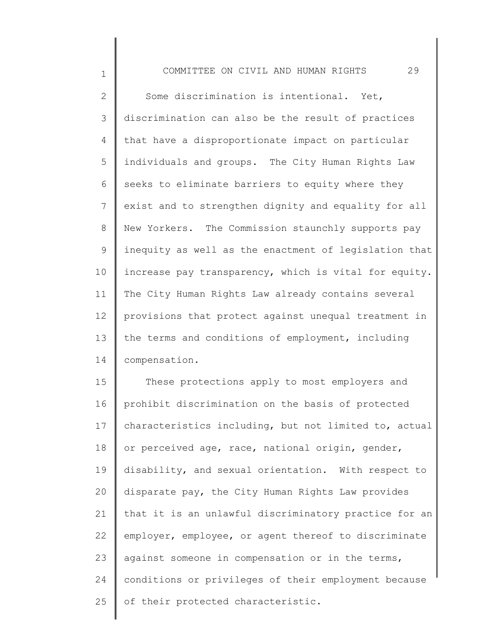1

2 3 4 5 6 7 8 9 10 11 12 13 14 Some discrimination is intentional. Yet, discrimination can also be the result of practices that have a disproportionate impact on particular individuals and groups. The City Human Rights Law seeks to eliminate barriers to equity where they exist and to strengthen dignity and equality for all New Yorkers. The Commission staunchly supports pay inequity as well as the enactment of legislation that increase pay transparency, which is vital for equity. The City Human Rights Law already contains several provisions that protect against unequal treatment in the terms and conditions of employment, including compensation.

15 16 17 18 19 20 21 22 23 24 25 These protections apply to most employers and prohibit discrimination on the basis of protected characteristics including, but not limited to, actual or perceived age, race, national origin, gender, disability, and sexual orientation. With respect to disparate pay, the City Human Rights Law provides that it is an unlawful discriminatory practice for an employer, employee, or agent thereof to discriminate against someone in compensation or in the terms, conditions or privileges of their employment because of their protected characteristic.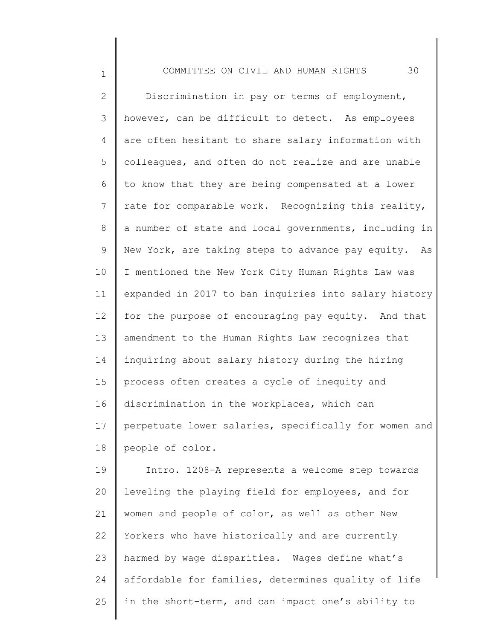1

2 3 4 5 6 7 8 9 10 11 12 13 14 15 16 17 18 Discrimination in pay or terms of employment, however, can be difficult to detect. As employees are often hesitant to share salary information with colleagues, and often do not realize and are unable to know that they are being compensated at a lower rate for comparable work. Recognizing this reality, a number of state and local governments, including in New York, are taking steps to advance pay equity. As I mentioned the New York City Human Rights Law was expanded in 2017 to ban inquiries into salary history for the purpose of encouraging pay equity. And that amendment to the Human Rights Law recognizes that inquiring about salary history during the hiring process often creates a cycle of inequity and discrimination in the workplaces, which can perpetuate lower salaries, specifically for women and people of color.

19 20 21 22 23 24 25 Intro. 1208-A represents a welcome step towards leveling the playing field for employees, and for women and people of color, as well as other New Yorkers who have historically and are currently harmed by wage disparities. Wages define what's affordable for families, determines quality of life in the short-term, and can impact one's ability to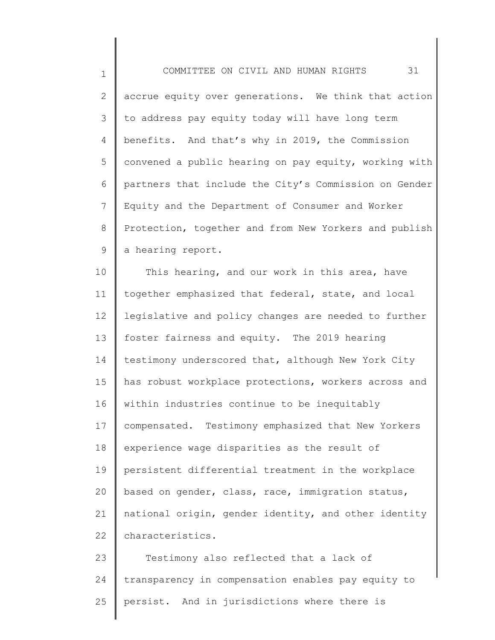1 2 3 4 5 6 7 8 9 COMMITTEE ON CIVIL AND HUMAN RIGHTS 31 accrue equity over generations. We think that action to address pay equity today will have long term benefits. And that's why in 2019, the Commission convened a public hearing on pay equity, working with partners that include the City's Commission on Gender Equity and the Department of Consumer and Worker Protection, together and from New Yorkers and publish a hearing report.

10 11 12 13 14 15 16 17 18 19 20 21 22 This hearing, and our work in this area, have together emphasized that federal, state, and local legislative and policy changes are needed to further foster fairness and equity. The 2019 hearing testimony underscored that, although New York City has robust workplace protections, workers across and within industries continue to be inequitably compensated. Testimony emphasized that New Yorkers experience wage disparities as the result of persistent differential treatment in the workplace based on gender, class, race, immigration status, national origin, gender identity, and other identity characteristics.

23 24 25 Testimony also reflected that a lack of transparency in compensation enables pay equity to persist. And in jurisdictions where there is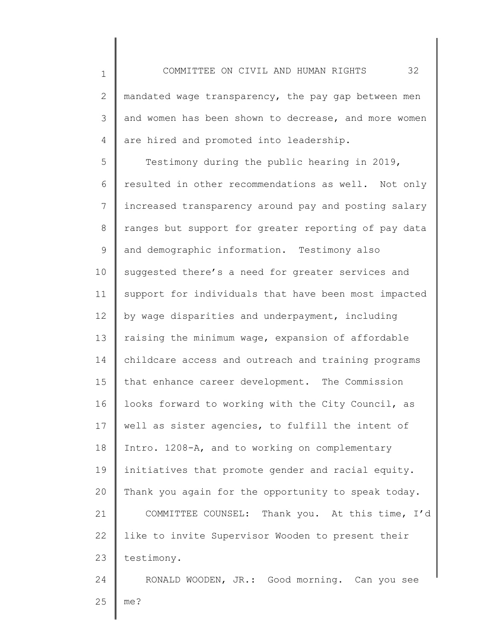1

2 3 4 mandated wage transparency, the pay gap between men and women has been shown to decrease, and more women are hired and promoted into leadership.

5 6 7 8 9 10 11 12 13 14 15 16 17 18 19 20 21 22 23 Testimony during the public hearing in 2019, resulted in other recommendations as well. Not only increased transparency around pay and posting salary ranges but support for greater reporting of pay data and demographic information. Testimony also suggested there's a need for greater services and support for individuals that have been most impacted by wage disparities and underpayment, including raising the minimum wage, expansion of affordable childcare access and outreach and training programs that enhance career development. The Commission looks forward to working with the City Council, as well as sister agencies, to fulfill the intent of Intro. 1208-A, and to working on complementary initiatives that promote gender and racial equity. Thank you again for the opportunity to speak today. COMMITTEE COUNSEL: Thank you. At this time, I'd like to invite Supervisor Wooden to present their testimony.

24 25 RONALD WOODEN, JR.: Good morning. Can you see me?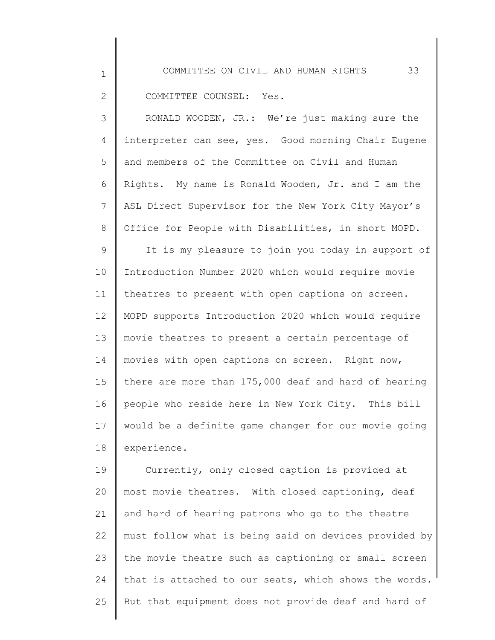COMMITTEE COUNSEL: Yes.

1

2

3 4 5 6 7 8 RONALD WOODEN, JR.: We're just making sure the interpreter can see, yes. Good morning Chair Eugene and members of the Committee on Civil and Human Rights. My name is Ronald Wooden, Jr. and I am the ASL Direct Supervisor for the New York City Mayor's Office for People with Disabilities, in short MOPD.

9 10 11 12 13 14 15 16 17 18 It is my pleasure to join you today in support of Introduction Number 2020 which would require movie theatres to present with open captions on screen. MOPD supports Introduction 2020 which would require movie theatres to present a certain percentage of movies with open captions on screen. Right now, there are more than 175,000 deaf and hard of hearing people who reside here in New York City. This bill would be a definite game changer for our movie going experience.

19 20 21 22 23 24 25 Currently, only closed caption is provided at most movie theatres. With closed captioning, deaf and hard of hearing patrons who go to the theatre must follow what is being said on devices provided by the movie theatre such as captioning or small screen that is attached to our seats, which shows the words. But that equipment does not provide deaf and hard of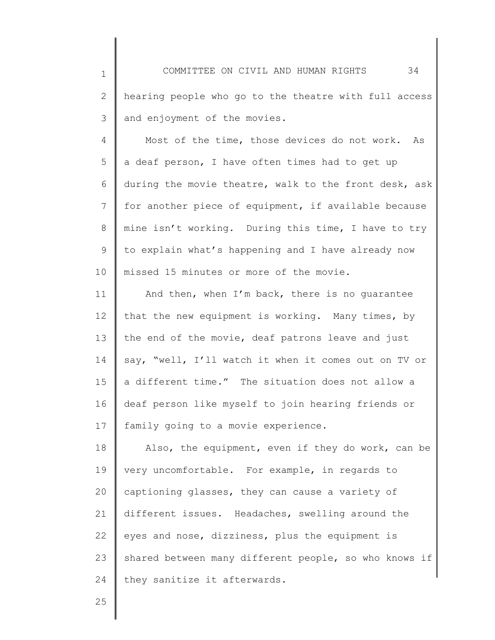2 3 hearing people who go to the theatre with full access and enjoyment of the movies.

4 5 6 7 8 9 10 Most of the time, those devices do not work. As a deaf person, I have often times had to get up during the movie theatre, walk to the front desk, ask for another piece of equipment, if available because mine isn't working. During this time, I have to try to explain what's happening and I have already now missed 15 minutes or more of the movie.

11 12 13 14 15 16 17 And then, when I'm back, there is no guarantee that the new equipment is working. Many times, by the end of the movie, deaf patrons leave and just say, "well, I'll watch it when it comes out on TV or a different time." The situation does not allow a deaf person like myself to join hearing friends or family going to a movie experience.

18 19 20 21 22 23 24 Also, the equipment, even if they do work, can be very uncomfortable. For example, in regards to captioning glasses, they can cause a variety of different issues. Headaches, swelling around the eyes and nose, dizziness, plus the equipment is shared between many different people, so who knows if they sanitize it afterwards.

25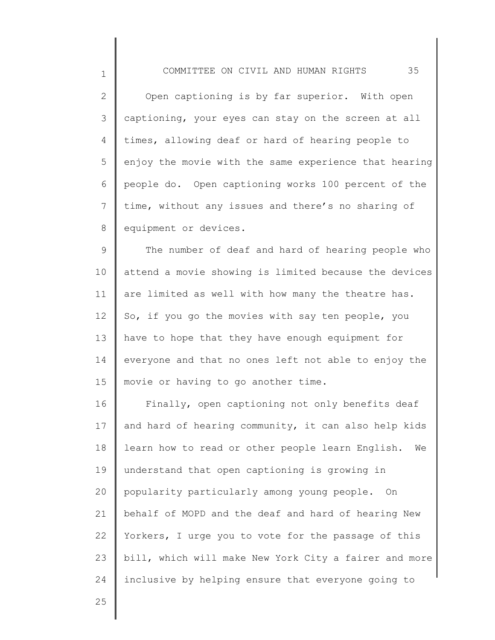2 3 4 5 6 7 8 Open captioning is by far superior. With open captioning, your eyes can stay on the screen at all times, allowing deaf or hard of hearing people to enjoy the movie with the same experience that hearing people do. Open captioning works 100 percent of the time, without any issues and there's no sharing of equipment or devices.

9 10 11 12 13 14 15 The number of deaf and hard of hearing people who attend a movie showing is limited because the devices are limited as well with how many the theatre has. So, if you go the movies with say ten people, you have to hope that they have enough equipment for everyone and that no ones left not able to enjoy the movie or having to go another time.

16 17 18 19 20 21 22 23 24 Finally, open captioning not only benefits deaf and hard of hearing community, it can also help kids learn how to read or other people learn English. We understand that open captioning is growing in popularity particularly among young people. On behalf of MOPD and the deaf and hard of hearing New Yorkers, I urge you to vote for the passage of this bill, which will make New York City a fairer and more inclusive by helping ensure that everyone going to

25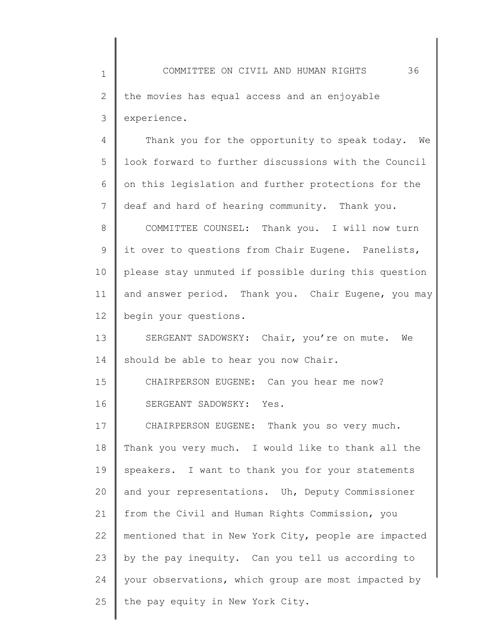1 2 3 4 COMMITTEE ON CIVIL AND HUMAN RIGHTS 36 the movies has equal access and an enjoyable experience. Thank you for the opportunity to speak today. We

5 6 7 look forward to further discussions with the Council on this legislation and further protections for the deaf and hard of hearing community. Thank you.

8 9 10 11 12 COMMITTEE COUNSEL: Thank you. I will now turn it over to questions from Chair Eugene. Panelists, please stay unmuted if possible during this question and answer period. Thank you. Chair Eugene, you may begin your questions.

13 14 SERGEANT SADOWSKY: Chair, you're on mute. We should be able to hear you now Chair.

15 16 CHAIRPERSON EUGENE: Can you hear me now? SERGEANT SADOWSKY: Yes.

17 18 19 20 21 22 23 24 25 CHAIRPERSON EUGENE: Thank you so very much. Thank you very much. I would like to thank all the speakers. I want to thank you for your statements and your representations. Uh, Deputy Commissioner from the Civil and Human Rights Commission, you mentioned that in New York City, people are impacted by the pay inequity. Can you tell us according to your observations, which group are most impacted by the pay equity in New York City.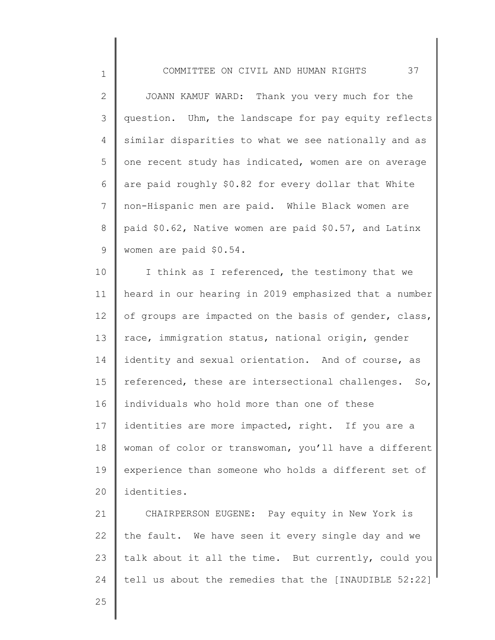2 3 4 5 6 7 8 9 JOANN KAMUF WARD: Thank you very much for the question. Uhm, the landscape for pay equity reflects similar disparities to what we see nationally and as one recent study has indicated, women are on average are paid roughly \$0.82 for every dollar that White non-Hispanic men are paid. While Black women are paid \$0.62, Native women are paid \$0.57, and Latinx women are paid \$0.54.

10 11 12 13 14 15 16 17 18 19 20 I think as I referenced, the testimony that we heard in our hearing in 2019 emphasized that a number of groups are impacted on the basis of gender, class, race, immigration status, national origin, gender identity and sexual orientation. And of course, as referenced, these are intersectional challenges. So, individuals who hold more than one of these identities are more impacted, right. If you are a woman of color or transwoman, you'll have a different experience than someone who holds a different set of identities.

21 22 23 24 CHAIRPERSON EUGENE: Pay equity in New York is the fault. We have seen it every single day and we talk about it all the time. But currently, could you tell us about the remedies that the [INAUDIBLE 52:22]

25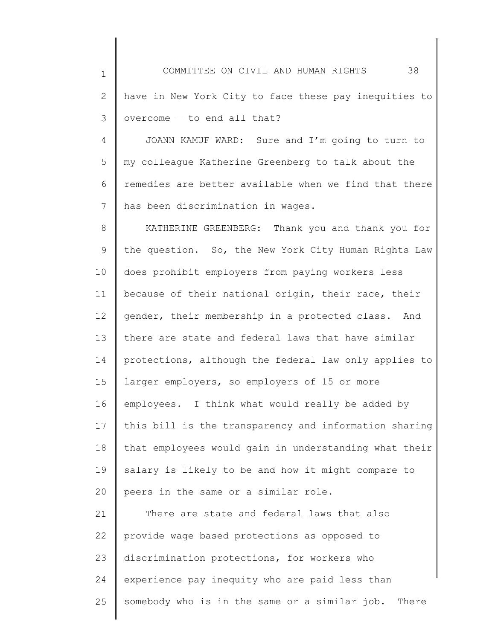1

2 3 have in New York City to face these pay inequities to overcome — to end all that?

4 5 6 7 JOANN KAMUF WARD: Sure and I'm going to turn to my colleague Katherine Greenberg to talk about the remedies are better available when we find that there has been discrimination in wages.

8 9 10 11 12 13 14 15 16 17 18 19 20 KATHERINE GREENBERG: Thank you and thank you for the question. So, the New York City Human Rights Law does prohibit employers from paying workers less because of their national origin, their race, their gender, their membership in a protected class. And there are state and federal laws that have similar protections, although the federal law only applies to larger employers, so employers of 15 or more employees. I think what would really be added by this bill is the transparency and information sharing that employees would gain in understanding what their salary is likely to be and how it might compare to peers in the same or a similar role.

21 22 23 24 25 There are state and federal laws that also provide wage based protections as opposed to discrimination protections, for workers who experience pay inequity who are paid less than somebody who is in the same or a similar job. There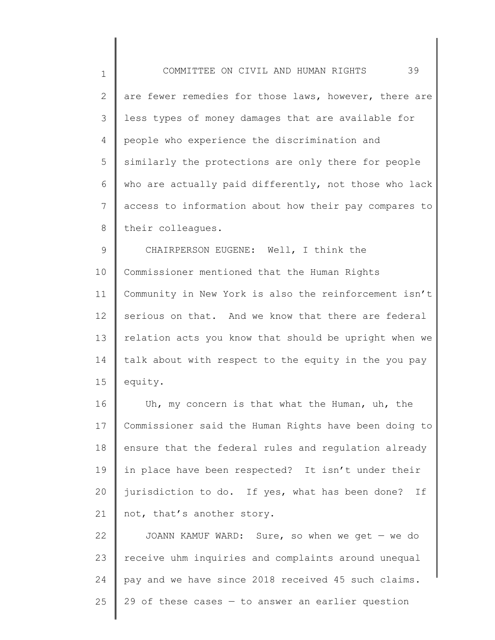1 2 3 4 5 6 7 8 COMMITTEE ON CIVIL AND HUMAN RIGHTS 39 are fewer remedies for those laws, however, there are less types of money damages that are available for people who experience the discrimination and similarly the protections are only there for people who are actually paid differently, not those who lack access to information about how their pay compares to their colleagues.

9 10 11 12 13 14 15 CHAIRPERSON EUGENE: Well, I think the Commissioner mentioned that the Human Rights Community in New York is also the reinforcement isn't serious on that. And we know that there are federal relation acts you know that should be upright when we talk about with respect to the equity in the you pay equity.

16 17 18 19 20 21 Uh, my concern is that what the Human, uh, the Commissioner said the Human Rights have been doing to ensure that the federal rules and regulation already in place have been respected? It isn't under their jurisdiction to do. If yes, what has been done? If not, that's another story.

22 23 24 25 JOANN KAMUF WARD: Sure, so when we get — we do receive uhm inquiries and complaints around unequal pay and we have since 2018 received 45 such claims. 29 of these cases  $-$  to answer an earlier question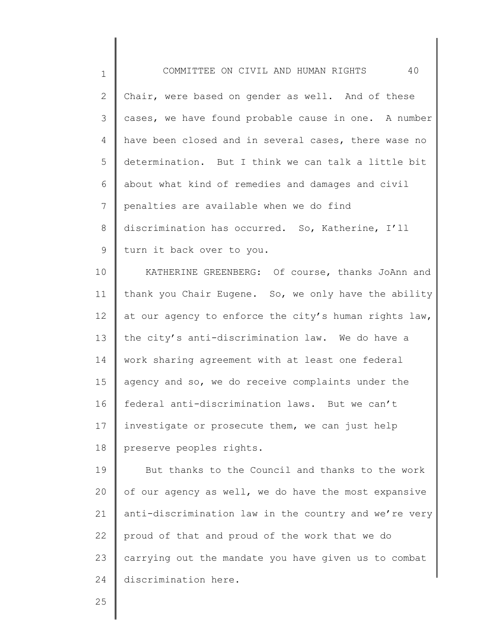| $\mathbf 1$  | 40<br>COMMITTEE ON CIVIL AND HUMAN RIGHTS             |
|--------------|-------------------------------------------------------|
| $\mathbf{2}$ | Chair, were based on gender as well. And of these     |
| 3            | cases, we have found probable cause in one. A number  |
| 4            | have been closed and in several cases, there wase no  |
| 5            | determination. But I think we can talk a little bit   |
| 6            | about what kind of remedies and damages and civil     |
| 7            | penalties are available when we do find               |
| 8            | discrimination has occurred. So, Katherine, I'll      |
| 9            | turn it back over to you.                             |
| 10           | KATHERINE GREENBERG: Of course, thanks JoAnn and      |
| 11           | thank you Chair Eugene. So, we only have the ability  |
| 12           | at our agency to enforce the city's human rights law, |
| 13           | the city's anti-discrimination law. We do have a      |
| 14           | work sharing agreement with at least one federal      |
| 15           | agency and so, we do receive complaints under the     |
| 16           | federal anti-discrimination laws. But we can't        |
| 17           | investigate or prosecute them, we can just help       |
| 18           | preserve peoples rights.                              |
| 19           | But thanks to the Council and thanks to the work      |
| 20           | of our agency as well, we do have the most expansive  |
| 21           | anti-discrimination law in the country and we're very |
| 22           | proud of that and proud of the work that we do        |
| 23           | carrying out the mandate you have given us to combat  |
| 24           | discrimination here.                                  |
|              |                                                       |

25

║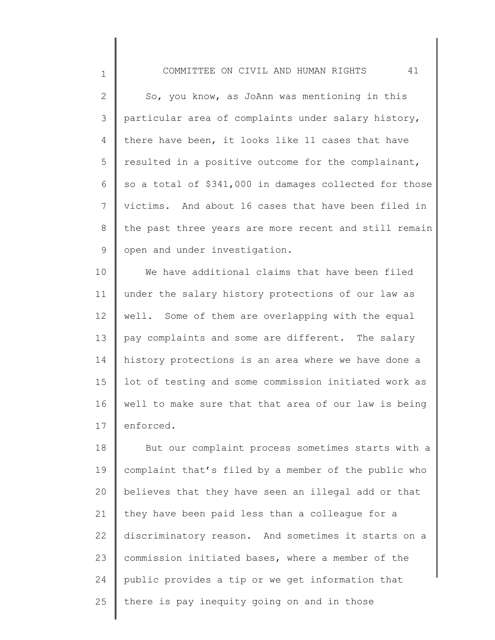1

2 3 4 5 6 7 8 9 So, you know, as JoAnn was mentioning in this particular area of complaints under salary history, there have been, it looks like 11 cases that have resulted in a positive outcome for the complainant, so a total of \$341,000 in damages collected for those victims. And about 16 cases that have been filed in the past three years are more recent and still remain open and under investigation.

10 11 12 13 14 15 16 17 We have additional claims that have been filed under the salary history protections of our law as well. Some of them are overlapping with the equal pay complaints and some are different. The salary history protections is an area where we have done a lot of testing and some commission initiated work as well to make sure that that area of our law is being enforced.

18 19 20 21 22 23 24 25 But our complaint process sometimes starts with a complaint that's filed by a member of the public who believes that they have seen an illegal add or that they have been paid less than a colleague for a discriminatory reason. And sometimes it starts on a commission initiated bases, where a member of the public provides a tip or we get information that there is pay inequity going on and in those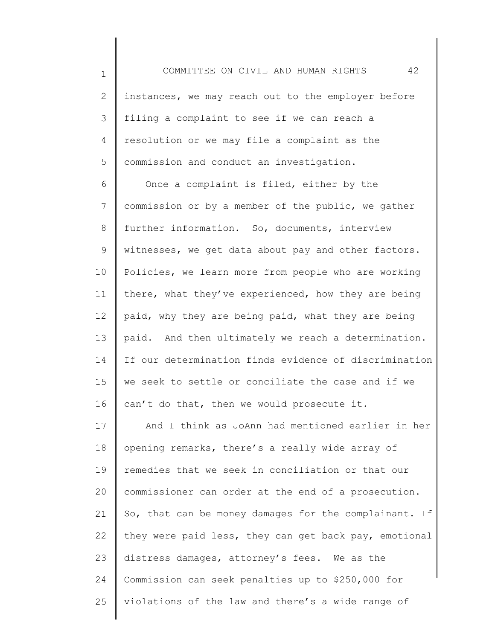1

2 3 4 5 instances, we may reach out to the employer before filing a complaint to see if we can reach a resolution or we may file a complaint as the commission and conduct an investigation.

6 7 8 9 10 11 12 13 14 15 16 Once a complaint is filed, either by the commission or by a member of the public, we gather further information. So, documents, interview witnesses, we get data about pay and other factors. Policies, we learn more from people who are working there, what they've experienced, how they are being paid, why they are being paid, what they are being paid. And then ultimately we reach a determination. If our determination finds evidence of discrimination we seek to settle or conciliate the case and if we can't do that, then we would prosecute it.

17 18 19 20 21 22 23 24 25 And I think as JoAnn had mentioned earlier in her opening remarks, there's a really wide array of remedies that we seek in conciliation or that our commissioner can order at the end of a prosecution. So, that can be money damages for the complainant. If they were paid less, they can get back pay, emotional distress damages, attorney's fees. We as the Commission can seek penalties up to \$250,000 for violations of the law and there's a wide range of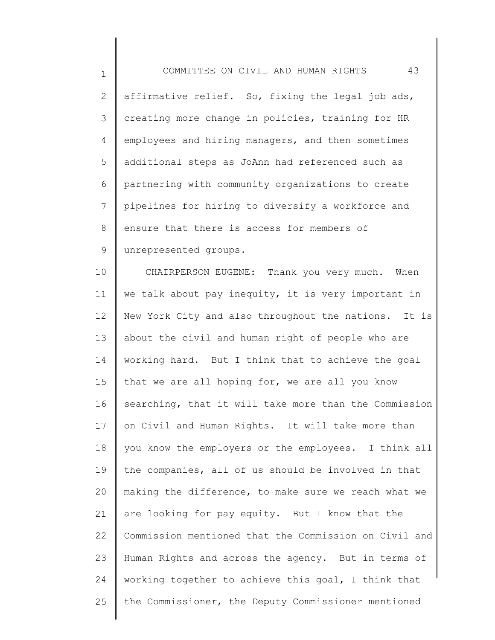1

2 3 4 5 6 7 8 9 affirmative relief. So, fixing the legal job ads, creating more change in policies, training for HR employees and hiring managers, and then sometimes additional steps as JoAnn had referenced such as partnering with community organizations to create pipelines for hiring to diversify a workforce and ensure that there is access for members of unrepresented groups.

10 11 12 13 14 15 16 17 18 19 20 21 22 23 24 25 CHAIRPERSON EUGENE: Thank you very much. When we talk about pay inequity, it is very important in New York City and also throughout the nations. It is about the civil and human right of people who are working hard. But I think that to achieve the goal that we are all hoping for, we are all you know searching, that it will take more than the Commission on Civil and Human Rights. It will take more than you know the employers or the employees. I think all the companies, all of us should be involved in that making the difference, to make sure we reach what we are looking for pay equity. But I know that the Commission mentioned that the Commission on Civil and Human Rights and across the agency. But in terms of working together to achieve this goal, I think that the Commissioner, the Deputy Commissioner mentioned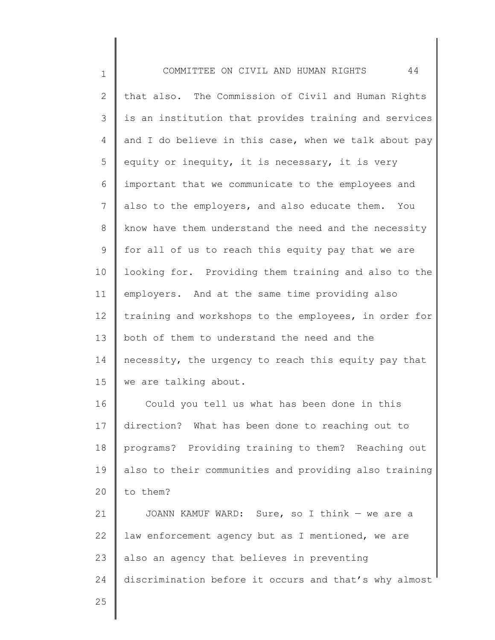1 2 3 4 5 6 7 8 9 10 11 12 13 14 15 16 17 18 19 20 21 22 23 24 25 COMMITTEE ON CIVIL AND HUMAN RIGHTS 44 that also. The Commission of Civil and Human Rights is an institution that provides training and services and I do believe in this case, when we talk about pay equity or inequity, it is necessary, it is very important that we communicate to the employees and also to the employers, and also educate them. You know have them understand the need and the necessity for all of us to reach this equity pay that we are looking for. Providing them training and also to the employers. And at the same time providing also training and workshops to the employees, in order for both of them to understand the need and the necessity, the urgency to reach this equity pay that we are talking about. Could you tell us what has been done in this direction? What has been done to reaching out to programs? Providing training to them? Reaching out also to their communities and providing also training to them? JOANN KAMUF WARD: Sure, so I think — we are a law enforcement agency but as I mentioned, we are also an agency that believes in preventing discrimination before it occurs and that's why almost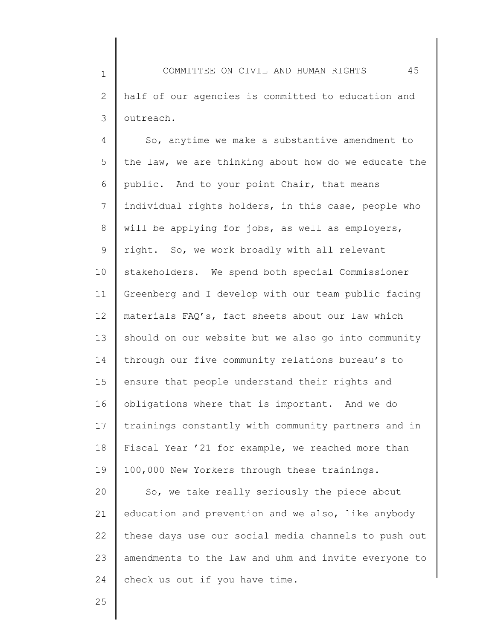1 2 3 COMMITTEE ON CIVIL AND HUMAN RIGHTS 45 half of our agencies is committed to education and outreach.

4 5 6 7 8 9 10 11 12 13 14 15 16 17 18 19 20 21 So, anytime we make a substantive amendment to the law, we are thinking about how do we educate the public. And to your point Chair, that means individual rights holders, in this case, people who will be applying for jobs, as well as employers, right. So, we work broadly with all relevant stakeholders. We spend both special Commissioner Greenberg and I develop with our team public facing materials FAQ's, fact sheets about our law which should on our website but we also go into community through our five community relations bureau's to ensure that people understand their rights and obligations where that is important. And we do trainings constantly with community partners and in Fiscal Year '21 for example, we reached more than 100,000 New Yorkers through these trainings. So, we take really seriously the piece about education and prevention and we also, like anybody

22 23 24 these days use our social media channels to push out amendments to the law and uhm and invite everyone to check us out if you have time.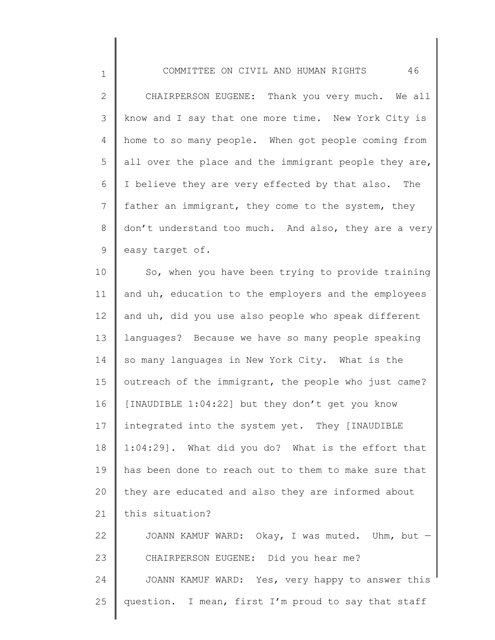1

2 3 4 5 6 7 8 9 CHAIRPERSON EUGENE: Thank you very much. We all know and I say that one more time. New York City is home to so many people. When got people coming from all over the place and the immigrant people they are, I believe they are very effected by that also. The father an immigrant, they come to the system, they don't understand too much. And also, they are a very easy target of.

10 11 12 13 14 15 16 17 18 19 20 21 22 23 So, when you have been trying to provide training and uh, education to the employers and the employees and uh, did you use also people who speak different languages? Because we have so many people speaking so many languages in New York City. What is the outreach of the immigrant, the people who just came? [INAUDIBLE 1:04:22] but they don't get you know integrated into the system yet. They [INAUDIBLE 1:04:29]. What did you do? What is the effort that has been done to reach out to them to make sure that they are educated and also they are informed about this situation? JOANN KAMUF WARD: Okay, I was muted. Uhm, but — CHAIRPERSON EUGENE: Did you hear me?

24 25 JOANN KAMUF WARD: Yes, very happy to answer this question. I mean, first I'm proud to say that staff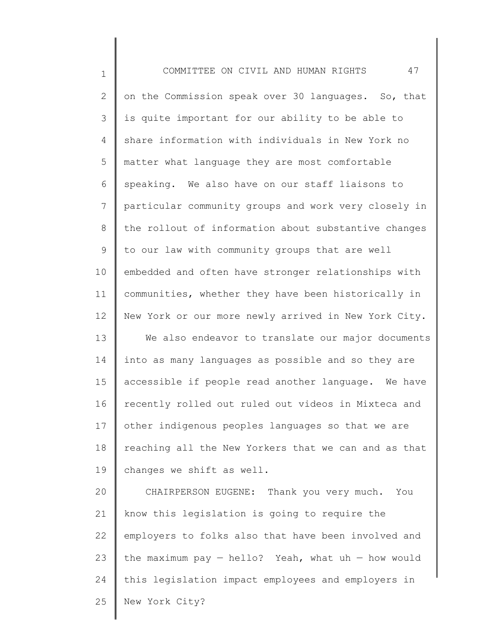| $\mathbf 1$  | 47<br>COMMITTEE ON CIVIL AND HUMAN RIGHTS              |
|--------------|--------------------------------------------------------|
| $\mathbf{2}$ | on the Commission speak over 30 languages. So, that    |
| 3            | is quite important for our ability to be able to       |
| 4            | share information with individuals in New York no      |
| 5            | matter what language they are most comfortable         |
| 6            | speaking. We also have on our staff liaisons to        |
| 7            | particular community groups and work very closely in   |
| 8            | the rollout of information about substantive changes   |
| 9            | to our law with community groups that are well         |
| 10           | embedded and often have stronger relationships with    |
| 11           | communities, whether they have been historically in    |
| 12           | New York or our more newly arrived in New York City.   |
| 13           | We also endeavor to translate our major documents      |
| 14           | into as many languages as possible and so they are     |
| 15           | accessible if people read another language. We have    |
| 16           | recently rolled out ruled out videos in Mixteca and    |
| 17           | other indigenous peoples languages so that we are      |
| 18           | reaching all the New Yorkers that we can and as that   |
| 19           | changes we shift as well.                              |
| 20           | CHAIRPERSON EUGENE: Thank you very much. You           |
| 21           | know this legislation is going to require the          |
| 22           | employers to folks also that have been involved and    |
| 23           | the maximum pay $-$ hello? Yeah, what uh $-$ how would |
| 24           | this legislation impact employees and employers in     |
| 25           | New York City?                                         |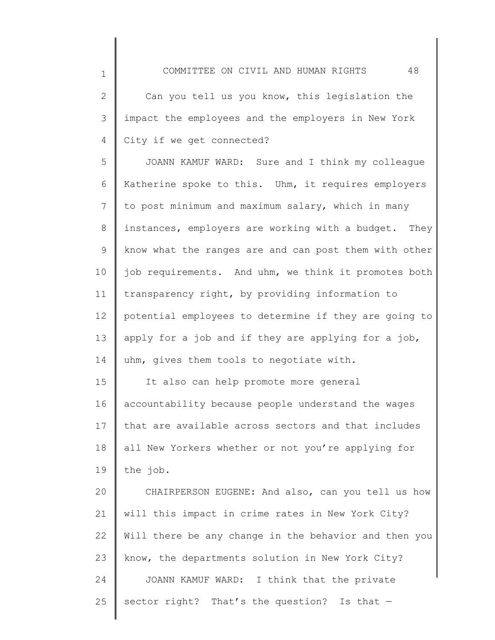1

2 3 4 Can you tell us you know, this legislation the impact the employees and the employers in New York City if we get connected?

5 6 7 8 9 10 11 12 13 14 JOANN KAMUF WARD: Sure and I think my colleague Katherine spoke to this. Uhm, it requires employers to post minimum and maximum salary, which in many instances, employers are working with a budget. They know what the ranges are and can post them with other job requirements. And uhm, we think it promotes both transparency right, by providing information to potential employees to determine if they are going to apply for a job and if they are applying for a job, uhm, gives them tools to negotiate with.

15 16 17 18 19 It also can help promote more general accountability because people understand the wages that are available across sectors and that includes all New Yorkers whether or not you're applying for the job.

20 21 22 23 24 25 CHAIRPERSON EUGENE: And also, can you tell us how will this impact in crime rates in New York City? Will there be any change in the behavior and then you know, the departments solution in New York City? JOANN KAMUF WARD: I think that the private sector right? That's the question? Is that  $-$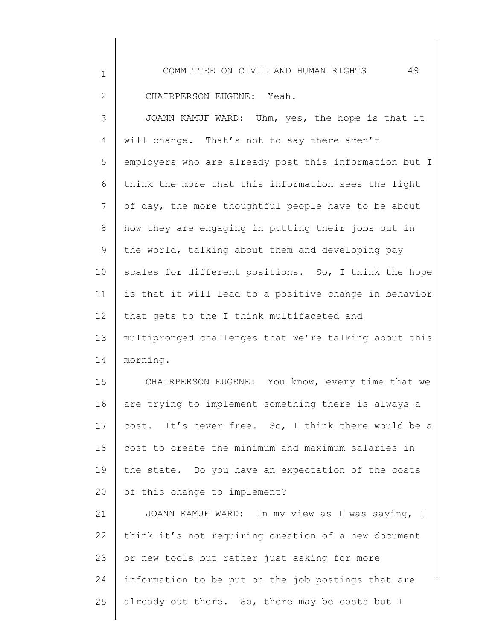CHAIRPERSON EUGENE: Yeah.

1

2

24

25

3 4 5 6 7 8 9 10 11 12 13 14 15 16 17 18 19 20 21 22 23 JOANN KAMUF WARD: Uhm, yes, the hope is that it will change. That's not to say there aren't employers who are already post this information but I think the more that this information sees the light of day, the more thoughtful people have to be about how they are engaging in putting their jobs out in the world, talking about them and developing pay scales for different positions. So, I think the hope is that it will lead to a positive change in behavior that gets to the I think multifaceted and multipronged challenges that we're talking about this morning. CHAIRPERSON EUGENE: You know, every time that we are trying to implement something there is always a cost. It's never free. So, I think there would be a cost to create the minimum and maximum salaries in the state. Do you have an expectation of the costs of this change to implement? JOANN KAMUF WARD: In my view as I was saying, I think it's not requiring creation of a new document or new tools but rather just asking for more

information to be put on the job postings that are

already out there. So, there may be costs but I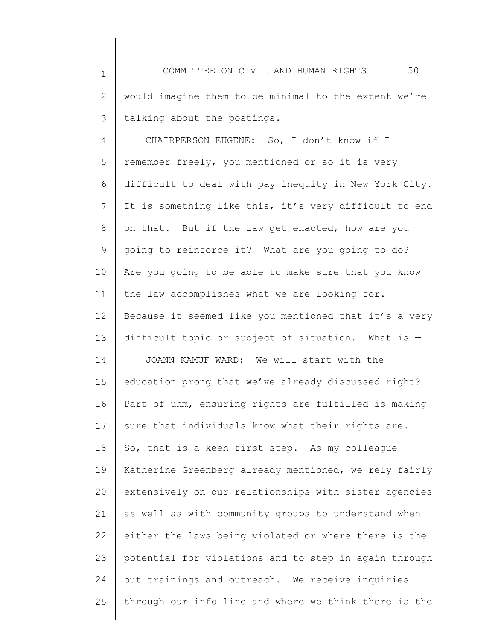1 2 3 COMMITTEE ON CIVIL AND HUMAN RIGHTS 50 would imagine them to be minimal to the extent we're talking about the postings.

4 5 6 7 8 9 10 11 12 13 14 15 16 17 18 19 20 21 22 23 24 25 CHAIRPERSON EUGENE: So, I don't know if I remember freely, you mentioned or so it is very difficult to deal with pay inequity in New York City. It is something like this, it's very difficult to end on that. But if the law get enacted, how are you going to reinforce it? What are you going to do? Are you going to be able to make sure that you know the law accomplishes what we are looking for. Because it seemed like you mentioned that it's a very difficult topic or subject of situation. What is  $-$ JOANN KAMUF WARD: We will start with the education prong that we've already discussed right? Part of uhm, ensuring rights are fulfilled is making sure that individuals know what their rights are. So, that is a keen first step. As my colleague Katherine Greenberg already mentioned, we rely fairly extensively on our relationships with sister agencies as well as with community groups to understand when either the laws being violated or where there is the potential for violations and to step in again through out trainings and outreach. We receive inquiries through our info line and where we think there is the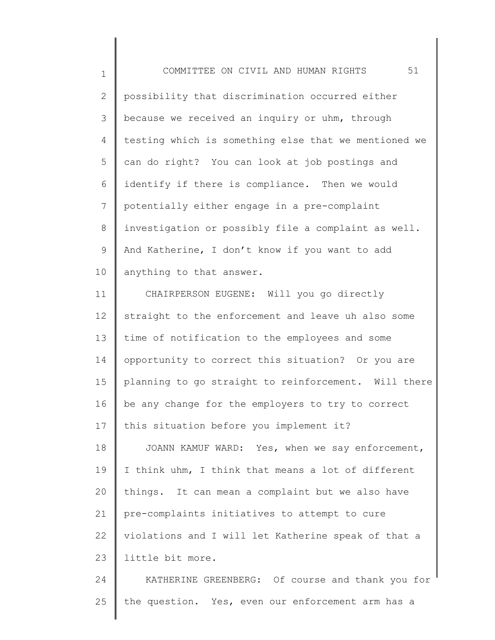1 2 3 4 5 6 7 8 9 10 COMMITTEE ON CIVIL AND HUMAN RIGHTS 51 possibility that discrimination occurred either because we received an inquiry or uhm, through testing which is something else that we mentioned we can do right? You can look at job postings and identify if there is compliance. Then we would potentially either engage in a pre-complaint investigation or possibly file a complaint as well. And Katherine, I don't know if you want to add anything to that answer.

11 12 13 14 15 16 17 CHAIRPERSON EUGENE: Will you go directly straight to the enforcement and leave uh also some time of notification to the employees and some opportunity to correct this situation? Or you are planning to go straight to reinforcement. Will there be any change for the employers to try to correct this situation before you implement it?

18 19 20 21 22 23 JOANN KAMUF WARD: Yes, when we say enforcement, I think uhm, I think that means a lot of different things. It can mean a complaint but we also have pre-complaints initiatives to attempt to cure violations and I will let Katherine speak of that a little bit more.

24 25 KATHERINE GREENBERG: Of course and thank you for the question. Yes, even our enforcement arm has a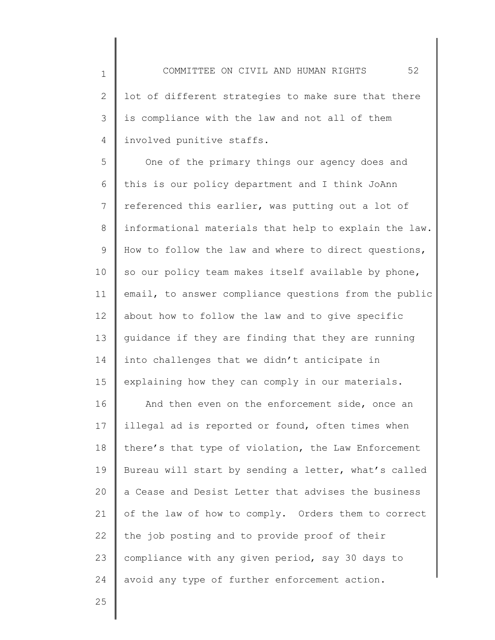2 3 4 lot of different strategies to make sure that there is compliance with the law and not all of them involved punitive staffs.

5 6 7 8 9 10 11 12 13 14 15 One of the primary things our agency does and this is our policy department and I think JoAnn referenced this earlier, was putting out a lot of informational materials that help to explain the law. How to follow the law and where to direct questions, so our policy team makes itself available by phone, email, to answer compliance questions from the public about how to follow the law and to give specific guidance if they are finding that they are running into challenges that we didn't anticipate in explaining how they can comply in our materials.

16 17 18 19 20 21 22 23 24 And then even on the enforcement side, once an illegal ad is reported or found, often times when there's that type of violation, the Law Enforcement Bureau will start by sending a letter, what's called a Cease and Desist Letter that advises the business of the law of how to comply. Orders them to correct the job posting and to provide proof of their compliance with any given period, say 30 days to avoid any type of further enforcement action.

25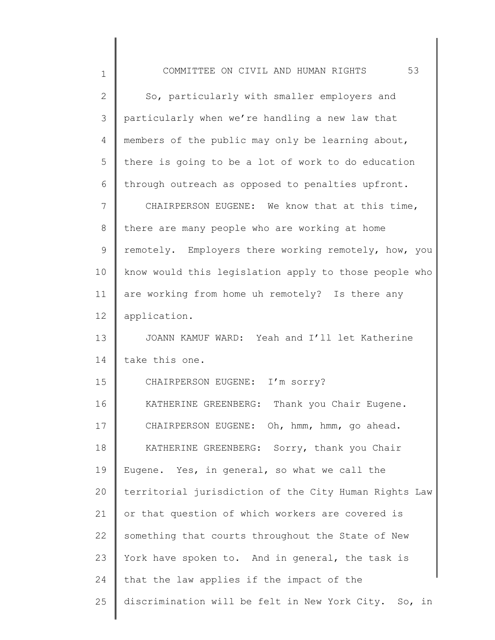| $\mathbf 1$    | 53<br>COMMITTEE ON CIVIL AND HUMAN RIGHTS             |
|----------------|-------------------------------------------------------|
| $\overline{2}$ | So, particularly with smaller employers and           |
| 3              | particularly when we're handling a new law that       |
| 4              | members of the public may only be learning about,     |
| 5              | there is going to be a lot of work to do education    |
| 6              | through outreach as opposed to penalties upfront.     |
| 7              | CHAIRPERSON EUGENE: We know that at this time,        |
| 8              | there are many people who are working at home         |
| 9              | remotely. Employers there working remotely, how, you  |
| 10             | know would this legislation apply to those people who |
| 11             | are working from home uh remotely? Is there any       |
| 12             | application.                                          |
| 13             | JOANN KAMUF WARD: Yeah and I'll let Katherine         |
| 14             | take this one.                                        |
| 15             | CHAIRPERSON EUGENE: I'm sorry?                        |
| 16             | KATHERINE GREENBERG: Thank you Chair Eugene.          |
| 17             | CHAIRPERSON EUGENE: Oh, hmm, hmm, go ahead.           |
| 18             | KATHERINE GREENBERG: Sorry, thank you Chair           |
| 19             | Eugene. Yes, in general, so what we call the          |
| 20             | territorial jurisdiction of the City Human Rights Law |
| 21             | or that question of which workers are covered is      |
| 22             | something that courts throughout the State of New     |
| 23             | York have spoken to. And in general, the task is      |
| 24             | that the law applies if the impact of the             |
| 25             | discrimination will be felt in New York City. So, in  |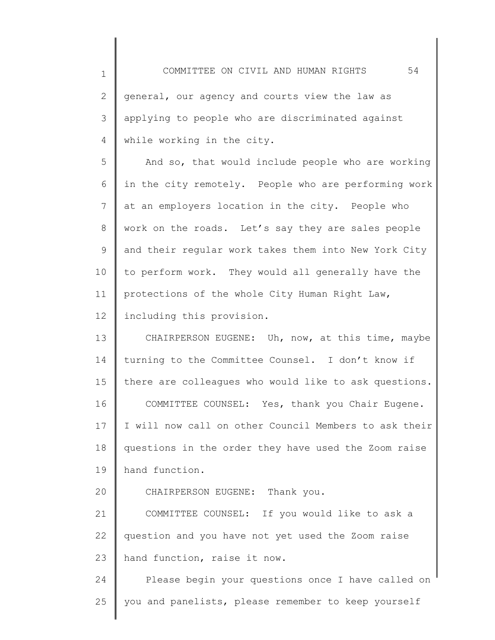1 2 3 4 5 6 7 8 9 10 11 COMMITTEE ON CIVIL AND HUMAN RIGHTS 54 general, our agency and courts view the law as applying to people who are discriminated against while working in the city. And so, that would include people who are working in the city remotely. People who are performing work at an employers location in the city. People who work on the roads. Let's say they are sales people and their regular work takes them into New York City to perform work. They would all generally have the protections of the whole City Human Right Law,

12 including this provision.

13 14 15 16 17 18 19 CHAIRPERSON EUGENE: Uh, now, at this time, maybe turning to the Committee Counsel. I don't know if there are colleagues who would like to ask questions. COMMITTEE COUNSEL: Yes, thank you Chair Eugene. I will now call on other Council Members to ask their questions in the order they have used the Zoom raise hand function.

20 CHAIRPERSON EUGENE: Thank you.

21 22 23 COMMITTEE COUNSEL: If you would like to ask a question and you have not yet used the Zoom raise hand function, raise it now.

24 25 Please begin your questions once I have called on you and panelists, please remember to keep yourself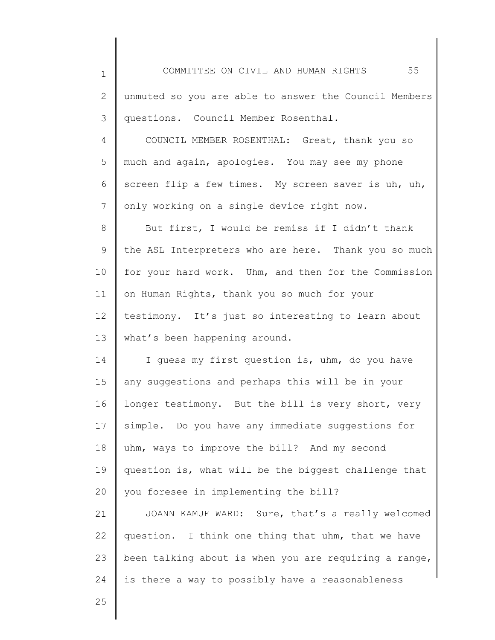1 2 3 4 5 6 7 8 9 10 11 12 13 14 15 16 17 18 19 20 21 22 23 24 COMMITTEE ON CIVIL AND HUMAN RIGHTS 55 unmuted so you are able to answer the Council Members questions. Council Member Rosenthal. COUNCIL MEMBER ROSENTHAL: Great, thank you so much and again, apologies. You may see my phone screen flip a few times. My screen saver is uh, uh, only working on a single device right now. But first, I would be remiss if I didn't thank the ASL Interpreters who are here. Thank you so much for your hard work. Uhm, and then for the Commission on Human Rights, thank you so much for your testimony. It's just so interesting to learn about what's been happening around. I guess my first question is, uhm, do you have any suggestions and perhaps this will be in your longer testimony. But the bill is very short, very simple. Do you have any immediate suggestions for uhm, ways to improve the bill? And my second question is, what will be the biggest challenge that you foresee in implementing the bill? JOANN KAMUF WARD: Sure, that's a really welcomed question. I think one thing that uhm, that we have been talking about is when you are requiring a range, is there a way to possibly have a reasonableness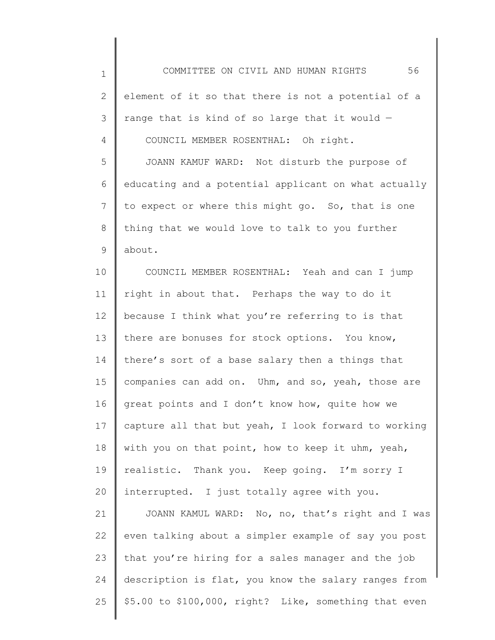1

2 3 4 element of it so that there is not a potential of a range that is kind of so large that it would — COUNCIL MEMBER ROSENTHAL: Oh right.

5 6 7 8 9 JOANN KAMUF WARD: Not disturb the purpose of educating and a potential applicant on what actually to expect or where this might go. So, that is one thing that we would love to talk to you further about.

10 11 12 13 14 15 16 17 18 19 20 COUNCIL MEMBER ROSENTHAL: Yeah and can I jump right in about that. Perhaps the way to do it because I think what you're referring to is that there are bonuses for stock options. You know, there's sort of a base salary then a things that companies can add on. Uhm, and so, yeah, those are great points and I don't know how, quite how we capture all that but yeah, I look forward to working with you on that point, how to keep it uhm, yeah, realistic. Thank you. Keep going. I'm sorry I interrupted. I just totally agree with you.

21 22 23 24 25 JOANN KAMUL WARD: No, no, that's right and I was even talking about a simpler example of say you post that you're hiring for a sales manager and the job description is flat, you know the salary ranges from \$5.00 to \$100,000, right? Like, something that even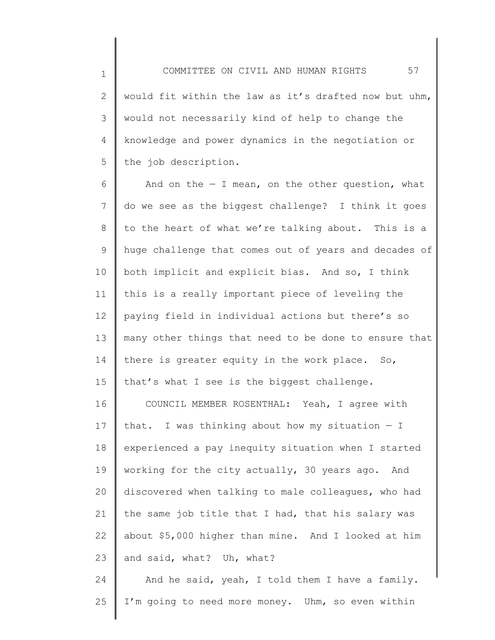1 2 3 4 5 would fit within the law as it's drafted now but uhm, would not necessarily kind of help to change the knowledge and power dynamics in the negotiation or the job description.

6 7 8 9 10 11 12 13 14 15 16 And on the  $-$  I mean, on the other question, what do we see as the biggest challenge? I think it goes to the heart of what we're talking about. This is a huge challenge that comes out of years and decades of both implicit and explicit bias. And so, I think this is a really important piece of leveling the paying field in individual actions but there's so many other things that need to be done to ensure that there is greater equity in the work place. So, that's what I see is the biggest challenge. COUNCIL MEMBER ROSENTHAL: Yeah, I agree with

17 18 19 20 21 22 23 that. I was thinking about how my situation  $-$  I experienced a pay inequity situation when I started working for the city actually, 30 years ago. And discovered when talking to male colleagues, who had the same job title that I had, that his salary was about \$5,000 higher than mine. And I looked at him and said, what? Uh, what?

24 25 And he said, yeah, I told them I have a family. I'm going to need more money. Uhm, so even within

## COMMITTEE ON CIVIL AND HUMAN RIGHTS 57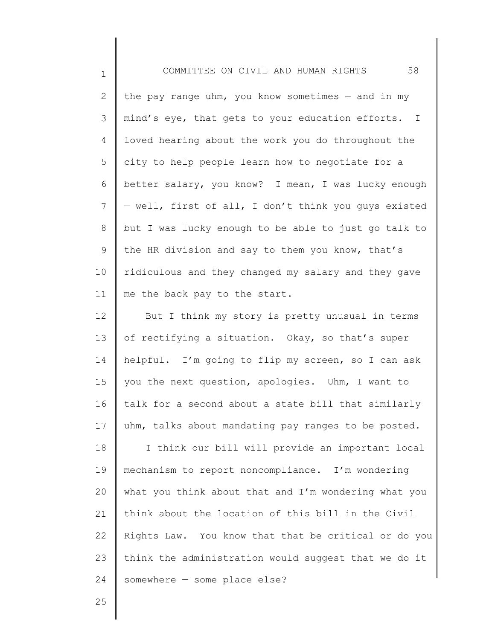2 3 4 5 6 7 8 9 10 11 the pay range uhm, you know sometimes  $-$  and in my mind's eye, that gets to your education efforts. I loved hearing about the work you do throughout the city to help people learn how to negotiate for a better salary, you know? I mean, I was lucky enough — well, first of all, I don't think you guys existed but I was lucky enough to be able to just go talk to the HR division and say to them you know, that's ridiculous and they changed my salary and they gave me the back pay to the start.

12 13 14 15 16 17 18 But I think my story is pretty unusual in terms of rectifying a situation. Okay, so that's super helpful. I'm going to flip my screen, so I can ask you the next question, apologies. Uhm, I want to talk for a second about a state bill that similarly uhm, talks about mandating pay ranges to be posted. I think our bill will provide an important local

19 20 21 22 23 24 mechanism to report noncompliance. I'm wondering what you think about that and I'm wondering what you think about the location of this bill in the Civil Rights Law. You know that that be critical or do you think the administration would suggest that we do it somewhere — some place else?

25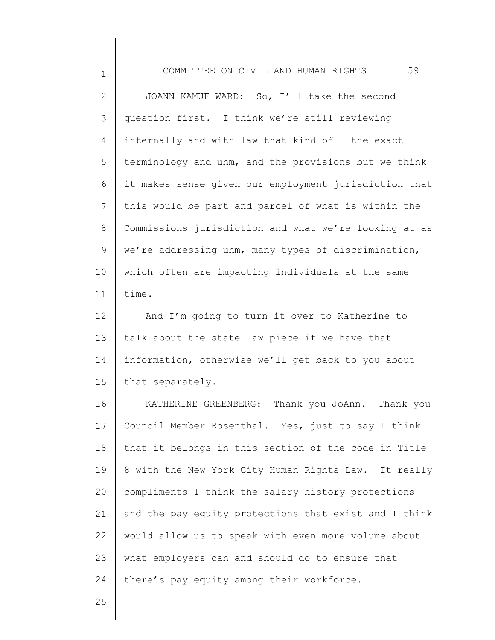2 3 4 5 6 7 8 9 10 11 JOANN KAMUF WARD: So, I'll take the second question first. I think we're still reviewing internally and with law that kind of  $-$  the exact terminology and uhm, and the provisions but we think it makes sense given our employment jurisdiction that this would be part and parcel of what is within the Commissions jurisdiction and what we're looking at as we're addressing uhm, many types of discrimination, which often are impacting individuals at the same time.

12 13 14 15 And I'm going to turn it over to Katherine to talk about the state law piece if we have that information, otherwise we'll get back to you about that separately.

16 17 18 19 20 21 22 23 24 KATHERINE GREENBERG: Thank you JoAnn. Thank you Council Member Rosenthal. Yes, just to say I think that it belongs in this section of the code in Title 8 with the New York City Human Rights Law. It really compliments I think the salary history protections and the pay equity protections that exist and I think would allow us to speak with even more volume about what employers can and should do to ensure that there's pay equity among their workforce.

25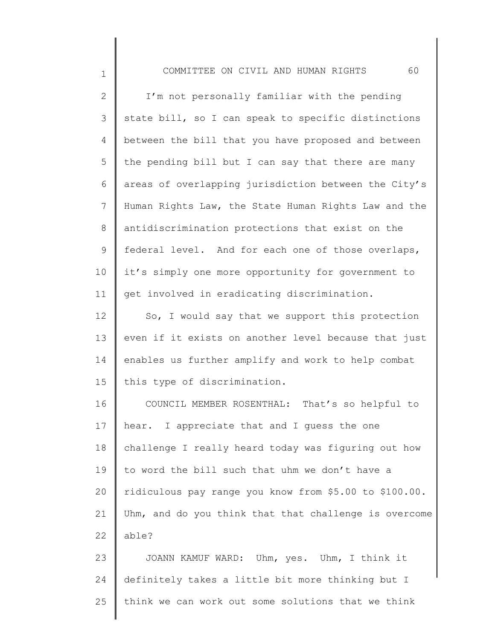1

25

2 3 4 5 6 7 8 9 10 11 12 13 14 15 16 17 18 19 20 21 22 23 24 I'm not personally familiar with the pending state bill, so I can speak to specific distinctions between the bill that you have proposed and between the pending bill but I can say that there are many areas of overlapping jurisdiction between the City's Human Rights Law, the State Human Rights Law and the antidiscrimination protections that exist on the federal level. And for each one of those overlaps, it's simply one more opportunity for government to get involved in eradicating discrimination. So, I would say that we support this protection even if it exists on another level because that just enables us further amplify and work to help combat this type of discrimination. COUNCIL MEMBER ROSENTHAL: That's so helpful to hear. I appreciate that and I guess the one challenge I really heard today was figuring out how to word the bill such that uhm we don't have a ridiculous pay range you know from \$5.00 to \$100.00. Uhm, and do you think that that challenge is overcome able? JOANN KAMUF WARD: Uhm, yes. Uhm, I think it definitely takes a little bit more thinking but I

think we can work out some solutions that we think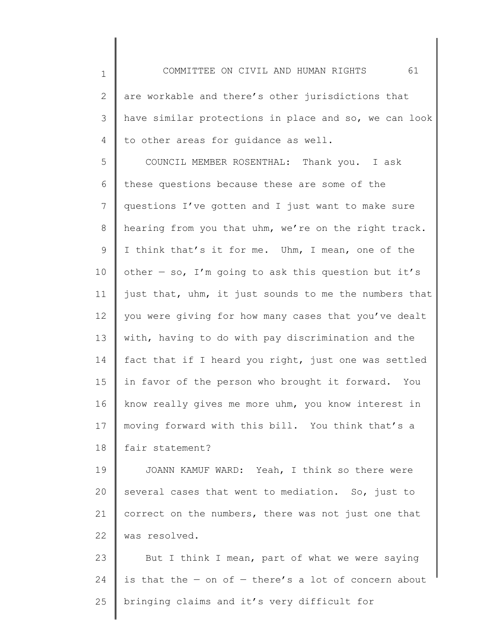1 2 3 4 5 6 7 8 9 10 11 12 13 14 15 16 17 18 COMMITTEE ON CIVIL AND HUMAN RIGHTS 61 are workable and there's other jurisdictions that have similar protections in place and so, we can look to other areas for guidance as well. COUNCIL MEMBER ROSENTHAL: Thank you. I ask these questions because these are some of the questions I've gotten and I just want to make sure hearing from you that uhm, we're on the right track. I think that's it for me. Uhm, I mean, one of the other  $-$  so, I'm going to ask this question but it's just that, uhm, it just sounds to me the numbers that you were giving for how many cases that you've dealt with, having to do with pay discrimination and the fact that if I heard you right, just one was settled in favor of the person who brought it forward. You know really gives me more uhm, you know interest in moving forward with this bill. You think that's a fair statement?

19 20 21 22 JOANN KAMUF WARD: Yeah, I think so there were several cases that went to mediation. So, just to correct on the numbers, there was not just one that was resolved.

23 24 25 But I think I mean, part of what we were saying is that the  $-$  on of  $-$  there's a lot of concern about bringing claims and it's very difficult for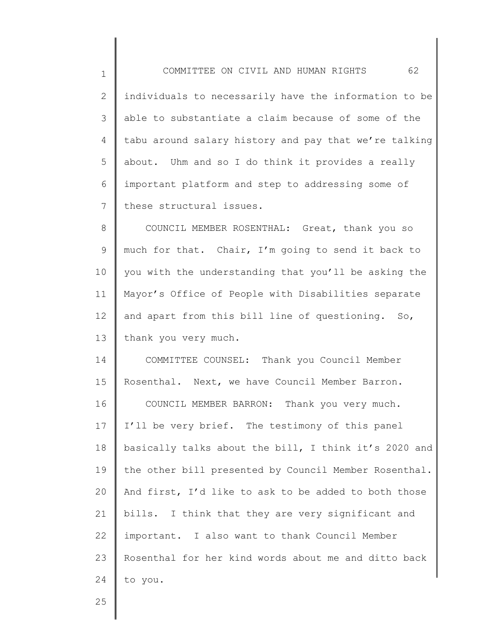1 2 3 4 5 6 7 COMMITTEE ON CIVIL AND HUMAN RIGHTS 62 individuals to necessarily have the information to be able to substantiate a claim because of some of the tabu around salary history and pay that we're talking about. Uhm and so I do think it provides a really important platform and step to addressing some of these structural issues.

8 9 10 11 12 13 COUNCIL MEMBER ROSENTHAL: Great, thank you so much for that. Chair, I'm going to send it back to you with the understanding that you'll be asking the Mayor's Office of People with Disabilities separate and apart from this bill line of questioning. So, thank you very much.

14 15 16 17 18 19 20 21 22 23 24 COMMITTEE COUNSEL: Thank you Council Member Rosenthal. Next, we have Council Member Barron. COUNCIL MEMBER BARRON: Thank you very much. I'll be very brief. The testimony of this panel basically talks about the bill, I think it's 2020 and the other bill presented by Council Member Rosenthal. And first, I'd like to ask to be added to both those bills. I think that they are very significant and important. I also want to thank Council Member Rosenthal for her kind words about me and ditto back to you.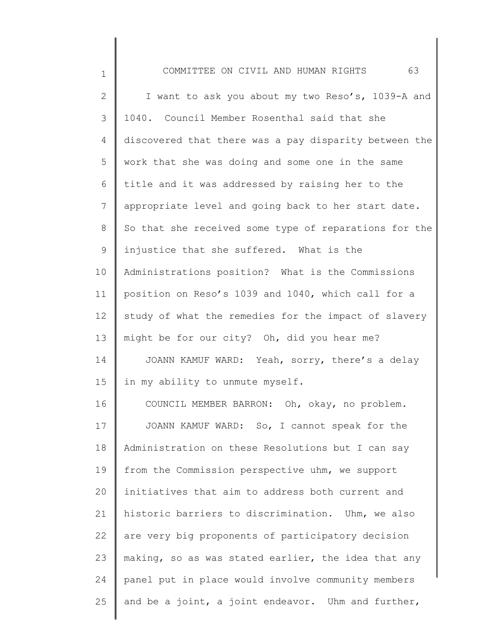| $\mathbf 1$  | 63<br>COMMITTEE ON CIVIL AND HUMAN RIGHTS             |
|--------------|-------------------------------------------------------|
| $\mathbf{2}$ | I want to ask you about my two Reso's, 1039-A and     |
| 3            | 1040. Council Member Rosenthal said that she          |
| 4            | discovered that there was a pay disparity between the |
| 5            | work that she was doing and some one in the same      |
| 6            | title and it was addressed by raising her to the      |
| 7            | appropriate level and going back to her start date.   |
| $8\,$        | So that she received some type of reparations for the |
| 9            | injustice that she suffered. What is the              |
| 10           | Administrations position? What is the Commissions     |
| 11           | position on Reso's 1039 and 1040, which call for a    |
| 12           | study of what the remedies for the impact of slavery  |
| 13           | might be for our city? Oh, did you hear me?           |
| 14           | JOANN KAMUF WARD: Yeah, sorry, there's a delay        |
| 15           | in my ability to unmute myself.                       |
| 16           | COUNCIL MEMBER BARRON: Oh, okay, no problem.          |
| 17           | JOANN KAMUF WARD: So, I cannot speak for the          |
| 18           | Administration on these Resolutions but I can say     |
| 19           | from the Commission perspective uhm, we support       |
| 20           | initiatives that aim to address both current and      |
| 21           | historic barriers to discrimination. Uhm, we also     |
| 22           | are very big proponents of participatory decision     |
| 23           | making, so as was stated earlier, the idea that any   |
| 24           | panel put in place would involve community members    |
| 25           | and be a joint, a joint endeavor. Uhm and further,    |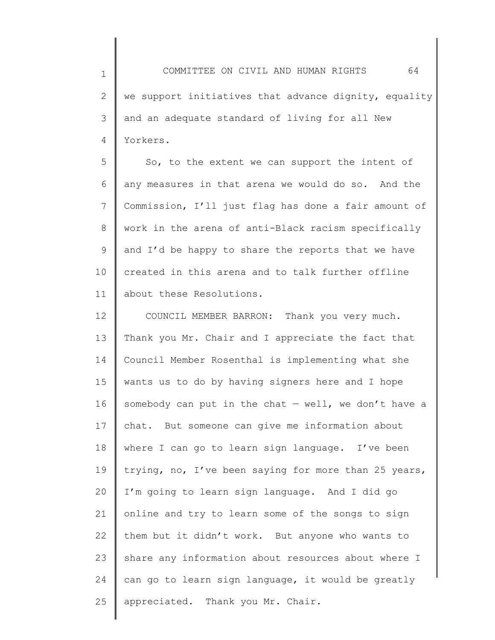1 2 3 4 COMMITTEE ON CIVIL AND HUMAN RIGHTS 64 we support initiatives that advance dignity, equality and an adequate standard of living for all New Yorkers.

5 6 7 8 9 10 11 So, to the extent we can support the intent of any measures in that arena we would do so. And the Commission, I'll just flag has done a fair amount of work in the arena of anti-Black racism specifically and I'd be happy to share the reports that we have created in this arena and to talk further offline about these Resolutions.

12 13 14 15 16 17 18 19 20 21 22 23 24 25 COUNCIL MEMBER BARRON: Thank you very much. Thank you Mr. Chair and I appreciate the fact that Council Member Rosenthal is implementing what she wants us to do by having signers here and I hope somebody can put in the chat  $-$  well, we don't have a chat. But someone can give me information about where I can go to learn sign language. I've been trying, no, I've been saying for more than 25 years, I'm going to learn sign language. And I did go online and try to learn some of the songs to sign them but it didn't work. But anyone who wants to share any information about resources about where I can go to learn sign language, it would be greatly appreciated. Thank you Mr. Chair.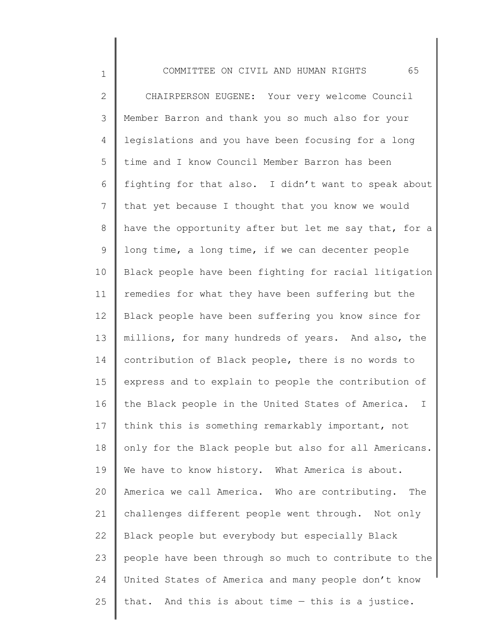1 2 3 4 5 6 7 8 9 10 11 12 13 14 15 16 17 18 19 20 21 22 23 24 25 COMMITTEE ON CIVIL AND HUMAN RIGHTS 65 CHAIRPERSON EUGENE: Your very welcome Council Member Barron and thank you so much also for your legislations and you have been focusing for a long time and I know Council Member Barron has been fighting for that also. I didn't want to speak about that yet because I thought that you know we would have the opportunity after but let me say that, for a long time, a long time, if we can decenter people Black people have been fighting for racial litigation remedies for what they have been suffering but the Black people have been suffering you know since for millions, for many hundreds of years. And also, the contribution of Black people, there is no words to express and to explain to people the contribution of the Black people in the United States of America. I think this is something remarkably important, not only for the Black people but also for all Americans. We have to know history. What America is about. America we call America. Who are contributing. The challenges different people went through. Not only Black people but everybody but especially Black people have been through so much to contribute to the United States of America and many people don't know that. And this is about time — this is a justice.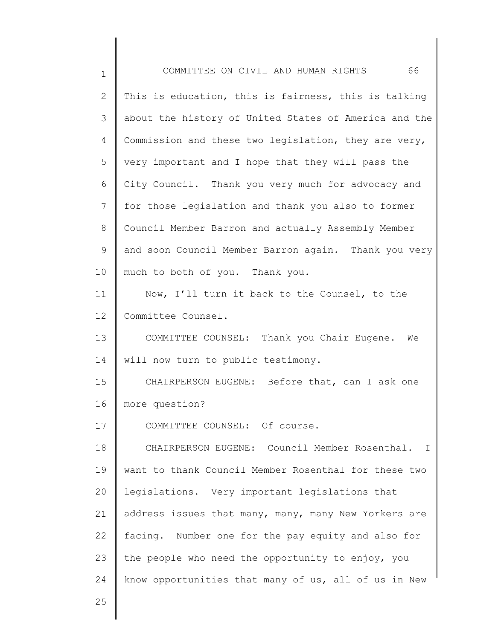| $\mathbf 1$  | 66<br>COMMITTEE ON CIVIL AND HUMAN RIGHTS                     |
|--------------|---------------------------------------------------------------|
| $\mathbf{2}$ | This is education, this is fairness, this is talking          |
| 3            | about the history of United States of America and the         |
| 4            | Commission and these two legislation, they are very,          |
| 5            | very important and I hope that they will pass the             |
| 6            | City Council. Thank you very much for advocacy and            |
| 7            | for those legislation and thank you also to former            |
| 8            | Council Member Barron and actually Assembly Member            |
| 9            | and soon Council Member Barron again. Thank you very          |
| 10           | much to both of you. Thank you.                               |
| 11           | Now, I'll turn it back to the Counsel, to the                 |
| 12           | Committee Counsel.                                            |
| 13           | COMMITTEE COUNSEL: Thank you Chair Eugene.<br>We              |
| 14           | will now turn to public testimony.                            |
| 15           | CHAIRPERSON EUGENE: Before that, can I ask one                |
| 16           | more question?                                                |
| 17           | COMMITTEE COUNSEL: Of course.                                 |
| 18           | CHAIRPERSON EUGENE: Council Member Rosenthal.<br>$\mathbf{I}$ |
| 19           | want to thank Council Member Rosenthal for these two          |
| 20           | legislations. Very important legislations that                |
| 21           | address issues that many, many, many New Yorkers are          |
| 22           | facing. Number one for the pay equity and also for            |
| 23           | the people who need the opportunity to enjoy, you             |
| 24           | know opportunities that many of us, all of us in New          |
| 25           |                                                               |

║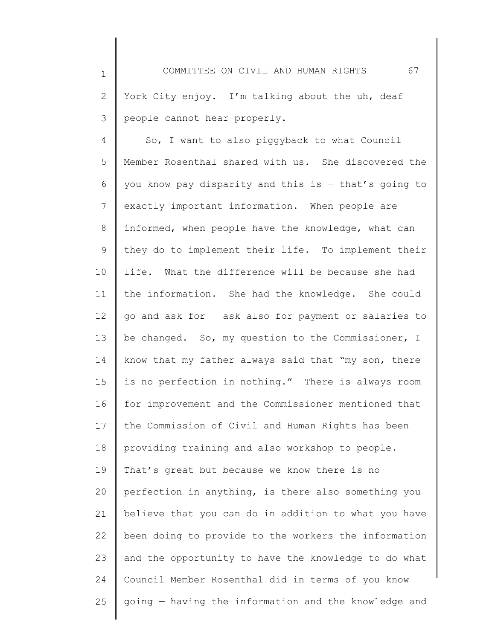1 2 3 COMMITTEE ON CIVIL AND HUMAN RIGHTS 67 York City enjoy. I'm talking about the uh, deaf people cannot hear properly.

4 5 6 7 8 9 10 11 12 13 14 15 16 17 18 19 20 21 22 23 24 25 So, I want to also piggyback to what Council Member Rosenthal shared with us. She discovered the you know pay disparity and this is  $-$  that's going to exactly important information. When people are informed, when people have the knowledge, what can they do to implement their life. To implement their life. What the difference will be because she had the information. She had the knowledge. She could go and ask for — ask also for payment or salaries to be changed. So, my question to the Commissioner, I know that my father always said that "my son, there is no perfection in nothing." There is always room for improvement and the Commissioner mentioned that the Commission of Civil and Human Rights has been providing training and also workshop to people. That's great but because we know there is no perfection in anything, is there also something you believe that you can do in addition to what you have been doing to provide to the workers the information and the opportunity to have the knowledge to do what Council Member Rosenthal did in terms of you know going — having the information and the knowledge and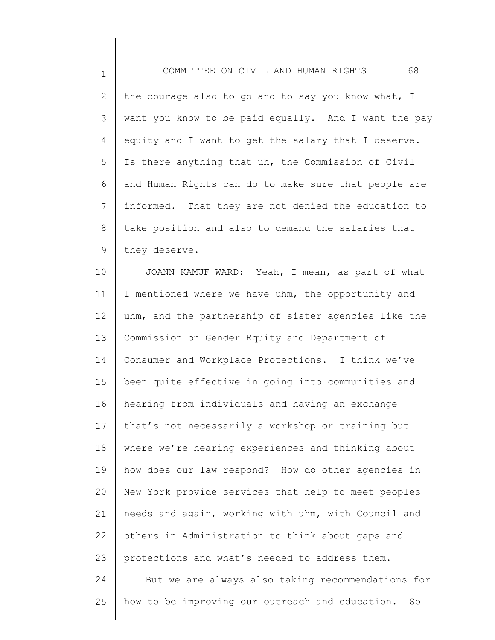1

2 3 4 5 6 7 8 9 the courage also to go and to say you know what, I want you know to be paid equally. And I want the pay equity and I want to get the salary that I deserve. Is there anything that uh, the Commission of Civil and Human Rights can do to make sure that people are informed. That they are not denied the education to take position and also to demand the salaries that they deserve.

10 11 12 13 14 15 16 17 18 19 20 21 22 23 24 25 JOANN KAMUF WARD: Yeah, I mean, as part of what I mentioned where we have uhm, the opportunity and uhm, and the partnership of sister agencies like the Commission on Gender Equity and Department of Consumer and Workplace Protections. I think we've been quite effective in going into communities and hearing from individuals and having an exchange that's not necessarily a workshop or training but where we're hearing experiences and thinking about how does our law respond? How do other agencies in New York provide services that help to meet peoples needs and again, working with uhm, with Council and others in Administration to think about gaps and protections and what's needed to address them. But we are always also taking recommendations for how to be improving our outreach and education. So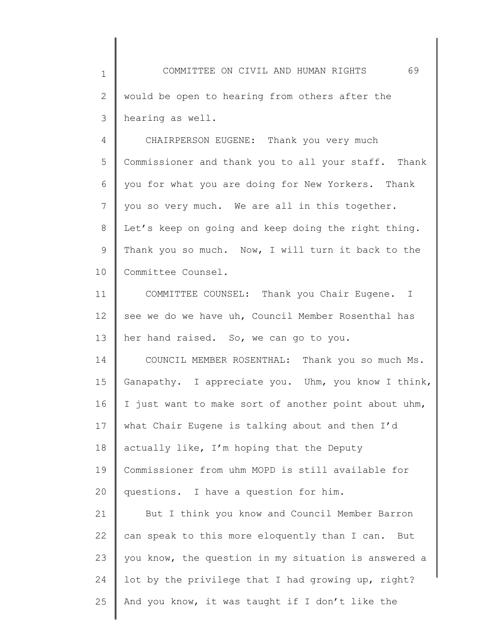1 2 3 COMMITTEE ON CIVIL AND HUMAN RIGHTS 69 would be open to hearing from others after the hearing as well.

4 5 6 7 8 9 10 CHAIRPERSON EUGENE: Thank you very much Commissioner and thank you to all your staff. Thank you for what you are doing for New Yorkers. Thank you so very much. We are all in this together. Let's keep on going and keep doing the right thing. Thank you so much. Now, I will turn it back to the Committee Counsel.

11 12 13 COMMITTEE COUNSEL: Thank you Chair Eugene. I see we do we have uh, Council Member Rosenthal has her hand raised. So, we can go to you.

14 15 16 17 18 19 20 COUNCIL MEMBER ROSENTHAL: Thank you so much Ms. Ganapathy. I appreciate you. Uhm, you know I think, I just want to make sort of another point about uhm, what Chair Eugene is talking about and then I'd actually like, I'm hoping that the Deputy Commissioner from uhm MOPD is still available for questions. I have a question for him.

21 22 23 24 25 But I think you know and Council Member Barron can speak to this more eloquently than I can. But you know, the question in my situation is answered a lot by the privilege that I had growing up, right? And you know, it was taught if I don't like the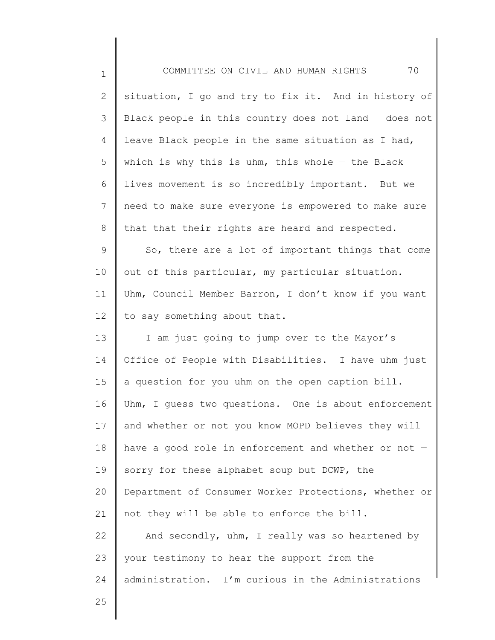| $\mathbf 1$    | 70<br>COMMITTEE ON CIVIL AND HUMAN RIGHTS             |
|----------------|-------------------------------------------------------|
| $\mathbf{2}$   | situation, I go and try to fix it. And in history of  |
| 3              | Black people in this country does not land - does not |
| 4              | leave Black people in the same situation as I had,    |
| 5              | which is why this is uhm, this whole $-$ the Black    |
| 6              | lives movement is so incredibly important. But we     |
| $7\phantom{.}$ | need to make sure everyone is empowered to make sure  |
| $8\,$          | that that their rights are heard and respected.       |
| $\mathsf 9$    | So, there are a lot of important things that come     |
| 10             | out of this particular, my particular situation.      |
| 11             | Uhm, Council Member Barron, I don't know if you want  |
| 12             | to say something about that.                          |
| 13             | I am just going to jump over to the Mayor's           |
| 14             | Office of People with Disabilities. I have uhm just   |
| 15             | a question for you uhm on the open caption bill.      |
| 16             | Uhm, I guess two questions. One is about enforcement  |
| 17             | and whether or not you know MOPD believes they will   |
| 18             | have a good role in enforcement and whether or not -  |
| 19             | sorry for these alphabet soup but DCWP, the           |
| 20             | Department of Consumer Worker Protections, whether or |
| 21             | not they will be able to enforce the bill.            |
| 22             | And secondly, uhm, I really was so heartened by       |
| 23             | your testimony to hear the support from the           |
| 24             | administration. I'm curious in the Administrations    |
| 25             |                                                       |
|                |                                                       |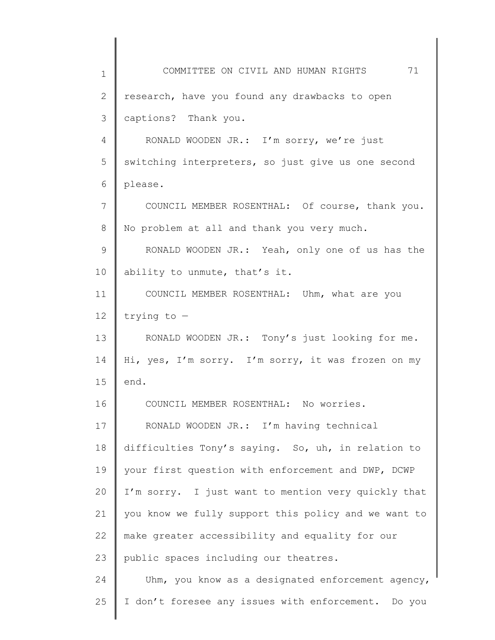1 2 3 4 5 6 7 8 9 10 11 12 13 14 15 16 17 18 19 20 21 22 23 24 25 COMMITTEE ON CIVIL AND HUMAN RIGHTS 71 research, have you found any drawbacks to open captions? Thank you. RONALD WOODEN JR.: I'm sorry, we're just switching interpreters, so just give us one second please. COUNCIL MEMBER ROSENTHAL: Of course, thank you. No problem at all and thank you very much. RONALD WOODEN JR.: Yeah, only one of us has the ability to unmute, that's it. COUNCIL MEMBER ROSENTHAL: Uhm, what are you trying to — RONALD WOODEN JR.: Tony's just looking for me. Hi, yes, I'm sorry. I'm sorry, it was frozen on my end. COUNCIL MEMBER ROSENTHAL: No worries. RONALD WOODEN JR.: I'm having technical difficulties Tony's saying. So, uh, in relation to your first question with enforcement and DWP, DCWP I'm sorry. I just want to mention very quickly that you know we fully support this policy and we want to make greater accessibility and equality for our public spaces including our theatres. Uhm, you know as a designated enforcement agency, I don't foresee any issues with enforcement. Do you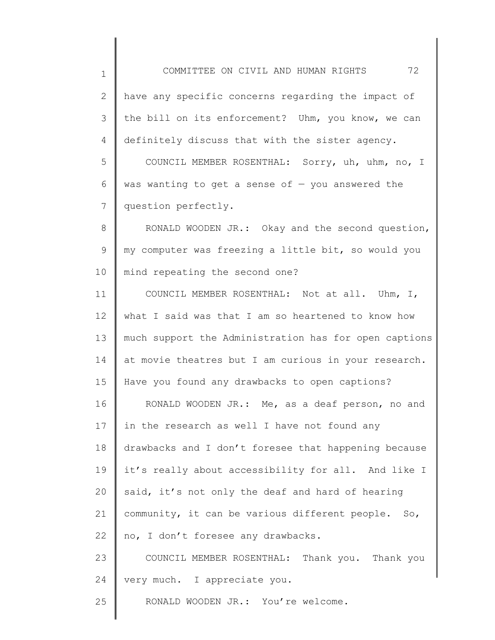1

2 3 4 have any specific concerns regarding the impact of the bill on its enforcement? Uhm, you know, we can definitely discuss that with the sister agency.

5 6 7 COUNCIL MEMBER ROSENTHAL: Sorry, uh, uhm, no, I was wanting to get a sense of  $-$  you answered the question perfectly.

8 9 10 RONALD WOODEN JR.: Okay and the second question, my computer was freezing a little bit, so would you mind repeating the second one?

11 12 13 14 15 16 17 18 19 20 21 22 23 24 COUNCIL MEMBER ROSENTHAL: Not at all. Uhm, I, what I said was that I am so heartened to know how much support the Administration has for open captions at movie theatres but I am curious in your research. Have you found any drawbacks to open captions? RONALD WOODEN JR.: Me, as a deaf person, no and in the research as well I have not found any drawbacks and I don't foresee that happening because it's really about accessibility for all. And like I said, it's not only the deaf and hard of hearing community, it can be various different people. So, no, I don't foresee any drawbacks. COUNCIL MEMBER ROSENTHAL: Thank you. Thank you very much. I appreciate you.

25 RONALD WOODEN JR.: You're welcome.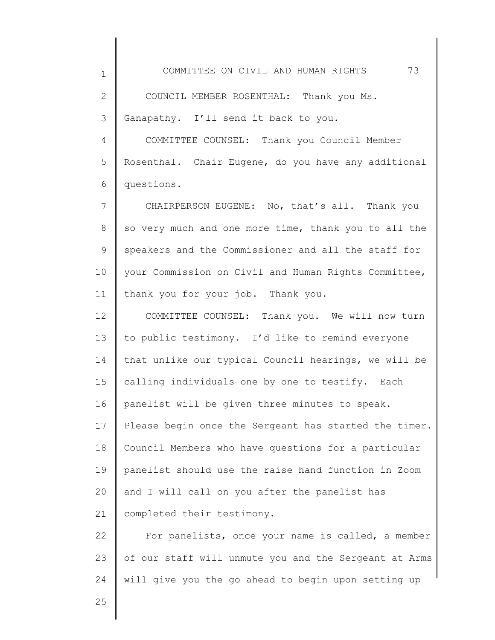2 3 COUNCIL MEMBER ROSENTHAL: Thank you Ms. Ganapathy. I'll send it back to you.

4 5 6 COMMITTEE COUNSEL: Thank you Council Member Rosenthal. Chair Eugene, do you have any additional questions.

7 8 9 10 11 CHAIRPERSON EUGENE: No, that's all. Thank you so very much and one more time, thank you to all the speakers and the Commissioner and all the staff for your Commission on Civil and Human Rights Committee, thank you for your job. Thank you.

12 13 14 15 16 17 18 19 20 21 COMMITTEE COUNSEL: Thank you. We will now turn to public testimony. I'd like to remind everyone that unlike our typical Council hearings, we will be calling individuals one by one to testify. Each panelist will be given three minutes to speak. Please begin once the Sergeant has started the timer. Council Members who have questions for a particular panelist should use the raise hand function in Zoom and I will call on you after the panelist has completed their testimony.

22 23 24 For panelists, once your name is called, a member of our staff will unmute you and the Sergeant at Arms will give you the go ahead to begin upon setting up

25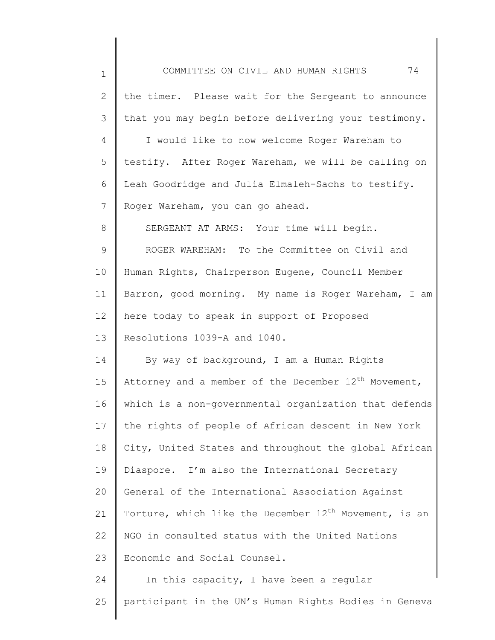| $\mathbf 1$ | 74<br>COMMITTEE ON CIVIL AND HUMAN RIGHTS                        |
|-------------|------------------------------------------------------------------|
| 2           | the timer. Please wait for the Sergeant to announce              |
| 3           | that you may begin before delivering your testimony.             |
| 4           | I would like to now welcome Roger Wareham to                     |
| 5           | testify. After Roger Wareham, we will be calling on              |
| 6           | Leah Goodridge and Julia Elmaleh-Sachs to testify.               |
| 7           | Roger Wareham, you can go ahead.                                 |
| 8           | SERGEANT AT ARMS: Your time will begin.                          |
| 9           | ROGER WAREHAM: To the Committee on Civil and                     |
| 10          | Human Rights, Chairperson Eugene, Council Member                 |
| 11          | Barron, good morning. My name is Roger Wareham, I am             |
| 12          | here today to speak in support of Proposed                       |
| 13          | Resolutions 1039-A and 1040.                                     |
| 14          | By way of background, I am a Human Rights                        |
| 15          | Attorney and a member of the December 12 <sup>th</sup> Movement, |
| 16          | which is a non-governmental organization that defends            |
| 17          | the rights of people of African descent in New York              |
| 18          | City, United States and throughout the global African            |
| 19          | Diaspore. I'm also the International Secretary                   |
| 20          | General of the International Association Against                 |
| 21          | Torture, which like the December $12^{th}$ Movement, is an       |
| 22          | NGO in consulted status with the United Nations                  |
| 23          | Economic and Social Counsel.                                     |
| 24          | In this capacity, I have been a regular                          |
| 25          | participant in the UN's Human Rights Bodies in Geneva            |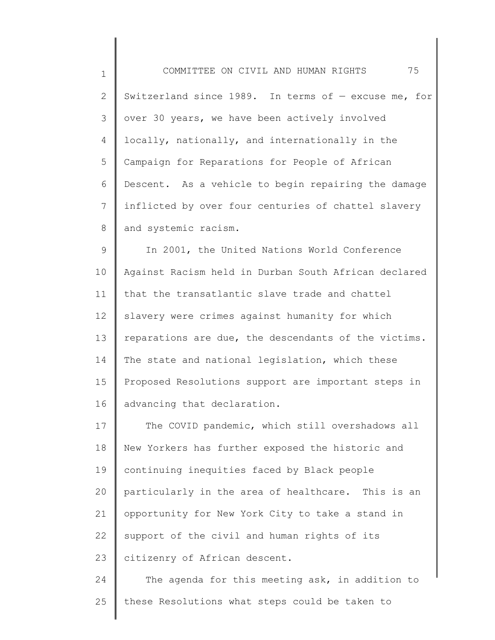1 2 3 4 5 6 7 8 COMMITTEE ON CIVIL AND HUMAN RIGHTS 75 Switzerland since 1989. In terms of — excuse me, for over 30 years, we have been actively involved locally, nationally, and internationally in the Campaign for Reparations for People of African Descent. As a vehicle to begin repairing the damage inflicted by over four centuries of chattel slavery and systemic racism.

9 10 11 12 13 14 15 16 In 2001, the United Nations World Conference Against Racism held in Durban South African declared that the transatlantic slave trade and chattel slavery were crimes against humanity for which reparations are due, the descendants of the victims. The state and national legislation, which these Proposed Resolutions support are important steps in advancing that declaration.

17 18 19 20 21 22 23 The COVID pandemic, which still overshadows all New Yorkers has further exposed the historic and continuing inequities faced by Black people particularly in the area of healthcare. This is an opportunity for New York City to take a stand in support of the civil and human rights of its citizenry of African descent.

24 25 The agenda for this meeting ask, in addition to these Resolutions what steps could be taken to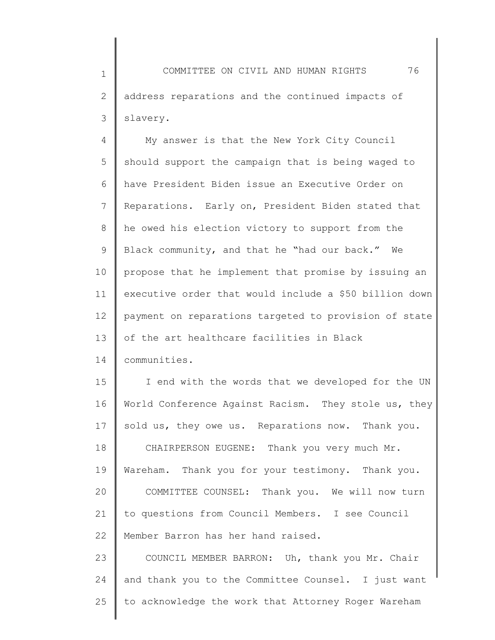1 2 3 COMMITTEE ON CIVIL AND HUMAN RIGHTS 76 address reparations and the continued impacts of slavery.

4 5 6 7 8 9 10 11 12 13 My answer is that the New York City Council should support the campaign that is being waged to have President Biden issue an Executive Order on Reparations. Early on, President Biden stated that he owed his election victory to support from the Black community, and that he "had our back." We propose that he implement that promise by issuing an executive order that would include a \$50 billion down payment on reparations targeted to provision of state of the art healthcare facilities in Black

14 communities.

15 16 17 18 19 20 21 22 I end with the words that we developed for the UN World Conference Against Racism. They stole us, they sold us, they owe us. Reparations now. Thank you. CHAIRPERSON EUGENE: Thank you very much Mr. Wareham. Thank you for your testimony. Thank you. COMMITTEE COUNSEL: Thank you. We will now turn to questions from Council Members. I see Council Member Barron has her hand raised.

23 24 25 COUNCIL MEMBER BARRON: Uh, thank you Mr. Chair and thank you to the Committee Counsel. I just want to acknowledge the work that Attorney Roger Wareham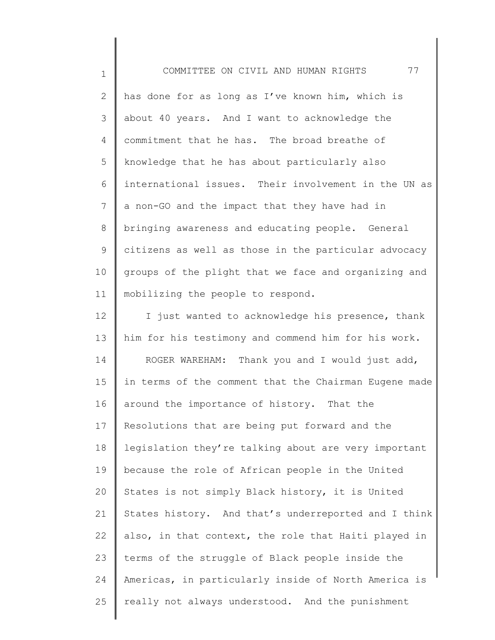1 2 3 4 5 6 7 8 9 10 11 12 13 14 15 16 17 18 19 20 21 22 23 24 COMMITTEE ON CIVIL AND HUMAN RIGHTS 77 has done for as long as I've known him, which is about 40 years. And I want to acknowledge the commitment that he has. The broad breathe of knowledge that he has about particularly also international issues. Their involvement in the UN as a non-GO and the impact that they have had in bringing awareness and educating people. General citizens as well as those in the particular advocacy groups of the plight that we face and organizing and mobilizing the people to respond. I just wanted to acknowledge his presence, thank him for his testimony and commend him for his work. ROGER WAREHAM: Thank you and I would just add, in terms of the comment that the Chairman Eugene made around the importance of history. That the Resolutions that are being put forward and the legislation they're talking about are very important because the role of African people in the United States is not simply Black history, it is United States history. And that's underreported and I think also, in that context, the role that Haiti played in terms of the struggle of Black people inside the Americas, in particularly inside of North America is

really not always understood. And the punishment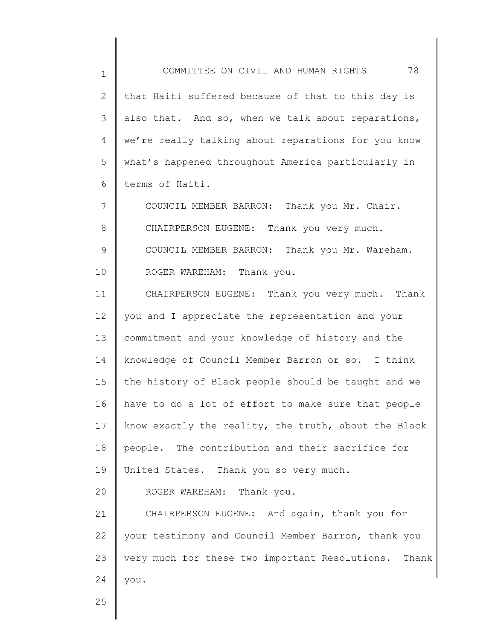1 2 3 4 5 6 COMMITTEE ON CIVIL AND HUMAN RIGHTS 78 that Haiti suffered because of that to this day is also that. And so, when we talk about reparations, we're really talking about reparations for you know what's happened throughout America particularly in terms of Haiti.

7 8 9 10 COUNCIL MEMBER BARRON: Thank you Mr. Chair. CHAIRPERSON EUGENE: Thank you very much. COUNCIL MEMBER BARRON: Thank you Mr. Wareham. ROGER WAREHAM: Thank you.

11 12 13 14 15 16 17 18 19 20 21 CHAIRPERSON EUGENE: Thank you very much. Thank you and I appreciate the representation and your commitment and your knowledge of history and the knowledge of Council Member Barron or so. I think the history of Black people should be taught and we have to do a lot of effort to make sure that people know exactly the reality, the truth, about the Black people. The contribution and their sacrifice for United States. Thank you so very much. ROGER WAREHAM: Thank you. CHAIRPERSON EUGENE: And again, thank you for

22 23 24 your testimony and Council Member Barron, thank you very much for these two important Resolutions. Thank you.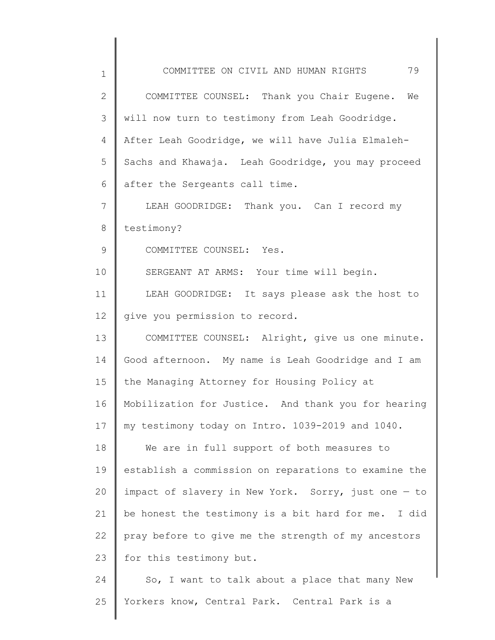| $\mathbf 1$  | 79<br>COMMITTEE ON CIVIL AND HUMAN RIGHTS            |
|--------------|------------------------------------------------------|
| $\mathbf{2}$ | COMMITTEE COUNSEL: Thank you Chair Eugene. We        |
| 3            | will now turn to testimony from Leah Goodridge.      |
| 4            | After Leah Goodridge, we will have Julia Elmaleh-    |
| 5            | Sachs and Khawaja. Leah Goodridge, you may proceed   |
| 6            | after the Sergeants call time.                       |
| 7            | LEAH GOODRIDGE: Thank you. Can I record my           |
| 8            | testimony?                                           |
| $\mathsf 9$  | COMMITTEE COUNSEL: Yes.                              |
| 10           | SERGEANT AT ARMS: Your time will begin.              |
| 11           | LEAH GOODRIDGE: It says please ask the host to       |
| 12           | give you permission to record.                       |
| 13           | COMMITTEE COUNSEL: Alright, give us one minute.      |
| 14           | Good afternoon. My name is Leah Goodridge and I am   |
| 15           | the Managing Attorney for Housing Policy at          |
| 16           | Mobilization for Justice. And thank you for hearing  |
| 17           | my testimony today on Intro. 1039-2019 and 1040.     |
| 18           | We are in full support of both measures to           |
| 19           | establish a commission on reparations to examine the |
| 20           | impact of slavery in New York. Sorry, just one - to  |
| 21           | be honest the testimony is a bit hard for me. I did  |
| 22           | pray before to give me the strength of my ancestors  |
| 23           | for this testimony but.                              |
| 24           | So, I want to talk about a place that many New       |
| 25           | Yorkers know, Central Park. Central Park is a        |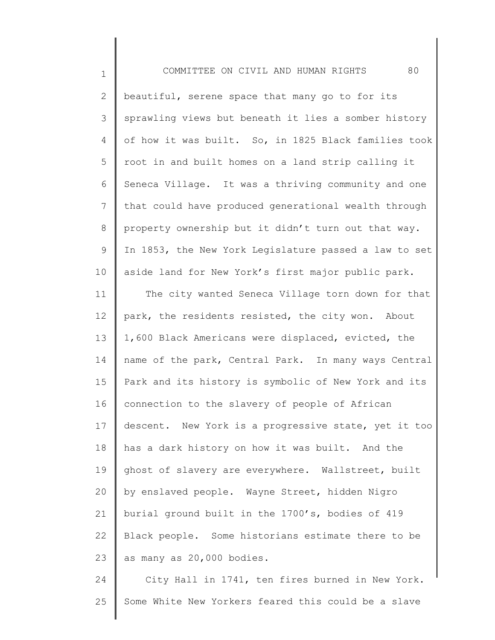1

2 3 4 5 6 7 8 9 10 11 12 13 14 15 16 17 18 19 20 21 22 23 beautiful, serene space that many go to for its sprawling views but beneath it lies a somber history of how it was built. So, in 1825 Black families took root in and built homes on a land strip calling it Seneca Village. It was a thriving community and one that could have produced generational wealth through property ownership but it didn't turn out that way. In 1853, the New York Legislature passed a law to set aside land for New York's first major public park. The city wanted Seneca Village torn down for that park, the residents resisted, the city won. About 1,600 Black Americans were displaced, evicted, the name of the park, Central Park. In many ways Central Park and its history is symbolic of New York and its connection to the slavery of people of African descent. New York is a progressive state, yet it too has a dark history on how it was built. And the ghost of slavery are everywhere. Wallstreet, built by enslaved people. Wayne Street, hidden Nigro burial ground built in the 1700's, bodies of 419 Black people. Some historians estimate there to be as many as 20,000 bodies.

24 25 City Hall in 1741, ten fires burned in New York. Some White New Yorkers feared this could be a slave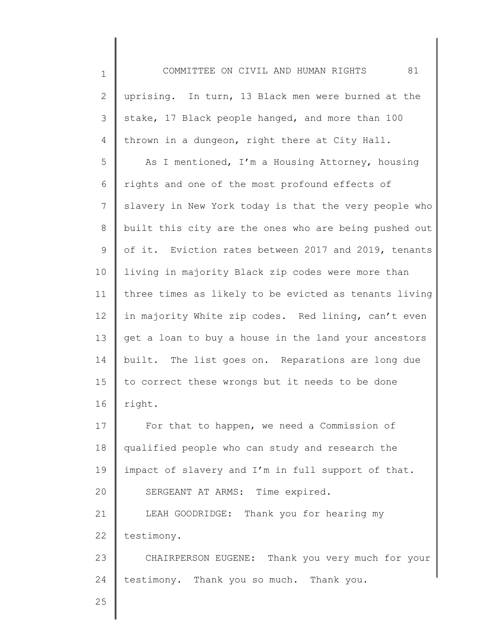| $\mathbf 1$    | 81<br>COMMITTEE ON CIVIL AND HUMAN RIGHTS             |
|----------------|-------------------------------------------------------|
| $\mathbf{2}$   | uprising. In turn, 13 Black men were burned at the    |
| 3              | stake, 17 Black people hanged, and more than 100      |
| 4              | thrown in a dungeon, right there at City Hall.        |
| 5              | As I mentioned, I'm a Housing Attorney, housing       |
| 6              | rights and one of the most profound effects of        |
| $7\phantom{.}$ | slavery in New York today is that the very people who |
| $8\,$          | built this city are the ones who are being pushed out |
| 9              | of it. Eviction rates between 2017 and 2019, tenants  |
| 10             | living in majority Black zip codes were more than     |
| 11             | three times as likely to be evicted as tenants living |
| 12             | in majority White zip codes. Red lining, can't even   |
| 13             | get a loan to buy a house in the land your ancestors  |
| 14             | built. The list goes on. Reparations are long due     |
| 15             | to correct these wrongs but it needs to be done       |
| 16             | right.                                                |
| 17             | For that to happen, we need a Commission of           |
| 18             | qualified people who can study and research the       |
| 19             | impact of slavery and I'm in full support of that.    |
| 20             | SERGEANT AT ARMS: Time expired.                       |
| 21             | LEAH GOODRIDGE: Thank you for hearing my              |
| 22             | testimony.                                            |
| 23             | CHAIRPERSON EUGENE: Thank you very much for your      |
| 24             | testimony. Thank you so much. Thank you.              |
| 25             |                                                       |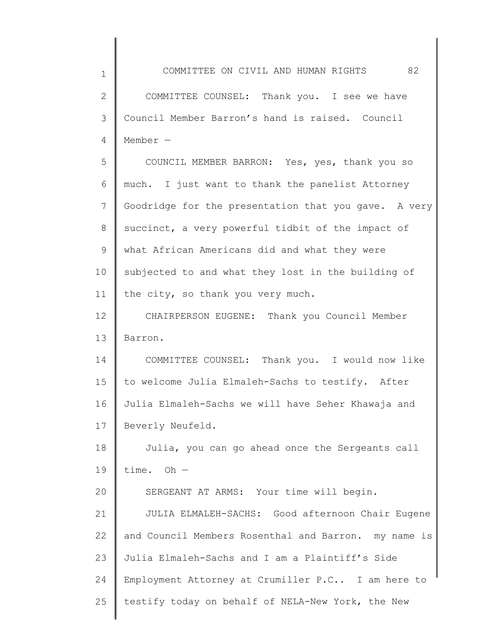| $\mathbf 1$  | COMMITTEE ON CIVIL AND HUMAN RIGHTS<br>82               |
|--------------|---------------------------------------------------------|
| $\mathbf{2}$ | COMMITTEE COUNSEL: Thank you. I see we have             |
| 3            | Council Member Barron's hand is raised. Council         |
| 4            | Member $-$                                              |
| 5            | COUNCIL MEMBER BARRON: Yes, yes, thank you so           |
| 6            | much. I just want to thank the panelist Attorney        |
| 7            | Goodridge for the presentation that you gave. A very    |
| 8            | succinct, a very powerful tidbit of the impact of       |
| 9            | what African Americans did and what they were           |
| 10           | subjected to and what they lost in the building of      |
| 11           | the city, so thank you very much.                       |
| 12           | CHAIRPERSON EUGENE: Thank you Council Member            |
| 13           | Barron.                                                 |
| 14           | COMMITTEE COUNSEL: Thank you. I would now like          |
| 15           | to welcome Julia Elmaleh-Sachs to testify. After        |
| 16           | Julia Elmaleh-Sachs we will have Seher Khawaja and      |
| 17           | Beverly Neufeld.                                        |
| 18           | Julia, you can go ahead once the Sergeants call         |
| 19           | time. $Oh -$                                            |
| 20           | SERGEANT AT ARMS: Your time will begin.                 |
| 21           | JULIA ELMALEH-SACHS: Good afternoon Chair Eugene        |
| 22           | and Council Members Rosenthal and Barron.<br>my name is |
| 23           | Julia Elmaleh-Sachs and I am a Plaintiff's Side         |
| 24           | Employment Attorney at Crumiller P.C I am here to       |
| 25           | testify today on behalf of NELA-New York, the New       |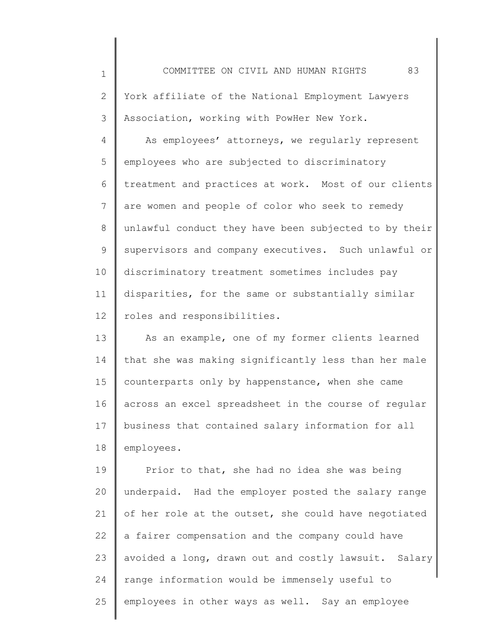1 2 3 4 5 6 7 8 9 10 11 12 COMMITTEE ON CIVIL AND HUMAN RIGHTS 83 York affiliate of the National Employment Lawyers Association, working with PowHer New York. As employees' attorneys, we regularly represent employees who are subjected to discriminatory treatment and practices at work. Most of our clients are women and people of color who seek to remedy unlawful conduct they have been subjected to by their supervisors and company executives. Such unlawful or discriminatory treatment sometimes includes pay disparities, for the same or substantially similar roles and responsibilities.

13 14 15 16 17 18 As an example, one of my former clients learned that she was making significantly less than her male counterparts only by happenstance, when she came across an excel spreadsheet in the course of regular business that contained salary information for all employees.

19 20 21 22 23 24 25 Prior to that, she had no idea she was being underpaid. Had the employer posted the salary range of her role at the outset, she could have negotiated a fairer compensation and the company could have avoided a long, drawn out and costly lawsuit. Salary range information would be immensely useful to employees in other ways as well. Say an employee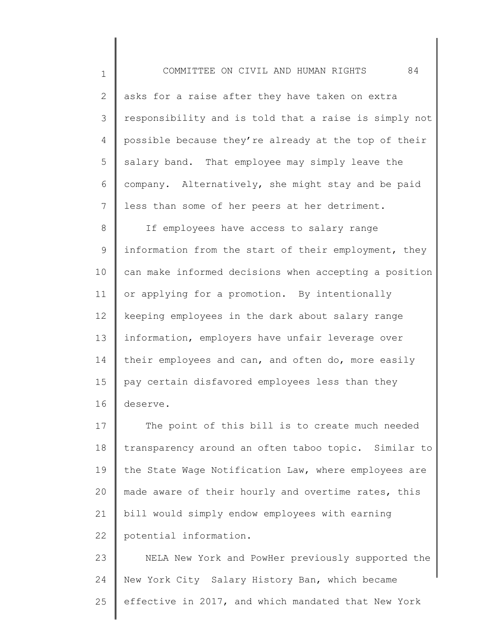COMMITTEE ON CIVIL AND HUMAN RIGHTS 84 asks for a raise after they have taken on extra responsibility and is told that a raise is simply not possible because they're already at the top of their salary band. That employee may simply leave the

1

2

3

4

5

6 7 company. Alternatively, she might stay and be paid less than some of her peers at her detriment.

8 9 10 11 12 13 14 15 16 If employees have access to salary range information from the start of their employment, they can make informed decisions when accepting a position or applying for a promotion. By intentionally keeping employees in the dark about salary range information, employers have unfair leverage over their employees and can, and often do, more easily pay certain disfavored employees less than they deserve.

17 18 19 20 21 22 The point of this bill is to create much needed transparency around an often taboo topic. Similar to the State Wage Notification Law, where employees are made aware of their hourly and overtime rates, this bill would simply endow employees with earning potential information.

23 24 25 NELA New York and PowHer previously supported the New York City Salary History Ban, which became effective in 2017, and which mandated that New York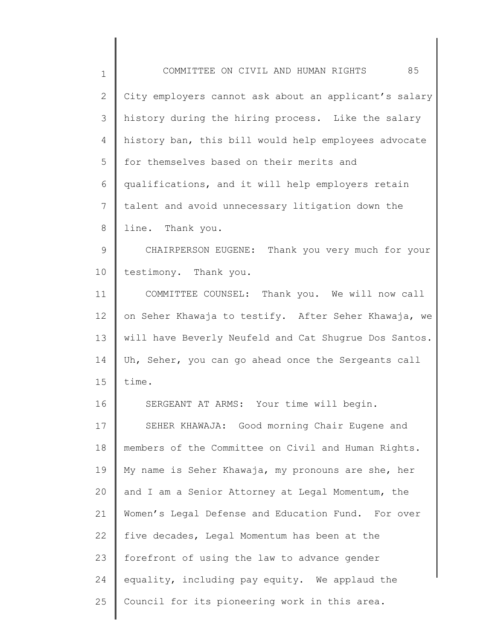| $\mathbf 1$  | 85<br>COMMITTEE ON CIVIL AND HUMAN RIGHTS             |
|--------------|-------------------------------------------------------|
| $\mathbf{2}$ | City employers cannot ask about an applicant's salary |
| 3            | history during the hiring process. Like the salary    |
| 4            | history ban, this bill would help employees advocate  |
| 5            | for themselves based on their merits and              |
| 6            | qualifications, and it will help employers retain     |
| 7            | talent and avoid unnecessary litigation down the      |
| 8            | line. Thank you.                                      |
| 9            | CHAIRPERSON EUGENE: Thank you very much for your      |
| 10           | testimony. Thank you.                                 |
| 11           | COMMITTEE COUNSEL: Thank you. We will now call        |
| 12           | on Seher Khawaja to testify. After Seher Khawaja, we  |
| 13           | will have Beverly Neufeld and Cat Shugrue Dos Santos. |
| 14           | Uh, Seher, you can go ahead once the Sergeants call   |
| 15           | time.                                                 |
| 16           | SERGEANT AT ARMS: Your time will begin.               |
| 17           | SEHER KHAWAJA: Good morning Chair Eugene and          |
| 18           | members of the Committee on Civil and Human Rights.   |
| 19           | My name is Seher Khawaja, my pronouns are she, her    |
| 20           | and I am a Senior Attorney at Legal Momentum, the     |
| 21           | Women's Legal Defense and Education Fund. For over    |
| 22           | five decades, Legal Momentum has been at the          |
| 23           | forefront of using the law to advance gender          |
| 24           | equality, including pay equity. We applaud the        |
| 25           | Council for its pioneering work in this area.         |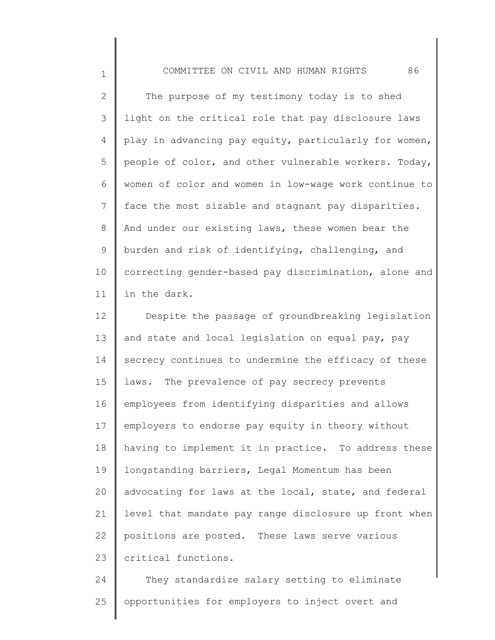1

2 3 4 5 6 7 8 9 10 11 The purpose of my testimony today is to shed light on the critical role that pay disclosure laws play in advancing pay equity, particularly for women, people of color, and other vulnerable workers. Today, women of color and women in low-wage work continue to face the most sizable and stagnant pay disparities. And under our existing laws, these women bear the burden and risk of identifying, challenging, and correcting gender-based pay discrimination, alone and in the dark.

12 13 14 15 16 17 18 19 20 21 22 23 Despite the passage of groundbreaking legislation and state and local legislation on equal pay, pay secrecy continues to undermine the efficacy of these laws. The prevalence of pay secrecy prevents employees from identifying disparities and allows employers to endorse pay equity in theory without having to implement it in practice. To address these longstanding barriers, Legal Momentum has been advocating for laws at the local, state, and federal level that mandate pay range disclosure up front when positions are posted. These laws serve various critical functions.

24 25 They standardize salary setting to eliminate opportunities for employers to inject overt and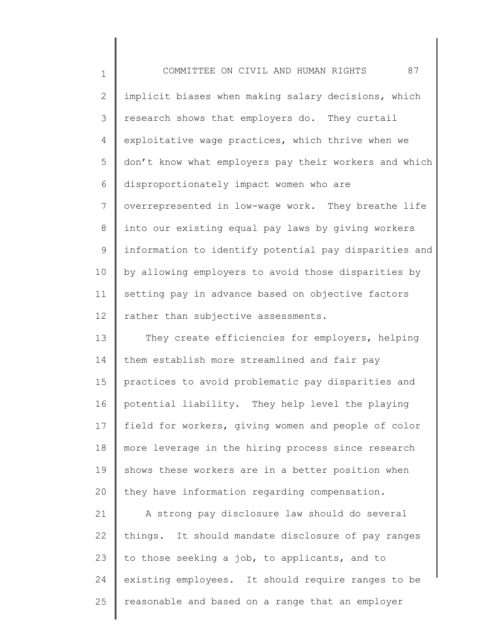1 2 3 4 5 6 7 8 9 10 11 12 COMMITTEE ON CIVIL AND HUMAN RIGHTS 87 implicit biases when making salary decisions, which research shows that employers do. They curtail exploitative wage practices, which thrive when we don't know what employers pay their workers and which disproportionately impact women who are overrepresented in low-wage work. They breathe life into our existing equal pay laws by giving workers information to identify potential pay disparities and by allowing employers to avoid those disparities by setting pay in advance based on objective factors rather than subjective assessments.

13 14 15 16 17 18 19 20 They create efficiencies for employers, helping them establish more streamlined and fair pay practices to avoid problematic pay disparities and potential liability. They help level the playing field for workers, giving women and people of color more leverage in the hiring process since research shows these workers are in a better position when they have information regarding compensation.

21 22 23 24 25 A strong pay disclosure law should do several things. It should mandate disclosure of pay ranges to those seeking a job, to applicants, and to existing employees. It should require ranges to be reasonable and based on a range that an employer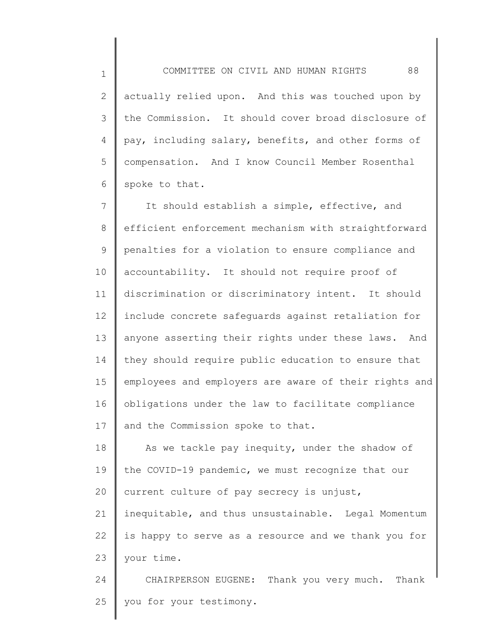1

2 3 4 5 6 actually relied upon. And this was touched upon by the Commission. It should cover broad disclosure of pay, including salary, benefits, and other forms of compensation. And I know Council Member Rosenthal spoke to that.

7 8 9 10 11 12 13 14 15 16 17 It should establish a simple, effective, and efficient enforcement mechanism with straightforward penalties for a violation to ensure compliance and accountability. It should not require proof of discrimination or discriminatory intent. It should include concrete safeguards against retaliation for anyone asserting their rights under these laws. And they should require public education to ensure that employees and employers are aware of their rights and obligations under the law to facilitate compliance and the Commission spoke to that.

18 19 20 21 22 23 24 As we tackle pay inequity, under the shadow of the COVID-19 pandemic, we must recognize that our current culture of pay secrecy is unjust, inequitable, and thus unsustainable. Legal Momentum is happy to serve as a resource and we thank you for your time. CHAIRPERSON EUGENE: Thank you very much. Thank

25 you for your testimony.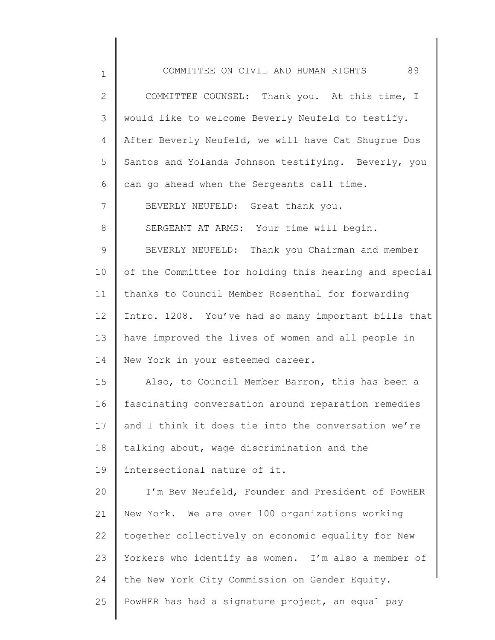| $\mathbf 1$  | COMMITTEE ON CIVIL AND HUMAN RIGHTS<br>89             |
|--------------|-------------------------------------------------------|
| $\mathbf{2}$ | COMMITTEE COUNSEL: Thank you. At this time, I         |
| 3            | would like to welcome Beverly Neufeld to testify.     |
| 4            | After Beverly Neufeld, we will have Cat Shugrue Dos   |
| 5            | Santos and Yolanda Johnson testifying. Beverly, you   |
| 6            | can go ahead when the Sergeants call time.            |
| 7            | BEVERLY NEUFELD: Great thank you.                     |
| 8            | SERGEANT AT ARMS: Your time will begin.               |
| 9            | BEVERLY NEUFELD: Thank you Chairman and member        |
| 10           | of the Committee for holding this hearing and special |
| 11           | thanks to Council Member Rosenthal for forwarding     |
| 12           | Intro. 1208. You've had so many important bills that  |
| 13           | have improved the lives of women and all people in    |
| 14           | New York in your esteemed career.                     |
| 15           | Also, to Council Member Barron, this has been a       |
| 16           | fascinating conversation around reparation remedies   |
| 17           | and I think it does tie into the conversation we're   |
| 18           | talking about, wage discrimination and the            |
| 19           | intersectional nature of it.                          |
| 20           | I'm Bev Neufeld, Founder and President of PowHER      |
| 21           | New York. We are over 100 organizations working       |
| 22           | together collectively on economic equality for New    |
| 23           | Yorkers who identify as women. I'm also a member of   |
| 24           | the New York City Commission on Gender Equity.        |
| 25           | PowHER has had a signature project, an equal pay      |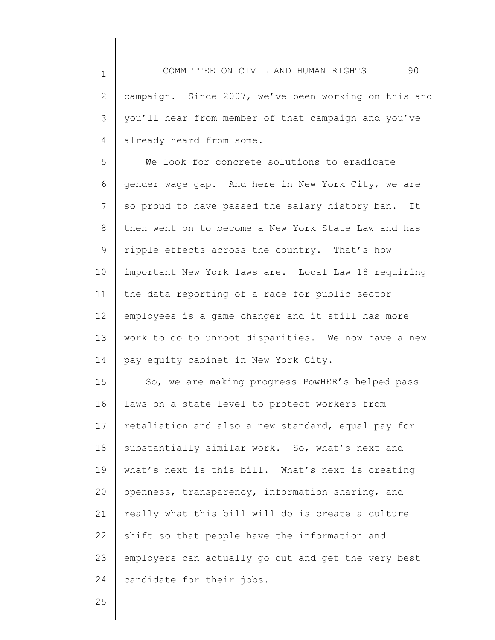2 3 4 campaign. Since 2007, we've been working on this and you'll hear from member of that campaign and you've already heard from some.

5 6 7 8 9 10 11 12 13 14 We look for concrete solutions to eradicate gender wage gap. And here in New York City, we are so proud to have passed the salary history ban. It then went on to become a New York State Law and has ripple effects across the country. That's how important New York laws are. Local Law 18 requiring the data reporting of a race for public sector employees is a game changer and it still has more work to do to unroot disparities. We now have a new pay equity cabinet in New York City.

15 16 17 18 19 20 21 22 23 24 So, we are making progress PowHER's helped pass laws on a state level to protect workers from retaliation and also a new standard, equal pay for substantially similar work. So, what's next and what's next is this bill. What's next is creating openness, transparency, information sharing, and really what this bill will do is create a culture shift so that people have the information and employers can actually go out and get the very best candidate for their jobs.

25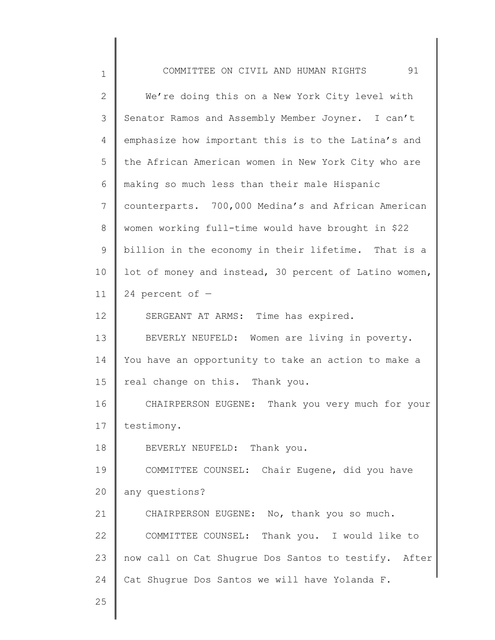| $\mathbf 1$  | 91<br>COMMITTEE ON CIVIL AND HUMAN RIGHTS             |
|--------------|-------------------------------------------------------|
| $\mathbf{2}$ | We're doing this on a New York City level with        |
| 3            | Senator Ramos and Assembly Member Joyner. I can't     |
| 4            | emphasize how important this is to the Latina's and   |
| 5            | the African American women in New York City who are   |
| 6            | making so much less than their male Hispanic          |
| 7            | counterparts. 700,000 Medina's and African American   |
| 8            | women working full-time would have brought in \$22    |
| 9            | billion in the economy in their lifetime. That is a   |
| 10           | lot of money and instead, 30 percent of Latino women, |
| 11           | 24 percent of $-$                                     |
| 12           | SERGEANT AT ARMS: Time has expired.                   |
| 13           | BEVERLY NEUFELD: Women are living in poverty.         |
| 14           | You have an opportunity to take an action to make a   |
| 15           | real change on this. Thank you.                       |
| 16           | CHAIRPERSON EUGENE: Thank you very much for your      |
| 17           | testimony.                                            |
| 18           | BEVERLY NEUFELD: Thank you.                           |
| 19           | COMMITTEE COUNSEL: Chair Eugene, did you have         |
| 20           | any questions?                                        |
| 21           | CHAIRPERSON EUGENE: No, thank you so much.            |
| 22           | COMMITTEE COUNSEL: Thank you. I would like to         |
| 23           | now call on Cat Shugrue Dos Santos to testify. After  |
| 24           | Cat Shugrue Dos Santos we will have Yolanda F.        |
| 25           |                                                       |
|              |                                                       |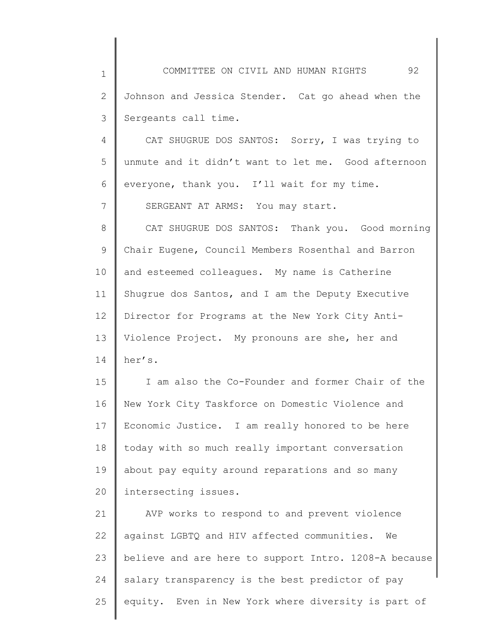1 2 3 COMMITTEE ON CIVIL AND HUMAN RIGHTS 92 Johnson and Jessica Stender. Cat go ahead when the Sergeants call time.

4 5 6 CAT SHUGRUE DOS SANTOS: Sorry, I was trying to unmute and it didn't want to let me. Good afternoon everyone, thank you. I'll wait for my time.

SERGEANT AT ARMS: You may start.

7

8 9 10 11 12 13 14 CAT SHUGRUE DOS SANTOS: Thank you. Good morning Chair Eugene, Council Members Rosenthal and Barron and esteemed colleagues. My name is Catherine Shugrue dos Santos, and I am the Deputy Executive Director for Programs at the New York City Anti-Violence Project. My pronouns are she, her and her's.

15 16 17 18 19 20 I am also the Co-Founder and former Chair of the New York City Taskforce on Domestic Violence and Economic Justice. I am really honored to be here today with so much really important conversation about pay equity around reparations and so many intersecting issues.

21 22 23 24 25 AVP works to respond to and prevent violence against LGBTQ and HIV affected communities. We believe and are here to support Intro. 1208-A because salary transparency is the best predictor of pay equity. Even in New York where diversity is part of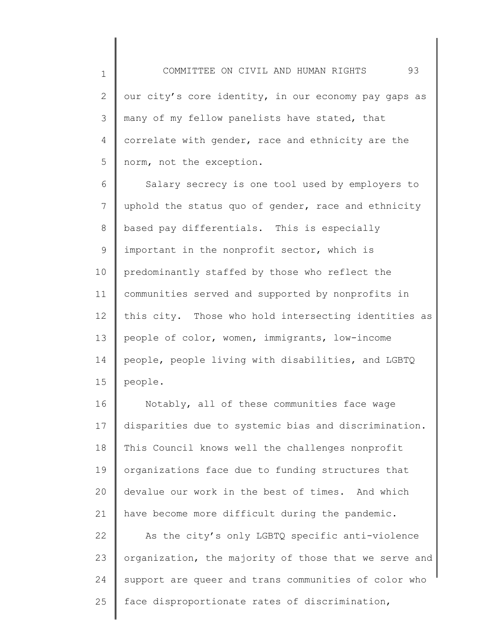1 2 3 4 5 our city's core identity, in our economy pay gaps as many of my fellow panelists have stated, that correlate with gender, race and ethnicity are the norm, not the exception.

6 7 8 9 10 11 12 13 14 15 Salary secrecy is one tool used by employers to uphold the status quo of gender, race and ethnicity based pay differentials. This is especially important in the nonprofit sector, which is predominantly staffed by those who reflect the communities served and supported by nonprofits in this city. Those who hold intersecting identities as people of color, women, immigrants, low-income people, people living with disabilities, and LGBTQ people.

16 17 18 19 20 21 22 23 Notably, all of these communities face wage disparities due to systemic bias and discrimination. This Council knows well the challenges nonprofit organizations face due to funding structures that devalue our work in the best of times. And which have become more difficult during the pandemic. As the city's only LGBTQ specific anti-violence organization, the majority of those that we serve and support are queer and trans communities of color who

25 face disproportionate rates of discrimination,

24

COMMITTEE ON CIVIL AND HUMAN RIGHTS 93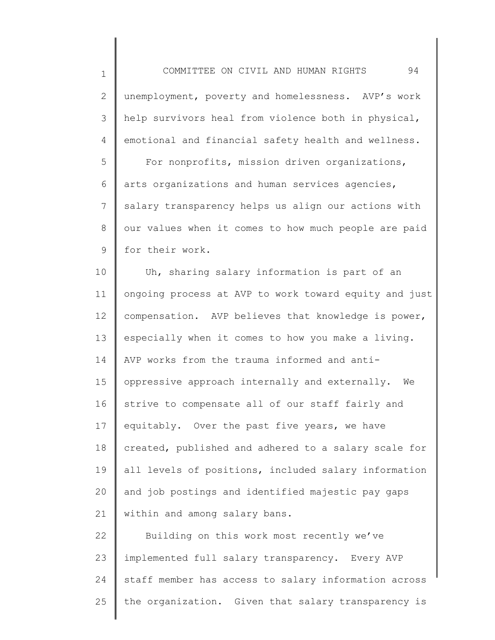1

2 3 4 unemployment, poverty and homelessness. AVP's work help survivors heal from violence both in physical, emotional and financial safety health and wellness.

5 6 7 8 9 For nonprofits, mission driven organizations, arts organizations and human services agencies, salary transparency helps us align our actions with our values when it comes to how much people are paid for their work.

10 11 12 13 14 15 16 17 18 19 20 21 Uh, sharing salary information is part of an ongoing process at AVP to work toward equity and just compensation. AVP believes that knowledge is power, especially when it comes to how you make a living. AVP works from the trauma informed and antioppressive approach internally and externally. We strive to compensate all of our staff fairly and equitably. Over the past five years, we have created, published and adhered to a salary scale for all levels of positions, included salary information and job postings and identified majestic pay gaps within and among salary bans.

22 23 24 25 Building on this work most recently we've implemented full salary transparency. Every AVP staff member has access to salary information across the organization. Given that salary transparency is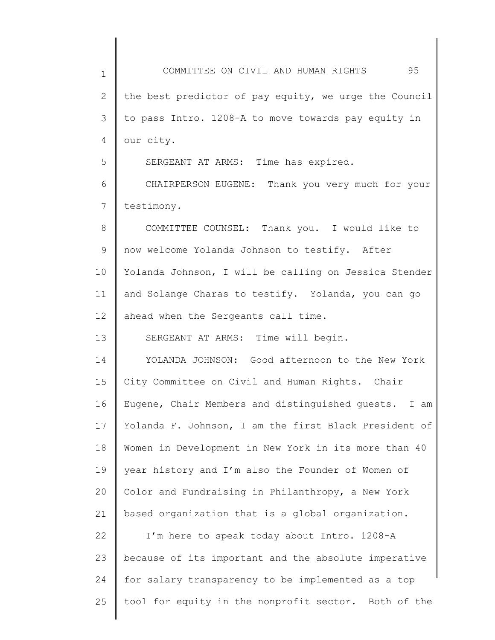1 2 3 4 5 6 7 8 9 10 11 12 13 14 15 16 17 18 19 20 21 22 23 24 25 COMMITTEE ON CIVIL AND HUMAN RIGHTS 95 the best predictor of pay equity, we urge the Council to pass Intro. 1208-A to move towards pay equity in our city. SERGEANT AT ARMS: Time has expired. CHAIRPERSON EUGENE: Thank you very much for your testimony. COMMITTEE COUNSEL: Thank you. I would like to now welcome Yolanda Johnson to testify. After Yolanda Johnson, I will be calling on Jessica Stender and Solange Charas to testify. Yolanda, you can go ahead when the Sergeants call time. SERGEANT AT ARMS: Time will begin. YOLANDA JOHNSON: Good afternoon to the New York City Committee on Civil and Human Rights. Chair Eugene, Chair Members and distinguished guests. I am Yolanda F. Johnson, I am the first Black President of Women in Development in New York in its more than 40 year history and I'm also the Founder of Women of Color and Fundraising in Philanthropy, a New York based organization that is a global organization. I'm here to speak today about Intro. 1208-A because of its important and the absolute imperative for salary transparency to be implemented as a top tool for equity in the nonprofit sector. Both of the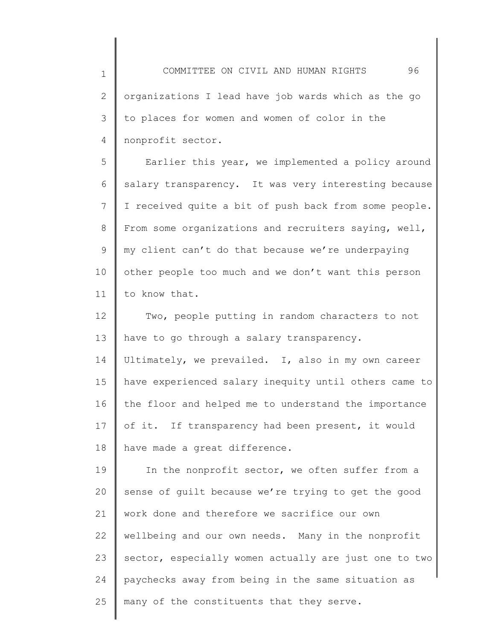1 2 3 4 COMMITTEE ON CIVIL AND HUMAN RIGHTS 96 organizations I lead have job wards which as the go to places for women and women of color in the nonprofit sector.

5 6 7 8 9 10 11 Earlier this year, we implemented a policy around salary transparency. It was very interesting because I received quite a bit of push back from some people. From some organizations and recruiters saying, well, my client can't do that because we're underpaying other people too much and we don't want this person to know that.

12 13 Two, people putting in random characters to not have to go through a salary transparency.

14 15 16 17 18 Ultimately, we prevailed. I, also in my own career have experienced salary inequity until others came to the floor and helped me to understand the importance of it. If transparency had been present, it would have made a great difference.

19 20 21 22 23 24 25 In the nonprofit sector, we often suffer from a sense of guilt because we're trying to get the good work done and therefore we sacrifice our own wellbeing and our own needs. Many in the nonprofit sector, especially women actually are just one to two paychecks away from being in the same situation as many of the constituents that they serve.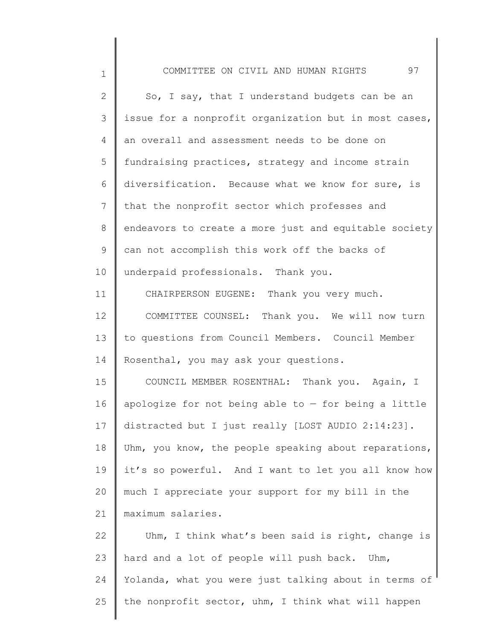| $\mathbf 1$  | 97<br>COMMITTEE ON CIVIL AND HUMAN RIGHTS              |
|--------------|--------------------------------------------------------|
| $\mathbf{2}$ | So, I say, that I understand budgets can be an         |
| 3            | issue for a nonprofit organization but in most cases,  |
| 4            | an overall and assessment needs to be done on          |
| 5            | fundraising practices, strategy and income strain      |
| 6            | diversification. Because what we know for sure, is     |
| 7            | that the nonprofit sector which professes and          |
| 8            | endeavors to create a more just and equitable society  |
| 9            | can not accomplish this work off the backs of          |
| 10           | underpaid professionals. Thank you.                    |
| 11           | CHAIRPERSON EUGENE: Thank you very much.               |
| 12           | COMMITTEE COUNSEL: Thank you. We will now turn         |
| 13           | to questions from Council Members. Council Member      |
| 14           | Rosenthal, you may ask your questions.                 |
| 15           | COUNCIL MEMBER ROSENTHAL: Thank you. Again, I          |
| 16           | apologize for not being able to $-$ for being a little |
| 17           | distracted but I just really [LOST AUDIO 2:14:23].     |
| 18           | Uhm, you know, the people speaking about reparations,  |
| 19           | it's so powerful. And I want to let you all know how   |
| 20           | much I appreciate your support for my bill in the      |
| 21           | maximum salaries.                                      |
| 22           | Uhm, I think what's been said is right, change is      |
| 23           | hard and a lot of people will push back. Uhm,          |
| 24           | Yolanda, what you were just talking about in terms of  |
| 25           | the nonprofit sector, uhm, I think what will happen    |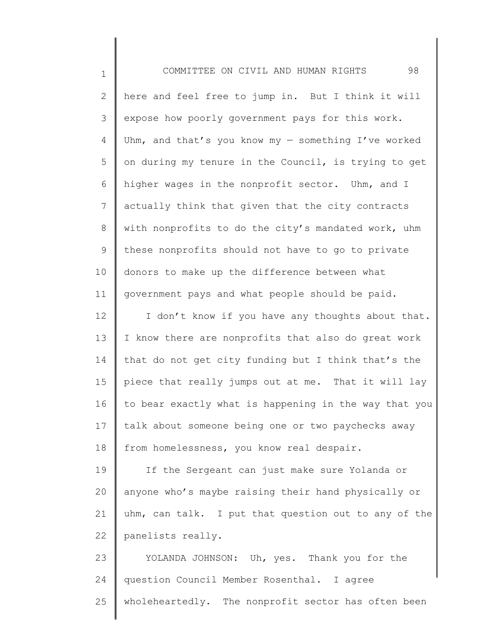| $\mathbf 1$  | 98<br>COMMITTEE ON CIVIL AND HUMAN RIGHTS              |
|--------------|--------------------------------------------------------|
| $\mathbf{2}$ | here and feel free to jump in. But I think it will     |
| 3            | expose how poorly government pays for this work.       |
| 4            | Uhm, and that's you know my - something $I'$ ve worked |
| 5            | on during my tenure in the Council, is trying to get   |
| 6            | higher wages in the nonprofit sector. Uhm, and I       |
| 7            | actually think that given that the city contracts      |
| $8\,$        | with nonprofits to do the city's mandated work, uhm    |
| $\mathsf 9$  | these nonprofits should not have to go to private      |
| 10           | donors to make up the difference between what          |
| 11           | government pays and what people should be paid.        |
| 12           | I don't know if you have any thoughts about that.      |
| 13           | I know there are nonprofits that also do great work    |
| 14           | that do not get city funding but I think that's the    |
| 15           | piece that really jumps out at me. That it will lay    |
| 16           | to bear exactly what is happening in the way that you  |
| 17           | talk about someone being one or two paychecks away     |
| 18           | from homelessness, you know real despair.              |
| 19           | If the Sergeant can just make sure Yolanda or          |
| 20           | anyone who's maybe raising their hand physically or    |
| 21           | uhm, can talk. I put that question out to any of the   |
| 22           | panelists really.                                      |
| 23           | YOLANDA JOHNSON: Uh, yes. Thank you for the            |
| 24           | question Council Member Rosenthal. I agree             |
| 25           | wholeheartedly. The nonprofit sector has often been    |

 $\Big\|$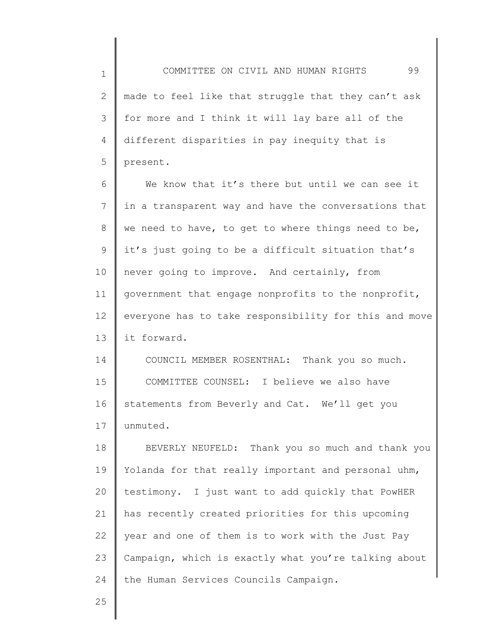1 2 3 4 5 COMMITTEE ON CIVIL AND HUMAN RIGHTS 99 made to feel like that struggle that they can't ask for more and I think it will lay bare all of the different disparities in pay inequity that is present.

6 7 8 9 10 11 12 13 We know that it's there but until we can see it in a transparent way and have the conversations that we need to have, to get to where things need to be, it's just going to be a difficult situation that's never going to improve. And certainly, from government that engage nonprofits to the nonprofit, everyone has to take responsibility for this and move it forward.

14 15 16 17 COUNCIL MEMBER ROSENTHAL: Thank you so much. COMMITTEE COUNSEL: I believe we also have statements from Beverly and Cat. We'll get you unmuted.

18 19 20 21 22 23 24 BEVERLY NEUFELD: Thank you so much and thank you Yolanda for that really important and personal uhm, testimony. I just want to add quickly that PowHER has recently created priorities for this upcoming year and one of them is to work with the Just Pay Campaign, which is exactly what you're talking about the Human Services Councils Campaign.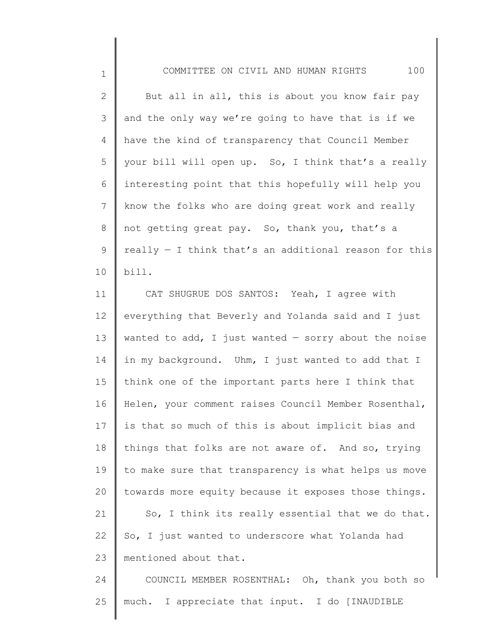1

2 3 4 5 6 7 8 9 10 But all in all, this is about you know fair pay and the only way we're going to have that is if we have the kind of transparency that Council Member your bill will open up. So, I think that's a really interesting point that this hopefully will help you know the folks who are doing great work and really not getting great pay. So, thank you, that's a really  $-$  I think that's an additional reason for this bill.

11 12 13 14 15 16 17 18 19 20 21 22 23 CAT SHUGRUE DOS SANTOS: Yeah, I agree with everything that Beverly and Yolanda said and I just wanted to add, I just wanted  $-$  sorry about the noise in my background. Uhm, I just wanted to add that I think one of the important parts here I think that Helen, your comment raises Council Member Rosenthal, is that so much of this is about implicit bias and things that folks are not aware of. And so, trying to make sure that transparency is what helps us move towards more equity because it exposes those things. So, I think its really essential that we do that. So, I just wanted to underscore what Yolanda had mentioned about that.

24 25 COUNCIL MEMBER ROSENTHAL: Oh, thank you both so much. I appreciate that input. I do [INAUDIBLE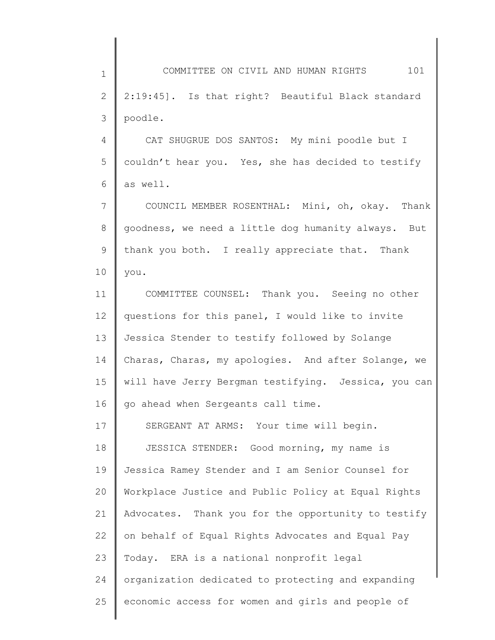1 2 3 COMMITTEE ON CIVIL AND HUMAN RIGHTS 101 2:19:45]. Is that right? Beautiful Black standard poodle.

4 5 6 CAT SHUGRUE DOS SANTOS: My mini poodle but I couldn't hear you. Yes, she has decided to testify as well.

7 8 9 10 COUNCIL MEMBER ROSENTHAL: Mini, oh, okay. Thank goodness, we need a little dog humanity always. But thank you both. I really appreciate that. Thank you.

11 12 13 14 15 16 COMMITTEE COUNSEL: Thank you. Seeing no other questions for this panel, I would like to invite Jessica Stender to testify followed by Solange Charas, Charas, my apologies. And after Solange, we will have Jerry Bergman testifying. Jessica, you can go ahead when Sergeants call time.

17 18 19 20 21 22 23 24 25 SERGEANT AT ARMS: Your time will begin. JESSICA STENDER: Good morning, my name is Jessica Ramey Stender and I am Senior Counsel for Workplace Justice and Public Policy at Equal Rights Advocates. Thank you for the opportunity to testify on behalf of Equal Rights Advocates and Equal Pay Today. ERA is a national nonprofit legal organization dedicated to protecting and expanding economic access for women and girls and people of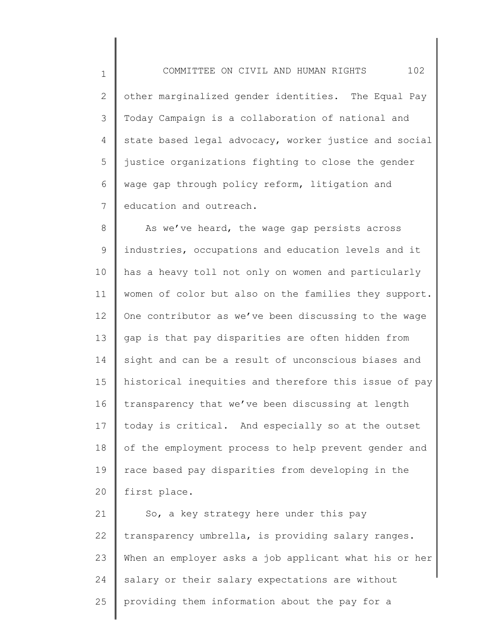1 2 3 4 5 6 7 COMMITTEE ON CIVIL AND HUMAN RIGHTS 102 other marginalized gender identities. The Equal Pay Today Campaign is a collaboration of national and state based legal advocacy, worker justice and social justice organizations fighting to close the gender wage gap through policy reform, litigation and education and outreach.

8 9 10 11 12 13 14 15 16 17 18 19 20 As we've heard, the wage gap persists across industries, occupations and education levels and it has a heavy toll not only on women and particularly women of color but also on the families they support. One contributor as we've been discussing to the wage gap is that pay disparities are often hidden from sight and can be a result of unconscious biases and historical inequities and therefore this issue of pay transparency that we've been discussing at length today is critical. And especially so at the outset of the employment process to help prevent gender and race based pay disparities from developing in the first place.

21 22 23 24 25 So, a key strategy here under this pay transparency umbrella, is providing salary ranges. When an employer asks a job applicant what his or her salary or their salary expectations are without providing them information about the pay for a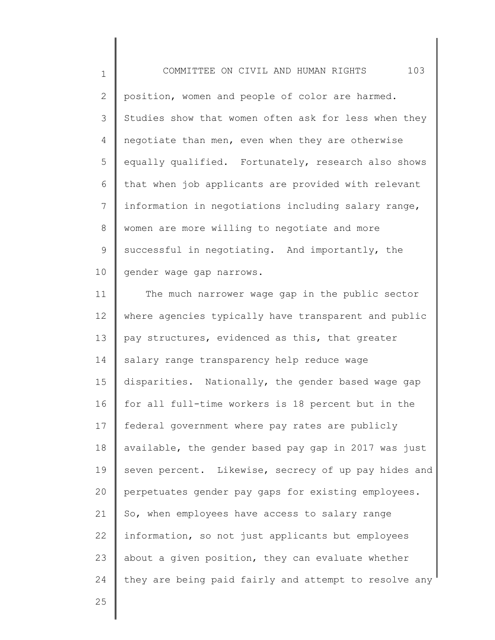1 2 3 4 5 6 7 8 9 10 COMMITTEE ON CIVIL AND HUMAN RIGHTS 103 position, women and people of color are harmed. Studies show that women often ask for less when they negotiate than men, even when they are otherwise equally qualified. Fortunately, research also shows that when job applicants are provided with relevant information in negotiations including salary range, women are more willing to negotiate and more successful in negotiating. And importantly, the gender wage gap narrows.

11 12 13 14 15 16 17 18 19 20 21 22 23 24 The much narrower wage gap in the public sector where agencies typically have transparent and public pay structures, evidenced as this, that greater salary range transparency help reduce wage disparities. Nationally, the gender based wage gap for all full-time workers is 18 percent but in the federal government where pay rates are publicly available, the gender based pay gap in 2017 was just seven percent. Likewise, secrecy of up pay hides and perpetuates gender pay gaps for existing employees. So, when employees have access to salary range information, so not just applicants but employees about a given position, they can evaluate whether they are being paid fairly and attempt to resolve any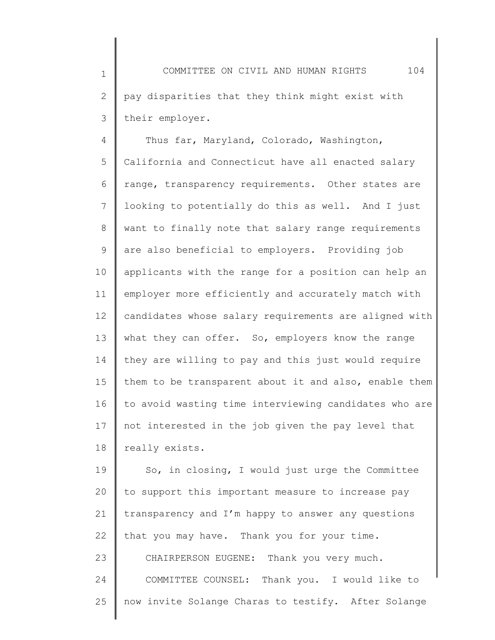1 2 3 COMMITTEE ON CIVIL AND HUMAN RIGHTS 104 pay disparities that they think might exist with their employer.

4 5 6 7 8 9 10 11 12 13 14 15 16 17 18 Thus far, Maryland, Colorado, Washington, California and Connecticut have all enacted salary range, transparency requirements. Other states are looking to potentially do this as well. And I just want to finally note that salary range requirements are also beneficial to employers. Providing job applicants with the range for a position can help an employer more efficiently and accurately match with candidates whose salary requirements are aligned with what they can offer. So, employers know the range they are willing to pay and this just would require them to be transparent about it and also, enable them to avoid wasting time interviewing candidates who are not interested in the job given the pay level that really exists.

19 20 21 22 23 24 25 So, in closing, I would just urge the Committee to support this important measure to increase pay transparency and I'm happy to answer any questions that you may have. Thank you for your time. CHAIRPERSON EUGENE: Thank you very much. COMMITTEE COUNSEL: Thank you. I would like to now invite Solange Charas to testify. After Solange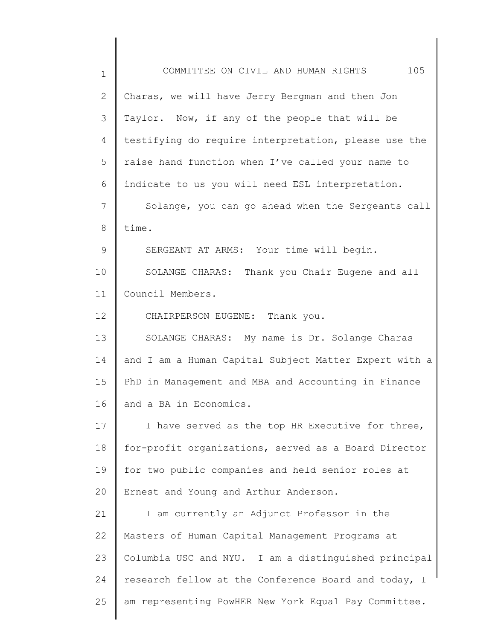| $\mathbf 1$ | 105<br>COMMITTEE ON CIVIL AND HUMAN RIGHTS            |
|-------------|-------------------------------------------------------|
| 2           | Charas, we will have Jerry Bergman and then Jon       |
| 3           | Taylor. Now, if any of the people that will be        |
| 4           | testifying do require interpretation, please use the  |
| 5           | raise hand function when I've called your name to     |
| 6           | indicate to us you will need ESL interpretation.      |
| 7           | Solange, you can go ahead when the Sergeants call     |
| 8           | time.                                                 |
| 9           | SERGEANT AT ARMS: Your time will begin.               |
| 10          | SOLANGE CHARAS: Thank you Chair Eugene and all        |
| 11          | Council Members.                                      |
| 12          | CHAIRPERSON EUGENE: Thank you.                        |
| 13          | SOLANGE CHARAS: My name is Dr. Solange Charas         |
| 14          | and I am a Human Capital Subject Matter Expert with a |
| 15          | PhD in Management and MBA and Accounting in Finance   |
| 16          | and a BA in Economics.                                |
| 17          | I have served as the top HR Executive for three,      |
| 18          | for-profit organizations, served as a Board Director  |
| 19          | for two public companies and held senior roles at     |
| 20          | Ernest and Young and Arthur Anderson.                 |
| 21          | I am currently an Adjunct Professor in the            |
| 22          | Masters of Human Capital Management Programs at       |
| 23          | Columbia USC and NYU. I am a distinguished principal  |
| 24          | research fellow at the Conference Board and today, I  |
| 25          | am representing PowHER New York Equal Pay Committee.  |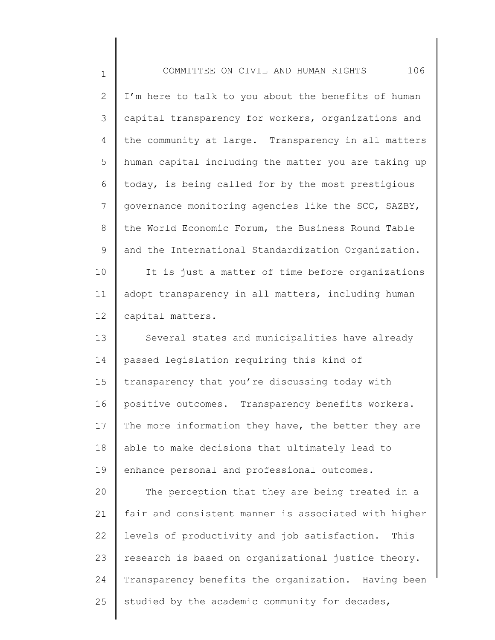1 2 3 4 5 6 7 8 9 10 11 12 13 14 15 16 17 18 COMMITTEE ON CIVIL AND HUMAN RIGHTS 106 I'm here to talk to you about the benefits of human capital transparency for workers, organizations and the community at large. Transparency in all matters human capital including the matter you are taking up today, is being called for by the most prestigious governance monitoring agencies like the SCC, SAZBY, the World Economic Forum, the Business Round Table and the International Standardization Organization. It is just a matter of time before organizations adopt transparency in all matters, including human capital matters. Several states and municipalities have already passed legislation requiring this kind of transparency that you're discussing today with positive outcomes. Transparency benefits workers. The more information they have, the better they are able to make decisions that ultimately lead to

20 21 22 23 24 25 The perception that they are being treated in a fair and consistent manner is associated with higher levels of productivity and job satisfaction. This research is based on organizational justice theory. Transparency benefits the organization. Having been studied by the academic community for decades,

enhance personal and professional outcomes.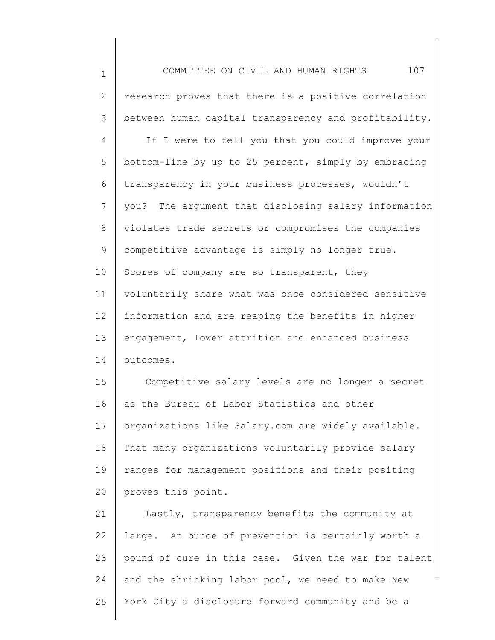| $\mathbf 1$    | 107<br>COMMITTEE ON CIVIL AND HUMAN RIGHTS            |
|----------------|-------------------------------------------------------|
| $\overline{2}$ | research proves that there is a positive correlation  |
| 3              | between human capital transparency and profitability. |
| 4              | If I were to tell you that you could improve your     |
| 5              | bottom-line by up to 25 percent, simply by embracing  |
| 6              | transparency in your business processes, wouldn't     |
| 7              | you? The argument that disclosing salary information  |
| 8              | violates trade secrets or compromises the companies   |
| 9              | competitive advantage is simply no longer true.       |
| 10             | Scores of company are so transparent, they            |
| 11             | voluntarily share what was once considered sensitive  |
| 12             | information and are reaping the benefits in higher    |
| 13             | engagement, lower attrition and enhanced business     |
| 14             | outcomes.                                             |
| 15             | Competitive salary levels are no longer a secret      |
| 16             | as the Bureau of Labor Statistics and other           |
| 17             | organizations like Salary.com are widely available.   |
| 18             | That many organizations voluntarily provide salary    |
| 19             | ranges for management positions and their positing    |
| 20             | proves this point.                                    |
| 21             | Lastly, transparency benefits the community at        |
| 22             | large. An ounce of prevention is certainly worth a    |
| 23             | pound of cure in this case. Given the war for talent  |
| 24             | and the shrinking labor pool, we need to make New     |

 $\Big\|$ 

25 York City a disclosure forward community and be a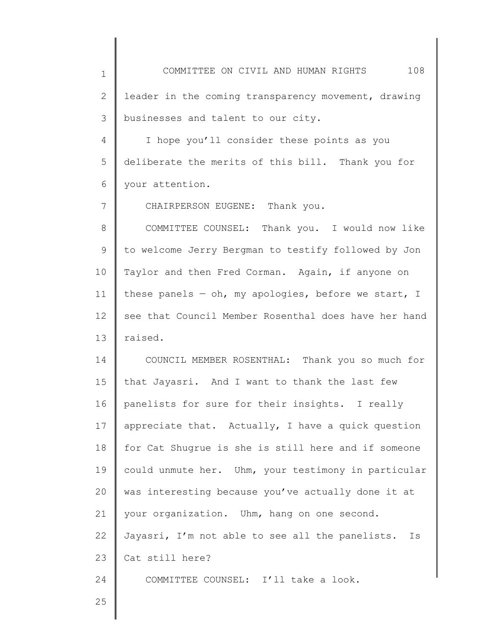1 2 3 4 5 6 7 8 9 10 11 12 13 14 15 16 17 18 19 20 21 22 23 24 25 COMMITTEE ON CIVIL AND HUMAN RIGHTS 108 leader in the coming transparency movement, drawing businesses and talent to our city. I hope you'll consider these points as you deliberate the merits of this bill. Thank you for your attention. CHAIRPERSON EUGENE: Thank you. COMMITTEE COUNSEL: Thank you. I would now like to welcome Jerry Bergman to testify followed by Jon Taylor and then Fred Corman. Again, if anyone on these panels  $-$  oh, my apologies, before we start, I see that Council Member Rosenthal does have her hand raised. COUNCIL MEMBER ROSENTHAL: Thank you so much for that Jayasri. And I want to thank the last few panelists for sure for their insights. I really appreciate that. Actually, I have a quick question for Cat Shugrue is she is still here and if someone could unmute her. Uhm, your testimony in particular was interesting because you've actually done it at your organization. Uhm, hang on one second. Jayasri, I'm not able to see all the panelists. Is Cat still here? COMMITTEE COUNSEL: I'll take a look.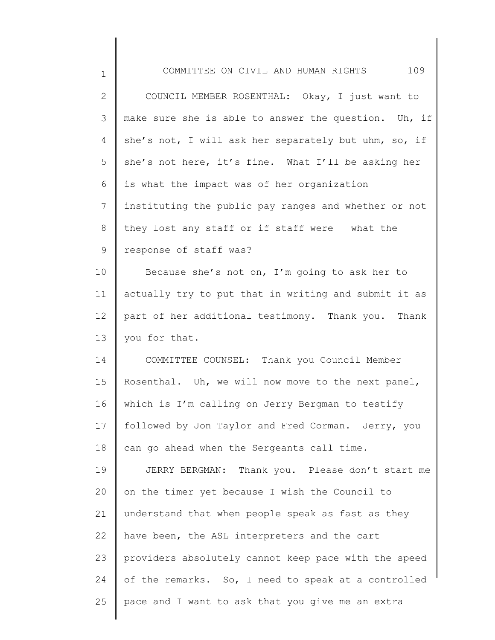| $\mathbf 1$  | 109<br>COMMITTEE ON CIVIL AND HUMAN RIGHTS           |
|--------------|------------------------------------------------------|
| $\mathbf{2}$ | COUNCIL MEMBER ROSENTHAL: Okay, I just want to       |
| 3            | make sure she is able to answer the question. Uh, if |
| 4            | she's not, I will ask her separately but uhm, so, if |
| 5            | she's not here, it's fine. What I'll be asking her   |
| 6            | is what the impact was of her organization           |
| 7            | instituting the public pay ranges and whether or not |
| 8            | they lost any staff or if staff were $-$ what the    |
| 9            | response of staff was?                               |
| 10           | Because she's not on, I'm going to ask her to        |
| 11           | actually try to put that in writing and submit it as |
| 12           | part of her additional testimony. Thank you. Thank   |
| 13           | you for that.                                        |
| 14           | COMMITTEE COUNSEL: Thank you Council Member          |
| 15           | Rosenthal. Uh, we will now move to the next panel,   |
| 16           | which is I'm calling on Jerry Bergman to testify     |
| 17           | followed by Jon Taylor and Fred Corman. Jerry, you   |
| 18           | can go ahead when the Sergeants call time.           |
| 19           | JERRY BERGMAN: Thank you. Please don't start me      |
| 20           | on the timer yet because I wish the Council to       |
| 21           | understand that when people speak as fast as they    |
| 22           | have been, the ASL interpreters and the cart         |
| 23           | providers absolutely cannot keep pace with the speed |
| 24           | of the remarks. So, I need to speak at a controlled  |
| 25           | pace and I want to ask that you give me an extra     |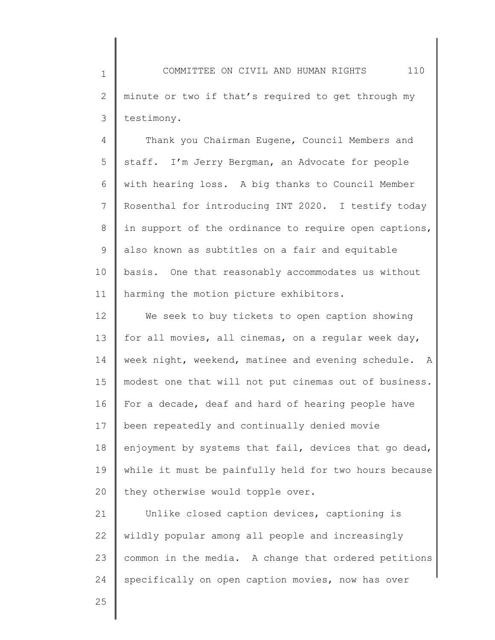1 2 3 COMMITTEE ON CIVIL AND HUMAN RIGHTS 110 minute or two if that's required to get through my testimony.

4 5 6 7 8 9 10 11 Thank you Chairman Eugene, Council Members and staff. I'm Jerry Bergman, an Advocate for people with hearing loss. A big thanks to Council Member Rosenthal for introducing INT 2020. I testify today in support of the ordinance to require open captions, also known as subtitles on a fair and equitable basis. One that reasonably accommodates us without harming the motion picture exhibitors.

12 13 14 15 16 17 18 19 20 We seek to buy tickets to open caption showing for all movies, all cinemas, on a regular week day, week night, weekend, matinee and evening schedule. A modest one that will not put cinemas out of business. For a decade, deaf and hard of hearing people have been repeatedly and continually denied movie enjoyment by systems that fail, devices that go dead, while it must be painfully held for two hours because they otherwise would topple over.

21 22 23 24 Unlike closed caption devices, captioning is wildly popular among all people and increasingly common in the media. A change that ordered petitions specifically on open caption movies, now has over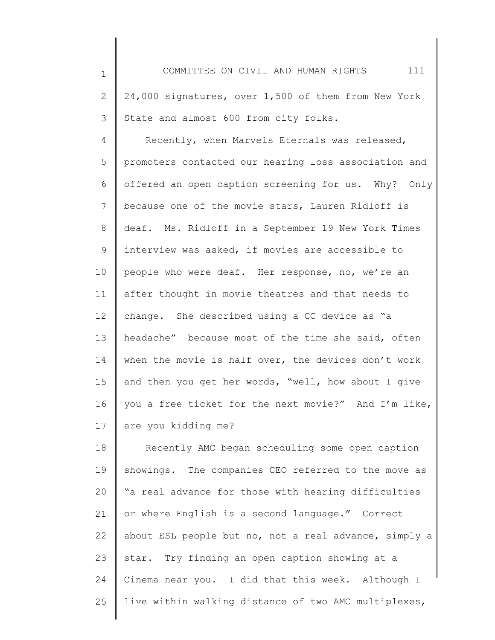COMMITTEE ON CIVIL AND HUMAN RIGHTS 111 24,000 signatures, over 1,500 of them from New York State and almost 600 from city folks.

1

2

3

4 5 6 7 8 9 10 11 12 13 14 15 16 17 Recently, when Marvels Eternals was released, promoters contacted our hearing loss association and offered an open caption screening for us. Why? Only because one of the movie stars, Lauren Ridloff is deaf. Ms. Ridloff in a September 19 New York Times interview was asked, if movies are accessible to people who were deaf. Her response, no, we're an after thought in movie theatres and that needs to change. She described using a CC device as "a headache" because most of the time she said, often when the movie is half over, the devices don't work and then you get her words, "well, how about I give you a free ticket for the next movie?" And I'm like, are you kidding me?

18 19 20 21 22 23 24 25 Recently AMC began scheduling some open caption showings. The companies CEO referred to the move as "a real advance for those with hearing difficulties or where English is a second language." Correct about ESL people but no, not a real advance, simply a star. Try finding an open caption showing at a Cinema near you. I did that this week. Although I live within walking distance of two AMC multiplexes,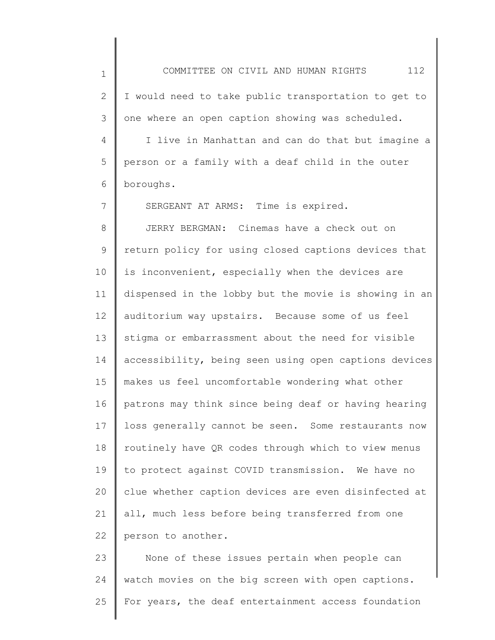1 2 3 4 5 COMMITTEE ON CIVIL AND HUMAN RIGHTS 112 I would need to take public transportation to get to one where an open caption showing was scheduled. I live in Manhattan and can do that but imagine a person or a family with a deaf child in the outer

6 boroughs.

7

SERGEANT AT ARMS: Time is expired.

8 9 10 11 12 13 14 15 16 17 18 19 20 21 22 JERRY BERGMAN: Cinemas have a check out on return policy for using closed captions devices that is inconvenient, especially when the devices are dispensed in the lobby but the movie is showing in an auditorium way upstairs. Because some of us feel stigma or embarrassment about the need for visible accessibility, being seen using open captions devices makes us feel uncomfortable wondering what other patrons may think since being deaf or having hearing loss generally cannot be seen. Some restaurants now routinely have QR codes through which to view menus to protect against COVID transmission. We have no clue whether caption devices are even disinfected at all, much less before being transferred from one person to another.

23 24 25 None of these issues pertain when people can watch movies on the big screen with open captions. For years, the deaf entertainment access foundation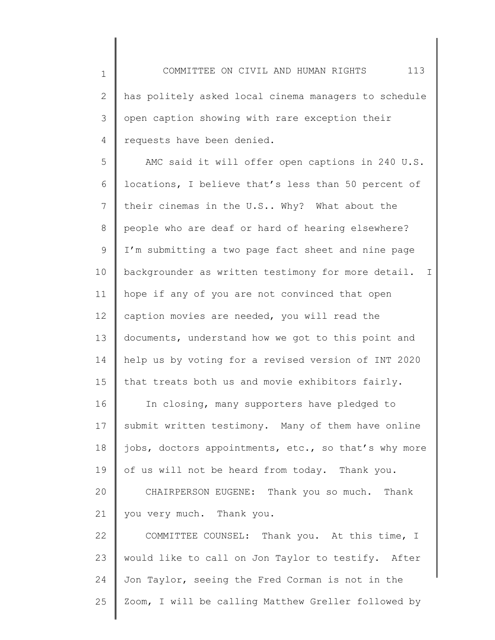1 2 3 4 COMMITTEE ON CIVIL AND HUMAN RIGHTS 113 has politely asked local cinema managers to schedule open caption showing with rare exception their requests have been denied.

5 6 7 8 9 10 11 12 13 14 15 AMC said it will offer open captions in 240 U.S. locations, I believe that's less than 50 percent of their cinemas in the U.S.. Why? What about the people who are deaf or hard of hearing elsewhere? I'm submitting a two page fact sheet and nine page backgrounder as written testimony for more detail. I hope if any of you are not convinced that open caption movies are needed, you will read the documents, understand how we got to this point and help us by voting for a revised version of INT 2020 that treats both us and movie exhibitors fairly.

16 17 18 19 20 In closing, many supporters have pledged to submit written testimony. Many of them have online jobs, doctors appointments, etc., so that's why more of us will not be heard from today. Thank you. CHAIRPERSON EUGENE: Thank you so much. Thank

21 you very much. Thank you.

22 23 24 25 COMMITTEE COUNSEL: Thank you. At this time, I would like to call on Jon Taylor to testify. After Jon Taylor, seeing the Fred Corman is not in the Zoom, I will be calling Matthew Greller followed by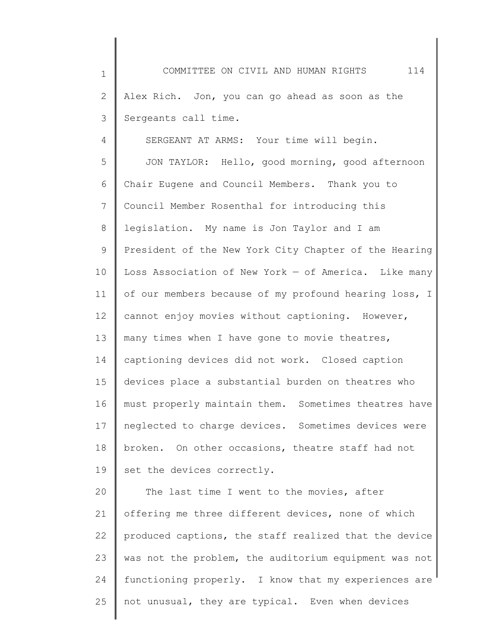1 2 3 4 5 COMMITTEE ON CIVIL AND HUMAN RIGHTS 114 Alex Rich. Jon, you can go ahead as soon as the Sergeants call time. SERGEANT AT ARMS: Your time will begin. JON TAYLOR: Hello, good morning, good afternoon

6 7 8 9 10 11 12 13 14 15 16 17 18 19 Chair Eugene and Council Members. Thank you to Council Member Rosenthal for introducing this legislation. My name is Jon Taylor and I am President of the New York City Chapter of the Hearing Loss Association of New York — of America. Like many of our members because of my profound hearing loss, I cannot enjoy movies without captioning. However, many times when I have gone to movie theatres, captioning devices did not work. Closed caption devices place a substantial burden on theatres who must properly maintain them. Sometimes theatres have neglected to charge devices. Sometimes devices were broken. On other occasions, theatre staff had not set the devices correctly.

20 21 22 23 24 25 The last time I went to the movies, after offering me three different devices, none of which produced captions, the staff realized that the device was not the problem, the auditorium equipment was not functioning properly. I know that my experiences are not unusual, they are typical. Even when devices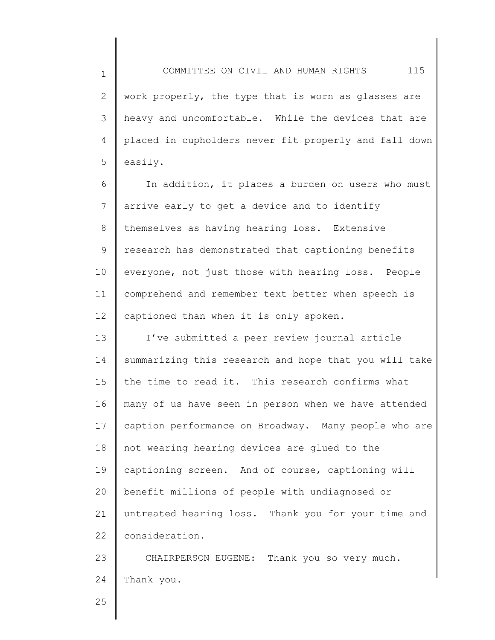COMMITTEE ON CIVIL AND HUMAN RIGHTS 115 work properly, the type that is worn as glasses are heavy and uncomfortable. While the devices that are placed in cupholders never fit properly and fall down

6 7 8 9 10 11 12 In addition, it places a burden on users who must arrive early to get a device and to identify themselves as having hearing loss. Extensive research has demonstrated that captioning benefits everyone, not just those with hearing loss. People comprehend and remember text better when speech is captioned than when it is only spoken.

13 14 15 16 17 18 19 20 21 22 I've submitted a peer review journal article summarizing this research and hope that you will take the time to read it. This research confirms what many of us have seen in person when we have attended caption performance on Broadway. Many people who are not wearing hearing devices are glued to the captioning screen. And of course, captioning will benefit millions of people with undiagnosed or untreated hearing loss. Thank you for your time and consideration.

23 24 CHAIRPERSON EUGENE: Thank you so very much. Thank you.

25

1

2

3

4

5

easily.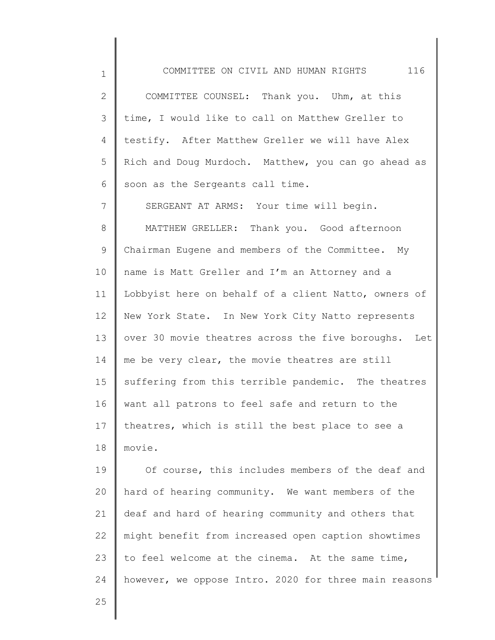1 2 3 4 5 6 7 8 9 10 11 12 13 14 15 16 17 18 19 COMMITTEE ON CIVIL AND HUMAN RIGHTS 116 COMMITTEE COUNSEL: Thank you. Uhm, at this time, I would like to call on Matthew Greller to testify. After Matthew Greller we will have Alex Rich and Doug Murdoch. Matthew, you can go ahead as soon as the Sergeants call time. SERGEANT AT ARMS: Your time will begin. MATTHEW GRELLER: Thank you. Good afternoon Chairman Eugene and members of the Committee. My name is Matt Greller and I'm an Attorney and a Lobbyist here on behalf of a client Natto, owners of New York State. In New York City Natto represents over 30 movie theatres across the five boroughs. Let me be very clear, the movie theatres are still suffering from this terrible pandemic. The theatres want all patrons to feel safe and return to the theatres, which is still the best place to see a movie. Of course, this includes members of the deaf and

20 21 22 23 24 hard of hearing community. We want members of the deaf and hard of hearing community and others that might benefit from increased open caption showtimes to feel welcome at the cinema. At the same time, however, we oppose Intro. 2020 for three main reasons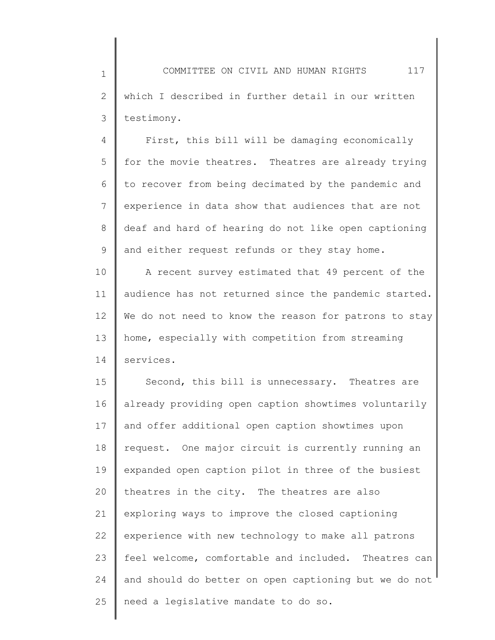1 2 3 COMMITTEE ON CIVIL AND HUMAN RIGHTS 117 which I described in further detail in our written testimony.

4 5 6 7 8 9 First, this bill will be damaging economically for the movie theatres. Theatres are already trying to recover from being decimated by the pandemic and experience in data show that audiences that are not deaf and hard of hearing do not like open captioning and either request refunds or they stay home.

10 11 12 13 14 A recent survey estimated that 49 percent of the audience has not returned since the pandemic started. We do not need to know the reason for patrons to stay home, especially with competition from streaming services.

15 16 17 18 19 20 21 22 23 24 25 Second, this bill is unnecessary. Theatres are already providing open caption showtimes voluntarily and offer additional open caption showtimes upon request. One major circuit is currently running an expanded open caption pilot in three of the busiest theatres in the city. The theatres are also exploring ways to improve the closed captioning experience with new technology to make all patrons feel welcome, comfortable and included. Theatres can and should do better on open captioning but we do not need a legislative mandate to do so.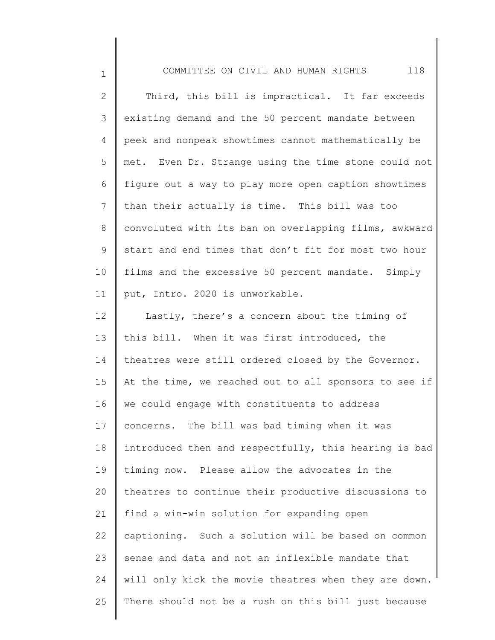| $\mathbf 1$ | 118<br>COMMITTEE ON CIVIL AND HUMAN RIGHTS            |
|-------------|-------------------------------------------------------|
| 2           | Third, this bill is impractical. It far exceeds       |
| 3           | existing demand and the 50 percent mandate between    |
| 4           | peek and nonpeak showtimes cannot mathematically be   |
| 5           | met. Even Dr. Strange using the time stone could not  |
| 6           | figure out a way to play more open caption showtimes  |
| 7           | than their actually is time. This bill was too        |
| 8           | convoluted with its ban on overlapping films, awkward |
| 9           | start and end times that don't fit for most two hour  |
| 10          | films and the excessive 50 percent mandate. Simply    |
| 11          | put, Intro. 2020 is unworkable.                       |
| 12          | Lastly, there's a concern about the timing of         |
| 13          | this bill. When it was first introduced, the          |
| 14          | theatres were still ordered closed by the Governor.   |
| 15          | At the time, we reached out to all sponsors to see if |
| 16          | we could engage with constituents to address          |
| 17          | concerns. The bill was bad timing when it was         |
| 18          | introduced then and respectfully, this hearing is bad |
| 19          | timing now. Please allow the advocates in the         |
| 20          | theatres to continue their productive discussions to  |
| 21          | find a win-win solution for expanding open            |
| 22          | captioning. Such a solution will be based on common   |
| 23          | sense and data and not an inflexible mandate that     |
| 24          | will only kick the movie theatres when they are down. |
| 25          | There should not be a rush on this bill just because  |
|             |                                                       |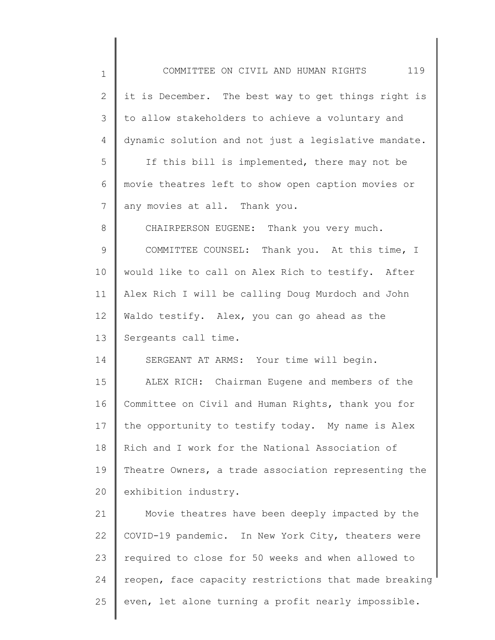| 1              | COMMITTEE ON CIVIL AND HUMAN RIGHTS 119               |
|----------------|-------------------------------------------------------|
| $\overline{2}$ | it is December. The best way to get things right is   |
| 3              | to allow stakeholders to achieve a voluntary and      |
| 4              | dynamic solution and not just a legislative mandate.  |
| 5              | If this bill is implemented, there may not be         |
| 6              | movie theatres left to show open caption movies or    |
| 7              | any movies at all. Thank you.                         |
| 8              | CHAIRPERSON EUGENE: Thank you very much.              |
| 9              | COMMITTEE COUNSEL: Thank you. At this time, I         |
| 10             | would like to call on Alex Rich to testify. After     |
| 11             | Alex Rich I will be calling Doug Murdoch and John     |
| 12             | Waldo testify. Alex, you can go ahead as the          |
| 13             | Sergeants call time.                                  |
| 14             | SERGEANT AT ARMS: Your time will begin.               |
| 15             | ALEX RICH: Chairman Eugene and members of the         |
| 16             | Committee on Civil and Human Rights, thank you for    |
| 17             | the opportunity to testify today. My name is Alex     |
| 18             | Rich and I work for the National Association of       |
| 19             | Theatre Owners, a trade association representing the  |
| 20             | exhibition industry.                                  |
| 21             | Movie theatres have been deeply impacted by the       |
| 22             | COVID-19 pandemic. In New York City, theaters were    |
| 23             | required to close for 50 weeks and when allowed to    |
| 24             | reopen, face capacity restrictions that made breaking |
| 25             | even, let alone turning a profit nearly impossible.   |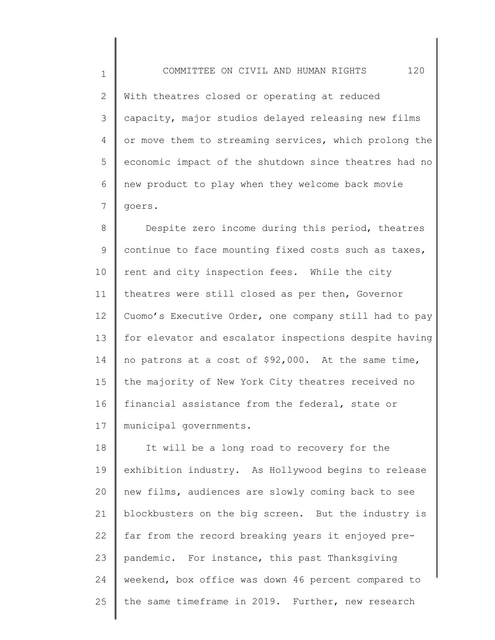With theatres closed or operating at reduced capacity, major studios delayed releasing new films or move them to streaming services, which prolong the economic impact of the shutdown since theatres had no

1

2

3

4

5

6 7 new product to play when they welcome back movie goers.

8 9 10 11 12 13 14 15 16 17 Despite zero income during this period, theatres continue to face mounting fixed costs such as taxes, rent and city inspection fees. While the city theatres were still closed as per then, Governor Cuomo's Executive Order, one company still had to pay for elevator and escalator inspections despite having no patrons at a cost of \$92,000. At the same time, the majority of New York City theatres received no financial assistance from the federal, state or municipal governments.

18 19 20 21 22 23 24 25 It will be a long road to recovery for the exhibition industry. As Hollywood begins to release new films, audiences are slowly coming back to see blockbusters on the big screen. But the industry is far from the record breaking years it enjoyed prepandemic. For instance, this past Thanksgiving weekend, box office was down 46 percent compared to the same timeframe in 2019. Further, new research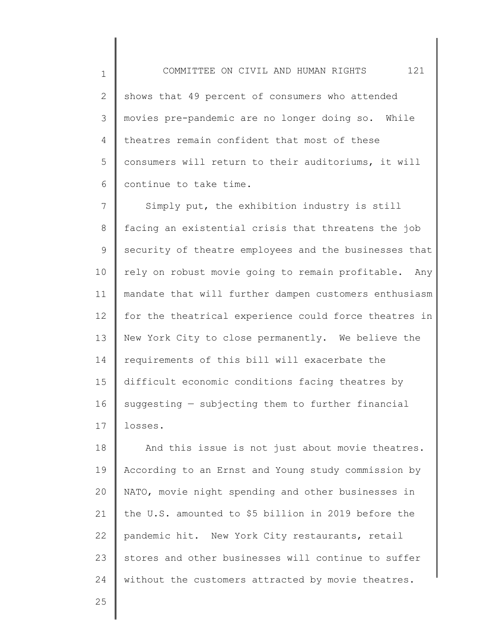2 3 4 5 6 shows that 49 percent of consumers who attended movies pre-pandemic are no longer doing so. While theatres remain confident that most of these consumers will return to their auditoriums, it will continue to take time.

7 8 9 10 11 12 13 14 15 16 17 Simply put, the exhibition industry is still facing an existential crisis that threatens the job security of theatre employees and the businesses that rely on robust movie going to remain profitable. Any mandate that will further dampen customers enthusiasm for the theatrical experience could force theatres in New York City to close permanently. We believe the requirements of this bill will exacerbate the difficult economic conditions facing theatres by suggesting — subjecting them to further financial losses.

18 19 20 21 22 23 24 And this issue is not just about movie theatres. According to an Ernst and Young study commission by NATO, movie night spending and other businesses in the U.S. amounted to \$5 billion in 2019 before the pandemic hit. New York City restaurants, retail stores and other businesses will continue to suffer without the customers attracted by movie theatres.

25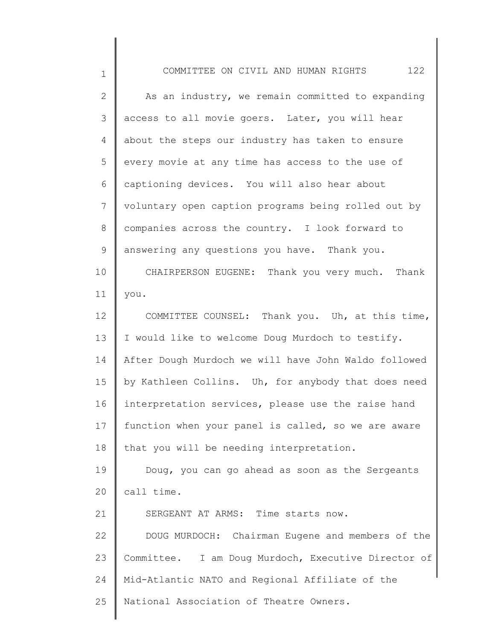| $\mathbf 1$  | 122<br>COMMITTEE ON CIVIL AND HUMAN RIGHTS           |
|--------------|------------------------------------------------------|
| $\mathbf{2}$ | As an industry, we remain committed to expanding     |
| 3            | access to all movie goers. Later, you will hear      |
| 4            | about the steps our industry has taken to ensure     |
| 5            | every movie at any time has access to the use of     |
| 6            | captioning devices. You will also hear about         |
| 7            | voluntary open caption programs being rolled out by  |
| $8\,$        | companies across the country. I look forward to      |
| 9            | answering any questions you have. Thank you.         |
| 10           | CHAIRPERSON EUGENE: Thank you very much. Thank       |
| 11           | you.                                                 |
| 12           | COMMITTEE COUNSEL: Thank you. Uh, at this time,      |
| 13           | I would like to welcome Doug Murdoch to testify.     |
| 14           | After Dough Murdoch we will have John Waldo followed |
| 15           | by Kathleen Collins. Uh, for anybody that does need  |
| 16           | interpretation services, please use the raise hand   |
| 17           | function when your panel is called, so we are aware  |
| 18           | that you will be needing interpretation.             |
| 19           | Doug, you can go ahead as soon as the Sergeants      |
| 20           | call time.                                           |
| 21           | SERGEANT AT ARMS: Time starts now.                   |
| 22           | DOUG MURDOCH: Chairman Eugene and members of the     |
| 23           | Committee. I am Doug Murdoch, Executive Director of  |
| 24           | Mid-Atlantic NATO and Regional Affiliate of the      |
| 25           | National Association of Theatre Owners.              |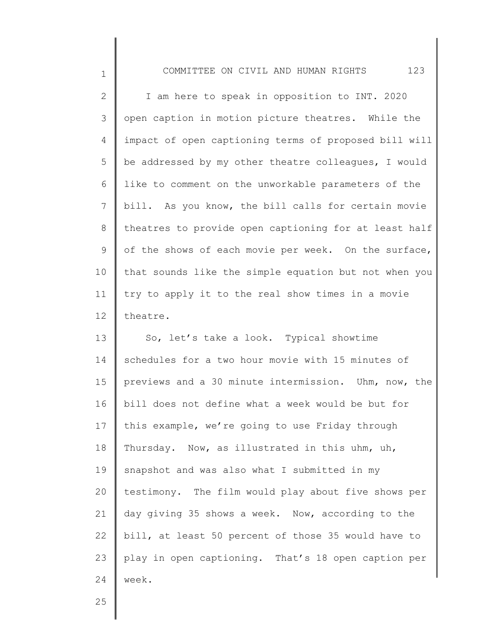2 3 4 5 6 7 8 9 10 11 12 I am here to speak in opposition to INT. 2020 open caption in motion picture theatres. While the impact of open captioning terms of proposed bill will be addressed by my other theatre colleagues, I would like to comment on the unworkable parameters of the bill. As you know, the bill calls for certain movie theatres to provide open captioning for at least half of the shows of each movie per week. On the surface, that sounds like the simple equation but not when you try to apply it to the real show times in a movie theatre.

13 14 15 16 17 18 19 20 21 22 23 24 So, let's take a look. Typical showtime schedules for a two hour movie with 15 minutes of previews and a 30 minute intermission. Uhm, now, the bill does not define what a week would be but for this example, we're going to use Friday through Thursday. Now, as illustrated in this uhm, uh, snapshot and was also what I submitted in my testimony. The film would play about five shows per day giving 35 shows a week. Now, according to the bill, at least 50 percent of those 35 would have to play in open captioning. That's 18 open caption per week.

25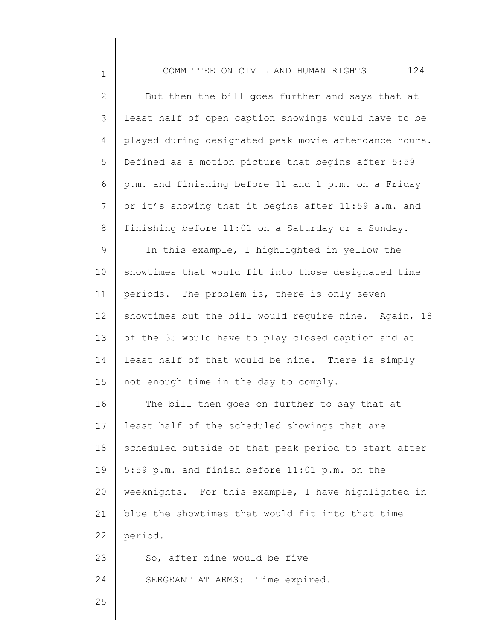| $\overline{2}$ | But then the bill goes further and says that at       |
|----------------|-------------------------------------------------------|
| 3              | least half of open caption showings would have to be  |
| 4              | played during designated peak movie attendance hours. |
| 5              | Defined as a motion picture that begins after 5:59    |
| 6              | p.m. and finishing before 11 and 1 p.m. on a Friday   |
| $\overline{7}$ | or it's showing that it begins after 11:59 a.m. and   |
| $8\,$          | finishing before 11:01 on a Saturday or a Sunday.     |
| $\mathsf 9$    | In this example, I highlighted in yellow the          |
| 10             | showtimes that would fit into those designated time   |
| 11             | periods. The problem is, there is only seven          |
| 12             | showtimes but the bill would require nine. Again, 18  |
| 13             | of the 35 would have to play closed caption and at    |
| 14             | least half of that would be nine. There is simply     |
| 15             | not enough time in the day to comply.                 |
| 16             | The bill then goes on further to say that at          |
| 17             | least half of the scheduled showings that are         |
| 18             | scheduled outside of that peak period to start after  |
| 19             | 5:59 p.m. and finish before 11:01 p.m. on the         |
| 20             | weeknights. For this example, I have highlighted in   |
| 21             | blue the showtimes that would fit into that time      |
| 22             | period.                                               |
| 23             | So, after nine would be five $-$                      |
| 24             | SERGEANT AT ARMS: Time expired.                       |
| 25             |                                                       |
|                |                                                       |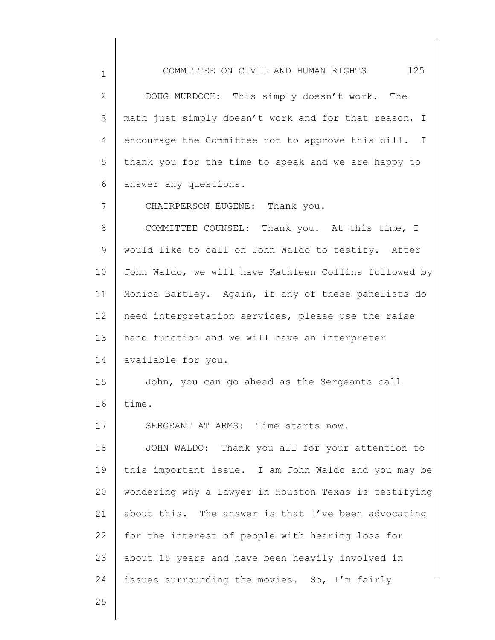1 2 3 4 5 6 7 8 9 10 11 12 13 14 15 16 17 18 19 20 21 22 23 24 COMMITTEE ON CIVIL AND HUMAN RIGHTS 125 DOUG MURDOCH: This simply doesn't work. The math just simply doesn't work and for that reason, I encourage the Committee not to approve this bill. I thank you for the time to speak and we are happy to answer any questions. CHAIRPERSON EUGENE: Thank you. COMMITTEE COUNSEL: Thank you. At this time, I would like to call on John Waldo to testify. After John Waldo, we will have Kathleen Collins followed by Monica Bartley. Again, if any of these panelists do need interpretation services, please use the raise hand function and we will have an interpreter available for you. John, you can go ahead as the Sergeants call time. SERGEANT AT ARMS: Time starts now. JOHN WALDO: Thank you all for your attention to this important issue. I am John Waldo and you may be wondering why a lawyer in Houston Texas is testifying about this. The answer is that I've been advocating for the interest of people with hearing loss for about 15 years and have been heavily involved in issues surrounding the movies. So, I'm fairly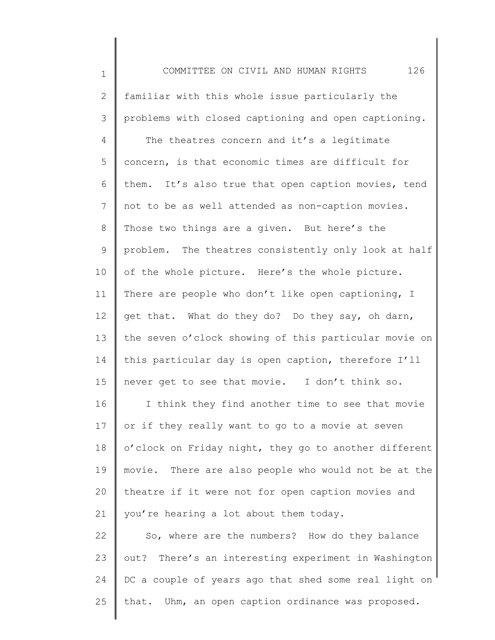| $\mathbf 1$ | 126<br>COMMITTEE ON CIVIL AND HUMAN RIGHTS              |
|-------------|---------------------------------------------------------|
| 2           | familiar with this whole issue particularly the         |
| 3           | problems with closed captioning and open captioning.    |
| 4           | The theatres concern and it's a legitimate              |
| 5           | concern, is that economic times are difficult for       |
| 6           | them. It's also true that open caption movies, tend     |
| 7           | not to be as well attended as non-caption movies.       |
| 8           | Those two things are a given. But here's the            |
| 9           | problem. The theatres consistently only look at half    |
| 10          | of the whole picture. Here's the whole picture.         |
| 11          | There are people who don't like open captioning, I      |
| 12          | get that. What do they do? Do they say, oh darn,        |
| 13          | the seven o'clock showing of this particular movie on   |
| 14          | this particular day is open caption, therefore I'll     |
| 15          | never get to see that movie. I don't think so.          |
| 16          | I think they find another time to see that movie        |
| 17          | or if they really want to go to a movie at seven        |
| 18          | o'clock on Friday night, they go to another different   |
| 19          | There are also people who would not be at the<br>movie. |
| 20          | theatre if it were not for open caption movies and      |
| 21          | you're hearing a lot about them today.                  |
| 22          | So, where are the numbers? How do they balance          |
| 23          | There's an interesting experiment in Washington<br>out? |
| 24          | DC a couple of years ago that shed some real light on   |
| 25          | that. Uhm, an open caption ordinance was proposed.      |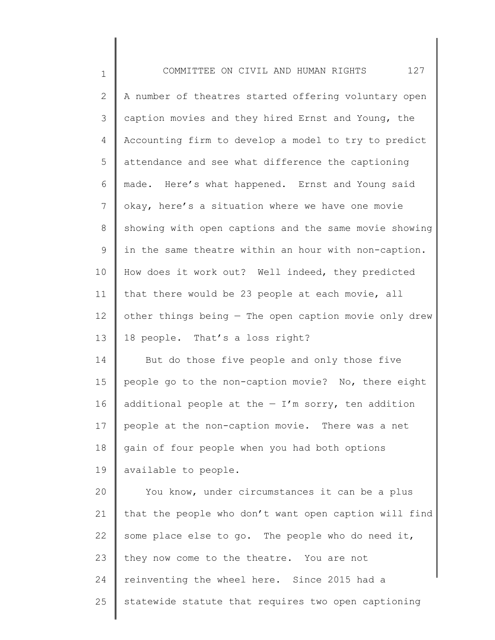| $\mathbf 1$    | 127<br>COMMITTEE ON CIVIL AND HUMAN RIGHTS            |
|----------------|-------------------------------------------------------|
| $\mathbf{2}$   | A number of theatres started offering voluntary open  |
| $\mathcal{S}$  | caption movies and they hired Ernst and Young, the    |
| 4              | Accounting firm to develop a model to try to predict  |
| 5              | attendance and see what difference the captioning     |
| 6              | made. Here's what happened. Ernst and Young said      |
| $7\phantom{.}$ | okay, here's a situation where we have one movie      |
| $8\,$          | showing with open captions and the same movie showing |
| 9              | in the same theatre within an hour with non-caption.  |
| 10             | How does it work out? Well indeed, they predicted     |
| 11             | that there would be 23 people at each movie, all      |
| 12             | other things being - The open caption movie only drew |
| 13             | 18 people. That's a loss right?                       |
| 14             | But do those five people and only those five          |
| 15             | people go to the non-caption movie? No, there eight   |
| 16             | additional people at the $-$ I'm sorry, ten addition  |
| 17             | people at the non-caption movie. There was a net      |
| 18             | gain of four people when you had both options         |
| 19             | available to people.                                  |
| 20             | You know, under circumstances it can be a plus        |
| 21             | that the people who don't want open caption will find |
| 22             | some place else to go. The people who do need it,     |
| 23             | they now come to the theatre. You are not             |
| 24             | reinventing the wheel here. Since 2015 had a          |
| 25             | statewide statute that requires two open captioning   |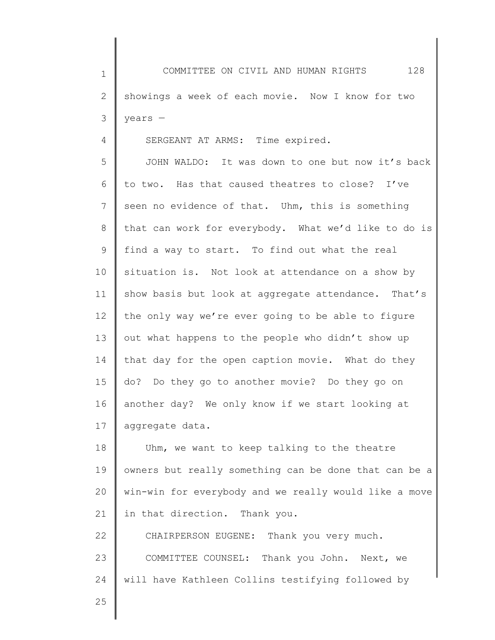1 2 3 COMMITTEE ON CIVIL AND HUMAN RIGHTS 128 showings a week of each movie. Now I know for two years —

SERGEANT AT ARMS: Time expired.

5 6 7 8 9 10 11 12 13 14 15 16 17 JOHN WALDO: It was down to one but now it's back to two. Has that caused theatres to close? I've seen no evidence of that. Uhm, this is something that can work for everybody. What we'd like to do is find a way to start. To find out what the real situation is. Not look at attendance on a show by show basis but look at aggregate attendance. That's the only way we're ever going to be able to figure out what happens to the people who didn't show up that day for the open caption movie. What do they do? Do they go to another movie? Do they go on another day? We only know if we start looking at aggregate data.

18 19 20 21 Uhm, we want to keep talking to the theatre owners but really something can be done that can be a win-win for everybody and we really would like a move in that direction. Thank you.

22 23 24 CHAIRPERSON EUGENE: Thank you very much. COMMITTEE COUNSEL: Thank you John. Next, we will have Kathleen Collins testifying followed by

25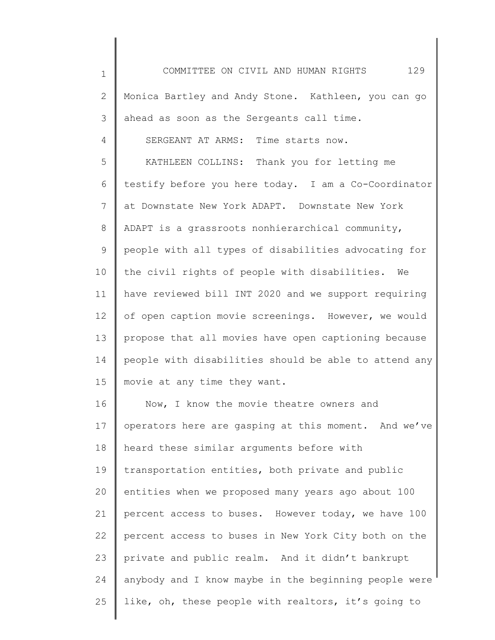| $\mathbf 1$ | 129<br>COMMITTEE ON CIVIL AND HUMAN RIGHTS            |
|-------------|-------------------------------------------------------|
| 2           | Monica Bartley and Andy Stone. Kathleen, you can go   |
| 3           | ahead as soon as the Sergeants call time.             |
| 4           | SERGEANT AT ARMS: Time starts now.                    |
| 5           | KATHLEEN COLLINS: Thank you for letting me            |
| 6           | testify before you here today. I am a Co-Coordinator  |
| 7           | at Downstate New York ADAPT. Downstate New York       |
| 8           | ADAPT is a grassroots nonhierarchical community,      |
| 9           | people with all types of disabilities advocating for  |
| 10          | the civil rights of people with disabilities. We      |
| 11          | have reviewed bill INT 2020 and we support requiring  |
| 12          | of open caption movie screenings. However, we would   |
| 13          | propose that all movies have open captioning because  |
| 14          | people with disabilities should be able to attend any |
| 15          | movie at any time they want.                          |
| 16          | Now, I know the movie theatre owners and              |
| 17          | operators here are gasping at this moment. And we've  |
| 18          | heard these similar arguments before with             |
| 19          | transportation entities, both private and public      |
| 20          | entities when we proposed many years ago about 100    |
| 21          | percent access to buses. However today, we have 100   |
| 22          | percent access to buses in New York City both on the  |
| 23          | private and public realm. And it didn't bankrupt      |
| 24          | anybody and I know maybe in the beginning people were |
| 25          | like, oh, these people with realtors, it's going to   |
|             |                                                       |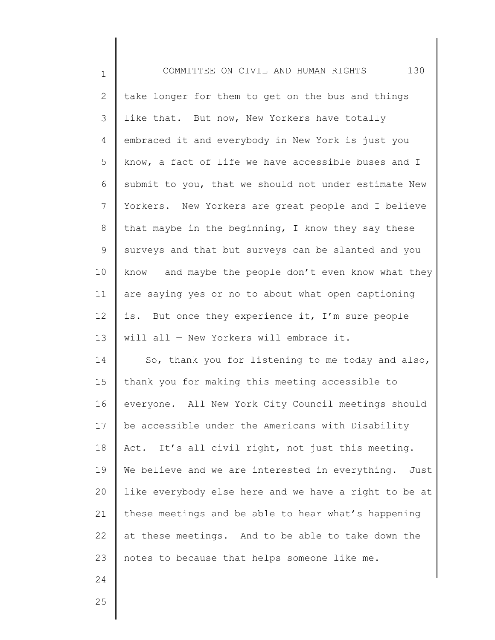2 3 4 5 6 7 8 9 10 11 12 13 14 15 16 17 18 19 20 21 22 23 take longer for them to get on the bus and things like that. But now, New Yorkers have totally embraced it and everybody in New York is just you know, a fact of life we have accessible buses and I submit to you, that we should not under estimate New Yorkers. New Yorkers are great people and I believe that maybe in the beginning, I know they say these surveys and that but surveys can be slanted and you know  $-$  and maybe the people don't even know what they are saying yes or no to about what open captioning is. But once they experience it, I'm sure people will all — New Yorkers will embrace it. So, thank you for listening to me today and also, thank you for making this meeting accessible to everyone. All New York City Council meetings should be accessible under the Americans with Disability Act. It's all civil right, not just this meeting. We believe and we are interested in everything. Just like everybody else here and we have a right to be at these meetings and be able to hear what's happening at these meetings. And to be able to take down the notes to because that helps someone like me.

24 25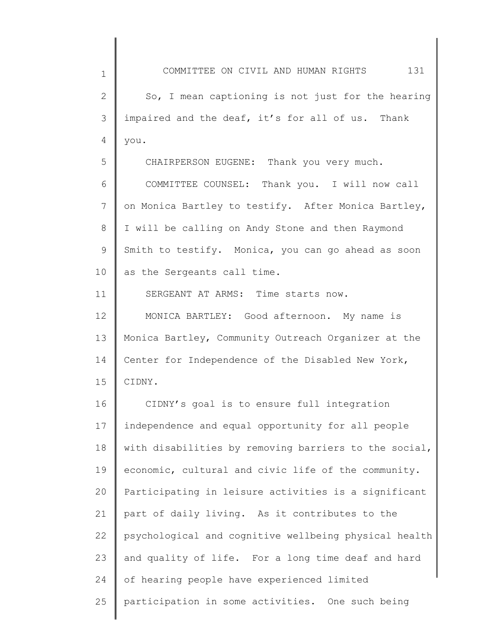| $\mathbf 1$  | COMMITTEE ON CIVIL AND HUMAN RIGHTS<br>131            |
|--------------|-------------------------------------------------------|
| $\mathbf{2}$ | So, I mean captioning is not just for the hearing     |
| 3            | impaired and the deaf, it's for all of us. Thank      |
| 4            | you.                                                  |
| 5            | CHAIRPERSON EUGENE: Thank you very much.              |
| 6            | COMMITTEE COUNSEL: Thank you. I will now call         |
| 7            | on Monica Bartley to testify. After Monica Bartley,   |
| 8            | I will be calling on Andy Stone and then Raymond      |
| 9            | Smith to testify. Monica, you can go ahead as soon    |
| 10           | as the Sergeants call time.                           |
| 11           | SERGEANT AT ARMS: Time starts now.                    |
| 12           | MONICA BARTLEY: Good afternoon. My name is            |
| 13           | Monica Bartley, Community Outreach Organizer at the   |
| 14           | Center for Independence of the Disabled New York,     |
| 15           | CIDNY.                                                |
| 16           | CIDNY's goal is to ensure full integration            |
| 17           | independence and equal opportunity for all people     |
| 18           | with disabilities by removing barriers to the social, |
| 19           | economic, cultural and civic life of the community.   |
| 20           | Participating in leisure activities is a significant  |
| 21           | part of daily living. As it contributes to the        |
| 22           | psychological and cognitive wellbeing physical health |
| 23           | and quality of life. For a long time deaf and hard    |
| 24           | of hearing people have experienced limited            |
| 25           | participation in some activities. One such being      |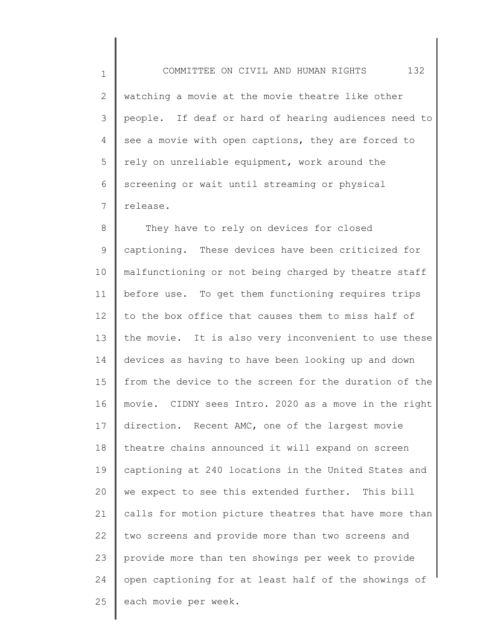1 2 3 4 5 6 7 COMMITTEE ON CIVIL AND HUMAN RIGHTS 132 watching a movie at the movie theatre like other people. If deaf or hard of hearing audiences need to see a movie with open captions, they are forced to rely on unreliable equipment, work around the screening or wait until streaming or physical release.

8 9 10 11 12 13 14 15 16 17 18 19 20 21 22 23 24 25 They have to rely on devices for closed captioning. These devices have been criticized for malfunctioning or not being charged by theatre staff before use. To get them functioning requires trips to the box office that causes them to miss half of the movie. It is also very inconvenient to use these devices as having to have been looking up and down from the device to the screen for the duration of the movie. CIDNY sees Intro. 2020 as a move in the right direction. Recent AMC, one of the largest movie theatre chains announced it will expand on screen captioning at 240 locations in the United States and we expect to see this extended further. This bill calls for motion picture theatres that have more than two screens and provide more than two screens and provide more than ten showings per week to provide open captioning for at least half of the showings of each movie per week.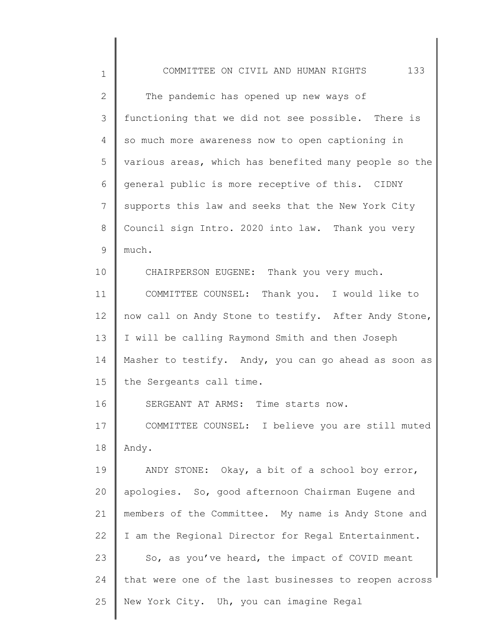| $\mathbf 1$  | 133<br>COMMITTEE ON CIVIL AND HUMAN RIGHTS            |
|--------------|-------------------------------------------------------|
| $\mathbf{2}$ | The pandemic has opened up new ways of                |
| 3            | functioning that we did not see possible. There is    |
| 4            | so much more awareness now to open captioning in      |
| 5            | various areas, which has benefited many people so the |
| 6            | general public is more receptive of this. CIDNY       |
| 7            | supports this law and seeks that the New York City    |
| 8            | Council sign Intro. 2020 into law. Thank you very     |
| 9            | much.                                                 |
| 10           | CHAIRPERSON EUGENE: Thank you very much.              |
| 11           | COMMITTEE COUNSEL: Thank you. I would like to         |
| 12           | now call on Andy Stone to testify. After Andy Stone,  |
| 13           | I will be calling Raymond Smith and then Joseph       |
| 14           | Masher to testify. Andy, you can go ahead as soon as  |
| 15           | the Sergeants call time.                              |
| 16           | SERGEANT AT ARMS: Time starts now.                    |
| 17           | COMMITTEE COUNSEL: I believe you are still muted      |
| 18           | Andy.                                                 |
| 19           | ANDY STONE: Okay, a bit of a school boy error,        |
| 20           | apologies. So, good afternoon Chairman Eugene and     |
| 21           | members of the Committee. My name is Andy Stone and   |
| 22           | I am the Regional Director for Regal Entertainment.   |
| 23           | So, as you've heard, the impact of COVID meant        |
| 24           | that were one of the last businesses to reopen across |
| 25           | New York City. Uh, you can imagine Regal              |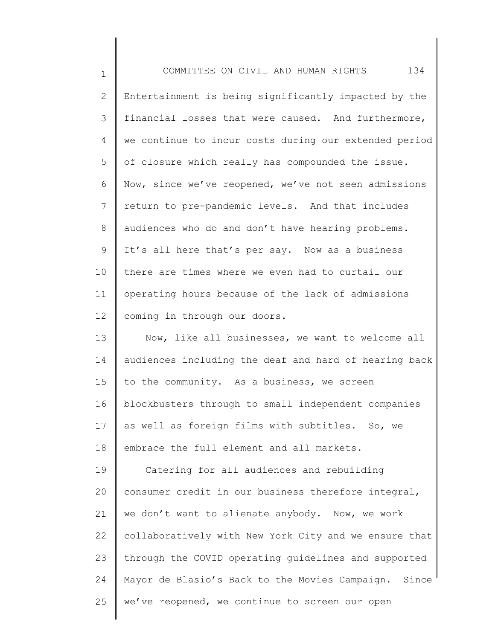| $\mathbf 1$  | 134<br>COMMITTEE ON CIVIL AND HUMAN RIGHTS            |
|--------------|-------------------------------------------------------|
| $\mathbf{2}$ | Entertainment is being significantly impacted by the  |
| 3            | financial losses that were caused. And furthermore,   |
| 4            | we continue to incur costs during our extended period |
| 5            | of closure which really has compounded the issue.     |
| 6            | Now, since we've reopened, we've not seen admissions  |
| 7            | return to pre-pandemic levels. And that includes      |
| 8            | audiences who do and don't have hearing problems.     |
| 9            | It's all here that's per say. Now as a business       |
| 10           | there are times where we even had to curtail our      |
| 11           | operating hours because of the lack of admissions     |
| 12           | coming in through our doors.                          |
| 13           | Now, like all businesses, we want to welcome all      |
| 14           | audiences including the deaf and hard of hearing back |
| 15           | to the community. As a business, we screen            |
| 16           | blockbusters through to small independent companies   |
| 17           | as well as foreign films with subtitles. So, we       |
| 18           | embrace the full element and all markets.             |
| 19           | Catering for all audiences and rebuilding             |
| 20           | consumer credit in our business therefore integral,   |
| 21           | we don't want to alienate anybody. Now, we work       |
| 22           | collaboratively with New York City and we ensure that |
| 23           | through the COVID operating guidelines and supported  |
| 24           | Mayor de Blasio's Back to the Movies Campaign. Since  |
| 25           | we've reopened, we continue to screen our open        |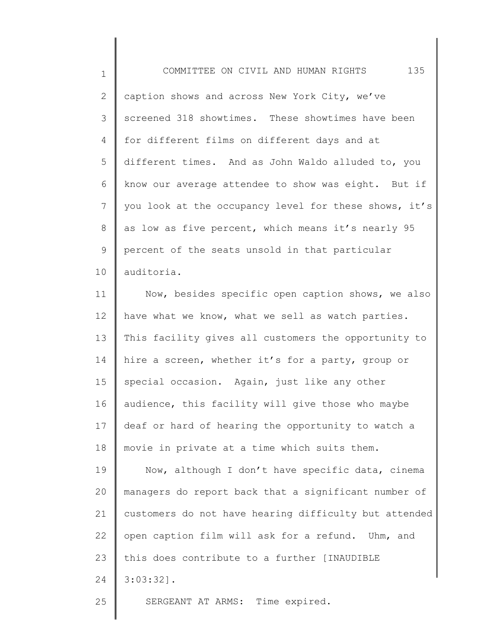1 2 3 4 5 6 7 8 9 10 COMMITTEE ON CIVIL AND HUMAN RIGHTS 135 caption shows and across New York City, we've screened 318 showtimes. These showtimes have been for different films on different days and at different times. And as John Waldo alluded to, you know our average attendee to show was eight. But if you look at the occupancy level for these shows, it's as low as five percent, which means it's nearly 95 percent of the seats unsold in that particular auditoria.

11 12 13 14 15 16 17 18 Now, besides specific open caption shows, we also have what we know, what we sell as watch parties. This facility gives all customers the opportunity to hire a screen, whether it's for a party, group or special occasion. Again, just like any other audience, this facility will give those who maybe deaf or hard of hearing the opportunity to watch a movie in private at a time which suits them.

19 20 21 22 23 24 Now, although I don't have specific data, cinema managers do report back that a significant number of customers do not have hearing difficulty but attended open caption film will ask for a refund. Uhm, and this does contribute to a further [INAUDIBLE 3:03:32].

SERGEANT AT ARMS: Time expired.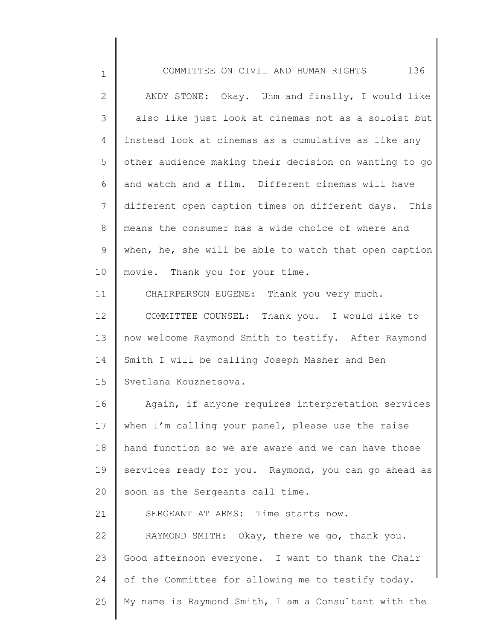| $\mathbf 1$  | COMMITTEE ON CIVIL AND HUMAN RIGHTS 136               |
|--------------|-------------------------------------------------------|
| $\mathbf{2}$ | ANDY STONE: Okay. Uhm and finally, I would like       |
| 3            | - also like just look at cinemas not as a soloist but |
| 4            | instead look at cinemas as a cumulative as like any   |
| 5            | other audience making their decision on wanting to go |
| 6            | and watch and a film. Different cinemas will have     |
| 7            | different open caption times on different days. This  |
| 8            | means the consumer has a wide choice of where and     |
| 9            | when, he, she will be able to watch that open caption |
| 10           | movie. Thank you for your time.                       |
| 11           | CHAIRPERSON EUGENE: Thank you very much.              |
| 12           | COMMITTEE COUNSEL: Thank you. I would like to         |
| 13           | now welcome Raymond Smith to testify. After Raymond   |
| 14           | Smith I will be calling Joseph Masher and Ben         |
| 15           | Svetlana Kouznetsova.                                 |
| 16           | Again, if anyone requires interpretation services     |
| 17           | when I'm calling your panel, please use the raise     |
| 18           | hand function so we are aware and we can have those   |
| 19           | services ready for you. Raymond, you can go ahead as  |
| 20           | soon as the Sergeants call time.                      |
| 21           | SERGEANT AT ARMS: Time starts now.                    |
| 22           | RAYMOND SMITH: Okay, there we go, thank you.          |
| 23           | Good afternoon everyone. I want to thank the Chair    |
| 24           | of the Committee for allowing me to testify today.    |
| 25           | My name is Raymond Smith, I am a Consultant with the  |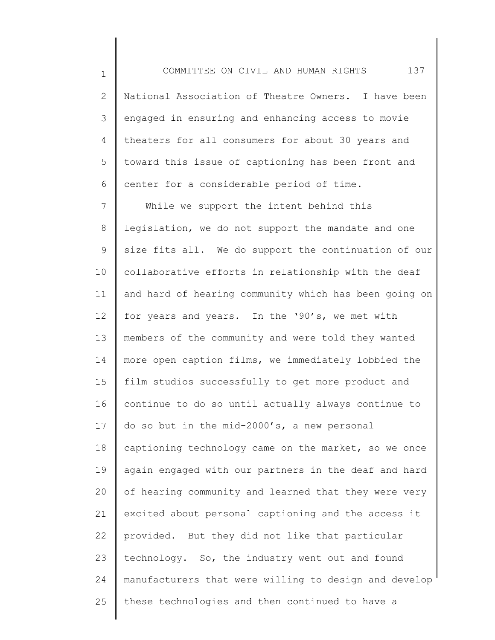1 2 3 4 5 6 COMMITTEE ON CIVIL AND HUMAN RIGHTS 137 National Association of Theatre Owners. I have been engaged in ensuring and enhancing access to movie theaters for all consumers for about 30 years and toward this issue of captioning has been front and center for a considerable period of time.

7 8 9 10 11 12 13 14 15 16 17 18 19 20 21 22 23 24 25 While we support the intent behind this legislation, we do not support the mandate and one size fits all. We do support the continuation of our collaborative efforts in relationship with the deaf and hard of hearing community which has been going on for years and years. In the '90's, we met with members of the community and were told they wanted more open caption films, we immediately lobbied the film studios successfully to get more product and continue to do so until actually always continue to do so but in the mid-2000's, a new personal captioning technology came on the market, so we once again engaged with our partners in the deaf and hard of hearing community and learned that they were very excited about personal captioning and the access it provided. But they did not like that particular technology. So, the industry went out and found manufacturers that were willing to design and develop these technologies and then continued to have a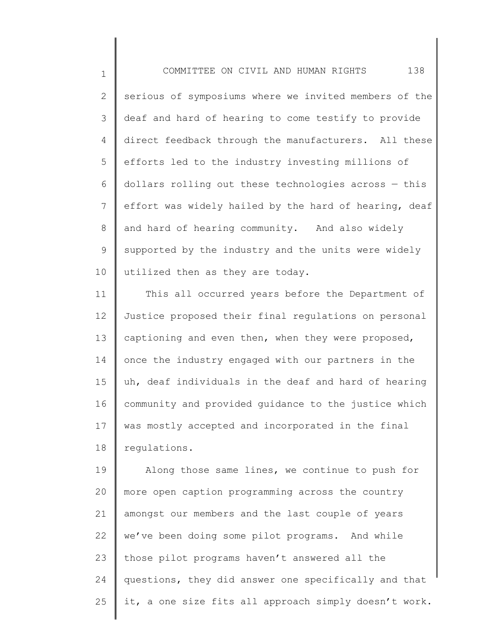1

2 3 4 5 6 7 8 9 10 serious of symposiums where we invited members of the deaf and hard of hearing to come testify to provide direct feedback through the manufacturers. All these efforts led to the industry investing millions of dollars rolling out these technologies across — this effort was widely hailed by the hard of hearing, deaf and hard of hearing community. And also widely supported by the industry and the units were widely utilized then as they are today.

11 12 13 14 15 16 17 18 This all occurred years before the Department of Justice proposed their final regulations on personal captioning and even then, when they were proposed, once the industry engaged with our partners in the uh, deaf individuals in the deaf and hard of hearing community and provided guidance to the justice which was mostly accepted and incorporated in the final regulations.

19 20 21 22 23 24 25 Along those same lines, we continue to push for more open caption programming across the country amongst our members and the last couple of years we've been doing some pilot programs. And while those pilot programs haven't answered all the questions, they did answer one specifically and that it, a one size fits all approach simply doesn't work.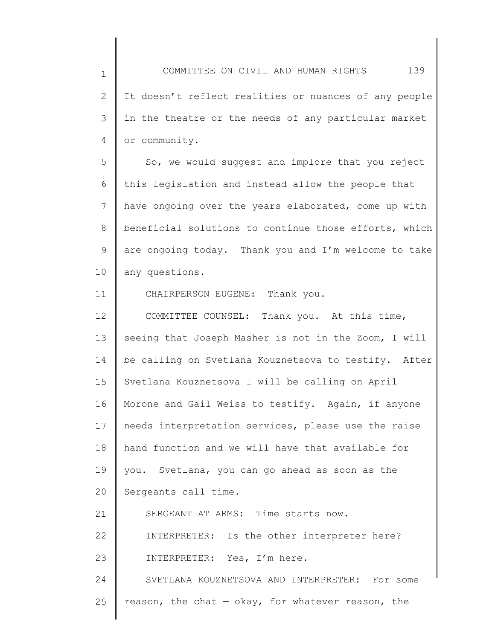1 2 3 4 5 6 7 8 9 10 11 12 13 14 15 16 17 COMMITTEE ON CIVIL AND HUMAN RIGHTS 139 It doesn't reflect realities or nuances of any people in the theatre or the needs of any particular market or community. So, we would suggest and implore that you reject this legislation and instead allow the people that have ongoing over the years elaborated, come up with beneficial solutions to continue those efforts, which are ongoing today. Thank you and I'm welcome to take any questions. CHAIRPERSON EUGENE: Thank you. COMMITTEE COUNSEL: Thank you. At this time, seeing that Joseph Masher is not in the Zoom, I will be calling on Svetlana Kouznetsova to testify. After Svetlana Kouznetsova I will be calling on April Morone and Gail Weiss to testify. Again, if anyone needs interpretation services, please use the raise

18 19 20 hand function and we will have that available for you. Svetlana, you can go ahead as soon as the Sergeants call time.

21 22 23 24 25 SERGEANT AT ARMS: Time starts now. INTERPRETER: Is the other interpreter here? INTERPRETER: Yes, I'm here. SVETLANA KOUZNETSOVA AND INTERPRETER: For some reason, the chat  $-$  okay, for whatever reason, the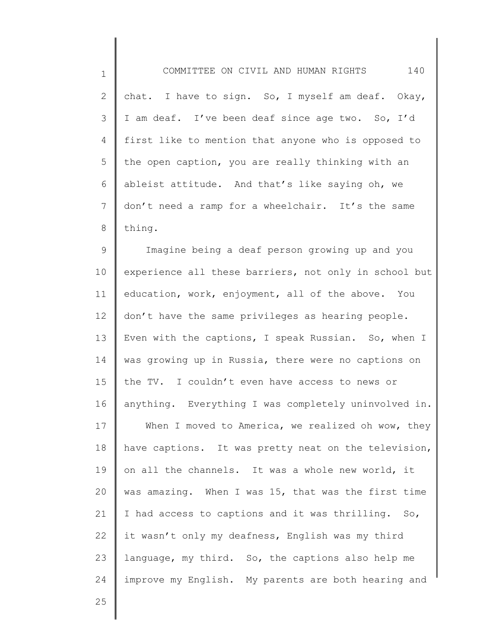1 2 3 4 5 6 7 8 COMMITTEE ON CIVIL AND HUMAN RIGHTS 140 chat. I have to sign. So, I myself am deaf. Okay, I am deaf. I've been deaf since age two. So, I'd first like to mention that anyone who is opposed to the open caption, you are really thinking with an ableist attitude. And that's like saying oh, we don't need a ramp for a wheelchair. It's the same thing.

9 10 11 12 13 14 15 16 17 18 19 20 21 22 23 24 Imagine being a deaf person growing up and you experience all these barriers, not only in school but education, work, enjoyment, all of the above. You don't have the same privileges as hearing people. Even with the captions, I speak Russian. So, when I was growing up in Russia, there were no captions on the TV. I couldn't even have access to news or anything. Everything I was completely uninvolved in. When I moved to America, we realized oh wow, they have captions. It was pretty neat on the television, on all the channels. It was a whole new world, it was amazing. When I was 15, that was the first time I had access to captions and it was thrilling. So, it wasn't only my deafness, English was my third language, my third. So, the captions also help me improve my English. My parents are both hearing and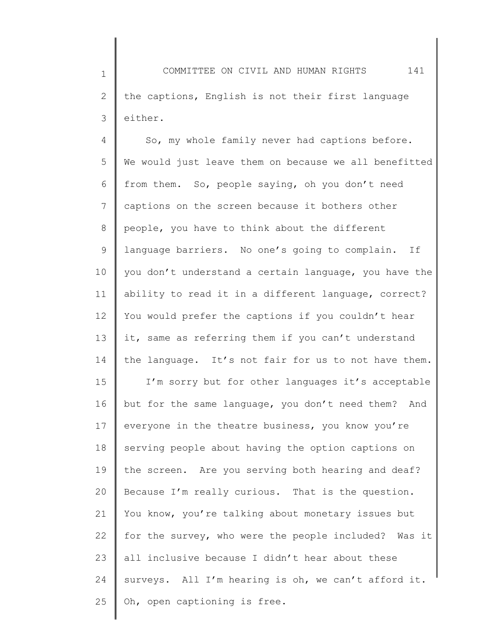1 2 3 COMMITTEE ON CIVIL AND HUMAN RIGHTS 141 the captions, English is not their first language either.

4 5 6 7 8 9 10 11 12 13 14 15 16 17 18 19 20 21 22 23 24 25 So, my whole family never had captions before. We would just leave them on because we all benefitted from them. So, people saying, oh you don't need captions on the screen because it bothers other people, you have to think about the different language barriers. No one's going to complain. If you don't understand a certain language, you have the ability to read it in a different language, correct? You would prefer the captions if you couldn't hear it, same as referring them if you can't understand the language. It's not fair for us to not have them. I'm sorry but for other languages it's acceptable but for the same language, you don't need them? And everyone in the theatre business, you know you're serving people about having the option captions on the screen. Are you serving both hearing and deaf? Because I'm really curious. That is the question. You know, you're talking about monetary issues but for the survey, who were the people included? Was it all inclusive because I didn't hear about these surveys. All I'm hearing is oh, we can't afford it. Oh, open captioning is free.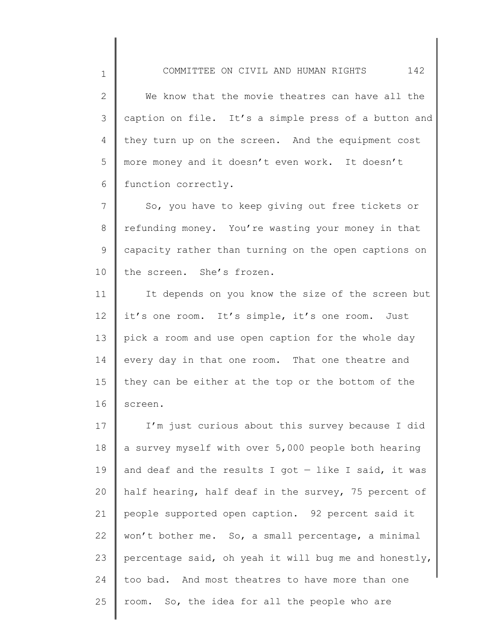2 3 4 5 6 We know that the movie theatres can have all the caption on file. It's a simple press of a button and they turn up on the screen. And the equipment cost more money and it doesn't even work. It doesn't function correctly.

1

7 8 9 10 So, you have to keep giving out free tickets or refunding money. You're wasting your money in that capacity rather than turning on the open captions on the screen. She's frozen.

11 12 13 14 15 16 It depends on you know the size of the screen but it's one room. It's simple, it's one room. Just pick a room and use open caption for the whole day every day in that one room. That one theatre and they can be either at the top or the bottom of the screen.

17 18 19 20 21 22 23 24 25 I'm just curious about this survey because I did a survey myself with over 5,000 people both hearing and deaf and the results I got  $-$  like I said, it was half hearing, half deaf in the survey, 75 percent of people supported open caption. 92 percent said it won't bother me. So, a small percentage, a minimal percentage said, oh yeah it will bug me and honestly, too bad. And most theatres to have more than one room. So, the idea for all the people who are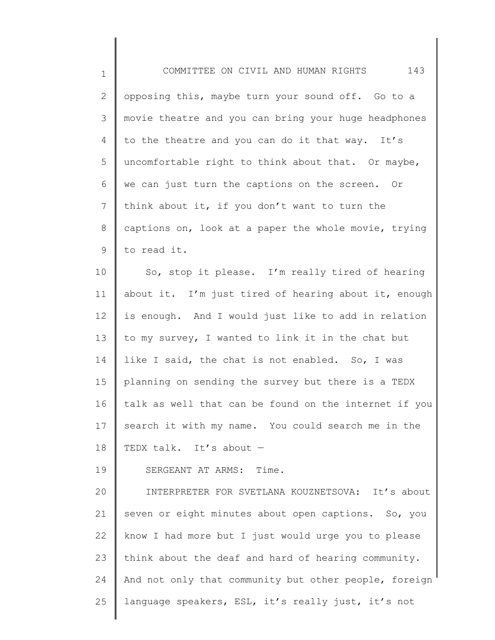1 2 3 4 5 6 7 8 9 10 11 12 13 14 15 16 17 18 19 20 21 22 23 COMMITTEE ON CIVIL AND HUMAN RIGHTS 143 opposing this, maybe turn your sound off. Go to a movie theatre and you can bring your huge headphones to the theatre and you can do it that way. It's uncomfortable right to think about that. Or maybe, we can just turn the captions on the screen. Or think about it, if you don't want to turn the captions on, look at a paper the whole movie, trying to read it. So, stop it please. I'm really tired of hearing about it. I'm just tired of hearing about it, enough is enough. And I would just like to add in relation to my survey, I wanted to link it in the chat but like I said, the chat is not enabled. So, I was planning on sending the survey but there is a TEDX talk as well that can be found on the internet if you search it with my name. You could search me in the TEDX talk. It's about — SERGEANT AT ARMS: Time. INTERPRETER FOR SVETLANA KOUZNETSOVA: It's about seven or eight minutes about open captions. So, you know I had more but I just would urge you to please think about the deaf and hard of hearing community.

24 25 And not only that community but other people, foreign language speakers, ESL, it's really just, it's not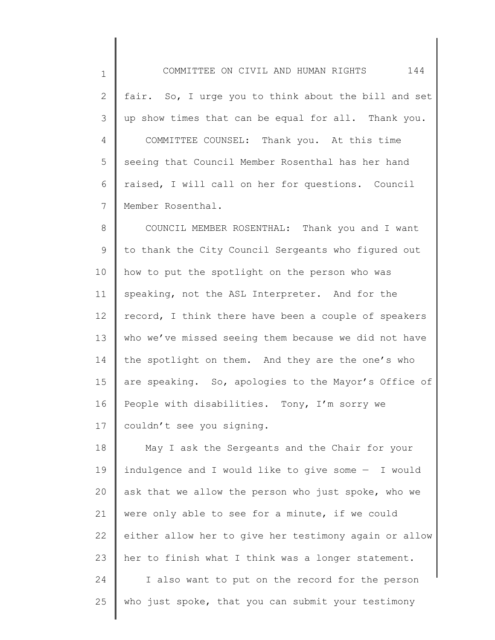1 2 3 4 5 6 7 COMMITTEE ON CIVIL AND HUMAN RIGHTS 144 fair. So, I urge you to think about the bill and set up show times that can be equal for all. Thank you. COMMITTEE COUNSEL: Thank you. At this time seeing that Council Member Rosenthal has her hand raised, I will call on her for questions. Council Member Rosenthal.

8 9 10 11 12 13 14 15 16 17 COUNCIL MEMBER ROSENTHAL: Thank you and I want to thank the City Council Sergeants who figured out how to put the spotlight on the person who was speaking, not the ASL Interpreter. And for the record, I think there have been a couple of speakers who we've missed seeing them because we did not have the spotlight on them. And they are the one's who are speaking. So, apologies to the Mayor's Office of People with disabilities. Tony, I'm sorry we couldn't see you signing.

18 19 20 21 22 23 24 25 May I ask the Sergeants and the Chair for your indulgence and I would like to give some — I would ask that we allow the person who just spoke, who we were only able to see for a minute, if we could either allow her to give her testimony again or allow her to finish what I think was a longer statement. I also want to put on the record for the person who just spoke, that you can submit your testimony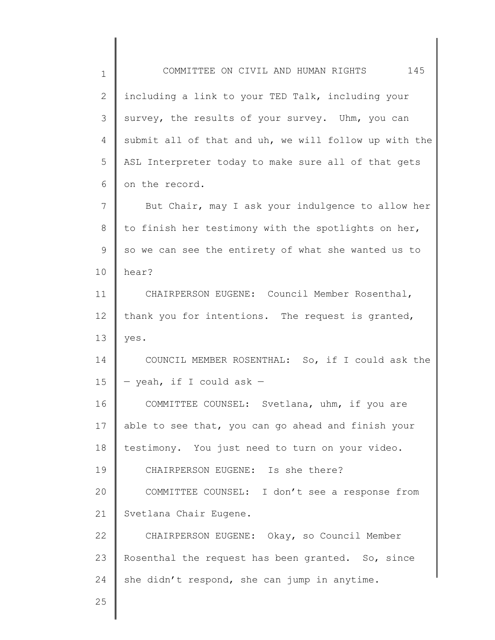1 2 3 4 5 6 7 8 9 10 11 12 13 14 15 16 17 18 19 20 21 22 23 24 25 COMMITTEE ON CIVIL AND HUMAN RIGHTS 145 including a link to your TED Talk, including your survey, the results of your survey. Uhm, you can submit all of that and uh, we will follow up with the ASL Interpreter today to make sure all of that gets on the record. But Chair, may I ask your indulgence to allow her to finish her testimony with the spotlights on her, so we can see the entirety of what she wanted us to hear? CHAIRPERSON EUGENE: Council Member Rosenthal, thank you for intentions. The request is granted, yes. COUNCIL MEMBER ROSENTHAL: So, if I could ask the — yeah, if I could ask — COMMITTEE COUNSEL: Svetlana, uhm, if you are able to see that, you can go ahead and finish your testimony. You just need to turn on your video. CHAIRPERSON EUGENE: Is she there? COMMITTEE COUNSEL: I don't see a response from Svetlana Chair Eugene. CHAIRPERSON EUGENE: Okay, so Council Member Rosenthal the request has been granted. So, since she didn't respond, she can jump in anytime.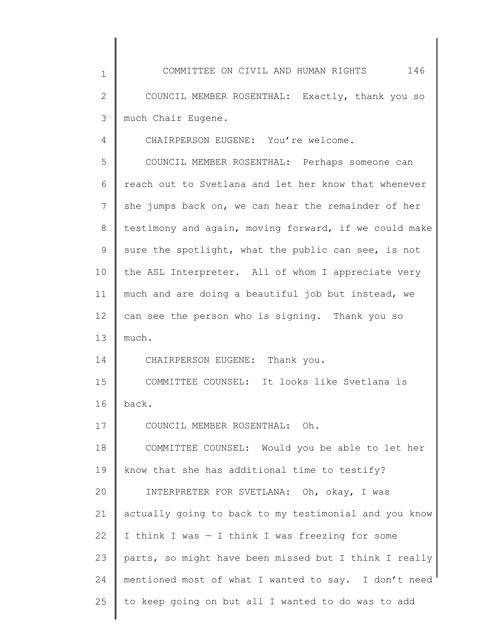1 2 3 4 5 6 7 8 9 10 11 12 13 14 15 16 17 18 19 20 21 22 23 24 COMMITTEE ON CIVIL AND HUMAN RIGHTS 146 COUNCIL MEMBER ROSENTHAL: Exactly, thank you so much Chair Eugene. CHAIRPERSON EUGENE: You're welcome. COUNCIL MEMBER ROSENTHAL: Perhaps someone can reach out to Svetlana and let her know that whenever she jumps back on, we can hear the remainder of her testimony and again, moving forward, if we could make sure the spotlight, what the public can see, is not the ASL Interpreter. All of whom I appreciate very much and are doing a beautiful job but instead, we can see the person who is signing. Thank you so much. CHAIRPERSON EUGENE: Thank you. COMMITTEE COUNSEL: It looks like Svetlana is back. COUNCIL MEMBER ROSENTHAL: Oh. COMMITTEE COUNSEL: Would you be able to let her know that she has additional time to testify? INTERPRETER FOR SVETLANA: Oh, okay, I was actually going to back to my testimonial and you know I think I was — I think I was freezing for some parts, so might have been missed but I think I really mentioned most of what I wanted to say. I don't need

to keep going on but all I wanted to do was to add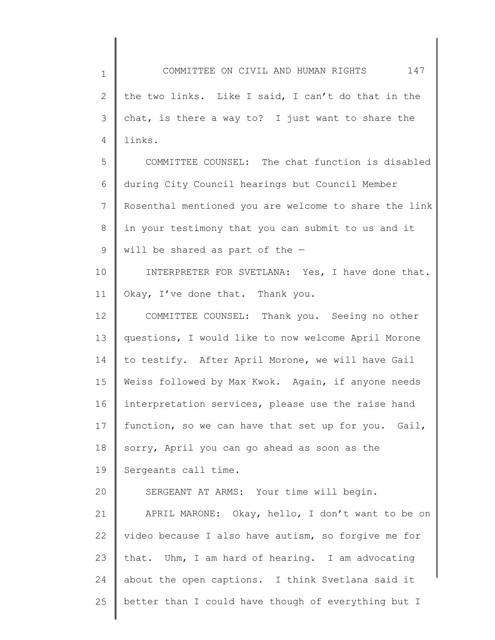1 2 3 4 5 6 7 8 9 10 11 12 13 14 15 16 17 18 19 20 21 22 23 24 25 COMMITTEE ON CIVIL AND HUMAN RIGHTS 147 the two links. Like I said, I can't do that in the chat, is there a way to? I just want to share the links. COMMITTEE COUNSEL: The chat function is disabled during City Council hearings but Council Member Rosenthal mentioned you are welcome to share the link in your testimony that you can submit to us and it will be shared as part of the — INTERPRETER FOR SVETLANA: Yes, I have done that. Okay, I've done that. Thank you. COMMITTEE COUNSEL: Thank you. Seeing no other questions, I would like to now welcome April Morone to testify. After April Morone, we will have Gail Weiss followed by Max Kwok. Again, if anyone needs interpretation services, please use the raise hand function, so we can have that set up for you. Gail, sorry, April you can go ahead as soon as the Sergeants call time. SERGEANT AT ARMS: Your time will begin. APRIL MARONE: Okay, hello, I don't want to be on video because I also have autism, so forgive me for that. Uhm, I am hard of hearing. I am advocating about the open captions. I think Svetlana said it better than I could have though of everything but I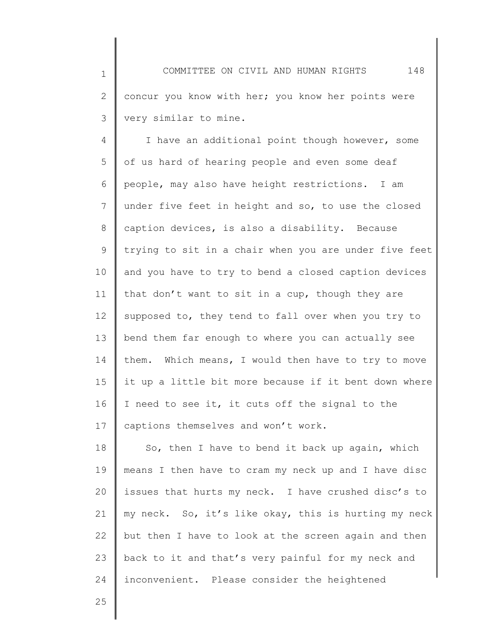4 5 6 7 8 9 10 11 12 13 14 15 16 17 I have an additional point though however, some of us hard of hearing people and even some deaf people, may also have height restrictions. I am under five feet in height and so, to use the closed caption devices, is also a disability. Because trying to sit in a chair when you are under five feet and you have to try to bend a closed caption devices that don't want to sit in a cup, though they are supposed to, they tend to fall over when you try to bend them far enough to where you can actually see them. Which means, I would then have to try to move it up a little bit more because if it bent down where I need to see it, it cuts off the signal to the captions themselves and won't work.

18 19 20 21 22 23 24 So, then I have to bend it back up again, which means I then have to cram my neck up and I have disc issues that hurts my neck. I have crushed disc's to my neck. So, it's like okay, this is hurting my neck but then I have to look at the screen again and then back to it and that's very painful for my neck and inconvenient. Please consider the heightened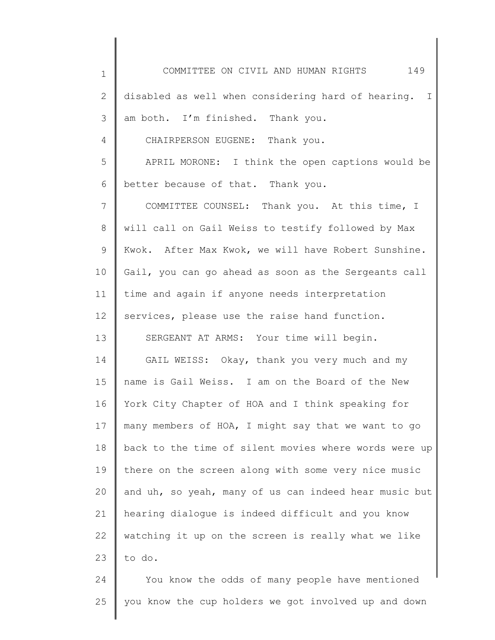1 2 3 4 5 6 7 8 9 10 11 12 13 14 15 16 17 18 19 20 21 22 23 24 COMMITTEE ON CIVIL AND HUMAN RIGHTS 149 disabled as well when considering hard of hearing. I am both. I'm finished. Thank you. CHAIRPERSON EUGENE: Thank you. APRIL MORONE: I think the open captions would be better because of that. Thank you. COMMITTEE COUNSEL: Thank you. At this time, I will call on Gail Weiss to testify followed by Max Kwok. After Max Kwok, we will have Robert Sunshine. Gail, you can go ahead as soon as the Sergeants call time and again if anyone needs interpretation services, please use the raise hand function. SERGEANT AT ARMS: Your time will begin. GAIL WEISS: Okay, thank you very much and my name is Gail Weiss. I am on the Board of the New York City Chapter of HOA and I think speaking for many members of HOA, I might say that we want to go back to the time of silent movies where words were up there on the screen along with some very nice music and uh, so yeah, many of us can indeed hear music but hearing dialogue is indeed difficult and you know watching it up on the screen is really what we like to do. You know the odds of many people have mentioned

25 you know the cup holders we got involved up and down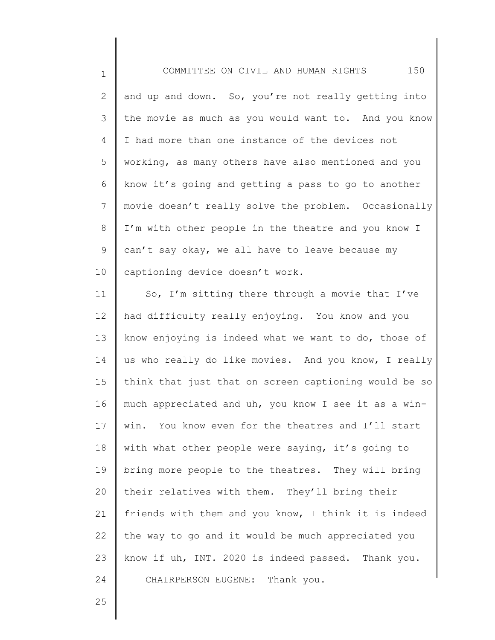1 2 3 4 5 6 7 8 9 10 COMMITTEE ON CIVIL AND HUMAN RIGHTS 150 and up and down. So, you're not really getting into the movie as much as you would want to. And you know I had more than one instance of the devices not working, as many others have also mentioned and you know it's going and getting a pass to go to another movie doesn't really solve the problem. Occasionally I'm with other people in the theatre and you know I can't say okay, we all have to leave because my captioning device doesn't work.

11 12 13 14 15 16 17 18 19 20 21 22 23 24 So, I'm sitting there through a movie that I've had difficulty really enjoying. You know and you know enjoying is indeed what we want to do, those of us who really do like movies. And you know, I really think that just that on screen captioning would be so much appreciated and uh, you know I see it as a winwin. You know even for the theatres and I'll start with what other people were saying, it's going to bring more people to the theatres. They will bring their relatives with them. They'll bring their friends with them and you know, I think it is indeed the way to go and it would be much appreciated you know if uh, INT. 2020 is indeed passed. Thank you. CHAIRPERSON EUGENE: Thank you.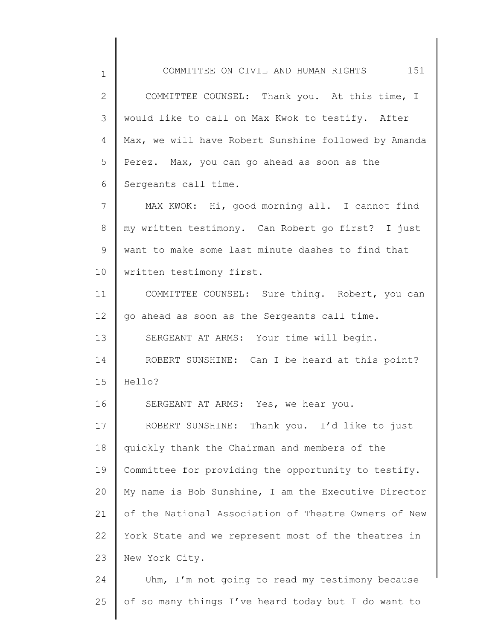1 2 3 4 5 6 7 8 9 10 11 12 13 14 15 16 17 18 19 20 21 22 23 24 COMMITTEE ON CIVIL AND HUMAN RIGHTS 151 COMMITTEE COUNSEL: Thank you. At this time, I would like to call on Max Kwok to testify. After Max, we will have Robert Sunshine followed by Amanda Perez. Max, you can go ahead as soon as the Sergeants call time. MAX KWOK: Hi, good morning all. I cannot find my written testimony. Can Robert go first? I just want to make some last minute dashes to find that written testimony first. COMMITTEE COUNSEL: Sure thing. Robert, you can go ahead as soon as the Sergeants call time. SERGEANT AT ARMS: Your time will begin. ROBERT SUNSHINE: Can I be heard at this point? Hello? SERGEANT AT ARMS: Yes, we hear you. ROBERT SUNSHINE: Thank you. I'd like to just quickly thank the Chairman and members of the Committee for providing the opportunity to testify. My name is Bob Sunshine, I am the Executive Director of the National Association of Theatre Owners of New York State and we represent most of the theatres in New York City. Uhm, I'm not going to read my testimony because

of so many things I've heard today but I do want to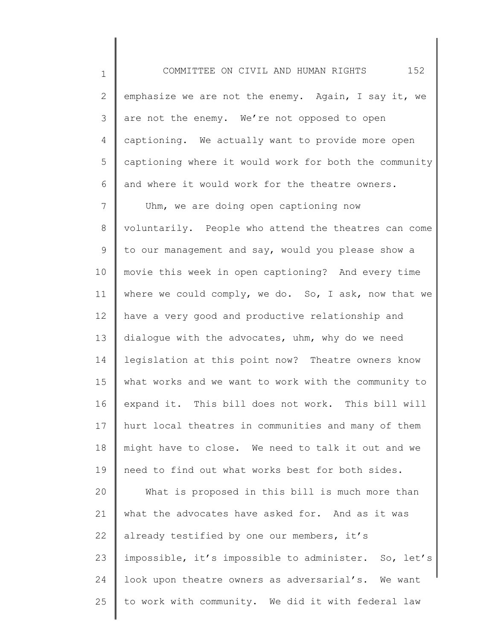1 2 3 4 5 6 7 8 9 10 11 12 13 14 15 16 17 18 19 20 21 22 23 24 25 COMMITTEE ON CIVIL AND HUMAN RIGHTS 152 emphasize we are not the enemy. Again, I say it, we are not the enemy. We're not opposed to open captioning. We actually want to provide more open captioning where it would work for both the community and where it would work for the theatre owners. Uhm, we are doing open captioning now voluntarily. People who attend the theatres can come to our management and say, would you please show a movie this week in open captioning? And every time where we could comply, we do. So, I ask, now that we have a very good and productive relationship and dialogue with the advocates, uhm, why do we need legislation at this point now? Theatre owners know what works and we want to work with the community to expand it. This bill does not work. This bill will hurt local theatres in communities and many of them might have to close. We need to talk it out and we need to find out what works best for both sides. What is proposed in this bill is much more than what the advocates have asked for. And as it was already testified by one our members, it's impossible, it's impossible to administer. So, let's look upon theatre owners as adversarial's. We want to work with community. We did it with federal law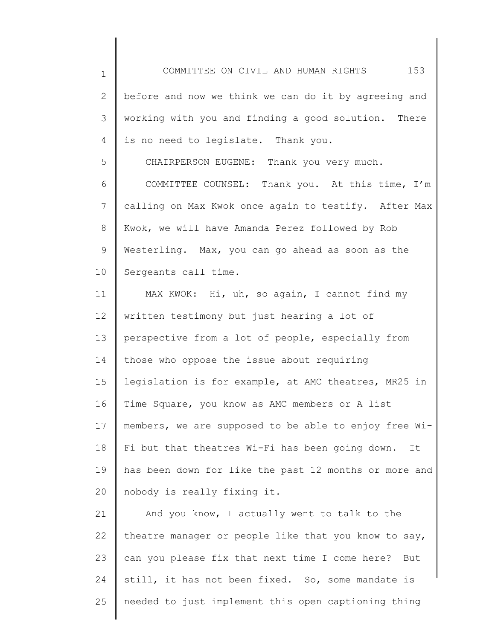COMMITTEE ON CIVIL AND HUMAN RIGHTS 153

2 3 4 before and now we think we can do it by agreeing and working with you and finding a good solution. There is no need to legislate. Thank you.

1

5

CHAIRPERSON EUGENE: Thank you very much.

6 7 8 9 10 COMMITTEE COUNSEL: Thank you. At this time, I'm calling on Max Kwok once again to testify. After Max Kwok, we will have Amanda Perez followed by Rob Westerling. Max, you can go ahead as soon as the Sergeants call time.

11 12 13 14 15 16 17 18 19 20 MAX KWOK: Hi, uh, so again, I cannot find my written testimony but just hearing a lot of perspective from a lot of people, especially from those who oppose the issue about requiring legislation is for example, at AMC theatres, MR25 in Time Square, you know as AMC members or A list members, we are supposed to be able to enjoy free Wi-Fi but that theatres Wi-Fi has been going down. It has been down for like the past 12 months or more and nobody is really fixing it.

21 22 23 24 25 And you know, I actually went to talk to the theatre manager or people like that you know to say, can you please fix that next time I come here? But still, it has not been fixed. So, some mandate is needed to just implement this open captioning thing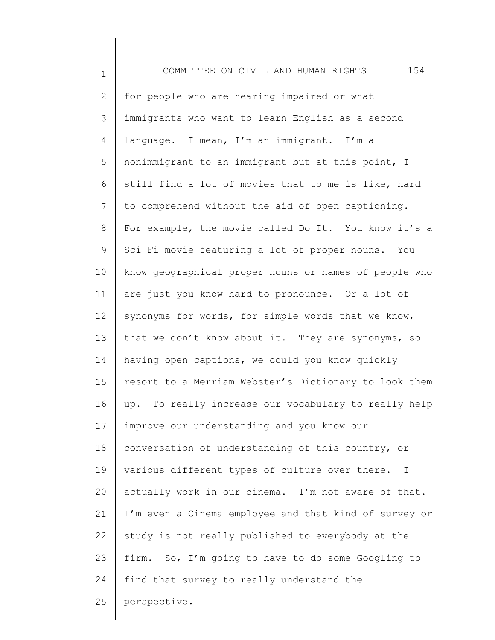| $\mathbf 1$  | 154<br>COMMITTEE ON CIVIL AND HUMAN RIGHTS                     |
|--------------|----------------------------------------------------------------|
| $\mathbf{2}$ | for people who are hearing impaired or what                    |
| 3            | immigrants who want to learn English as a second               |
| 4            | language. I mean, I'm an immigrant. I'm a                      |
| 5            | nonimmigrant to an immigrant but at this point, I              |
| 6            | still find a lot of movies that to me is like, hard            |
| 7            | to comprehend without the aid of open captioning.              |
| 8            | For example, the movie called Do It. You know it's a           |
| 9            | Sci Fi movie featuring a lot of proper nouns. You              |
| 10           | know geographical proper nouns or names of people who          |
| 11           | are just you know hard to pronounce. Or a lot of               |
| 12           | synonyms for words, for simple words that we know,             |
| 13           | that we don't know about it. They are synonyms, so             |
| 14           | having open captions, we could you know quickly                |
| 15           | resort to a Merriam Webster's Dictionary to look them          |
| 16           | up. To really increase our vocabulary to really help           |
| 17           | improve our understanding and you know our                     |
| 18           | conversation of understanding of this country, or              |
| 19           | various different types of culture over there.<br>$\mathbb{I}$ |
| 20           | actually work in our cinema. I'm not aware of that.            |
| 21           | I'm even a Cinema employee and that kind of survey or          |
| 22           | study is not really published to everybody at the              |
| 23           | firm. So, I'm going to have to do some Googling to             |
| 24           | find that survey to really understand the                      |
| 25           | perspective.                                                   |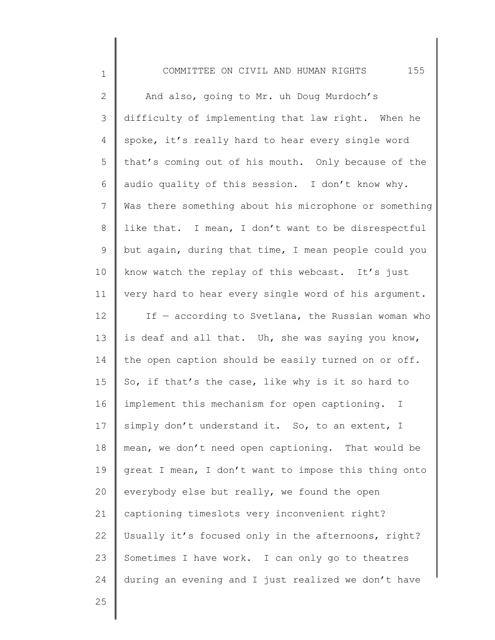COMMITTEE ON CIVIL AND HUMAN RIGHTS 155

2 3 4 5 6 7 8 9 10 11 12 13 14 15 16 17 18 19 20 21 22 23 24 And also, going to Mr. uh Doug Murdoch's difficulty of implementing that law right. When he spoke, it's really hard to hear every single word that's coming out of his mouth. Only because of the audio quality of this session. I don't know why. Was there something about his microphone or something like that. I mean, I don't want to be disrespectful but again, during that time, I mean people could you know watch the replay of this webcast. It's just very hard to hear every single word of his argument. If — according to Svetlana, the Russian woman who is deaf and all that. Uh, she was saying you know, the open caption should be easily turned on or off. So, if that's the case, like why is it so hard to implement this mechanism for open captioning. I simply don't understand it. So, to an extent, I mean, we don't need open captioning. That would be great I mean, I don't want to impose this thing onto everybody else but really, we found the open captioning timeslots very inconvenient right? Usually it's focused only in the afternoons, right? Sometimes I have work. I can only go to theatres during an evening and I just realized we don't have

25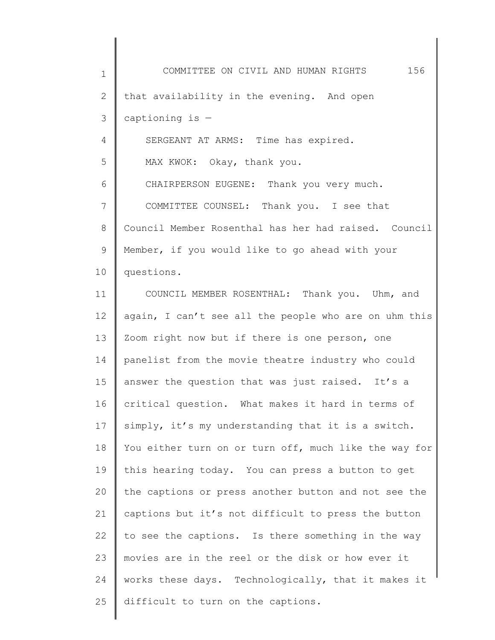| $\mathbf 1$    | 156<br>COMMITTEE ON CIVIL AND HUMAN RIGHTS            |
|----------------|-------------------------------------------------------|
| $\mathbf{2}$   | that availability in the evening. And open            |
| 3              | captioning is $-$                                     |
| $\overline{4}$ | SERGEANT AT ARMS: Time has expired.                   |
| 5              | MAX KWOK: Okay, thank you.                            |
| 6              | CHAIRPERSON EUGENE: Thank you very much.              |
| 7              | COMMITTEE COUNSEL: Thank you. I see that              |
| $8\,$          | Council Member Rosenthal has her had raised. Council  |
| 9              | Member, if you would like to go ahead with your       |
| 10             | questions.                                            |
| 11             | COUNCIL MEMBER ROSENTHAL: Thank you. Uhm, and         |
| 12             | again, I can't see all the people who are on uhm this |
| 13             | Zoom right now but if there is one person, one        |
| 14             | panelist from the movie theatre industry who could    |
| 15             | answer the question that was just raised. It's a      |
| 16             | critical question. What makes it hard in terms of     |
| 17             | simply, it's my understanding that it is a switch.    |
| 18             | You either turn on or turn off, much like the way for |
| 19             | this hearing today. You can press a button to get     |
| 20             | the captions or press another button and not see the  |
| 21             | captions but it's not difficult to press the button   |
| 22             | to see the captions. Is there something in the way    |
| 23             | movies are in the reel or the disk or how ever it     |
| 24             | works these days. Technologically, that it makes it   |
| 25             | difficult to turn on the captions.                    |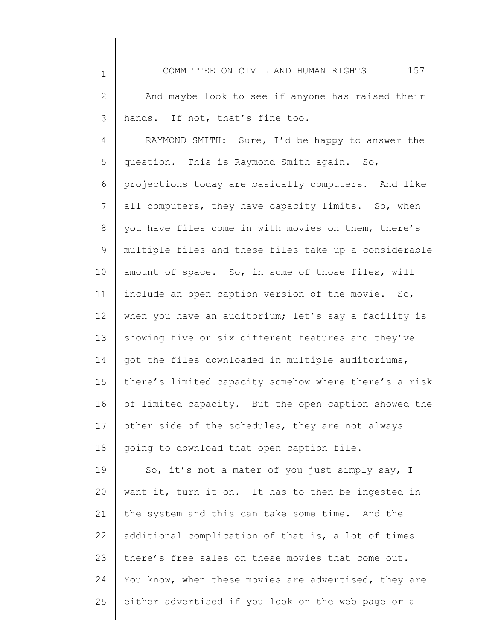2 3 And maybe look to see if anyone has raised their hands. If not, that's fine too.

1

4 5 6 7 8 9 10 11 12 13 14 15 16 17 18 RAYMOND SMITH: Sure, I'd be happy to answer the question. This is Raymond Smith again. So, projections today are basically computers. And like all computers, they have capacity limits. So, when you have files come in with movies on them, there's multiple files and these files take up a considerable amount of space. So, in some of those files, will include an open caption version of the movie. So, when you have an auditorium; let's say a facility is showing five or six different features and they've got the files downloaded in multiple auditoriums, there's limited capacity somehow where there's a risk of limited capacity. But the open caption showed the other side of the schedules, they are not always going to download that open caption file.

19 20 21 22 23 24 25 So, it's not a mater of you just simply say, I want it, turn it on. It has to then be ingested in the system and this can take some time. And the additional complication of that is, a lot of times there's free sales on these movies that come out. You know, when these movies are advertised, they are either advertised if you look on the web page or a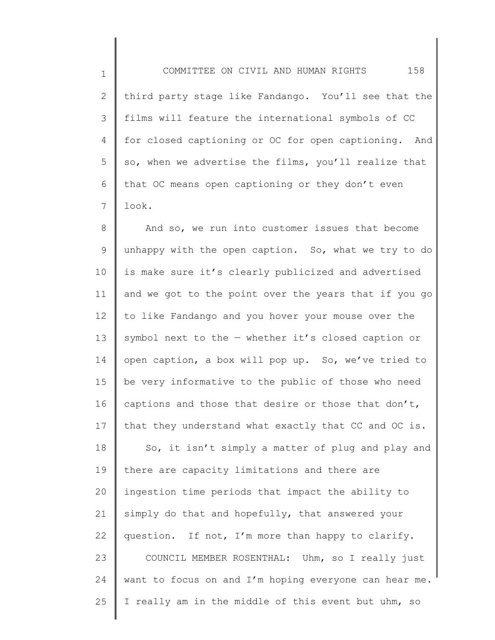1 2 3 4 5 6 7 COMMITTEE ON CIVIL AND HUMAN RIGHTS 158 third party stage like Fandango. You'll see that the films will feature the international symbols of CC for closed captioning or OC for open captioning. And so, when we advertise the films, you'll realize that that OC means open captioning or they don't even look.

8 9 10 11 12 13 14 15 16 17 And so, we run into customer issues that become unhappy with the open caption. So, what we try to do is make sure it's clearly publicized and advertised and we got to the point over the years that if you go to like Fandango and you hover your mouse over the symbol next to the — whether it's closed caption or open caption, a box will pop up. So, we've tried to be very informative to the public of those who need captions and those that desire or those that don't, that they understand what exactly that CC and OC is.

18 19 20 21 22 23 24 25 So, it isn't simply a matter of plug and play and there are capacity limitations and there are ingestion time periods that impact the ability to simply do that and hopefully, that answered your question. If not, I'm more than happy to clarify. COUNCIL MEMBER ROSENTHAL: Uhm, so I really just want to focus on and I'm hoping everyone can hear me. I really am in the middle of this event but uhm, so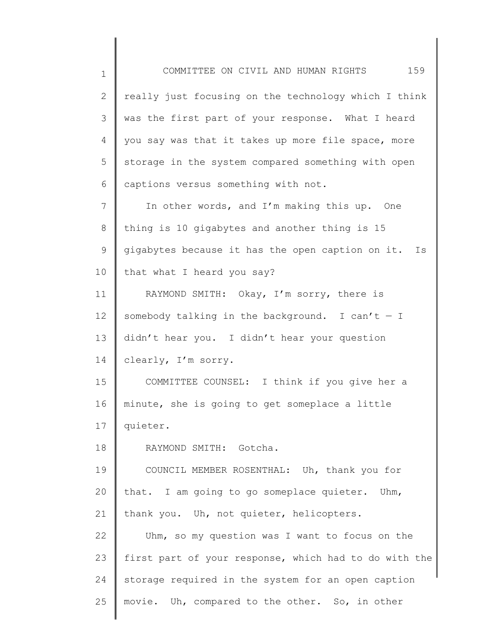1 2 3 4 5 6 7 8 9 10 11 12 13 14 15 16 17 18 19 20 21 22 23 24 25 COMMITTEE ON CIVIL AND HUMAN RIGHTS 159 really just focusing on the technology which I think was the first part of your response. What I heard you say was that it takes up more file space, more storage in the system compared something with open captions versus something with not. In other words, and I'm making this up. One thing is 10 gigabytes and another thing is 15 gigabytes because it has the open caption on it. Is that what I heard you say? RAYMOND SMITH: Okay, I'm sorry, there is somebody talking in the background. I can't  $-$  I didn't hear you. I didn't hear your question clearly, I'm sorry. COMMITTEE COUNSEL: I think if you give her a minute, she is going to get someplace a little quieter. RAYMOND SMITH: Gotcha. COUNCIL MEMBER ROSENTHAL: Uh, thank you for that. I am going to go someplace quieter. Uhm, thank you. Uh, not quieter, helicopters. Uhm, so my question was I want to focus on the first part of your response, which had to do with the storage required in the system for an open caption movie. Uh, compared to the other. So, in other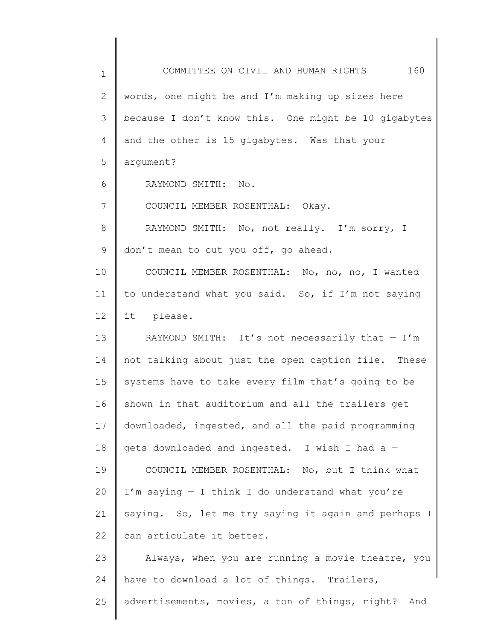1 2 3 4 5 6 7 8 9 10 11 12 13 14 15 16 17 18 19 20 21 22 23 24 25 COMMITTEE ON CIVIL AND HUMAN RIGHTS 160 words, one might be and I'm making up sizes here because I don't know this. One might be 10 gigabytes and the other is 15 gigabytes. Was that your argument? RAYMOND SMITH: No. COUNCIL MEMBER ROSENTHAL: Okay. RAYMOND SMITH: No, not really. I'm sorry, I don't mean to cut you off, go ahead. COUNCIL MEMBER ROSENTHAL: No, no, no, I wanted to understand what you said. So, if I'm not saying it — please. RAYMOND SMITH: It's not necessarily that  $-$  I'm not talking about just the open caption file. These systems have to take every film that's going to be shown in that auditorium and all the trailers get downloaded, ingested, and all the paid programming gets downloaded and ingested. I wish I had a — COUNCIL MEMBER ROSENTHAL: No, but I think what I'm saying  $-$  I think I do understand what you're saying. So, let me try saying it again and perhaps I can articulate it better. Always, when you are running a movie theatre, you have to download a lot of things. Trailers, advertisements, movies, a ton of things, right? And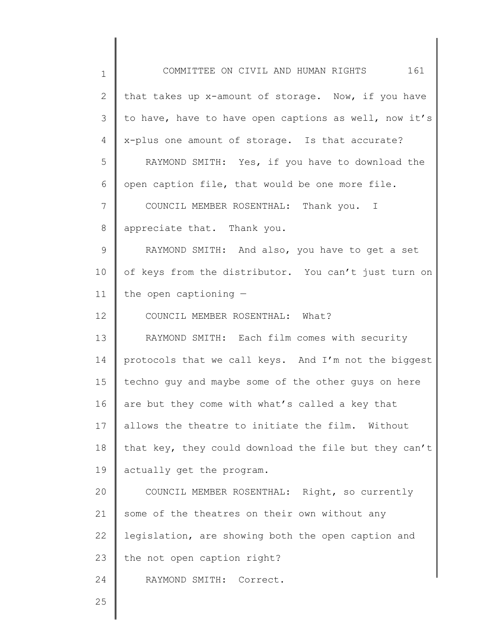| $\mathbf 1$    | COMMITTEE ON CIVIL AND HUMAN RIGHTS 161               |
|----------------|-------------------------------------------------------|
| $\mathbf{2}$   | that takes up x-amount of storage. Now, if you have   |
| 3              | to have, have to have open captions as well, now it's |
| $\overline{4}$ | x-plus one amount of storage. Is that accurate?       |
| 5              | RAYMOND SMITH: Yes, if you have to download the       |
| 6              | open caption file, that would be one more file.       |
| 7              | COUNCIL MEMBER ROSENTHAL: Thank you. I                |
| $\,8\,$        | appreciate that. Thank you.                           |
| $\mathsf 9$    | RAYMOND SMITH: And also, you have to get a set        |
| 10             | of keys from the distributor. You can't just turn on  |
| 11             | the open captioning $-$                               |
| 12             | COUNCIL MEMBER ROSENTHAL: What?                       |
| 13             | RAYMOND SMITH: Each film comes with security          |
| 14             | protocols that we call keys. And I'm not the biggest  |
| 15             | techno quy and maybe some of the other guys on here   |
| 16             | are but they come with what's called a key that       |
| 17             | allows the theatre to initiate the film.<br>Without   |
| 18             | that key, they could download the file but they can't |
| 19             | actually get the program.                             |
| 20             | COUNCIL MEMBER ROSENTHAL: Right, so currently         |
| 21             | some of the theatres on their own without any         |
| 22             | legislation, are showing both the open caption and    |
| 23             | the not open caption right?                           |
| 24             | RAYMOND SMITH: Correct.                               |
| 25             |                                                       |
|                |                                                       |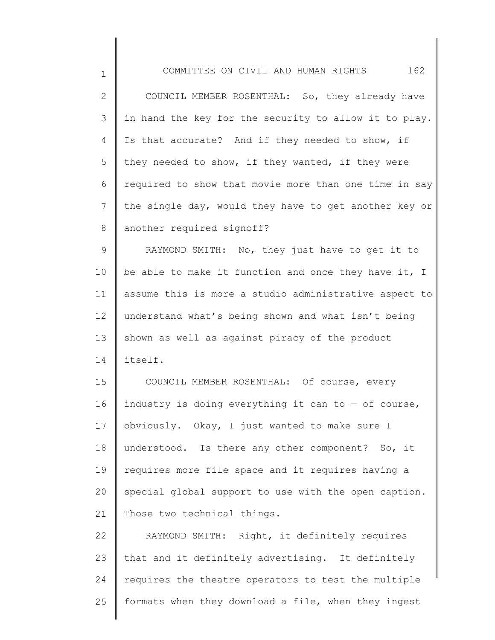| $\mathbf 1$  | 162<br>COMMITTEE ON CIVIL AND HUMAN RIGHTS            |
|--------------|-------------------------------------------------------|
| $\mathbf{2}$ | COUNCIL MEMBER ROSENTHAL: So, they already have       |
| 3            | in hand the key for the security to allow it to play. |
| 4            | Is that accurate? And if they needed to show, if      |
| 5            | they needed to show, if they wanted, if they were     |
| 6            | required to show that movie more than one time in say |
| 7            | the single day, would they have to get another key or |
| 8            | another required signoff?                             |
| 9            | RAYMOND SMITH: No, they just have to get it to        |
| 10           | be able to make it function and once they have it, I  |
| 11           | assume this is more a studio administrative aspect to |
| 12           | understand what's being shown and what isn't being    |
| 13           | shown as well as against piracy of the product        |
| 14           | itself.                                               |
| 15           | COUNCIL MEMBER ROSENTHAL: Of course, every            |
| 16           | industry is doing everything it can to $-$ of course, |
| 17           | obviously. Okay, I just wanted to make sure I         |
| 18           | understood. Is there any other component? So, it      |
| 19           | requires more file space and it requires having a     |
| 20           | special global support to use with the open caption.  |
| 21           | Those two technical things.                           |
| 22           | RAYMOND SMITH: Right, it definitely requires          |
| 23           | that and it definitely advertising. It definitely     |
| 24           | requires the theatre operators to test the multiple   |

formats when they download a file, when they ingest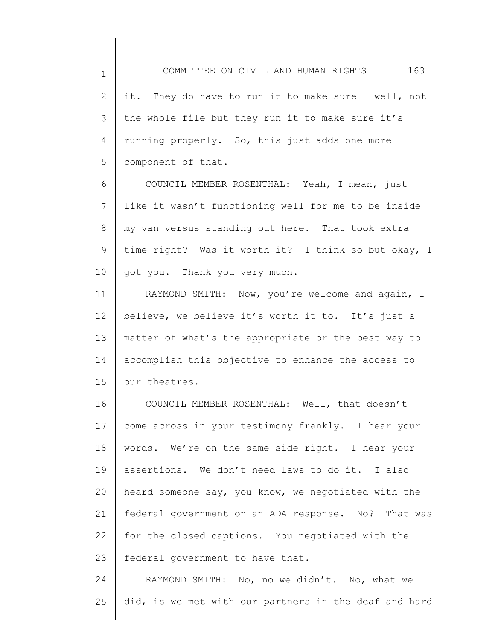1 2 3 4 5 it. They do have to run it to make sure — well, not the whole file but they run it to make sure it's running properly. So, this just adds one more component of that.

6 7 8 9 10 COUNCIL MEMBER ROSENTHAL: Yeah, I mean, just like it wasn't functioning well for me to be inside my van versus standing out here. That took extra time right? Was it worth it? I think so but okay, I got you. Thank you very much.

11 12 13 14 15 RAYMOND SMITH: Now, you're welcome and again, I believe, we believe it's worth it to. It's just a matter of what's the appropriate or the best way to accomplish this objective to enhance the access to our theatres.

16 17 18 19 20 21 22 23 COUNCIL MEMBER ROSENTHAL: Well, that doesn't come across in your testimony frankly. I hear your words. We're on the same side right. I hear your assertions. We don't need laws to do it. I also heard someone say, you know, we negotiated with the federal government on an ADA response. No? That was for the closed captions. You negotiated with the federal government to have that.

24 25 RAYMOND SMITH: No, no we didn't. No, what we did, is we met with our partners in the deaf and hard

COMMITTEE ON CIVIL AND HUMAN RIGHTS 163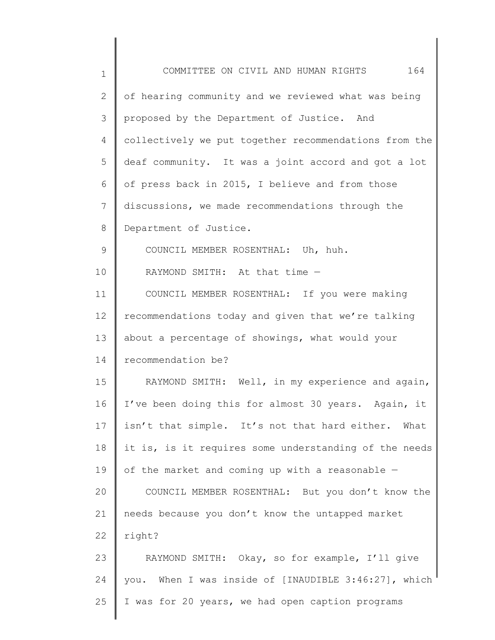| 1  | 164<br>COMMITTEE ON CIVIL AND HUMAN RIGHTS            |
|----|-------------------------------------------------------|
| 2  | of hearing community and we reviewed what was being   |
| 3  | proposed by the Department of Justice. And            |
| 4  | collectively we put together recommendations from the |
| 5  | deaf community. It was a joint accord and got a lot   |
| 6  | of press back in 2015, I believe and from those       |
| 7  | discussions, we made recommendations through the      |
| 8  | Department of Justice.                                |
| 9  | COUNCIL MEMBER ROSENTHAL: Uh, huh.                    |
| 10 | RAYMOND SMITH: At that time -                         |
| 11 | COUNCIL MEMBER ROSENTHAL: If you were making          |
| 12 | recommendations today and given that we're talking    |
| 13 | about a percentage of showings, what would your       |
| 14 | recommendation be?                                    |
| 15 | RAYMOND SMITH: Well, in my experience and again,      |
| 16 | I've been doing this for almost 30 years. Again, it   |
| 17 | isn't that simple. It's not that hard either. What    |
| 18 | it is, is it requires some understanding of the needs |
| 19 | of the market and coming up with a reasonable -       |
| 20 | COUNCIL MEMBER ROSENTHAL: But you don't know the      |
| 21 | needs because you don't know the untapped market      |
| 22 | right?                                                |
| 23 | RAYMOND SMITH: Okay, so for example, I'll give        |
| 24 | you. When I was inside of [INAUDIBLE 3:46:27], which  |
| 25 | I was for 20 years, we had open caption programs      |
|    |                                                       |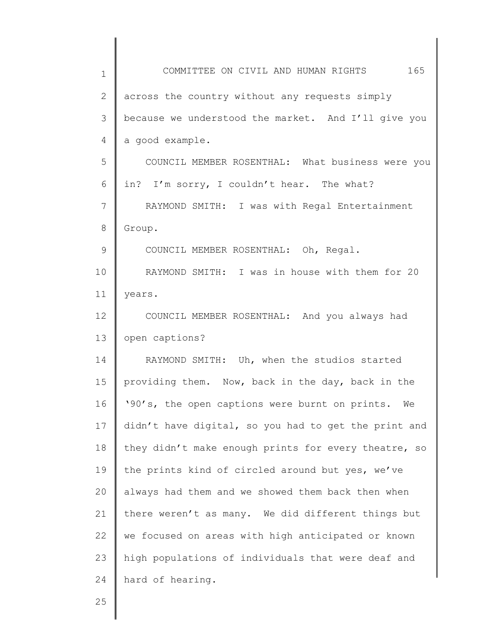| $\mathbf 1$    | COMMITTEE ON CIVIL AND HUMAN RIGHTS 165              |
|----------------|------------------------------------------------------|
| $\overline{2}$ | across the country without any requests simply       |
| 3              | because we understood the market. And I'll give you  |
| 4              | a good example.                                      |
| 5              | COUNCIL MEMBER ROSENTHAL: What business were you     |
| 6              | in? I'm sorry, I couldn't hear. The what?            |
| 7              | RAYMOND SMITH: I was with Regal Entertainment        |
| 8              | Group.                                               |
| 9              | COUNCIL MEMBER ROSENTHAL: Oh, Regal.                 |
| 10             | RAYMOND SMITH: I was in house with them for 20       |
| 11             | years.                                               |
| 12             | COUNCIL MEMBER ROSENTHAL: And you always had         |
| 13             | open captions?                                       |
| 14             | RAYMOND SMITH: Uh, when the studios started          |
| 15             | providing them. Now, back in the day, back in the    |
| 16             | '90's, the open captions were burnt on prints.<br>We |
| 17             | didn't have digital, so you had to get the print and |
| 18             | they didn't make enough prints for every theatre, so |
| 19             | the prints kind of circled around but yes, we've     |
| 20             | always had them and we showed them back then when    |
| 21             | there weren't as many. We did different things but   |
| 22             | we focused on areas with high anticipated or known   |
| 23             | high populations of individuals that were deaf and   |
| 24             | hard of hearing.                                     |
|                |                                                      |

25

║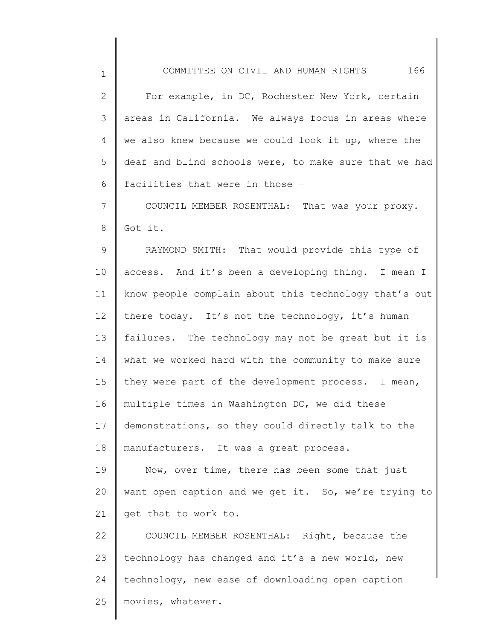COMMITTEE ON CIVIL AND HUMAN RIGHTS 166

| $\mathbf{2}$   | For example, in DC, Rochester New York, certain       |
|----------------|-------------------------------------------------------|
| $\mathcal{S}$  | areas in California. We always focus in areas where   |
| 4              | we also knew because we could look it up, where the   |
| 5              | deaf and blind schools were, to make sure that we had |
| 6              | facilities that were in those -                       |
| $7\phantom{.}$ | COUNCIL MEMBER ROSENTHAL: That was your proxy.        |
| $8\,$          | Got it.                                               |
| 9              | RAYMOND SMITH: That would provide this type of        |
| 10             | access. And it's been a developing thing. I mean I    |
| 11             | know people complain about this technology that's out |
| 12             | there today. It's not the technology, it's human      |
| 13             | failures. The technology may not be great but it is   |
| 14             | what we worked hard with the community to make sure   |
| 15             | they were part of the development process. I mean,    |
| 16             | multiple times in Washington DC, we did these         |
| 17             | demonstrations, so they could directly talk to the    |
| 18             | manufacturers. It was a great process.                |
| 19             | Now, over time, there has been some that just         |
| 20             | want open caption and we get it. So, we're trying to  |
| 21             | get that to work to.                                  |
| 22             | COUNCIL MEMBER ROSENTHAL: Right, because the          |
| 23             | technology has changed and it's a new world, new      |
| 24             | technology, new ease of downloading open caption      |

25 movies, whatever.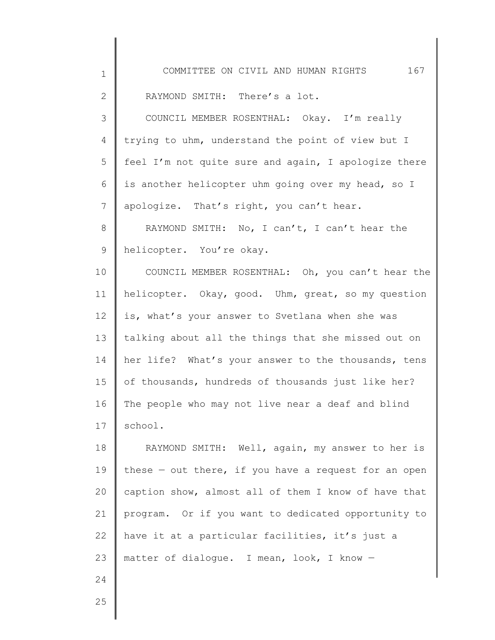| $\mathbf 1$    | 167<br>COMMITTEE ON CIVIL AND HUMAN RIGHTS             |
|----------------|--------------------------------------------------------|
| $\mathbf{2}$   | RAYMOND SMITH: There's a lot.                          |
| 3              | COUNCIL MEMBER ROSENTHAL: Okay. I'm really             |
| 4              | trying to uhm, understand the point of view but I      |
| 5              | feel I'm not quite sure and again, I apologize there   |
| 6              | is another helicopter uhm going over my head, so I     |
| $\overline{7}$ | apologize. That's right, you can't hear.               |
| 8              | RAYMOND SMITH: No, I can't, I can't hear the           |
| 9              | helicopter. You're okay.                               |
| 10             | COUNCIL MEMBER ROSENTHAL: Oh, you can't hear the       |
| 11             | helicopter. Okay, good. Uhm, great, so my question     |
| 12             | is, what's your answer to Svetlana when she was        |
| 13             | talking about all the things that she missed out on    |
| 14             | her life? What's your answer to the thousands, tens    |
| 15             | of thousands, hundreds of thousands just like her?     |
| 16             | The people who may not live near a deaf and blind      |
| 17             | school.                                                |
| 18             | RAYMOND SMITH: Well, again, my answer to her is        |
| 19             | these $-$ out there, if you have a request for an open |
| 20             | caption show, almost all of them I know of have that   |
| 21             | program. Or if you want to dedicated opportunity to    |
| 22             | have it at a particular facilities, it's just a        |
| 23             | matter of dialoque. I mean, look, I know -             |
| 24             |                                                        |
| 25             |                                                        |
|                |                                                        |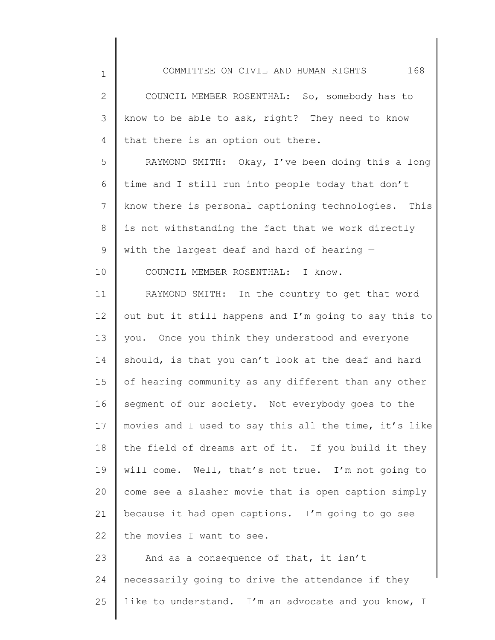| 2 COUNCIL MEMBER ROSENTHAL: So, somebody has to      |
|------------------------------------------------------|
| 3   know to be able to ask, right? They need to know |
| 4 that there is an option out there.                 |

1

10

5 6 7 8 9 RAYMOND SMITH: Okay, I've been doing this a long time and I still run into people today that don't know there is personal captioning technologies. This is not withstanding the fact that we work directly with the largest deaf and hard of hearing —

COUNCIL MEMBER ROSENTHAL: I know.

11 12 13 14 15 16 17 18 19 20 21 22 RAYMOND SMITH: In the country to get that word out but it still happens and I'm going to say this to you. Once you think they understood and everyone should, is that you can't look at the deaf and hard of hearing community as any different than any other segment of our society. Not everybody goes to the movies and I used to say this all the time, it's like the field of dreams art of it. If you build it they will come. Well, that's not true. I'm not going to come see a slasher movie that is open caption simply because it had open captions. I'm going to go see the movies I want to see.

23 24 25 And as a consequence of that, it isn't necessarily going to drive the attendance if they like to understand. I'm an advocate and you know, I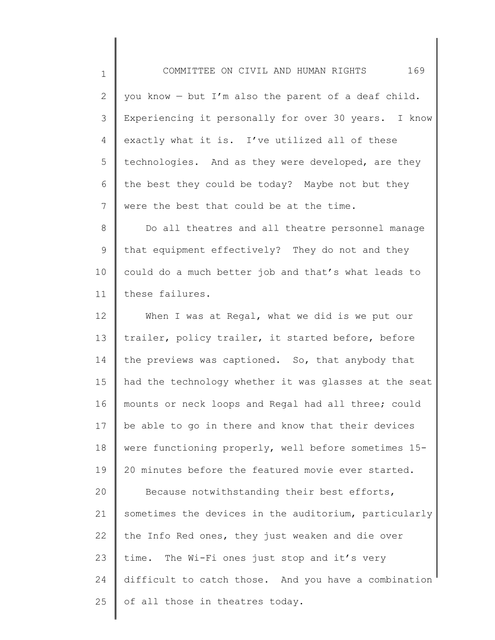1 2 3 4 5 6 7 you know — but I'm also the parent of a deaf child. Experiencing it personally for over 30 years. I know exactly what it is. I've utilized all of these technologies. And as they were developed, are they the best they could be today? Maybe not but they were the best that could be at the time.

COMMITTEE ON CIVIL AND HUMAN RIGHTS 169

8 9 10 11 Do all theatres and all theatre personnel manage that equipment effectively? They do not and they could do a much better job and that's what leads to these failures.

12 13 14 15 16 17 18 19 20 21 22 23 24 25 When I was at Regal, what we did is we put our trailer, policy trailer, it started before, before the previews was captioned. So, that anybody that had the technology whether it was glasses at the seat mounts or neck loops and Regal had all three; could be able to go in there and know that their devices were functioning properly, well before sometimes 15- 20 minutes before the featured movie ever started. Because notwithstanding their best efforts, sometimes the devices in the auditorium, particularly the Info Red ones, they just weaken and die over time. The Wi-Fi ones just stop and it's very difficult to catch those. And you have a combination of all those in theatres today.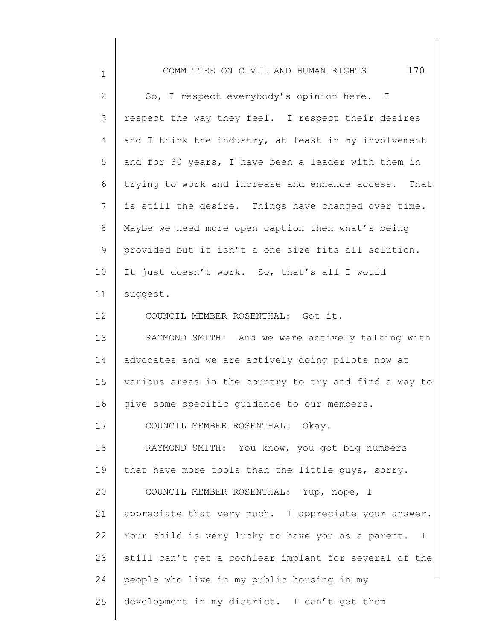| $\mathbf 1$  | 170<br>COMMITTEE ON CIVIL AND HUMAN RIGHTS            |
|--------------|-------------------------------------------------------|
| $\mathbf{2}$ | So, I respect everybody's opinion here. I             |
| 3            | respect the way they feel. I respect their desires    |
| 4            | and I think the industry, at least in my involvement  |
| 5            | and for 30 years, I have been a leader with them in   |
| 6            | trying to work and increase and enhance access. That  |
| 7            | is still the desire. Things have changed over time.   |
| $8\,$        | Maybe we need more open caption then what's being     |
| 9            | provided but it isn't a one size fits all solution.   |
| 10           | It just doesn't work. So, that's all I would          |
| 11           | suggest.                                              |
| 12           | COUNCIL MEMBER ROSENTHAL: Got it.                     |
| 13           | RAYMOND SMITH: And we were actively talking with      |
| 14           | advocates and we are actively doing pilots now at     |
| 15           | various areas in the country to try and find a way to |
| 16           | give some specific guidance to our members.           |
| 17           | COUNCIL MEMBER ROSENTHAL: Okay.                       |
| 18           | RAYMOND SMITH: You know, you got big numbers          |
| 19           | that have more tools than the little guys, sorry.     |
| 20           | COUNCIL MEMBER ROSENTHAL: Yup, nope, I                |
| 21           | appreciate that very much. I appreciate your answer.  |
| 22           | Your child is very lucky to have you as a parent. I   |
| 23           | still can't get a cochlear implant for several of the |
| 24           | people who live in my public housing in my            |
| 25           | development in my district. I can't get them          |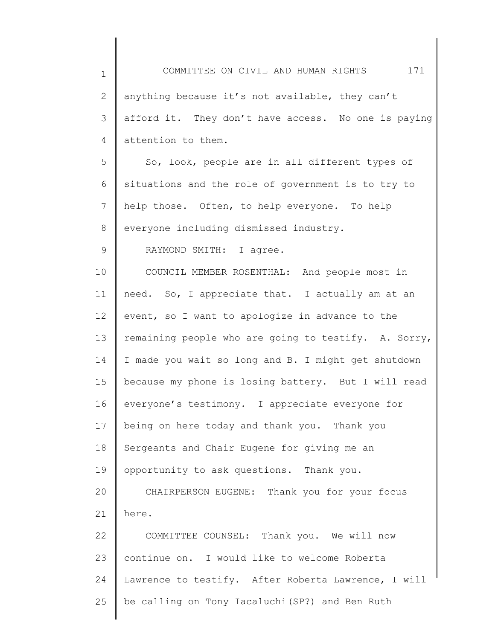| $\mathbf 1$ | COMMITTEE ON CIVIL AND HUMAN RIGHTS 171              |
|-------------|------------------------------------------------------|
| 2           | anything because it's not available, they can't      |
| 3           | afford it. They don't have access. No one is paying  |
| 4           | attention to them.                                   |
| 5           | So, look, people are in all different types of       |
| 6           | situations and the role of government is to try to   |
| 7           | help those. Often, to help everyone. To help         |
| 8           | everyone including dismissed industry.               |
| $\mathsf 9$ | RAYMOND SMITH: I agree.                              |
| 10          | COUNCIL MEMBER ROSENTHAL: And people most in         |
| 11          | need. So, I appreciate that. I actually am at an     |
| 12          | event, so I want to apologize in advance to the      |
| 13          | remaining people who are going to testify. A. Sorry, |
| 14          | I made you wait so long and B. I might get shutdown  |
| 15          | because my phone is losing battery. But I will read  |
| 16          | everyone's testimony. I appreciate everyone for      |
| 17          | being on here today and thank you. Thank you         |
| 18          | Sergeants and Chair Eugene for giving me an          |
| 19          | opportunity to ask questions. Thank you.             |
| 20          | CHAIRPERSON EUGENE: Thank you for your focus         |
| 21          | here.                                                |
| 22          | COMMITTEE COUNSEL: Thank you. We will now            |
| 23          | continue on. I would like to welcome Roberta         |
| 24          | Lawrence to testify. After Roberta Lawrence, I will  |
| 25          | be calling on Tony Iacaluchi (SP?) and Ben Ruth      |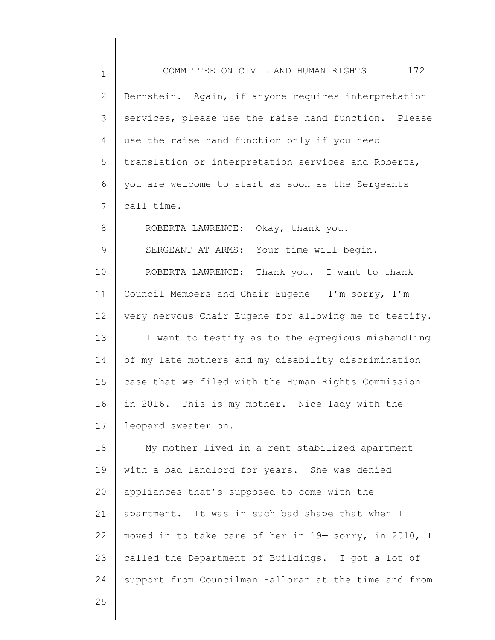| $\mathbf 1$   | COMMITTEE ON CIVIL AND HUMAN RIGHTS 172               |
|---------------|-------------------------------------------------------|
| $\mathbf{2}$  | Bernstein. Again, if anyone requires interpretation   |
| 3             | services, please use the raise hand function. Please  |
| 4             | use the raise hand function only if you need          |
| 5             | translation or interpretation services and Roberta,   |
| 6             | you are welcome to start as soon as the Sergeants     |
| 7             | call time.                                            |
| 8             | ROBERTA LAWRENCE: Okay, thank you.                    |
| $\mathcal{G}$ | SERGEANT AT ARMS: Your time will begin.               |
| 10            | ROBERTA LAWRENCE: Thank you. I want to thank          |
| 11            | Council Members and Chair Eugene $-$ I'm sorry, I'm   |
| 12            | very nervous Chair Eugene for allowing me to testify. |
| 13            | I want to testify as to the egregious mishandling     |
| 14            | of my late mothers and my disability discrimination   |
| 15            | case that we filed with the Human Rights Commission   |
| 16            | in 2016. This is my mother. Nice lady with the        |
| 17            | leopard sweater on.                                   |
| 18            | My mother lived in a rent stabilized apartment        |
| 19            | with a bad landlord for years. She was denied         |
| 20            | appliances that's supposed to come with the           |
| 21            | apartment. It was in such bad shape that when I       |
| 22            | moved in to take care of her in 19- sorry, in 2010, I |
| 23            | called the Department of Buildings. I got a lot of    |
| 24            | support from Councilman Halloran at the time and from |
| 25            |                                                       |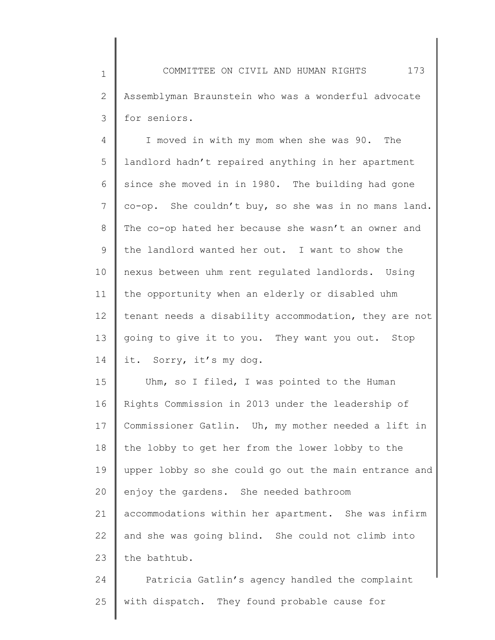1 2 3 COMMITTEE ON CIVIL AND HUMAN RIGHTS 173 Assemblyman Braunstein who was a wonderful advocate for seniors.

4 5 6 7 8 9 10 11 12 13 14 I moved in with my mom when she was 90. The landlord hadn't repaired anything in her apartment since she moved in in 1980. The building had gone co-op. She couldn't buy, so she was in no mans land. The co-op hated her because she wasn't an owner and the landlord wanted her out. I want to show the nexus between uhm rent regulated landlords. Using the opportunity when an elderly or disabled uhm tenant needs a disability accommodation, they are not going to give it to you. They want you out. Stop it. Sorry, it's my dog.

15 16 17 18 19 20 21 22 23 Uhm, so I filed, I was pointed to the Human Rights Commission in 2013 under the leadership of Commissioner Gatlin. Uh, my mother needed a lift in the lobby to get her from the lower lobby to the upper lobby so she could go out the main entrance and enjoy the gardens. She needed bathroom accommodations within her apartment. She was infirm and she was going blind. She could not climb into the bathtub.

24 25 Patricia Gatlin's agency handled the complaint with dispatch. They found probable cause for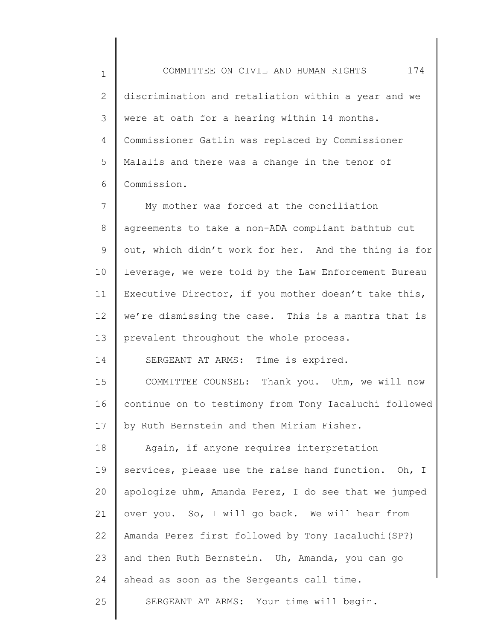1 2 3 4 5 6 COMMITTEE ON CIVIL AND HUMAN RIGHTS 174 discrimination and retaliation within a year and we were at oath for a hearing within 14 months. Commissioner Gatlin was replaced by Commissioner Malalis and there was a change in the tenor of Commission.

7 8 9 10 11 12 13 My mother was forced at the conciliation agreements to take a non-ADA compliant bathtub cut out, which didn't work for her. And the thing is for leverage, we were told by the Law Enforcement Bureau Executive Director, if you mother doesn't take this, we're dismissing the case. This is a mantra that is prevalent throughout the whole process.

SERGEANT AT ARMS: Time is expired.

14

15 16 17 COMMITTEE COUNSEL: Thank you. Uhm, we will now continue on to testimony from Tony Iacaluchi followed by Ruth Bernstein and then Miriam Fisher.

18 19 20 21 22 23 24 25 Again, if anyone requires interpretation services, please use the raise hand function. Oh, I apologize uhm, Amanda Perez, I do see that we jumped over you. So, I will go back. We will hear from Amanda Perez first followed by Tony Iacaluchi(SP?) and then Ruth Bernstein. Uh, Amanda, you can go ahead as soon as the Sergeants call time. SERGEANT AT ARMS: Your time will begin.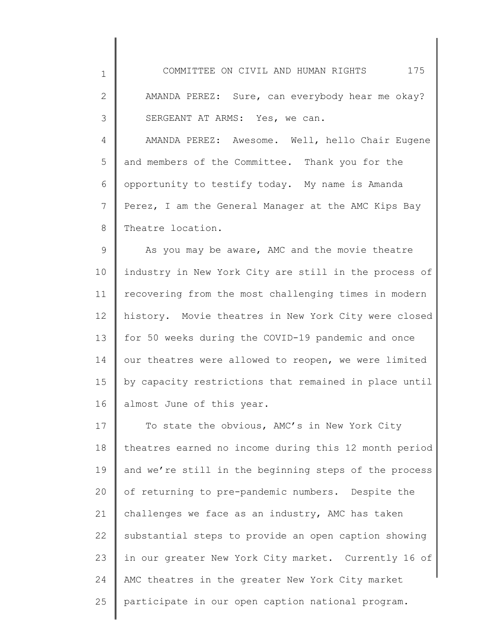| $\mathbf 1$    | 175<br>COMMITTEE ON CIVIL AND HUMAN RIGHTS            |
|----------------|-------------------------------------------------------|
| $\mathbf{2}$   | AMANDA PEREZ: Sure, can everybody hear me okay?       |
| 3              | SERGEANT AT ARMS: Yes, we can.                        |
| $\overline{4}$ | AMANDA PEREZ: Awesome. Well, hello Chair Eugene       |
| 5              | and members of the Committee. Thank you for the       |
| 6              | opportunity to testify today. My name is Amanda       |
| 7              | Perez, I am the General Manager at the AMC Kips Bay   |
| 8              | Theatre location.                                     |
| $\mathsf 9$    | As you may be aware, AMC and the movie theatre        |
| 10             | industry in New York City are still in the process of |
| 11             | recovering from the most challenging times in modern  |
| 12             | history. Movie theatres in New York City were closed  |
| 13             | for 50 weeks during the COVID-19 pandemic and once    |
| 14             | our theatres were allowed to reopen, we were limited  |
| 15             | by capacity restrictions that remained in place until |
| 16             | almost June of this year.                             |
| 17             | To state the obvious, AMC's in New York City          |
| 18             | theatres earned no income during this 12 month period |
| 19             | and we're still in the beginning steps of the process |
| 20             | of returning to pre-pandemic numbers. Despite the     |
| 21             | challenges we face as an industry, AMC has taken      |
| 22             | substantial steps to provide an open caption showing  |
| 23             | in our greater New York City market. Currently 16 of  |
| 24             | AMC theatres in the greater New York City market      |
| 25             | participate in our open caption national program.     |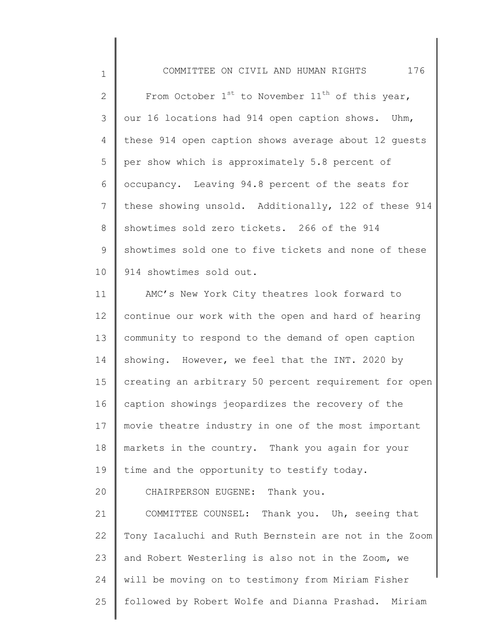1 2 3 4 5 6 7 8 9 10 COMMITTEE ON CIVIL AND HUMAN RIGHTS 176 From October  $1^{st}$  to November  $11^{th}$  of this year, our 16 locations had 914 open caption shows. Uhm, these 914 open caption shows average about 12 guests per show which is approximately 5.8 percent of occupancy. Leaving 94.8 percent of the seats for these showing unsold. Additionally, 122 of these 914 showtimes sold zero tickets. 266 of the 914 showtimes sold one to five tickets and none of these 914 showtimes sold out.

11 12 13 14 15 16 17 18 19 20 21 22 23 24 25 AMC's New York City theatres look forward to continue our work with the open and hard of hearing community to respond to the demand of open caption showing. However, we feel that the INT. 2020 by creating an arbitrary 50 percent requirement for open caption showings jeopardizes the recovery of the movie theatre industry in one of the most important markets in the country. Thank you again for your time and the opportunity to testify today. CHAIRPERSON EUGENE: Thank you. COMMITTEE COUNSEL: Thank you. Uh, seeing that Tony Iacaluchi and Ruth Bernstein are not in the Zoom and Robert Westerling is also not in the Zoom, we will be moving on to testimony from Miriam Fisher followed by Robert Wolfe and Dianna Prashad. Miriam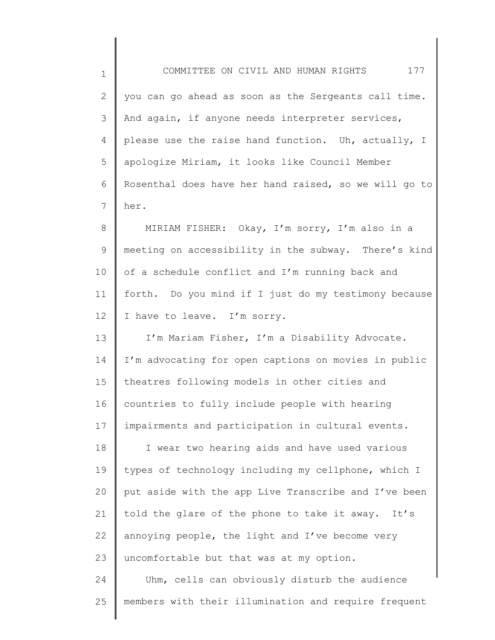| 1  | 177<br>COMMITTEE ON CIVIL AND HUMAN RIGHTS            |
|----|-------------------------------------------------------|
| 2  | you can go ahead as soon as the Sergeants call time.  |
| 3  | And again, if anyone needs interpreter services,      |
| 4  | please use the raise hand function. Uh, actually, I   |
| 5  | apologize Miriam, it looks like Council Member        |
| 6  | Rosenthal does have her hand raised, so we will go to |
| 7  | her.                                                  |
| 8  | MIRIAM FISHER: Okay, I'm sorry, I'm also in a         |
| 9  | meeting on accessibility in the subway. There's kind  |
| 10 | of a schedule conflict and I'm running back and       |
| 11 | forth. Do you mind if I just do my testimony because  |
| 12 | I have to leave. I'm sorry.                           |
| 13 | I'm Mariam Fisher, I'm a Disability Advocate.         |
| 14 | I'm advocating for open captions on movies in public  |
| 15 | theatres following models in other cities and         |
| 16 | countries to fully include people with hearing        |
| 17 | impairments and participation in cultural events.     |
| 18 | I wear two hearing aids and have used various         |
| 19 | types of technology including my cellphone, which I   |
| 20 | put aside with the app Live Transcribe and I've been  |
| 21 | told the glare of the phone to take it away. It's     |
| 22 | annoying people, the light and I've become very       |
| 23 | uncomfortable but that was at my option.              |
| 24 | Uhm, cells can obviously disturb the audience         |
| 25 | members with their illumination and require frequent  |
|    |                                                       |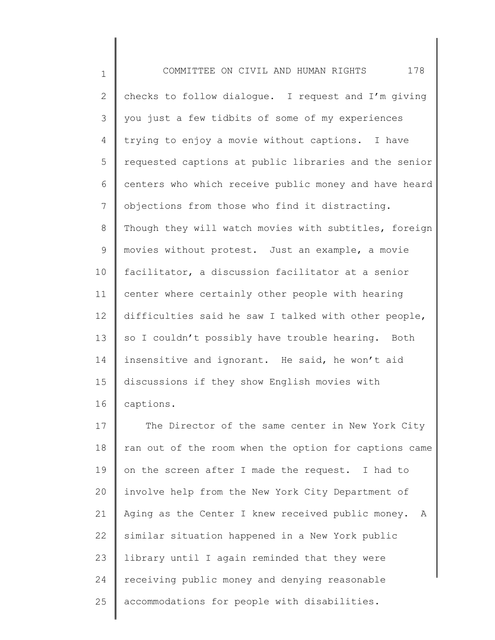1 2 3 4 5 6 7 8 9 10 11 12 13 14 15 16 17 18 19 20 21 COMMITTEE ON CIVIL AND HUMAN RIGHTS 178 checks to follow dialogue. I request and I'm giving you just a few tidbits of some of my experiences trying to enjoy a movie without captions. I have requested captions at public libraries and the senior centers who which receive public money and have heard objections from those who find it distracting. Though they will watch movies with subtitles, foreign movies without protest. Just an example, a movie facilitator, a discussion facilitator at a senior center where certainly other people with hearing difficulties said he saw I talked with other people, so I couldn't possibly have trouble hearing. Both insensitive and ignorant. He said, he won't aid discussions if they show English movies with captions. The Director of the same center in New York City ran out of the room when the option for captions came on the screen after I made the request. I had to involve help from the New York City Department of Aging as the Center I knew received public money. A

22 23 24 25 similar situation happened in a New York public library until I again reminded that they were receiving public money and denying reasonable accommodations for people with disabilities.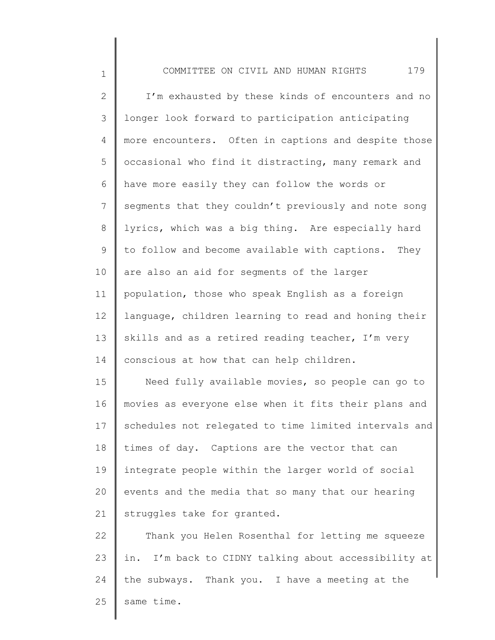1 2 3 4 5 6 7 8 9 10 11 12 13 14 15 16 17 18 19 20 21 COMMITTEE ON CIVIL AND HUMAN RIGHTS 179 I'm exhausted by these kinds of encounters and no longer look forward to participation anticipating more encounters. Often in captions and despite those occasional who find it distracting, many remark and have more easily they can follow the words or segments that they couldn't previously and note song lyrics, which was a big thing. Are especially hard to follow and become available with captions. They are also an aid for segments of the larger population, those who speak English as a foreign language, children learning to read and honing their skills and as a retired reading teacher, I'm very conscious at how that can help children. Need fully available movies, so people can go to movies as everyone else when it fits their plans and schedules not relegated to time limited intervals and times of day. Captions are the vector that can integrate people within the larger world of social events and the media that so many that our hearing struggles take for granted.

22 23 24 25 Thank you Helen Rosenthal for letting me squeeze in. I'm back to CIDNY talking about accessibility at the subways. Thank you. I have a meeting at the same time.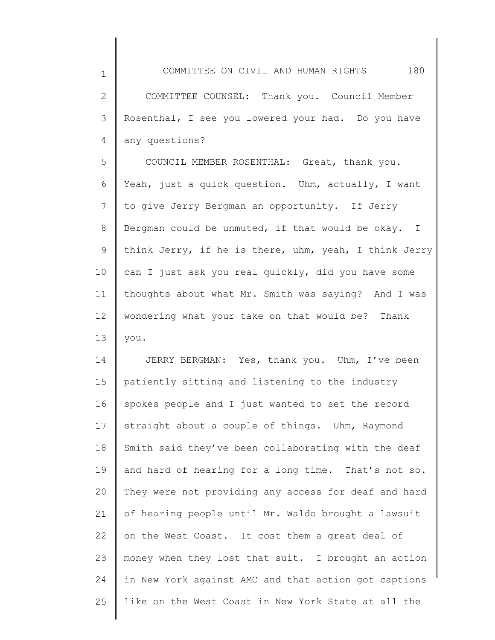COMMITTEE ON CIVIL AND HUMAN RIGHTS 180 COMMITTEE COUNSEL: Thank you. Council Member Rosenthal, I see you lowered your had. Do you have any questions?

1

2

3

4

5 6 7 8 9 10 11 12 13 COUNCIL MEMBER ROSENTHAL: Great, thank you. Yeah, just a quick question. Uhm, actually, I want to give Jerry Bergman an opportunity. If Jerry Bergman could be unmuted, if that would be okay. I think Jerry, if he is there, uhm, yeah, I think Jerry can I just ask you real quickly, did you have some thoughts about what Mr. Smith was saying? And I was wondering what your take on that would be? Thank you.

14 15 16 17 18 19 20 21 22 23 24 25 JERRY BERGMAN: Yes, thank you. Uhm, I've been patiently sitting and listening to the industry spokes people and I just wanted to set the record straight about a couple of things. Uhm, Raymond Smith said they've been collaborating with the deaf and hard of hearing for a long time. That's not so. They were not providing any access for deaf and hard of hearing people until Mr. Waldo brought a lawsuit on the West Coast. It cost them a great deal of money when they lost that suit. I brought an action in New York against AMC and that action got captions like on the West Coast in New York State at all the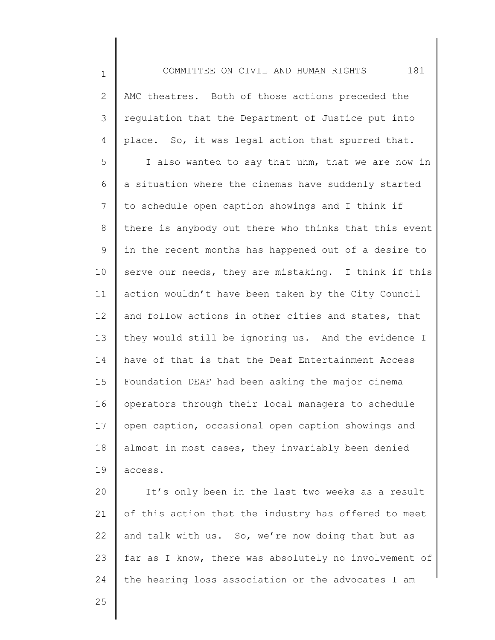1 2 3 4 5 6 7 8 9 10 11 12 13 14 15 16 17 18 19 20 21 22 23 24 25 COMMITTEE ON CIVIL AND HUMAN RIGHTS 181 AMC theatres. Both of those actions preceded the regulation that the Department of Justice put into place. So, it was legal action that spurred that. I also wanted to say that uhm, that we are now in a situation where the cinemas have suddenly started to schedule open caption showings and I think if there is anybody out there who thinks that this event in the recent months has happened out of a desire to serve our needs, they are mistaking. I think if this action wouldn't have been taken by the City Council and follow actions in other cities and states, that they would still be ignoring us. And the evidence I have of that is that the Deaf Entertainment Access Foundation DEAF had been asking the major cinema operators through their local managers to schedule open caption, occasional open caption showings and almost in most cases, they invariably been denied access. It's only been in the last two weeks as a result of this action that the industry has offered to meet and talk with us. So, we're now doing that but as far as I know, there was absolutely no involvement of the hearing loss association or the advocates I am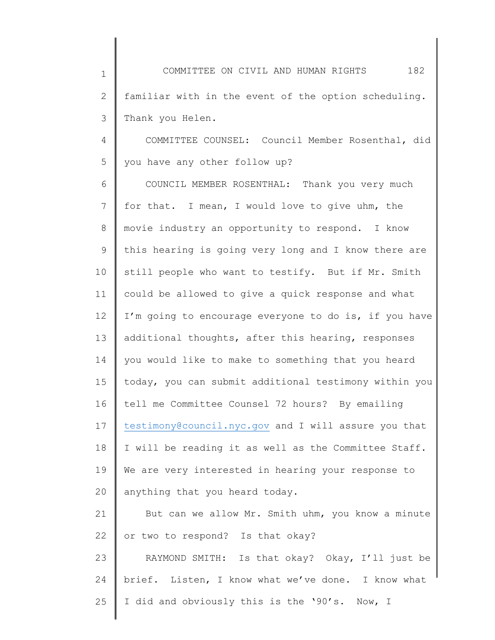1 2 3 COMMITTEE ON CIVIL AND HUMAN RIGHTS 182 familiar with in the event of the option scheduling. Thank you Helen.

4 5 COMMITTEE COUNSEL: Council Member Rosenthal, did you have any other follow up?

6 7 8 9 10 11 12 13 14 15 16 17 18 19 20 COUNCIL MEMBER ROSENTHAL: Thank you very much for that. I mean, I would love to give uhm, the movie industry an opportunity to respond. I know this hearing is going very long and I know there are still people who want to testify. But if Mr. Smith could be allowed to give a quick response and what I'm going to encourage everyone to do is, if you have additional thoughts, after this hearing, responses you would like to make to something that you heard today, you can submit additional testimony within you tell me Committee Counsel 72 hours? By emailing [testimony@council.nyc.gov](mailto:testimony@council.nyc.gov) and I will assure you that I will be reading it as well as the Committee Staff. We are very interested in hearing your response to anything that you heard today.

21 22 But can we allow Mr. Smith uhm, you know a minute or two to respond? Is that okay?

23 24 25 RAYMOND SMITH: Is that okay? Okay, I'll just be brief. Listen, I know what we've done. I know what I did and obviously this is the '90's. Now, I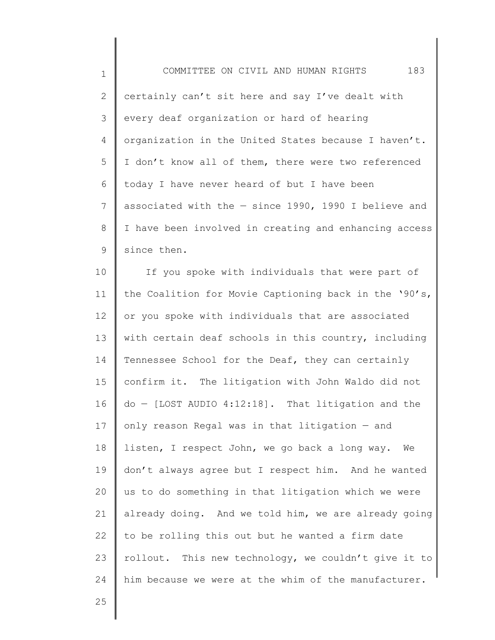1 2 3 4 5 6 7 8 9 COMMITTEE ON CIVIL AND HUMAN RIGHTS 183 certainly can't sit here and say I've dealt with every deaf organization or hard of hearing organization in the United States because I haven't. I don't know all of them, there were two referenced today I have never heard of but I have been associated with the — since 1990, 1990 I believe and I have been involved in creating and enhancing access since then.

10 11 12 13 14 15 16 17 18 19 20 21 22 23 24 If you spoke with individuals that were part of the Coalition for Movie Captioning back in the '90's, or you spoke with individuals that are associated with certain deaf schools in this country, including Tennessee School for the Deaf, they can certainly confirm it. The litigation with John Waldo did not do — [LOST AUDIO 4:12:18]. That litigation and the only reason Regal was in that litigation — and listen, I respect John, we go back a long way. We don't always agree but I respect him. And he wanted us to do something in that litigation which we were already doing. And we told him, we are already going to be rolling this out but he wanted a firm date rollout. This new technology, we couldn't give it to him because we were at the whim of the manufacturer.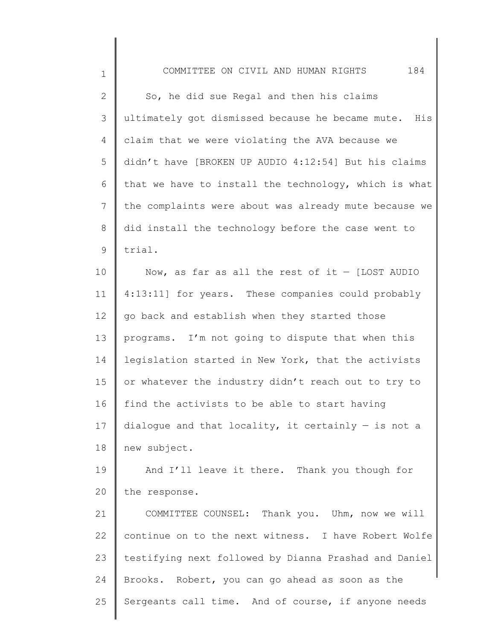1

2 3 4 5 6 7 8 9 So, he did sue Regal and then his claims ultimately got dismissed because he became mute. His claim that we were violating the AVA because we didn't have [BROKEN UP AUDIO 4:12:54] But his claims that we have to install the technology, which is what the complaints were about was already mute because we did install the technology before the case went to trial.

10 11 12 13 14 15 16 17 18 Now, as far as all the rest of it  $-$  [LOST AUDIO 4:13:11] for years. These companies could probably go back and establish when they started those programs. I'm not going to dispute that when this legislation started in New York, that the activists or whatever the industry didn't reach out to try to find the activists to be able to start having dialogue and that locality, it certainly  $-$  is not a new subject.

19 20 And I'll leave it there. Thank you though for the response.

21 22 23 24 25 COMMITTEE COUNSEL: Thank you. Uhm, now we will continue on to the next witness. I have Robert Wolfe testifying next followed by Dianna Prashad and Daniel Brooks. Robert, you can go ahead as soon as the Sergeants call time. And of course, if anyone needs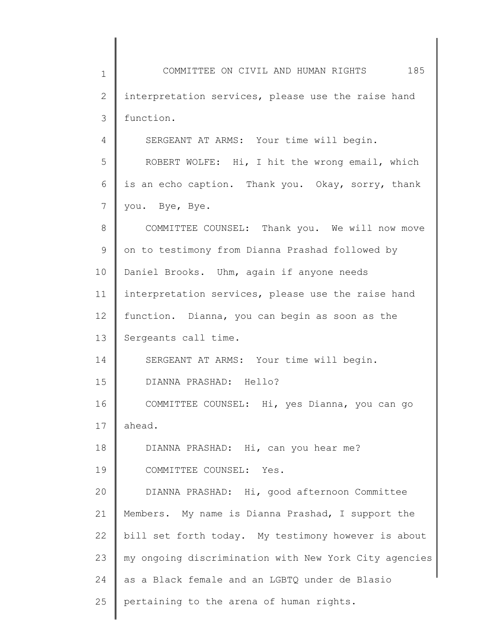1 2 3 4 5 6 7 8 9 10 11 12 13 14 15 16 17 18 19 20 21 22 23 24 25 COMMITTEE ON CIVIL AND HUMAN RIGHTS 185 interpretation services, please use the raise hand function. SERGEANT AT ARMS: Your time will begin. ROBERT WOLFE: Hi, I hit the wrong email, which is an echo caption. Thank you. Okay, sorry, thank you. Bye, Bye. COMMITTEE COUNSEL: Thank you. We will now move on to testimony from Dianna Prashad followed by Daniel Brooks. Uhm, again if anyone needs interpretation services, please use the raise hand function. Dianna, you can begin as soon as the Sergeants call time. SERGEANT AT ARMS: Your time will begin. DIANNA PRASHAD: Hello? COMMITTEE COUNSEL: Hi, yes Dianna, you can go ahead. DIANNA PRASHAD: Hi, can you hear me? COMMITTEE COUNSEL: Yes. DIANNA PRASHAD: Hi, good afternoon Committee Members. My name is Dianna Prashad, I support the bill set forth today. My testimony however is about my ongoing discrimination with New York City agencies as a Black female and an LGBTQ under de Blasio pertaining to the arena of human rights.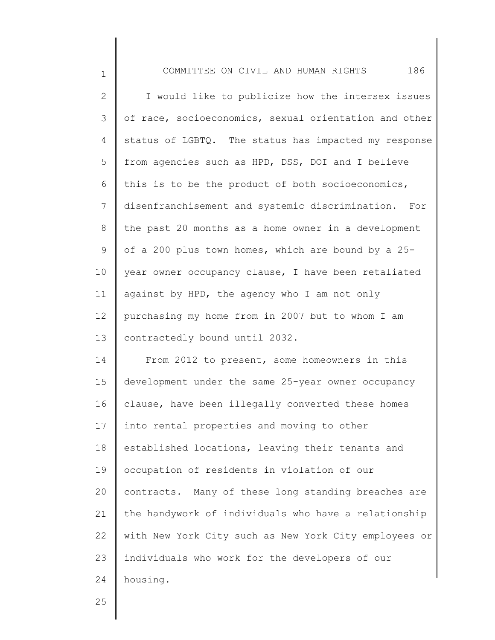| $\mathbf 1$  | 186<br>COMMITTEE ON CIVIL AND HUMAN RIGHTS            |
|--------------|-------------------------------------------------------|
| $\mathbf{2}$ | I would like to publicize how the intersex issues     |
| 3            | of race, socioeconomics, sexual orientation and other |
| 4            | status of LGBTQ. The status has impacted my response  |
| 5            | from agencies such as HPD, DSS, DOI and I believe     |
| 6            | this is to be the product of both socioeconomics,     |
| 7            | disenfranchisement and systemic discrimination. For   |
| 8            | the past 20 months as a home owner in a development   |
| 9            | of a 200 plus town homes, which are bound by a 25-    |
| 10           | year owner occupancy clause, I have been retaliated   |
| 11           | against by HPD, the agency who I am not only          |
| 12           | purchasing my home from in 2007 but to whom I am      |
| 13           | contractedly bound until 2032.                        |
| 14           | From 2012 to present, some homeowners in this         |
| 15           | development under the same 25-year owner occupancy    |
| 16           | clause, have been illegally converted these homes     |
| 17           | into rental properties and moving to other            |
| 18           | established locations, leaving their tenants and      |
| 19           | occupation of residents in violation of our           |
| 20           | contracts. Many of these long standing breaches are   |
| 21           | the handywork of individuals who have a relationship  |
| 22           | with New York City such as New York City employees or |
| 23           | individuals who work for the developers of our        |
| 24           | housing.                                              |

25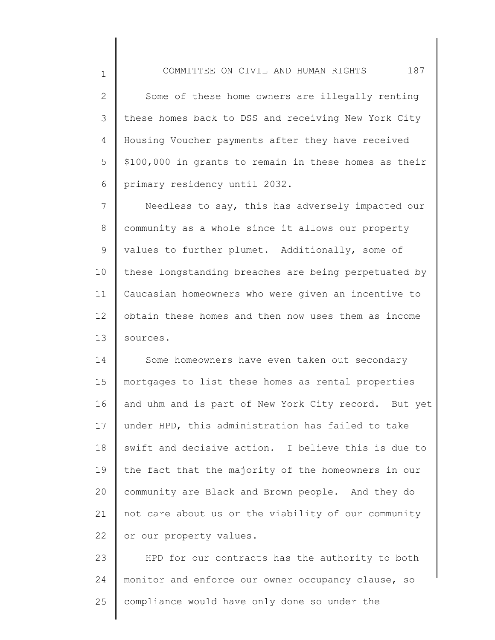2 3 4 5 6 Some of these home owners are illegally renting these homes back to DSS and receiving New York City Housing Voucher payments after they have received \$100,000 in grants to remain in these homes as their primary residency until 2032.

1

7 8 9 10 11 12 13 Needless to say, this has adversely impacted our community as a whole since it allows our property values to further plumet. Additionally, some of these longstanding breaches are being perpetuated by Caucasian homeowners who were given an incentive to obtain these homes and then now uses them as income sources.

14 15 16 17 18 19 20 21 22 Some homeowners have even taken out secondary mortgages to list these homes as rental properties and uhm and is part of New York City record. But yet under HPD, this administration has failed to take swift and decisive action. I believe this is due to the fact that the majority of the homeowners in our community are Black and Brown people. And they do not care about us or the viability of our community or our property values.

23 24 25 HPD for our contracts has the authority to both monitor and enforce our owner occupancy clause, so compliance would have only done so under the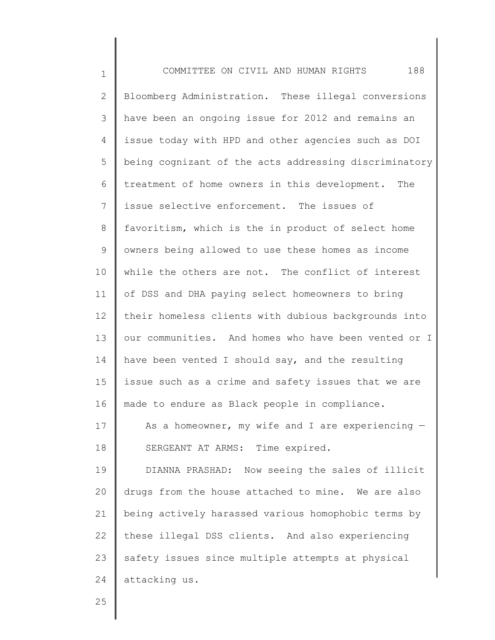| $\mathbf 1$  | 188<br>COMMITTEE ON CIVIL AND HUMAN RIGHTS            |
|--------------|-------------------------------------------------------|
| $\mathbf{2}$ | Bloomberg Administration. These illegal conversions   |
| 3            | have been an ongoing issue for 2012 and remains an    |
| 4            | issue today with HPD and other agencies such as DOI   |
| 5            | being cognizant of the acts addressing discriminatory |
| 6            | treatment of home owners in this development. The     |
| 7            | issue selective enforcement. The issues of            |
| 8            | favoritism, which is the in product of select home    |
| 9            | owners being allowed to use these homes as income     |
| 10           | while the others are not. The conflict of interest    |
| 11           | of DSS and DHA paying select homeowners to bring      |
| 12           | their homeless clients with dubious backgrounds into  |
| 13           | our communities. And homes who have been vented or I  |
| 14           | have been vented I should say, and the resulting      |
| 15           | issue such as a crime and safety issues that we are   |
| 16           | made to endure as Black people in compliance.         |
| 17           | As a homeowner, my wife and I are experiencing $-$    |
| 18           | SERGEANT AT ARMS: Time expired.                       |
| 19           | DIANNA PRASHAD: Now seeing the sales of illicit       |
| 20           | drugs from the house attached to mine. We are also    |
| 21           | being actively harassed various homophobic terms by   |
| 22           | these illegal DSS clients. And also experiencing      |
| 23           | safety issues since multiple attempts at physical     |
| 24           | attacking us.                                         |

25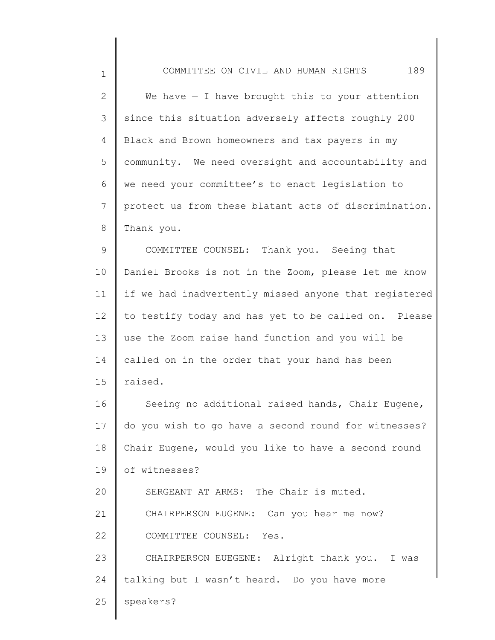| $\mathbf 1$     | 189<br>COMMITTEE ON CIVIL AND HUMAN RIGHTS            |
|-----------------|-------------------------------------------------------|
| $\mathbf{2}$    | We have $-$ I have brought this to your attention     |
| 3               | since this situation adversely affects roughly 200    |
| 4               | Black and Brown homeowners and tax payers in my       |
| 5               | community. We need oversight and accountability and   |
| 6               | we need your committee's to enact legislation to      |
| $7\phantom{.0}$ | protect us from these blatant acts of discrimination. |
| $8\,$           | Thank you.                                            |
| 9               | COMMITTEE COUNSEL: Thank you. Seeing that             |
| 10              | Daniel Brooks is not in the Zoom, please let me know  |
| 11              | if we had inadvertently missed anyone that registered |
| 12              | to testify today and has yet to be called on. Please  |
| 13              | use the Zoom raise hand function and you will be      |
| 14              | called on in the order that your hand has been        |
| 15              | raised.                                               |
| 16              | Seeing no additional raised hands, Chair Eugene,      |
| 17              | do you wish to go have a second round for witnesses?  |
| 18              | Chair Eugene, would you like to have a second round   |
| 19              | of witnesses?                                         |
| 20              | SERGEANT AT ARMS: The Chair is muted.                 |
| 21              | CHAIRPERSON EUGENE: Can you hear me now?              |
| 22              | COMMITTEE COUNSEL: Yes.                               |
| 23              | CHAIRPERSON EUEGENE: Alright thank you. I was         |
| 24              | talking but I wasn't heard. Do you have more          |
| 25              | speakers?                                             |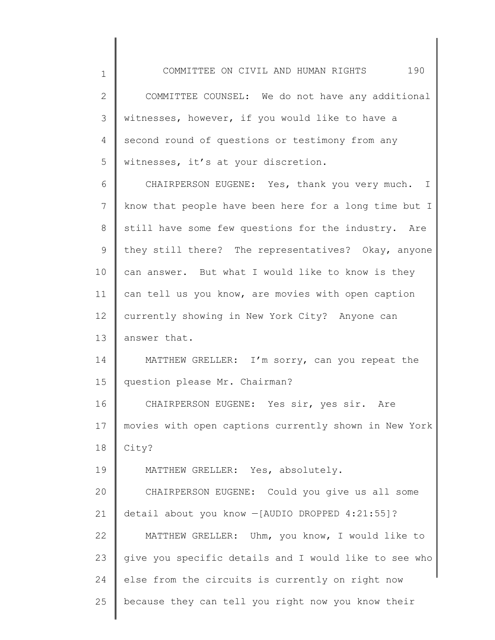1

25

2 3 4 5 6 7 8 9 10 11 12 13 14 15 16 17 18 19 20 21 22 23 24 COMMITTEE COUNSEL: We do not have any additional witnesses, however, if you would like to have a second round of questions or testimony from any witnesses, it's at your discretion. CHAIRPERSON EUGENE: Yes, thank you very much. I know that people have been here for a long time but I still have some few questions for the industry. Are they still there? The representatives? Okay, anyone can answer. But what I would like to know is they can tell us you know, are movies with open caption currently showing in New York City? Anyone can answer that. MATTHEW GRELLER: I'm sorry, can you repeat the question please Mr. Chairman? CHAIRPERSON EUGENE: Yes sir, yes sir. Are movies with open captions currently shown in New York City? MATTHEW GRELLER: Yes, absolutely. CHAIRPERSON EUGENE: Could you give us all some detail about you know —[AUDIO DROPPED 4:21:55]? MATTHEW GRELLER: Uhm, you know, I would like to give you specific details and I would like to see who else from the circuits is currently on right now

because they can tell you right now you know their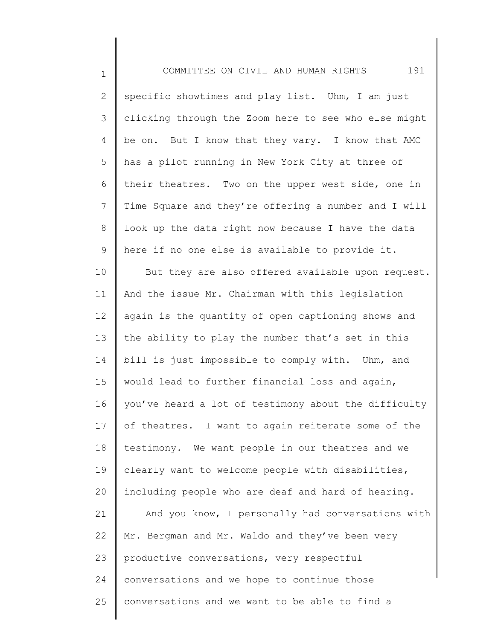1 2 3 4 5 6 7 8 9 10 11 12 13 14 15 16 17 18 19 20 21 22 23 COMMITTEE ON CIVIL AND HUMAN RIGHTS 191 specific showtimes and play list. Uhm, I am just clicking through the Zoom here to see who else might be on. But I know that they vary. I know that AMC has a pilot running in New York City at three of their theatres. Two on the upper west side, one in Time Square and they're offering a number and I will look up the data right now because I have the data here if no one else is available to provide it. But they are also offered available upon request. And the issue Mr. Chairman with this legislation again is the quantity of open captioning shows and the ability to play the number that's set in this bill is just impossible to comply with. Uhm, and would lead to further financial loss and again, you've heard a lot of testimony about the difficulty of theatres. I want to again reiterate some of the testimony. We want people in our theatres and we clearly want to welcome people with disabilities, including people who are deaf and hard of hearing. And you know, I personally had conversations with Mr. Bergman and Mr. Waldo and they've been very productive conversations, very respectful

conversations and we hope to continue those

conversations and we want to be able to find a

24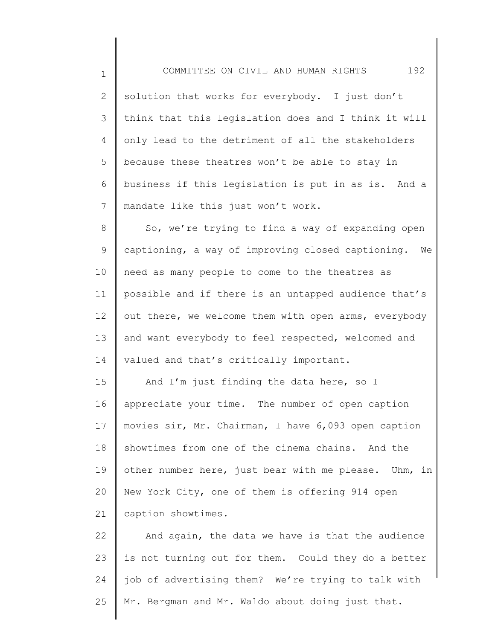1 2 3 4 5 6 7 COMMITTEE ON CIVIL AND HUMAN RIGHTS 192 solution that works for everybody. I just don't think that this legislation does and I think it will only lead to the detriment of all the stakeholders because these theatres won't be able to stay in business if this legislation is put in as is. And a mandate like this just won't work.

8 9 10 11 12 13 14 So, we're trying to find a way of expanding open captioning, a way of improving closed captioning. We need as many people to come to the theatres as possible and if there is an untapped audience that's out there, we welcome them with open arms, everybody and want everybody to feel respected, welcomed and valued and that's critically important.

15 16 17 18 19 20 21 And I'm just finding the data here, so I appreciate your time. The number of open caption movies sir, Mr. Chairman, I have 6,093 open caption showtimes from one of the cinema chains. And the other number here, just bear with me please. Uhm, in New York City, one of them is offering 914 open caption showtimes.

22 23 24 25 And again, the data we have is that the audience is not turning out for them. Could they do a better job of advertising them? We're trying to talk with Mr. Bergman and Mr. Waldo about doing just that.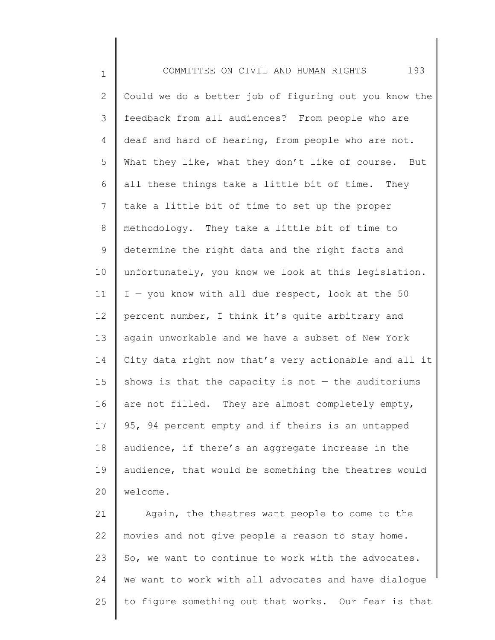1 2 3 4 5 6 7 8 9 10 11 12 13 14 15 16 17 18 19 20 COMMITTEE ON CIVIL AND HUMAN RIGHTS 193 Could we do a better job of figuring out you know the feedback from all audiences? From people who are deaf and hard of hearing, from people who are not. What they like, what they don't like of course. But all these things take a little bit of time. They take a little bit of time to set up the proper methodology. They take a little bit of time to determine the right data and the right facts and unfortunately, you know we look at this legislation. I — you know with all due respect, look at the 50 percent number, I think it's quite arbitrary and again unworkable and we have a subset of New York City data right now that's very actionable and all it shows is that the capacity is not  $-$  the auditoriums are not filled. They are almost completely empty, 95, 94 percent empty and if theirs is an untapped audience, if there's an aggregate increase in the audience, that would be something the theatres would welcome.

21 22 23 24 25 Again, the theatres want people to come to the movies and not give people a reason to stay home. So, we want to continue to work with the advocates. We want to work with all advocates and have dialogue to figure something out that works. Our fear is that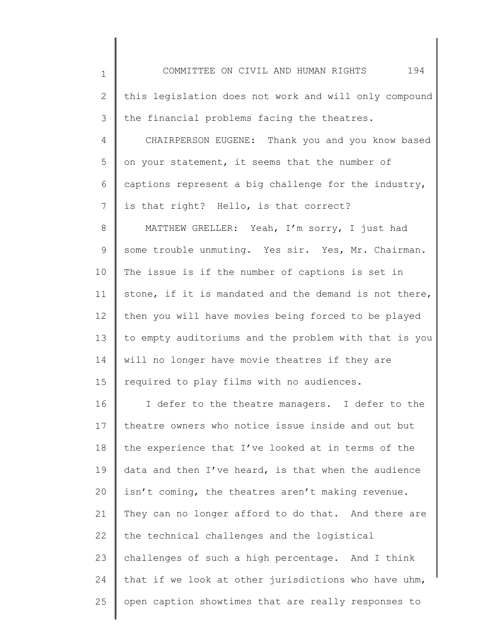| $\mathbf{1}$ | 194<br>COMMITTEE ON CIVIL AND HUMAN RIGHTS            |
|--------------|-------------------------------------------------------|
| 2            | this legislation does not work and will only compound |
| 3            | the financial problems facing the theatres.           |
| 4            | CHAIRPERSON EUGENE: Thank you and you know based      |
| 5            | on your statement, it seems that the number of        |
| 6            | captions represent a big challenge for the industry,  |
| 7            | is that right? Hello, is that correct?                |
| 8            | MATTHEW GRELLER: Yeah, I'm sorry, I just had          |
| 9            | some trouble unmuting. Yes sir. Yes, Mr. Chairman.    |
| 10           | The issue is if the number of captions is set in      |
| 11           | stone, if it is mandated and the demand is not there, |
| 12           | then you will have movies being forced to be played   |
| 13           | to empty auditoriums and the problem with that is you |
| 14           | will no longer have movie theatres if they are        |
| 15           | required to play films with no audiences.             |
| 16           | I defer to the theatre managers. I defer to the       |
| 17           | theatre owners who notice issue inside and out but    |
| 18           | the experience that I've looked at in terms of the    |
| 19           | data and then I've heard, is that when the audience   |
| 20           | isn't coming, the theatres aren't making revenue.     |
| 21           | They can no longer afford to do that. And there are   |
| 22           | the technical challenges and the logistical           |
| 23           | challenges of such a high percentage. And I think     |
| 24           | that if we look at other jurisdictions who have uhm,  |
| 25           | open caption showtimes that are really responses to   |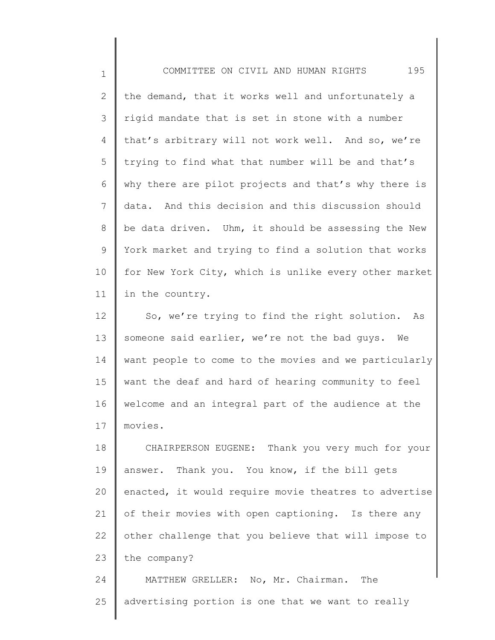1

2 3 4 5 6 7 8 9 10 11 the demand, that it works well and unfortunately a rigid mandate that is set in stone with a number that's arbitrary will not work well. And so, we're trying to find what that number will be and that's why there are pilot projects and that's why there is data. And this decision and this discussion should be data driven. Uhm, it should be assessing the New York market and trying to find a solution that works for New York City, which is unlike every other market in the country.

12 13 14 15 16 17 So, we're trying to find the right solution. As someone said earlier, we're not the bad guys. We want people to come to the movies and we particularly want the deaf and hard of hearing community to feel welcome and an integral part of the audience at the movies.

18 19 20 21 22 23 24 CHAIRPERSON EUGENE: Thank you very much for your answer. Thank you. You know, if the bill gets enacted, it would require movie theatres to advertise of their movies with open captioning. Is there any other challenge that you believe that will impose to the company? MATTHEW GRELLER: No, Mr. Chairman. The

25 advertising portion is one that we want to really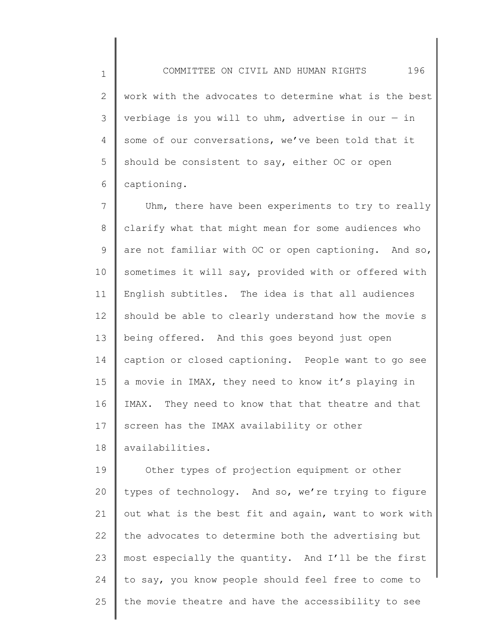2 3 4 5 6 work with the advocates to determine what is the best verbiage is you will to uhm, advertise in our  $-$  in some of our conversations, we've been told that it should be consistent to say, either OC or open captioning.

7 8 9 10 11 12 13 14 15 16 17 Uhm, there have been experiments to try to really clarify what that might mean for some audiences who are not familiar with OC or open captioning. And so, sometimes it will say, provided with or offered with English subtitles. The idea is that all audiences should be able to clearly understand how the movie s being offered. And this goes beyond just open caption or closed captioning. People want to go see a movie in IMAX, they need to know it's playing in IMAX. They need to know that that theatre and that screen has the IMAX availability or other

18 availabilities.

1

19 20 21 22 23 24 25 Other types of projection equipment or other types of technology. And so, we're trying to figure out what is the best fit and again, want to work with the advocates to determine both the advertising but most especially the quantity. And I'll be the first to say, you know people should feel free to come to the movie theatre and have the accessibility to see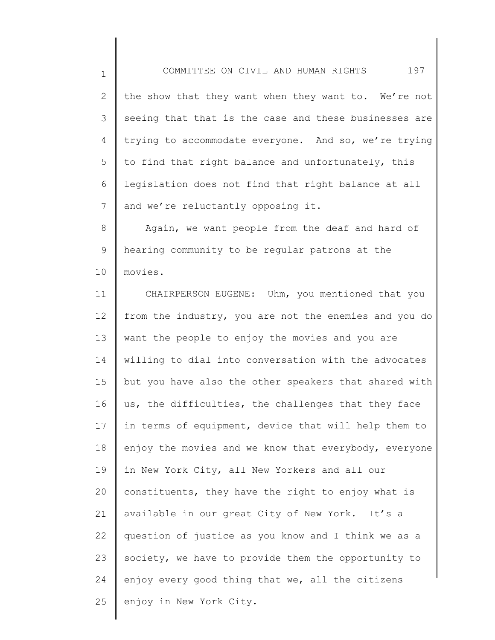1 2 3 4 5 6 7 the show that they want when they want to. We're not seeing that that is the case and these businesses are trying to accommodate everyone. And so, we're trying to find that right balance and unfortunately, this legislation does not find that right balance at all and we're reluctantly opposing it.

COMMITTEE ON CIVIL AND HUMAN RIGHTS 197

8 9 10 Again, we want people from the deaf and hard of hearing community to be regular patrons at the movies.

11 12 13 14 15 16 17 18 19 20 21 22 23 24 25 CHAIRPERSON EUGENE: Uhm, you mentioned that you from the industry, you are not the enemies and you do want the people to enjoy the movies and you are willing to dial into conversation with the advocates but you have also the other speakers that shared with us, the difficulties, the challenges that they face in terms of equipment, device that will help them to enjoy the movies and we know that everybody, everyone in New York City, all New Yorkers and all our constituents, they have the right to enjoy what is available in our great City of New York. It's a question of justice as you know and I think we as a society, we have to provide them the opportunity to enjoy every good thing that we, all the citizens enjoy in New York City.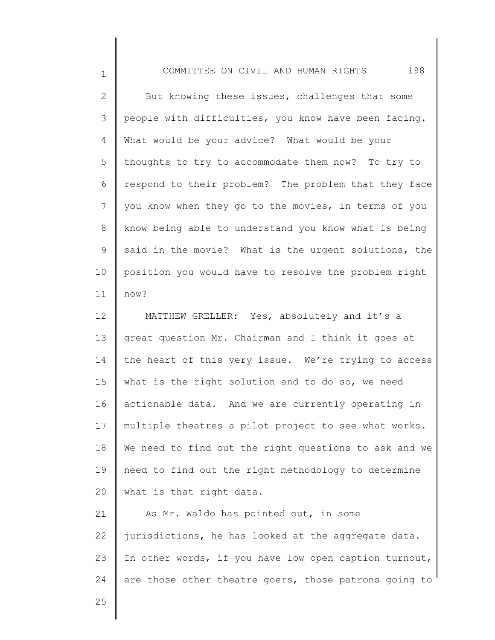2 3 4 5 6 7 8 9 10 11 But knowing these issues, challenges that some people with difficulties, you know have been facing. What would be your advice? What would be your thoughts to try to accommodate them now? To try to respond to their problem? The problem that they face you know when they go to the movies, in terms of you know being able to understand you know what is being said in the movie? What is the urgent solutions, the position you would have to resolve the problem right now?

12 13 14 15 16 17 18 19 20 MATTHEW GRELLER: Yes, absolutely and it's a great question Mr. Chairman and I think it goes at the heart of this very issue. We're trying to access what is the right solution and to do so, we need actionable data. And we are currently operating in multiple theatres a pilot project to see what works. We need to find out the right questions to ask and we need to find out the right methodology to determine what is that right data.

21 22 23 24 As Mr. Waldo has pointed out, in some jurisdictions, he has looked at the aggregate data. In other words, if you have low open caption turnout, are those other theatre goers, those patrons going to

25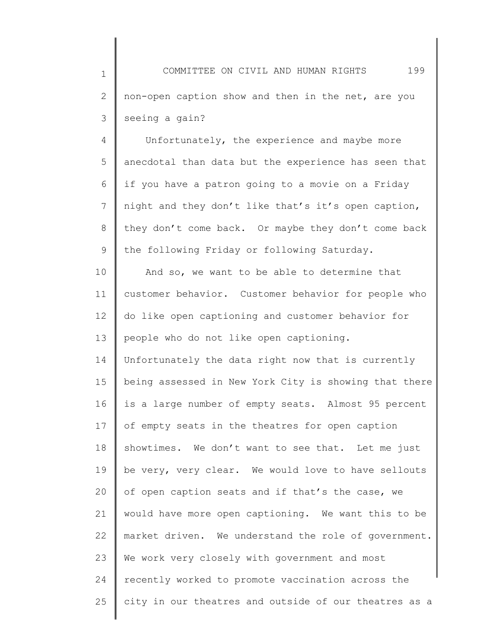4 5 6 7 8 9 Unfortunately, the experience and maybe more anecdotal than data but the experience has seen that if you have a patron going to a movie on a Friday night and they don't like that's it's open caption, they don't come back. Or maybe they don't come back the following Friday or following Saturday.

10 11 12 13 14 15 16 17 18 19 20 21 22 23 24 25 And so, we want to be able to determine that customer behavior. Customer behavior for people who do like open captioning and customer behavior for people who do not like open captioning. Unfortunately the data right now that is currently being assessed in New York City is showing that there is a large number of empty seats. Almost 95 percent of empty seats in the theatres for open caption showtimes. We don't want to see that. Let me just be very, very clear. We would love to have sellouts of open caption seats and if that's the case, we would have more open captioning. We want this to be market driven. We understand the role of government. We work very closely with government and most recently worked to promote vaccination across the city in our theatres and outside of our theatres as a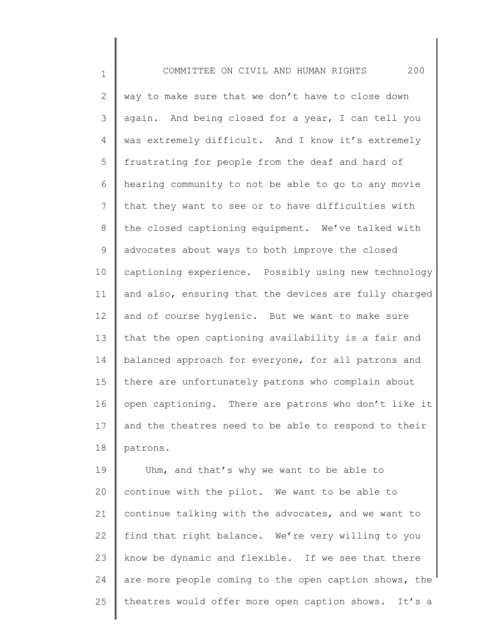1

2 3 4 5 6 7 8 9 10 11 12 13 14 15 16 17 18 way to make sure that we don't have to close down again. And being closed for a year, I can tell you was extremely difficult. And I know it's extremely frustrating for people from the deaf and hard of hearing community to not be able to go to any movie that they want to see or to have difficulties with the closed captioning equipment. We've talked with advocates about ways to both improve the closed captioning experience. Possibly using new technology and also, ensuring that the devices are fully charged and of course hygienic. But we want to make sure that the open captioning availability is a fair and balanced approach for everyone, for all patrons and there are unfortunately patrons who complain about open captioning. There are patrons who don't like it and the theatres need to be able to respond to their patrons.

19 20 21 22 23 24 25 Uhm, and that's why we want to be able to continue with the pilot. We want to be able to continue talking with the advocates, and we want to find that right balance. We're very willing to you know be dynamic and flexible. If we see that there are more people coming to the open caption shows, the theatres would offer more open caption shows. It's a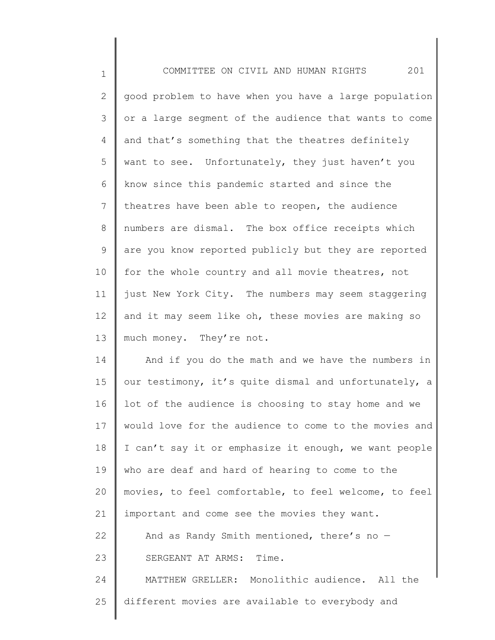| $\mathbf 1$ | 201<br>COMMITTEE ON CIVIL AND HUMAN RIGHTS            |
|-------------|-------------------------------------------------------|
| 2           | good problem to have when you have a large population |
| 3           | or a large segment of the audience that wants to come |
| 4           | and that's something that the theatres definitely     |
| 5           | want to see. Unfortunately, they just haven't you     |
| 6           | know since this pandemic started and since the        |
| 7           | theatres have been able to reopen, the audience       |
| $8\,$       | numbers are dismal. The box office receipts which     |
| 9           | are you know reported publicly but they are reported  |
| 10          | for the whole country and all movie theatres, not     |
| 11          | just New York City. The numbers may seem staggering   |
| 12          | and it may seem like oh, these movies are making so   |
| 13          | much money. They're not.                              |
| 14          | And if you do the math and we have the numbers in     |
| 15          | our testimony, it's quite dismal and unfortunately, a |
| 16          | lot of the audience is choosing to stay home and we   |
| 17          | would love for the audience to come to the movies and |
| 18          | I can't say it or emphasize it enough, we want people |
| 19          | who are deaf and hard of hearing to come to the       |
| 20          | movies, to feel comfortable, to feel welcome, to feel |
| 21          | important and come see the movies they want.          |
| 22          | And as Randy Smith mentioned, there's no -            |
| 23          | SERGEANT AT ARMS: Time.                               |
| 24          | MATTHEW GRELLER: Monolithic audience. All the         |
| 25          | different movies are available to everybody and       |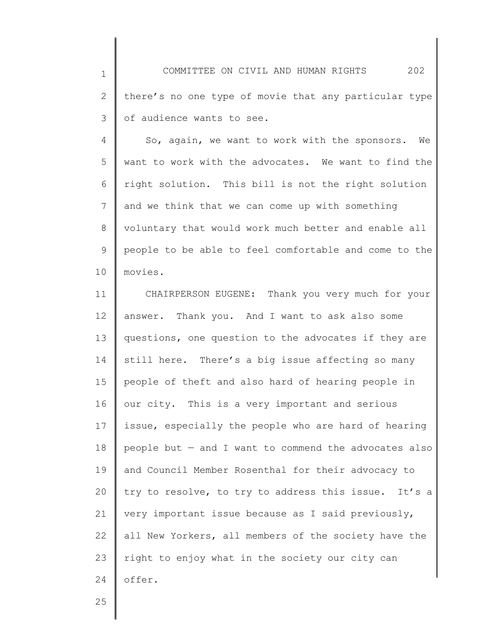1 2 3 COMMITTEE ON CIVIL AND HUMAN RIGHTS 202 there's no one type of movie that any particular type of audience wants to see.

4 5 6 7 8 9 10 So, again, we want to work with the sponsors. We want to work with the advocates. We want to find the right solution. This bill is not the right solution and we think that we can come up with something voluntary that would work much better and enable all people to be able to feel comfortable and come to the movies.

11 12 13 14 15 16 17 18 19 20 21 22 23 24 CHAIRPERSON EUGENE: Thank you very much for your answer. Thank you. And I want to ask also some questions, one question to the advocates if they are still here. There's a big issue affecting so many people of theft and also hard of hearing people in our city. This is a very important and serious issue, especially the people who are hard of hearing people but — and I want to commend the advocates also and Council Member Rosenthal for their advocacy to try to resolve, to try to address this issue. It's a very important issue because as I said previously, all New Yorkers, all members of the society have the right to enjoy what in the society our city can offer.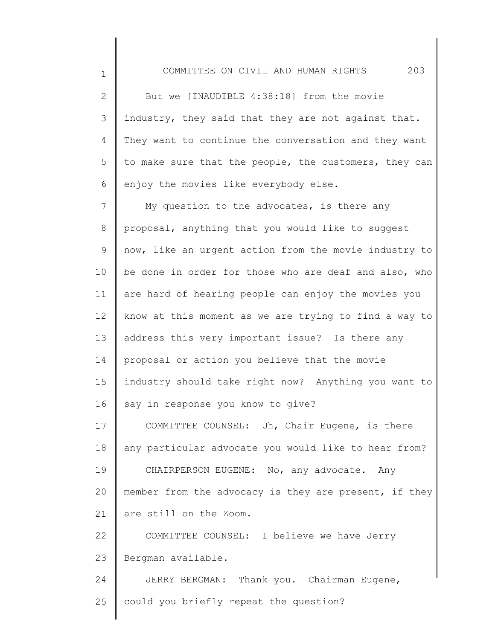1

2 3 4 5 6 But we [INAUDIBLE 4:38:18] from the movie industry, they said that they are not against that. They want to continue the conversation and they want to make sure that the people, the customers, they can enjoy the movies like everybody else.

7 8 9 10 11 12 13 14 15 16 17 My question to the advocates, is there any proposal, anything that you would like to suggest now, like an urgent action from the movie industry to be done in order for those who are deaf and also, who are hard of hearing people can enjoy the movies you know at this moment as we are trying to find a way to address this very important issue? Is there any proposal or action you believe that the movie industry should take right now? Anything you want to say in response you know to give? COMMITTEE COUNSEL: Uh, Chair Eugene, is there

18 19 20 21 any particular advocate you would like to hear from? CHAIRPERSON EUGENE: No, any advocate. Any member from the advocacy is they are present, if they are still on the Zoom.

22 23 COMMITTEE COUNSEL: I believe we have Jerry Bergman available.

24 25 JERRY BERGMAN: Thank you. Chairman Eugene, could you briefly repeat the question?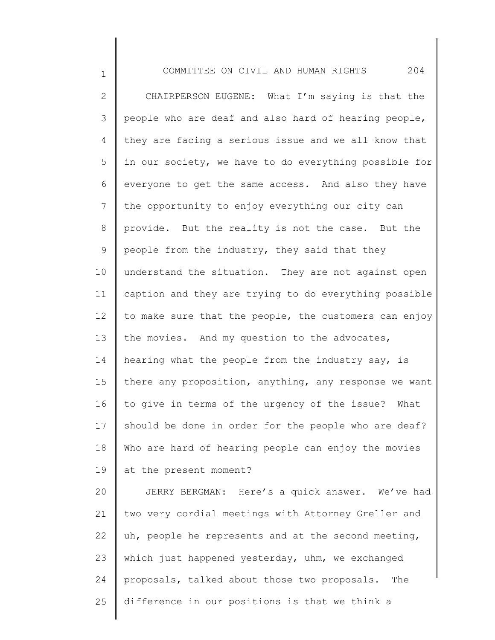1

2 3 4 5 6 7 8 9 10 11 12 13 14 15 16 17 18 19 20 21 22 23 24 25 CHAIRPERSON EUGENE: What I'm saying is that the people who are deaf and also hard of hearing people, they are facing a serious issue and we all know that in our society, we have to do everything possible for everyone to get the same access. And also they have the opportunity to enjoy everything our city can provide. But the reality is not the case. But the people from the industry, they said that they understand the situation. They are not against open caption and they are trying to do everything possible to make sure that the people, the customers can enjoy the movies. And my question to the advocates, hearing what the people from the industry say, is there any proposition, anything, any response we want to give in terms of the urgency of the issue? What should be done in order for the people who are deaf? Who are hard of hearing people can enjoy the movies at the present moment? JERRY BERGMAN: Here's a quick answer. We've had two very cordial meetings with Attorney Greller and uh, people he represents and at the second meeting, which just happened yesterday, uhm, we exchanged proposals, talked about those two proposals. The difference in our positions is that we think a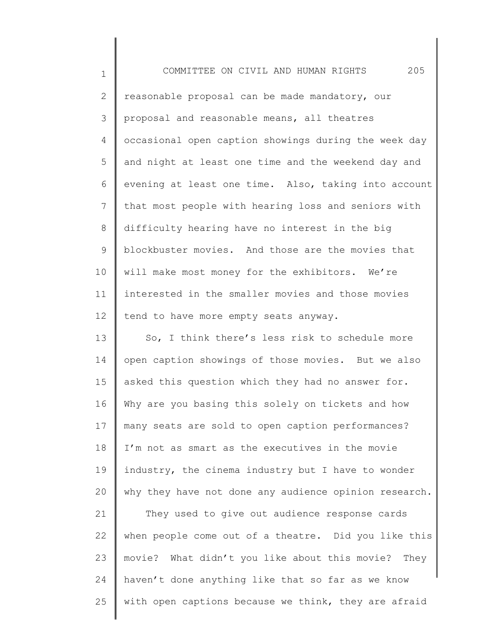1 2 3 4 5 6 7 8 9 10 11 12 13 14 15 16 17 18 19 20 21 22 23 COMMITTEE ON CIVIL AND HUMAN RIGHTS 205 reasonable proposal can be made mandatory, our proposal and reasonable means, all theatres occasional open caption showings during the week day and night at least one time and the weekend day and evening at least one time. Also, taking into account that most people with hearing loss and seniors with difficulty hearing have no interest in the big blockbuster movies. And those are the movies that will make most money for the exhibitors. We're interested in the smaller movies and those movies tend to have more empty seats anyway. So, I think there's less risk to schedule more open caption showings of those movies. But we also asked this question which they had no answer for. Why are you basing this solely on tickets and how many seats are sold to open caption performances? I'm not as smart as the executives in the movie industry, the cinema industry but I have to wonder why they have not done any audience opinion research. They used to give out audience response cards when people come out of a theatre. Did you like this movie? What didn't you like about this movie? They

haven't done anything like that so far as we know

with open captions because we think, they are afraid

24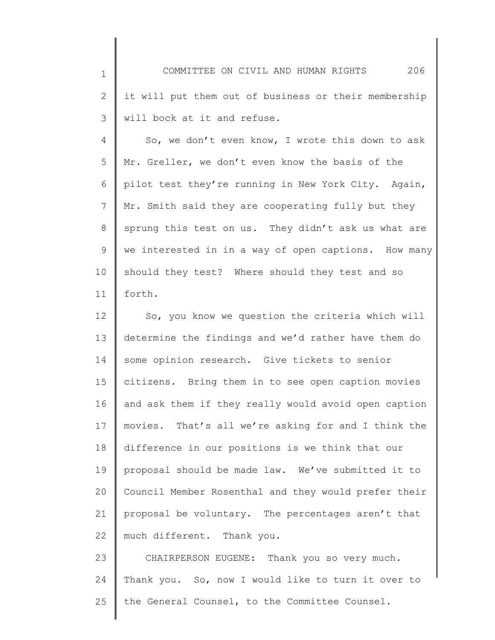1 2 3 4 5 6 COMMITTEE ON CIVIL AND HUMAN RIGHTS 206 it will put them out of business or their membership will bock at it and refuse. So, we don't even know, I wrote this down to ask Mr. Greller, we don't even know the basis of the pilot test they're running in New York City. Again,

7 8 9 10 11 Mr. Smith said they are cooperating fully but they sprung this test on us. They didn't ask us what are we interested in in a way of open captions. How many should they test? Where should they test and so forth.

12 13 14 15 16 17 18 19 20 21 22 So, you know we question the criteria which will determine the findings and we'd rather have them do some opinion research. Give tickets to senior citizens. Bring them in to see open caption movies and ask them if they really would avoid open caption movies. That's all we're asking for and I think the difference in our positions is we think that our proposal should be made law. We've submitted it to Council Member Rosenthal and they would prefer their proposal be voluntary. The percentages aren't that much different. Thank you.

23 24 25 CHAIRPERSON EUGENE: Thank you so very much. Thank you. So, now I would like to turn it over to the General Counsel, to the Committee Counsel.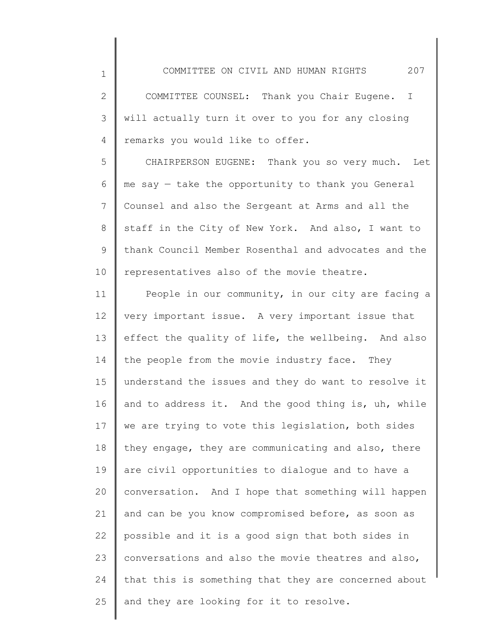2 3 4 COMMITTEE COUNSEL: Thank you Chair Eugene. I will actually turn it over to you for any closing remarks you would like to offer.

1

5 6 7 8 9 10 CHAIRPERSON EUGENE: Thank you so very much. Let me say — take the opportunity to thank you General Counsel and also the Sergeant at Arms and all the staff in the City of New York. And also, I want to thank Council Member Rosenthal and advocates and the representatives also of the movie theatre.

11 12 13 14 15 16 17 18 19 20 21 22 23 24 25 People in our community, in our city are facing a very important issue. A very important issue that effect the quality of life, the wellbeing. And also the people from the movie industry face. They understand the issues and they do want to resolve it and to address it. And the good thing is, uh, while we are trying to vote this legislation, both sides they engage, they are communicating and also, there are civil opportunities to dialogue and to have a conversation. And I hope that something will happen and can be you know compromised before, as soon as possible and it is a good sign that both sides in conversations and also the movie theatres and also, that this is something that they are concerned about and they are looking for it to resolve.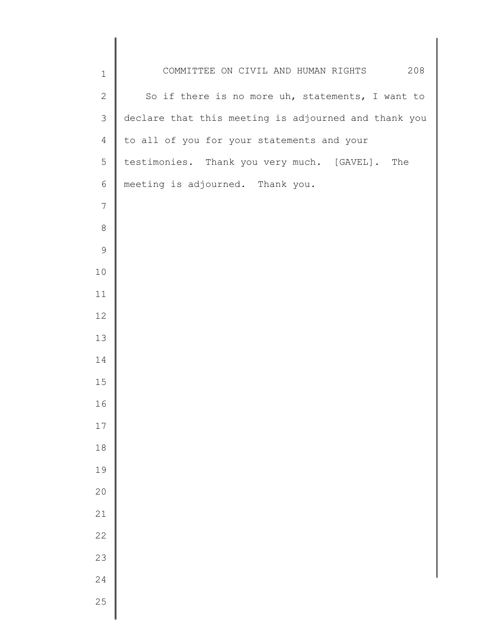| $\mathbf 1$     | COMMITTEE ON CIVIL AND HUMAN RIGHTS 208              |
|-----------------|------------------------------------------------------|
| $\sqrt{2}$      | So if there is no more uh, statements, I want to     |
| $\mathfrak{Z}$  | declare that this meeting is adjourned and thank you |
| $\overline{4}$  | to all of you for your statements and your           |
| 5               | testimonies. Thank you very much. [GAVEL]. The       |
| 6               | meeting is adjourned. Thank you.                     |
| $7\phantom{.0}$ |                                                      |
| $\,8\,$         |                                                      |
| $\mathsf 9$     |                                                      |
| 10              |                                                      |
| 11              |                                                      |
| 12              |                                                      |
| 13              |                                                      |
| 14              |                                                      |
| 15              |                                                      |
| 16              |                                                      |
| $17$            |                                                      |
| $18$            |                                                      |
| 19              |                                                      |
| 20              |                                                      |
| 21              |                                                      |
| 22              |                                                      |
| 23              |                                                      |
| 24              |                                                      |
| 25              |                                                      |
|                 |                                                      |